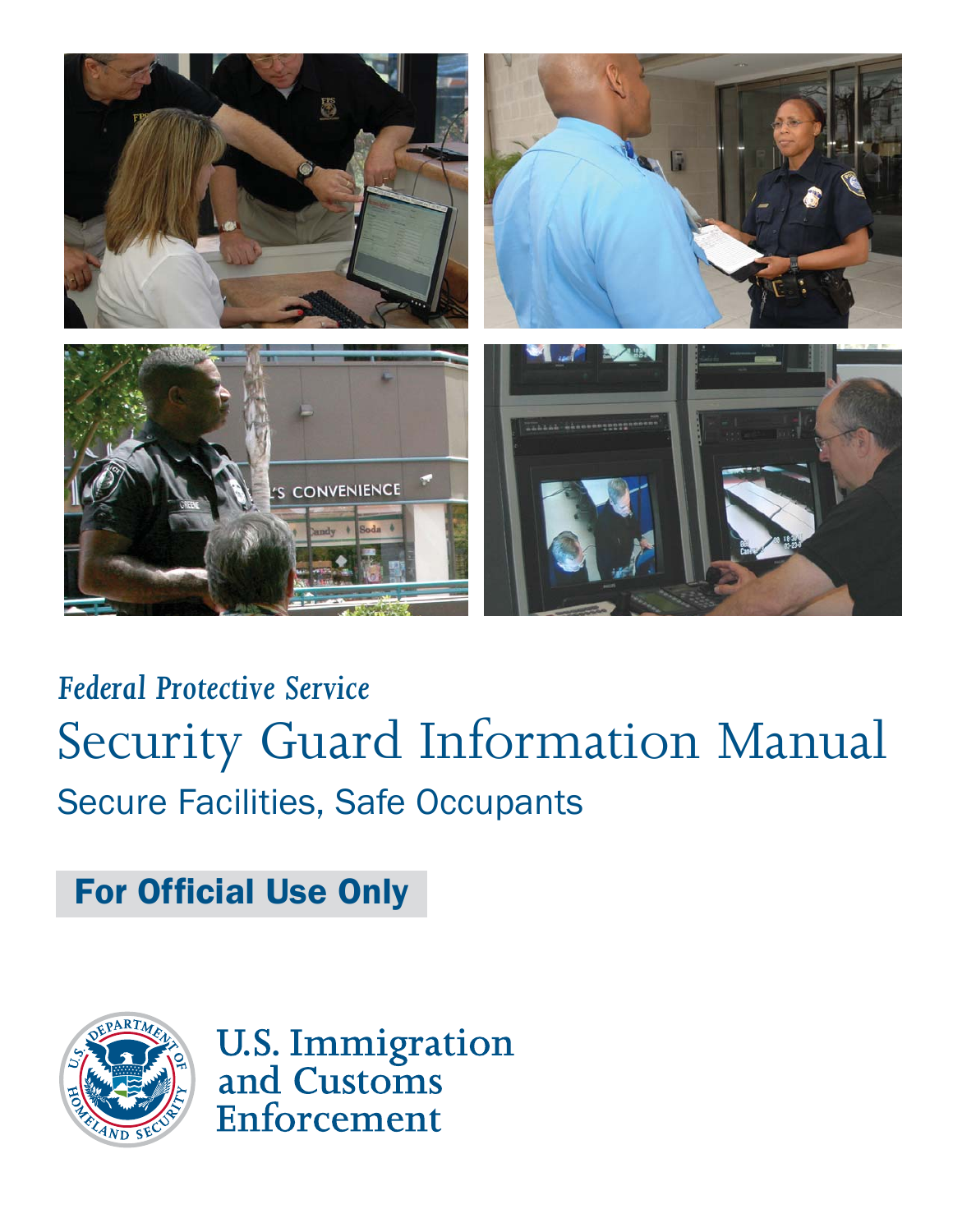

# *Federal Protective Service* Security Guard Information Manual Secure Facilities, Safe Occupants

# For Official Use Only



**U.S. Immigration**<br>and Customs Enforcement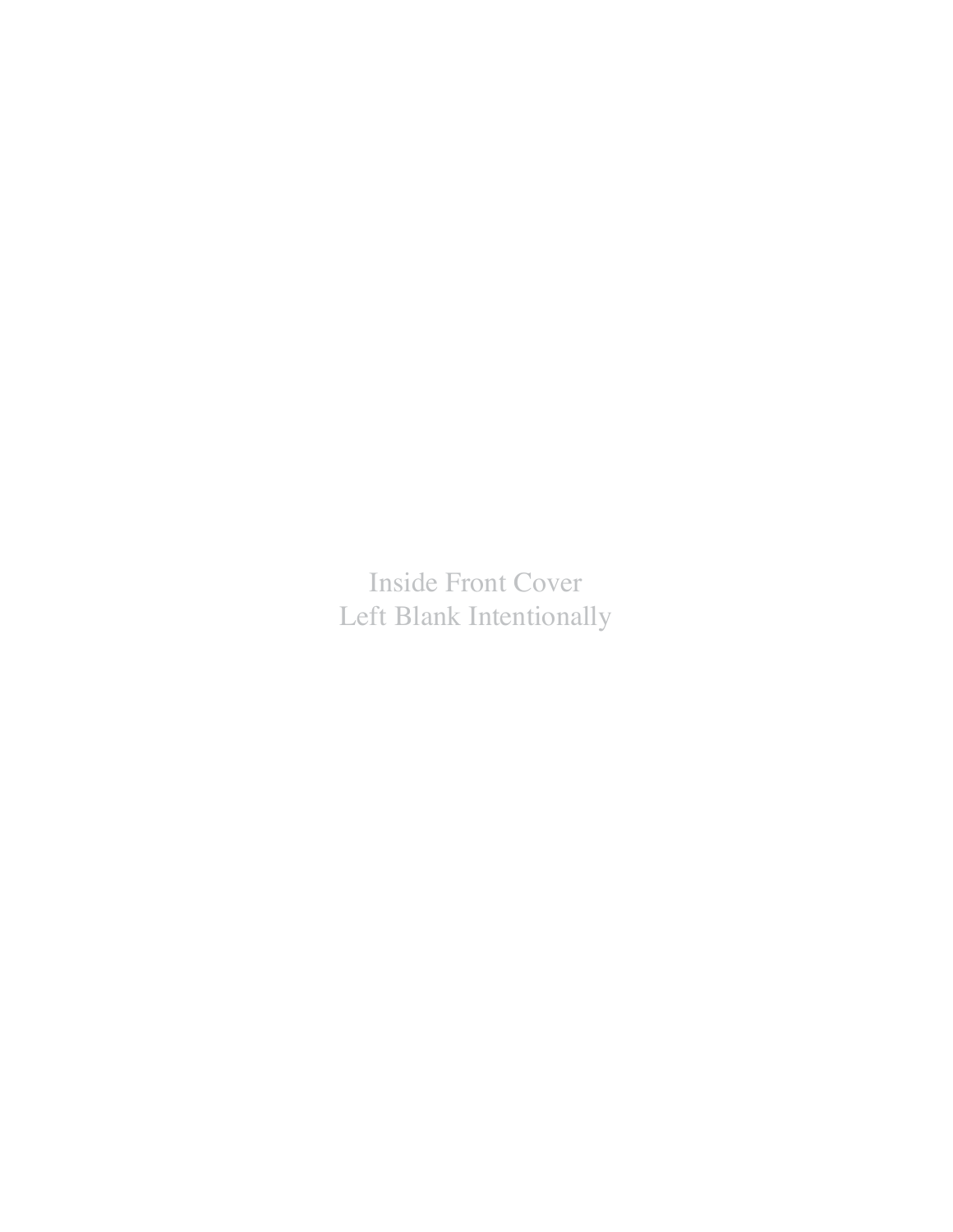Inside Front Cover Left Blank Intentionally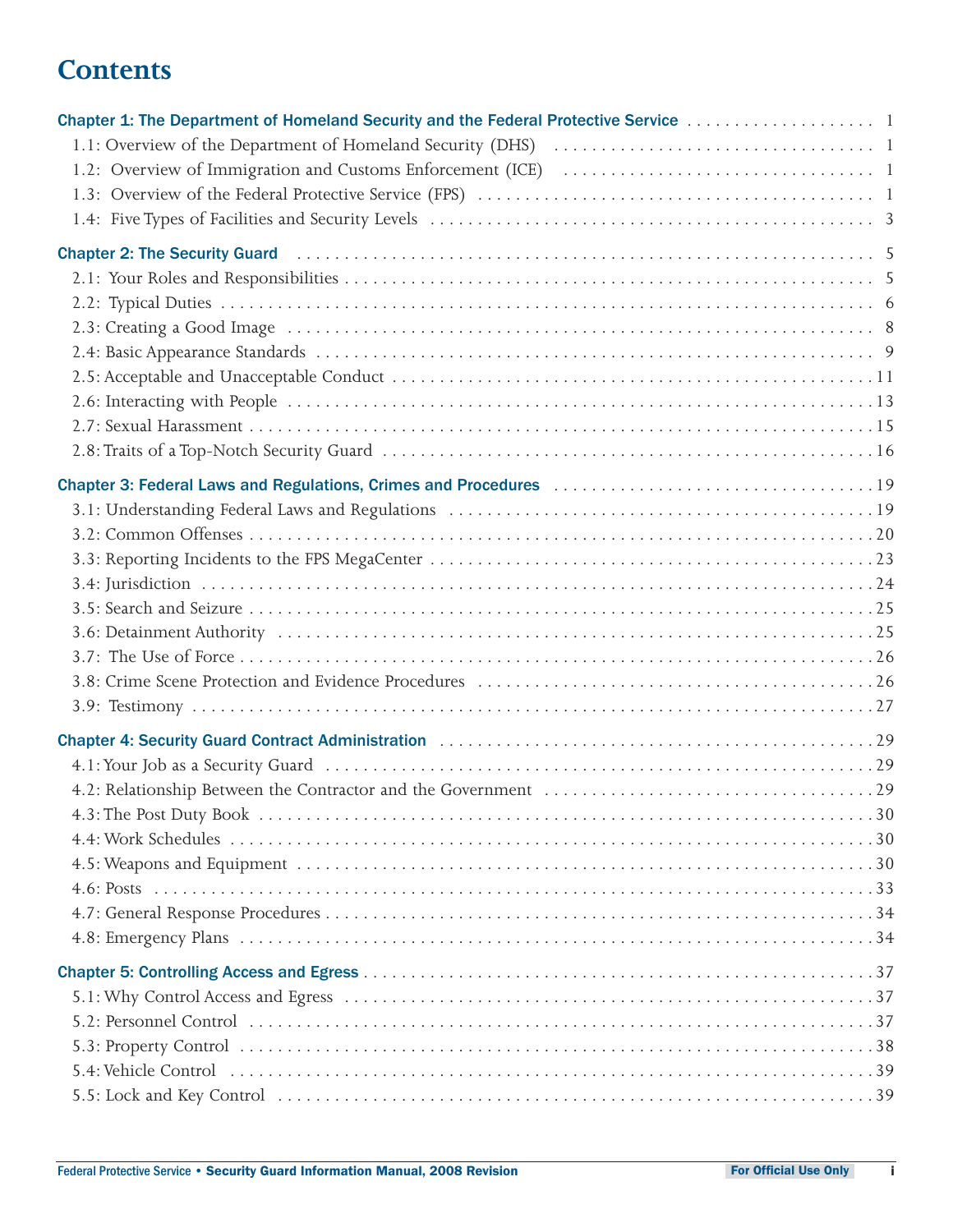### **Contents**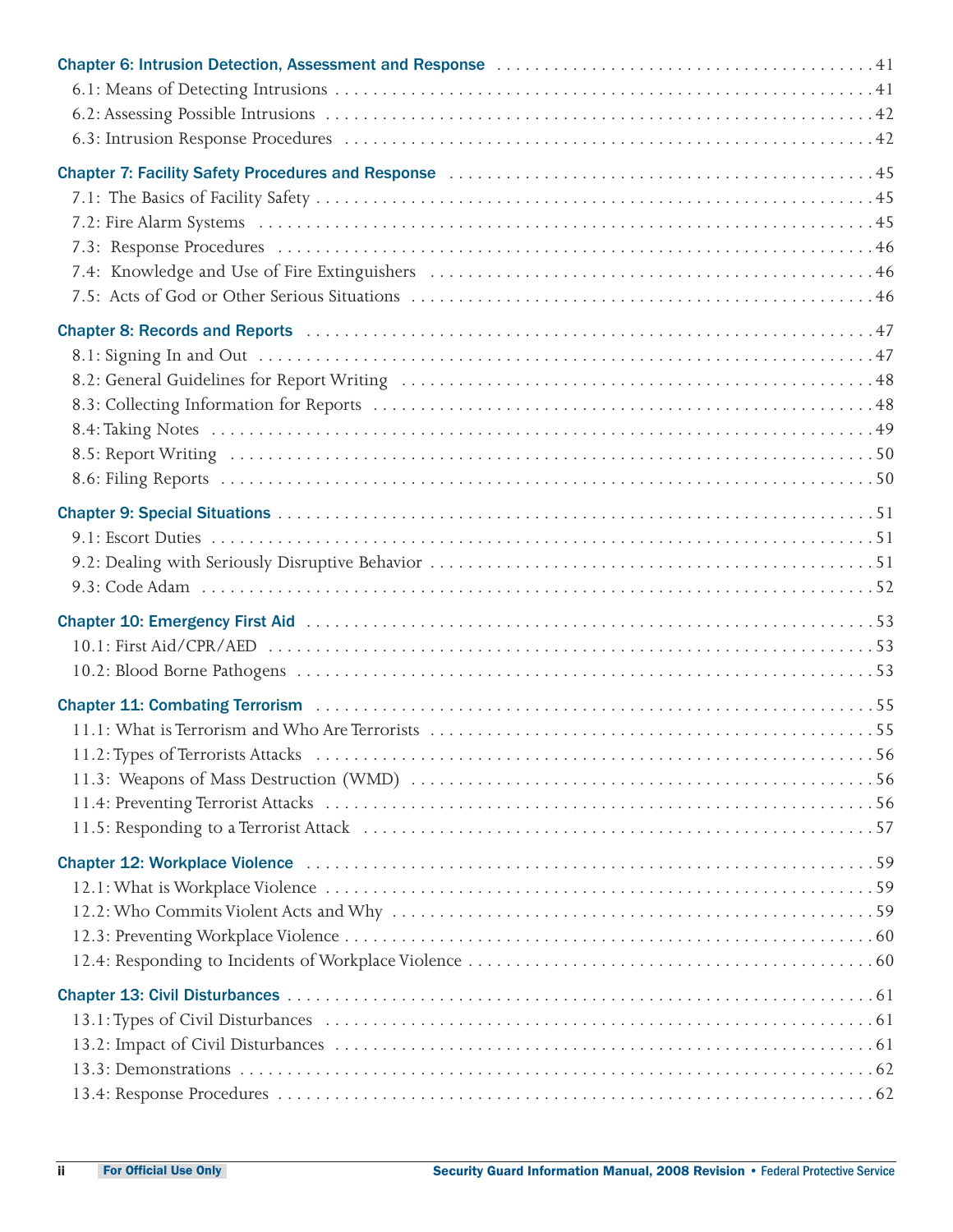| Chapter 11: Combating Terrorism<br>1995 - Anthropology America, American and San Indian States and Terrorism and States and States and States and States and States and States and States and States and States and States and St |
|-----------------------------------------------------------------------------------------------------------------------------------------------------------------------------------------------------------------------------------|
|                                                                                                                                                                                                                                   |
|                                                                                                                                                                                                                                   |
|                                                                                                                                                                                                                                   |
|                                                                                                                                                                                                                                   |
|                                                                                                                                                                                                                                   |
|                                                                                                                                                                                                                                   |
|                                                                                                                                                                                                                                   |
|                                                                                                                                                                                                                                   |
|                                                                                                                                                                                                                                   |
|                                                                                                                                                                                                                                   |
|                                                                                                                                                                                                                                   |
|                                                                                                                                                                                                                                   |
|                                                                                                                                                                                                                                   |
|                                                                                                                                                                                                                                   |
|                                                                                                                                                                                                                                   |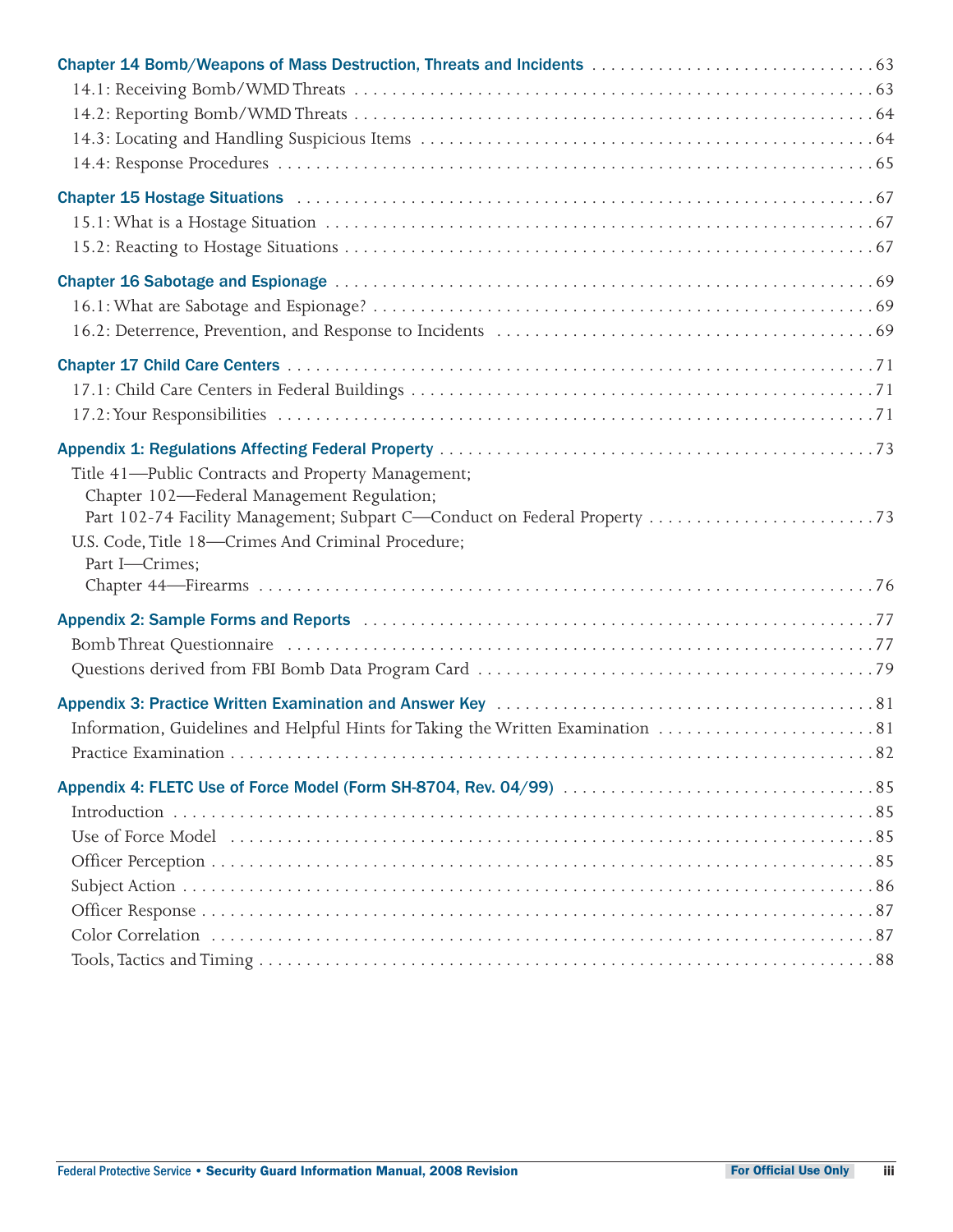| Chapter 15 Hostage Situations (all contains) and the control of the control of the control of the control of t                                                                                                                                        |
|-------------------------------------------------------------------------------------------------------------------------------------------------------------------------------------------------------------------------------------------------------|
|                                                                                                                                                                                                                                                       |
|                                                                                                                                                                                                                                                       |
| Title 41-Public Contracts and Property Management;<br>Chapter 102-Federal Management Regulation;<br>Part 102-74 Facility Management; Subpart C—Conduct on Federal Property 73<br>U.S. Code, Title 18-Crimes And Criminal Procedure;<br>Part I-Crimes; |
|                                                                                                                                                                                                                                                       |
| Information, Guidelines and Helpful Hints for Taking the Written Examination 81                                                                                                                                                                       |
| Use of Force Model (and a series are a series and a series of Force Model (and a series and a series and series $85$                                                                                                                                  |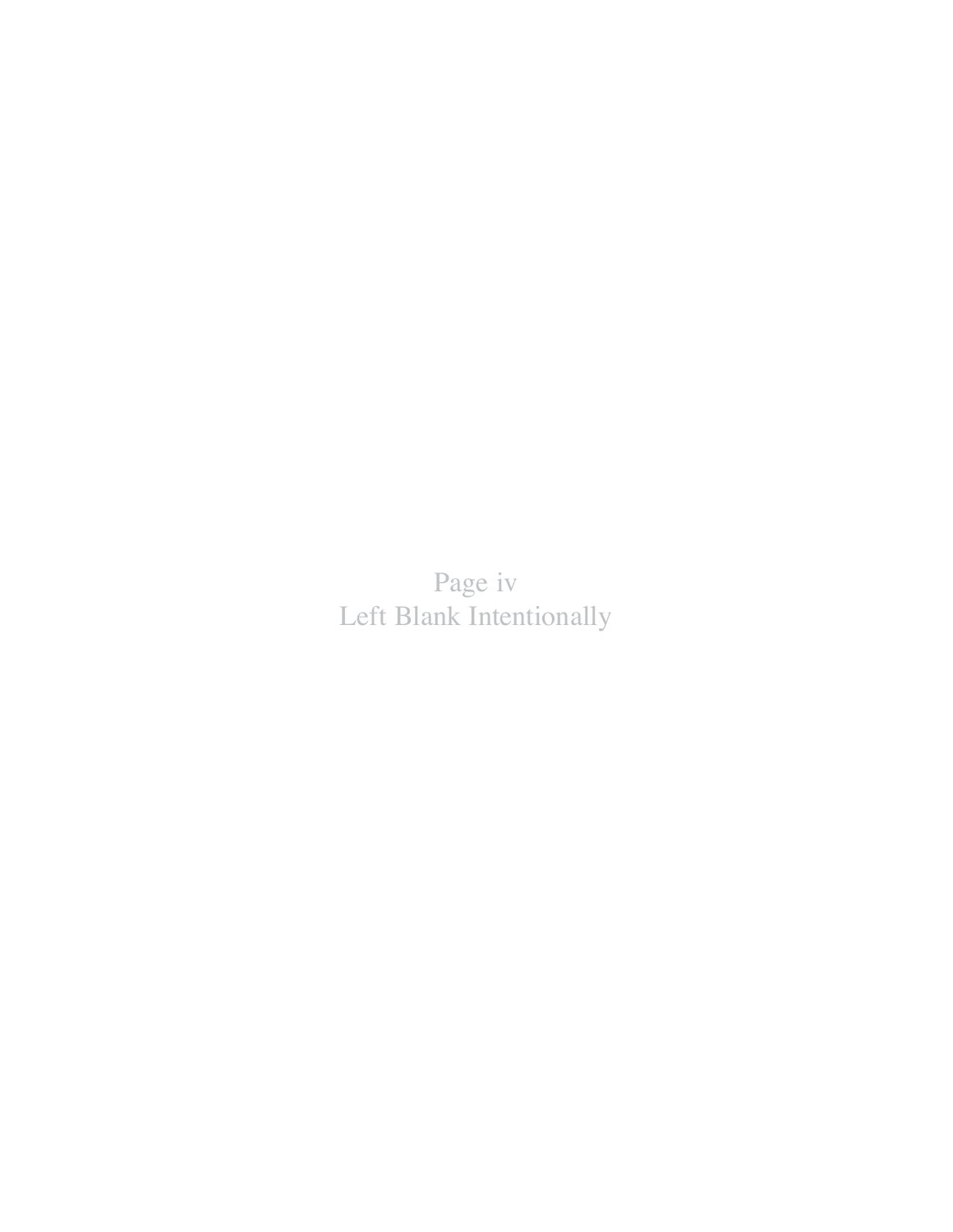Page iv Left Blank Intentionally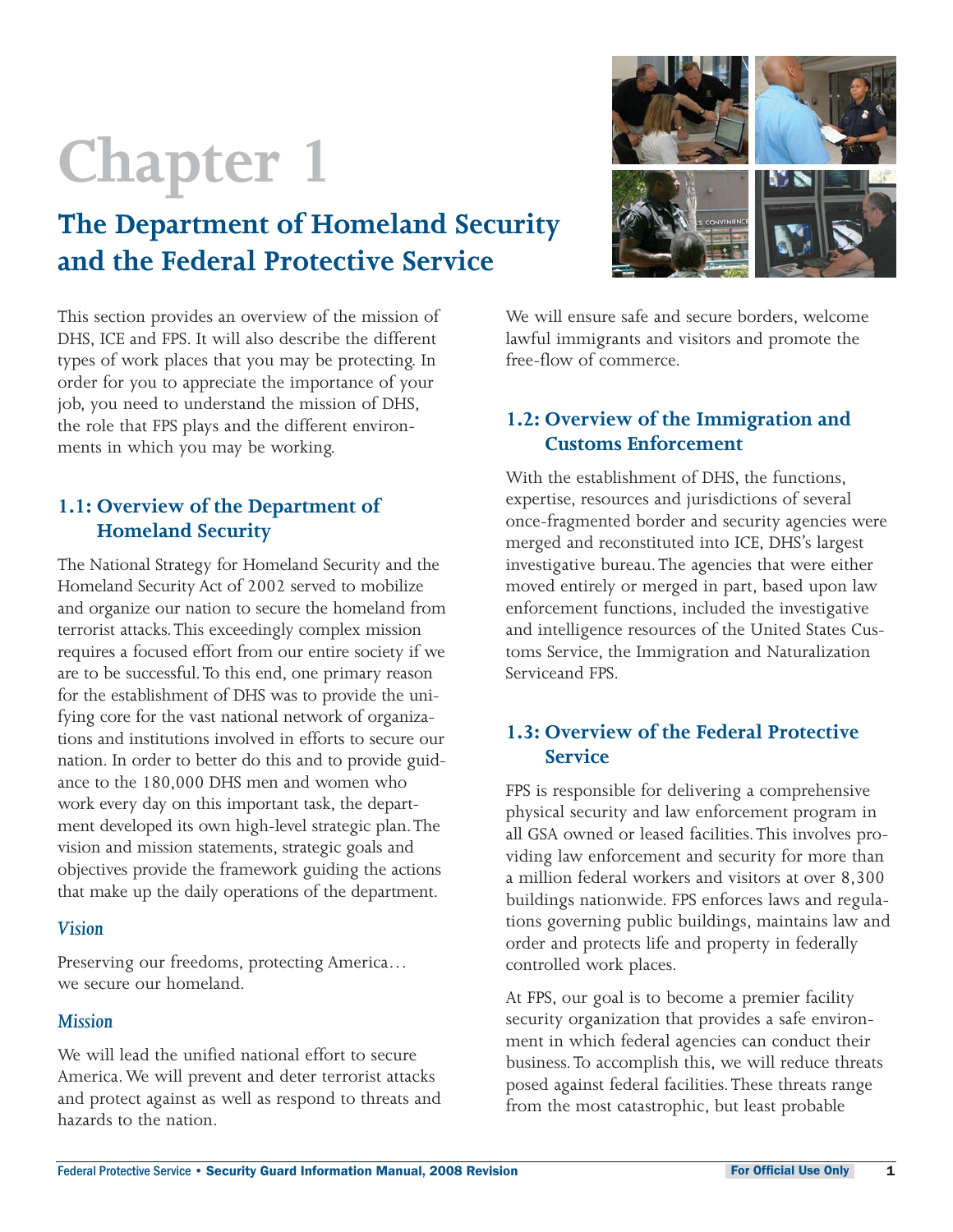# **Chapter 1**

### **The Department of Homeland Security and the Federal Protective Service**

This section provides an overview of the mission of DHS, ICE and FPS. It will also describe the different types of work places that you may be protecting. In order for you to appreciate the importance of your job, you need to understand the mission of DHS, the role that FPS plays and the different environments in which you may be working.

#### **1.1: Overview of the Department of Homeland Security**

The National Strategy for Homeland Security and the Homeland Security Act of 2002 served to mobilize and organize our nation to secure the homeland from terrorist attacks.This exceedingly complex mission requires a focused effort from our entire society if we are to be successful.To this end, one primary reason for the establishment of DHS was to provide the unifying core for the vast national network of organizations and institutions involved in efforts to secure our nation. In order to better do this and to provide guidance to the 180,000 DHS men and women who work every day on this important task, the department developed its own high-level strategic plan.The vision and mission statements, strategic goals and objectives provide the framework guiding the actions that make up the daily operations of the department.

#### *Vision*

Preserving our freedoms, protecting America... we secure our homeland.

#### *Mission*

We will lead the unified national effort to secure America. We will prevent and deter terrorist attacks and protect against as well as respond to threats and hazards to the nation.

We will ensure safe and secure borders, welcome lawful immigrants and visitors and promote the free-flow of commerce.

#### **1.2: Overview of the Immigration and Customs Enforcement**

With the establishment of DHS, the functions, expertise, resources and jurisdictions of several once-fragmented border and security agencies were merged and reconstituted into ICE, DHS's largest investigative bureau.The agencies that were either moved entirely or merged in part, based upon law enforcement functions, included the investigative and intelligence resources of the United States Customs Service, the Immigration and Naturalization Serviceand FPS.

#### **1.3: Overview of the Federal Protective Service**

FPS is responsible for delivering a comprehensive physical security and law enforcement program in all GSA owned or leased facilities.This involves providing law enforcement and security for more than a million federal workers and visitors at over 8,300 buildings nationwide. FPS enforces laws and regulations governing public buildings, maintains law and order and protects life and property in federally controlled work places.

At FPS, our goal is to become a premier facility security organization that provides a safe environment in which federal agencies can conduct their business.To accomplish this, we will reduce threats posed against federal facilities.These threats range from the most catastrophic, but least probable



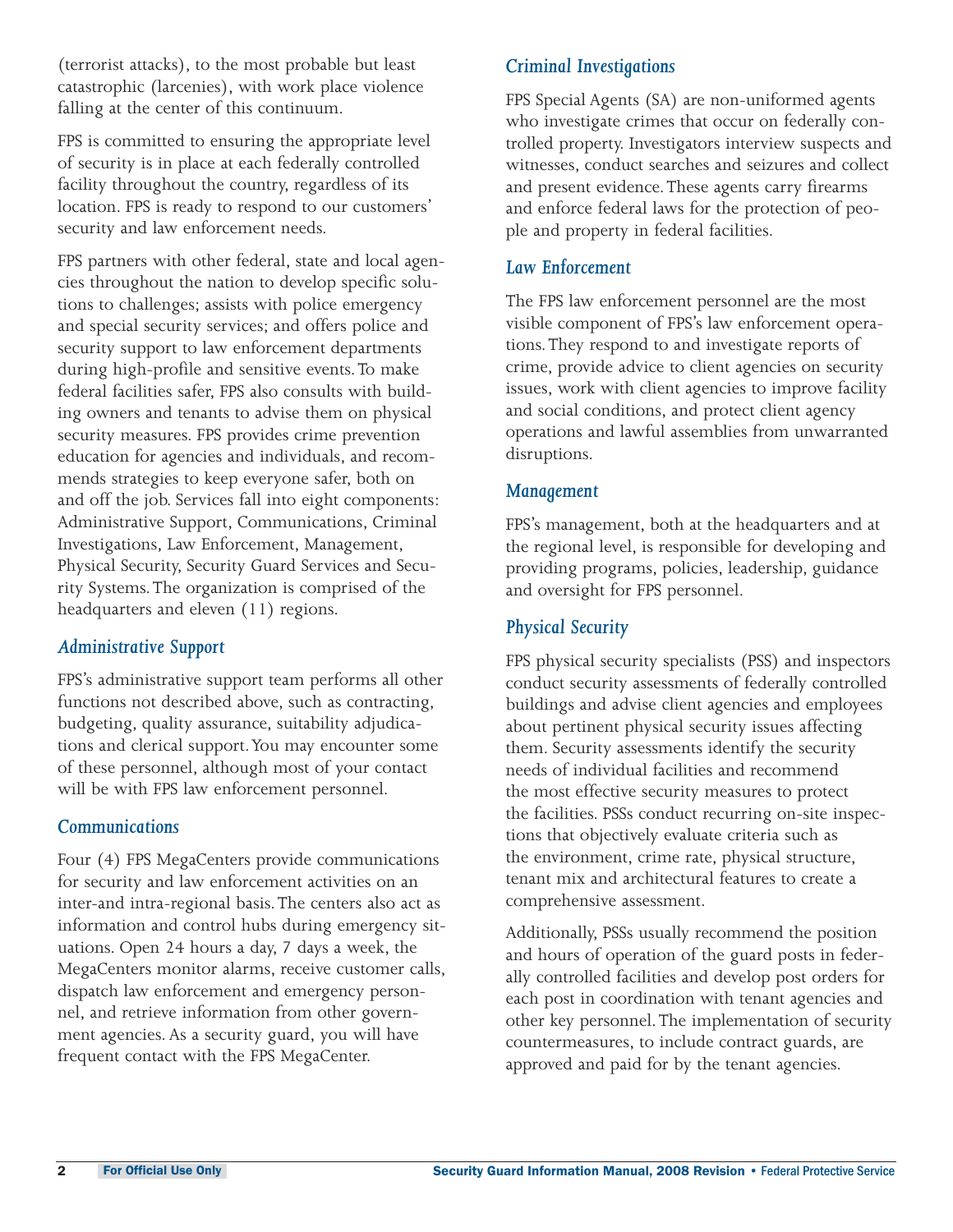(terrorist attacks), to the most probable but least catastrophic (larcenies), with work place violence falling at the center of this continuum.

FPS is committed to ensuring the appropriate level of security is in place at each federally controlled facility throughout the country, regardless of its location. FPS is ready to respond to our customers' security and law enforcement needs.

FPS partners with other federal, state and local agencies throughout the nation to develop specific solutions to challenges; assists with police emergency and special security services; and offers police and security support to law enforcement departments during high-profile and sensitive events.To make federal facilities safer, FPS also consults with building owners and tenants to advise them on physical security measures. FPS provides crime prevention education for agencies and individuals, and recommends strategies to keep everyone safer, both on and off the job. Services fall into eight components: Administrative Support, Communications, Criminal Investigations, Law Enforcement, Management, Physical Security, Security Guard Services and Security Systems.The organization is comprised of the headquarters and eleven (11) regions.

#### *Administrative Support*

FPS's administrative support team performs all other functions not described above, such as contracting, budgeting, quality assurance, suitability adjudications and clerical support.You may encounter some of these personnel, although most of your contact will be with FPS law enforcement personnel.

#### *Communications*

Four (4) FPS MegaCenters provide communications for security and law enforcement activities on an inter-and intra-regional basis.The centers also act as information and control hubs during emergency situations. Open 24 hours a day, 7 days a week, the MegaCenters monitor alarms, receive customer calls, dispatch law enforcement and emergency personnel, and retrieve information from other government agencies. As a security guard, you will have frequent contact with the FPS MegaCenter.

#### *Criminal Investigations*

FPS Special Agents (SA) are non-uniformed agents who investigate crimes that occur on federally controlled property. Investigators interview suspects and witnesses, conduct searches and seizures and collect and present evidence.These agents carry firearms and enforce federal laws for the protection of people and property in federal facilities.

#### *Law Enforcement*

The FPS law enforcement personnel are the most visible component of FPS's law enforcement operations.They respond to and investigate reports of crime, provide advice to client agencies on security issues, work with client agencies to improve facility and social conditions, and protect client agency operations and lawful assemblies from unwarranted disruptions.

#### *Management*

FPS's management, both at the headquarters and at the regional level, is responsible for developing and providing programs, policies, leadership, guidance and oversight for FPS personnel.

#### *Physical Security*

FPS physical security specialists (PSS) and inspectors conduct security assessments of federally controlled buildings and advise client agencies and employees about pertinent physical security issues affecting them. Security assessments identify the security needs of individual facilities and recommend the most effective security measures to protect the facilities. PSSs conduct recurring on-site inspections that objectively evaluate criteria such as the environment, crime rate, physical structure, tenant mix and architectural features to create a comprehensive assessment.

Additionally, PSSs usually recommend the position and hours of operation of the guard posts in federally controlled facilities and develop post orders for each post in coordination with tenant agencies and other key personnel.The implementation of security countermeasures, to include contract guards, are approved and paid for by the tenant agencies.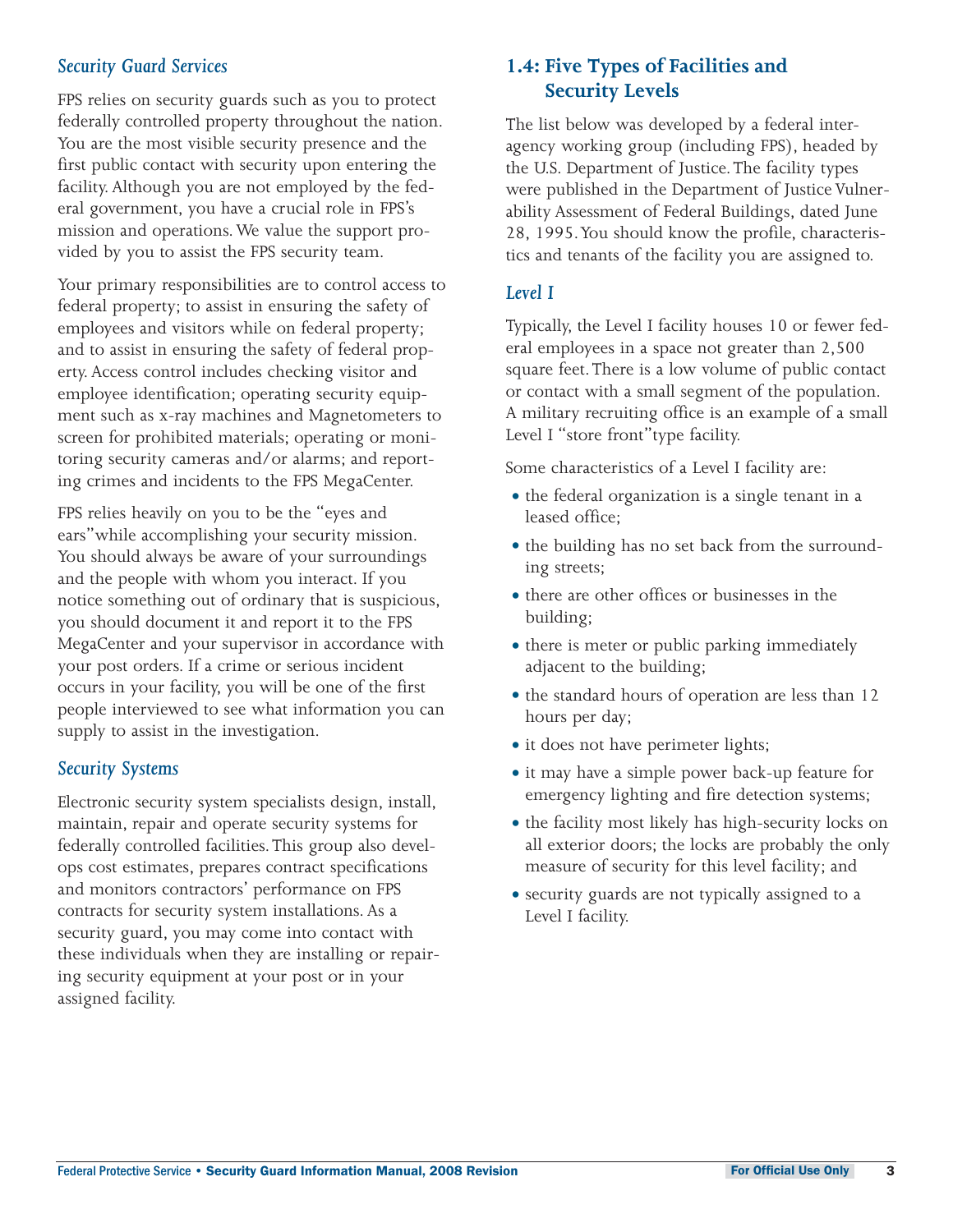#### *Security Guard Services*

FPS relies on security guards such as you to protect federally controlled property throughout the nation. You are the most visible security presence and the first public contact with security upon entering the facility. Although you are not employed by the federal government, you have a crucial role in FPS's mission and operations. We value the support provided by you to assist the FPS security team.

Your primary responsibilities are to control access to federal property; to assist in ensuring the safety of employees and visitors while on federal property; and to assist in ensuring the safety of federal property. Access control includes checking visitor and employee identification; operating security equipment such as x-ray machines and Magnetometers to screen for prohibited materials; operating or monitoring security cameras and/or alarms; and reporting crimes and incidents to the FPS MegaCenter.

FPS relies heavily on you to be the "eyes and ears" while accomplishing your security mission. You should always be aware of your surroundings and the people with whom you interact. If you notice something out of ordinary that is suspicious, you should document it and report it to the FPS MegaCenter and your supervisor in accordance with your post orders. If a crime or serious incident occurs in your facility, you will be one of the first people interviewed to see what information you can supply to assist in the investigation.

#### *Security Systems*

Electronic security system specialists design, install, maintain, repair and operate security systems for federally controlled facilities.This group also develops cost estimates, prepares contract specifications and monitors contractors' performance on FPS contracts for security system installations. As a security guard, you may come into contact with these individuals when they are installing or repairing security equipment at your post or in your assigned facility.

#### **1.4: Five Types of Facilities and Security Levels**

The list below was developed by a federal interagency working group (including FPS), headed by the U.S. Department of Justice.The facility types were published in the Department of Justice Vulnerability Assessment of Federal Buildings, dated June 28, 1995.You should know the profile, characteristics and tenants of the facility you are assigned to.

#### *Level I*

Typically, the Level I facility houses 10 or fewer federal employees in a space not greater than 2,500 square feet.There is a low volume of public contact or contact with a small segment of the population. A military recruiting office is an example of a small Level I "store front" type facility.

Some characteristics of a Level I facility are:

- the federal organization is a single tenant in a leased office;
- the building has no set back from the surrounding streets;
- there are other offices or businesses in the building;
- there is meter or public parking immediately adjacent to the building;
- the standard hours of operation are less than 12 hours per day;
- it does not have perimeter lights;
- it may have a simple power back-up feature for emergency lighting and fire detection systems;
- $\bullet$  the facility most likely has high-security locks on all exterior doors; the locks are probably the only measure of security for this level facility; and
- security guards are not typically assigned to a Level I facility.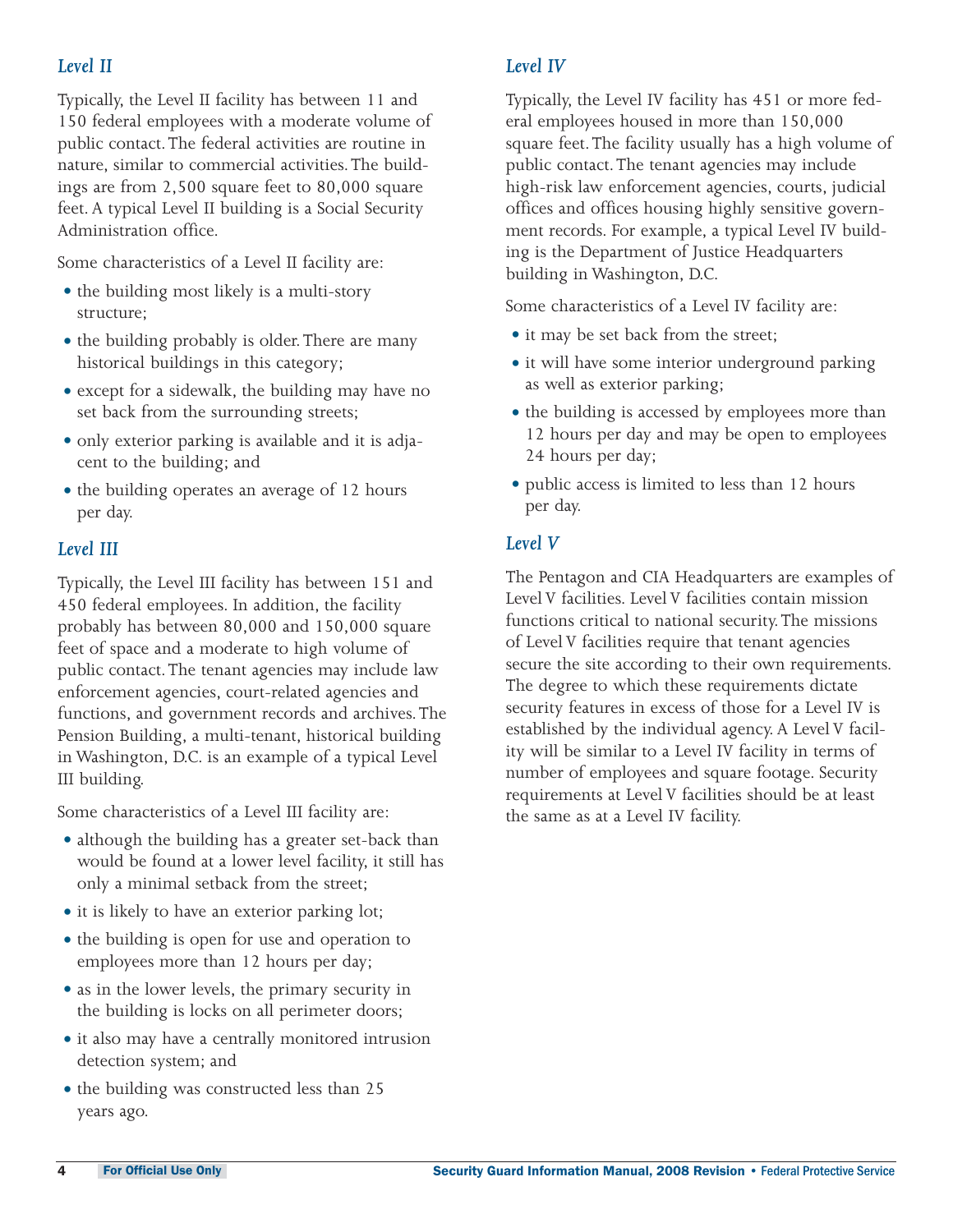#### *Level II*

Typically, the Level II facility has between 11 and 150 federal employees with a moderate volume of public contact.The federal activities are routine in nature, similar to commercial activities.The buildings are from 2,500 square feet to 80,000 square feet. A typical Level II building is a Social Security Administration office.

Some characteristics of a Level II facility are:

- the building most likely is a multi-story structure;
- the building probably is older. There are many historical buildings in this category;
- except for a sidewalk, the building may have no set back from the surrounding streets;
- only exterior parking is available and it is adjacent to the building; and
- the building operates an average of 12 hours per day.

#### *Level III*

Typically, the Level III facility has between 151 and 450 federal employees. In addition, the facility probably has between 80,000 and 150,000 square feet of space and a moderate to high volume of public contact.The tenant agencies may include law enforcement agencies, court-related agencies and functions, and government records and archives.The Pension Building, a multi-tenant, historical building in Washington, D.C. is an example of a typical Level III building.

Some characteristics of a Level III facility are:

- although the building has a greater set-back than would be found at a lower level facility, it still has only a minimal setback from the street;
- it is likely to have an exterior parking lot;
- the building is open for use and operation to employees more than 12 hours per day;
- as in the lower levels, the primary security in the building is locks on all perimeter doors;
- it also may have a centrally monitored intrusion detection system; and
- the building was constructed less than 25 years ago.

#### *Level IV*

Typically, the Level IV facility has 451 or more federal employees housed in more than 150,000 square feet.The facility usually has a high volume of public contact.The tenant agencies may include high-risk law enforcement agencies, courts, judicial offices and offices housing highly sensitive government records. For example, a typical Level IV building is the Department of Justice Headquarters building in Washington, D.C.

Some characteristics of a Level IV facility are:

- it may be set back from the street;
- it will have some interior underground parking as well as exterior parking;
- the building is accessed by employees more than 12 hours per day and may be open to employees 24 hours per day;
- public access is limited to less than 12 hours per day.

#### *Level V*

The Pentagon and CIA Headquarters are examples of Level V facilities. Level V facilities contain mission functions critical to national security.The missions of Level V facilities require that tenant agencies secure the site according to their own requirements. The degree to which these requirements dictate security features in excess of those for a Level IV is established by the individual agency. A Level V facility will be similar to a Level IV facility in terms of number of employees and square footage. Security requirements at Level V facilities should be at least the same as at a Level IV facility.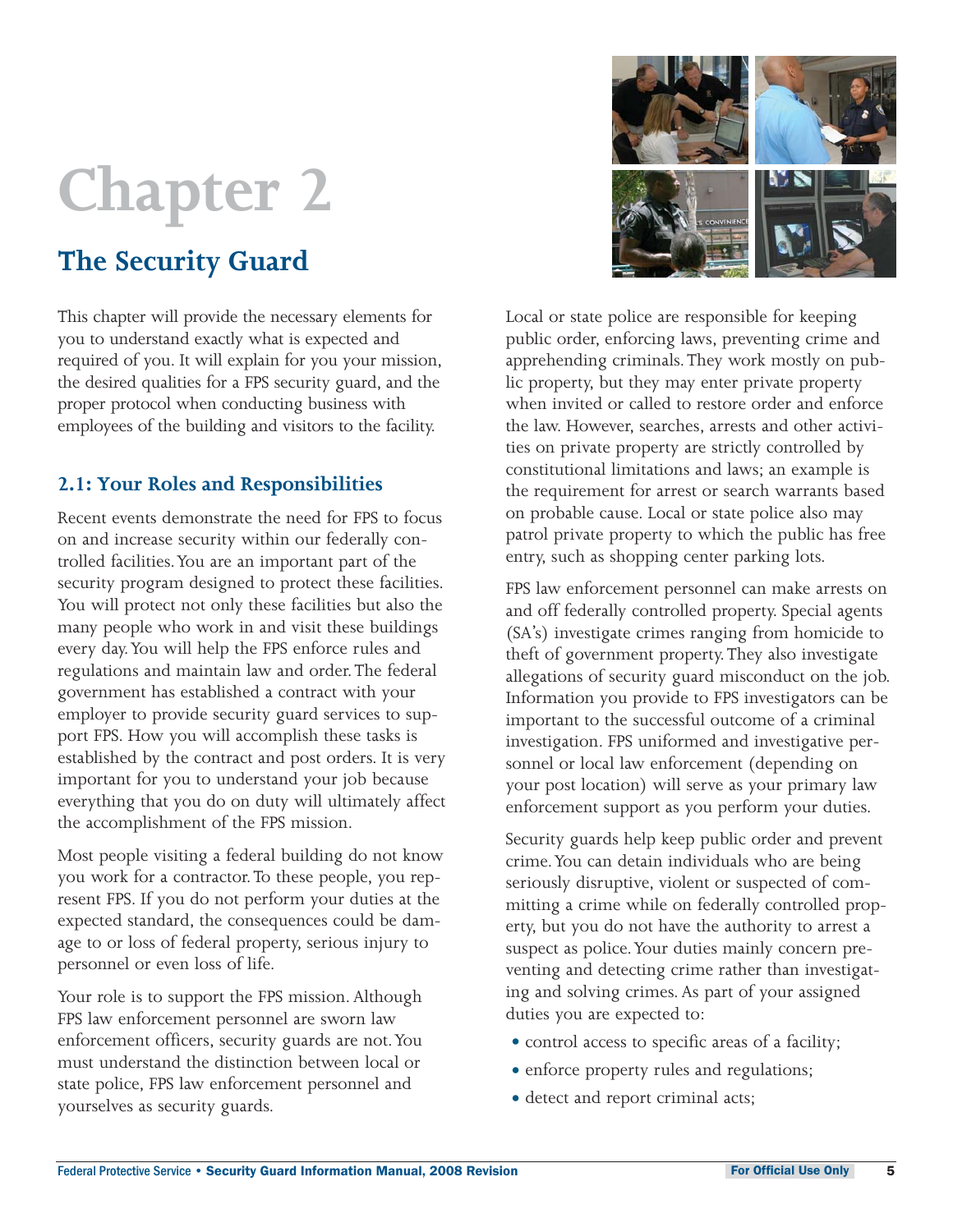# **Chapter 2**

### **The Security Guard**

This chapter will provide the necessary elements for you to understand exactly what is expected and required of you. It will explain for you your mission, the desired qualities for a FPS security guard, and the proper protocol when conducting business with employees of the building and visitors to the facility.

#### **2.1: Your Roles and Responsibilities**

Recent events demonstrate the need for FPS to focus on and increase security within our federally controlled facilities.You are an important part of the security program designed to protect these facilities. You will protect not only these facilities but also the many people who work in and visit these buildings every day.You will help the FPS enforce rules and regulations and maintain law and order.The federal government has established a contract with your employer to provide security guard services to support FPS. How you will accomplish these tasks is established by the contract and post orders. It is very important for you to understand your job because everything that you do on duty will ultimately affect the accomplishment of the FPS mission.

Most people visiting a federal building do not know you work for a contractor.To these people, you represent FPS. If you do not perform your duties at the expected standard, the consequences could be damage to or loss of federal property, serious injury to personnel or even loss of life.

Your role is to support the FPS mission. Although FPS law enforcement personnel are sworn law enforcement officers, security guards are not.You must understand the distinction between local or state police, FPS law enforcement personnel and yourselves as security guards.



Local or state police are responsible for keeping public order, enforcing laws, preventing crime and apprehending criminals.They work mostly on public property, but they may enter private property when invited or called to restore order and enforce the law. However, searches, arrests and other activities on private property are strictly controlled by constitutional limitations and laws; an example is the requirement for arrest or search warrants based on probable cause. Local or state police also may patrol private property to which the public has free entry, such as shopping center parking lots.

FPS law enforcement personnel can make arrests on and off federally controlled property. Special agents (SA's) investigate crimes ranging from homicide to theft of government property.They also investigate allegations of security guard misconduct on the job. Information you provide to FPS investigators can be important to the successful outcome of a criminal investigation. FPS uniformed and investigative personnel or local law enforcement (depending on your post location) will serve as your primary law enforcement support as you perform your duties.

Security guards help keep public order and prevent crime.You can detain individuals who are being seriously disruptive, violent or suspected of committing a crime while on federally controlled property, but you do not have the authority to arrest a suspect as police.Your duties mainly concern preventing and detecting crime rather than investigating and solving crimes. As part of your assigned duties you are expected to:

- control access to specific areas of a facility;
- enforce property rules and regulations;
- detect and report criminal acts;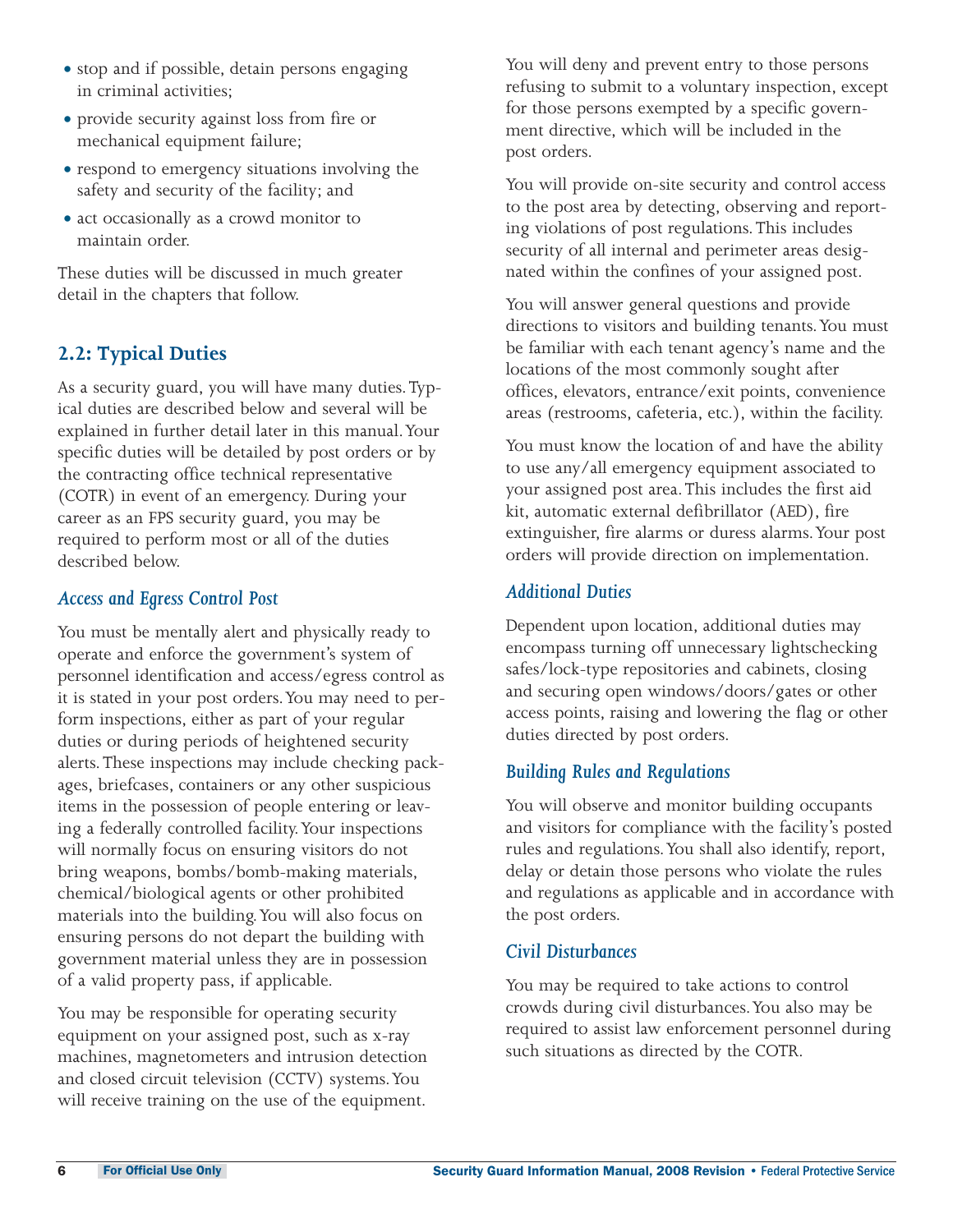- stop and if possible, detain persons engaging in criminal activities;
- provide security against loss from fire or mechanical equipment failure;
- respond to emergency situations involving the safety and security of the facility; and
- act occasionally as a crowd monitor to maintain order.

These duties will be discussed in much greater detail in the chapters that follow.

#### **2.2: Typical Duties**

As a security guard, you will have many duties.Typical duties are described below and several will be explained in further detail later in this manual.Your specific duties will be detailed by post orders or by the contracting office technical representative (COTR) in event of an emergency. During your career as an FPS security guard, you may be required to perform most or all of the duties described below.

#### *Access and Egress Control Post*

You must be mentally alert and physically ready to operate and enforce the government's system of personnel identification and access/egress control as it is stated in your post orders.You may need to perform inspections, either as part of your regular duties or during periods of heightened security alerts.These inspections may include checking packages, briefcases, containers or any other suspicious items in the possession of people entering or leaving a federally controlled facility.Your inspections will normally focus on ensuring visitors do not bring weapons, bombs/bomb-making materials, chemical/biological agents or other prohibited materials into the building.You will also focus on ensuring persons do not depart the building with government material unless they are in possession of a valid property pass, if applicable.

You may be responsible for operating security equipment on your assigned post, such as x-ray machines, magnetometers and intrusion detection and closed circuit television (CCTV) systems.You will receive training on the use of the equipment.

You will deny and prevent entry to those persons refusing to submit to a voluntary inspection, except for those persons exempted by a specific government directive, which will be included in the post orders.

You will provide on-site security and control access to the post area by detecting, observing and reporting violations of post regulations.This includes security of all internal and perimeter areas designated within the confines of your assigned post.

You will answer general questions and provide directions to visitors and building tenants.You must be familiar with each tenant agency's name and the locations of the most commonly sought after offices, elevators, entrance/exit points, convenience areas (restrooms, cafeteria, etc.), within the facility.

You must know the location of and have the ability to use any/all emergency equipment associated to your assigned post area.This includes the first aid kit, automatic external defibrillator (AED), fire extinguisher, fire alarms or duress alarms.Your post orders will provide direction on implementation.

#### *Additional Duties*

Dependent upon location, additional duties may encompass turning off unnecessary lightschecking safes/lock-type repositories and cabinets, closing and securing open windows/doors/gates or other access points, raising and lowering the flag or other duties directed by post orders.

#### *Building Rules and Regulations*

You will observe and monitor building occupants and visitors for compliance with the facility's posted rules and regulations.You shall also identify, report, delay or detain those persons who violate the rules and regulations as applicable and in accordance with the post orders.

#### *Civil Disturbances*

You may be required to take actions to control crowds during civil disturbances.You also may be required to assist law enforcement personnel during such situations as directed by the COTR.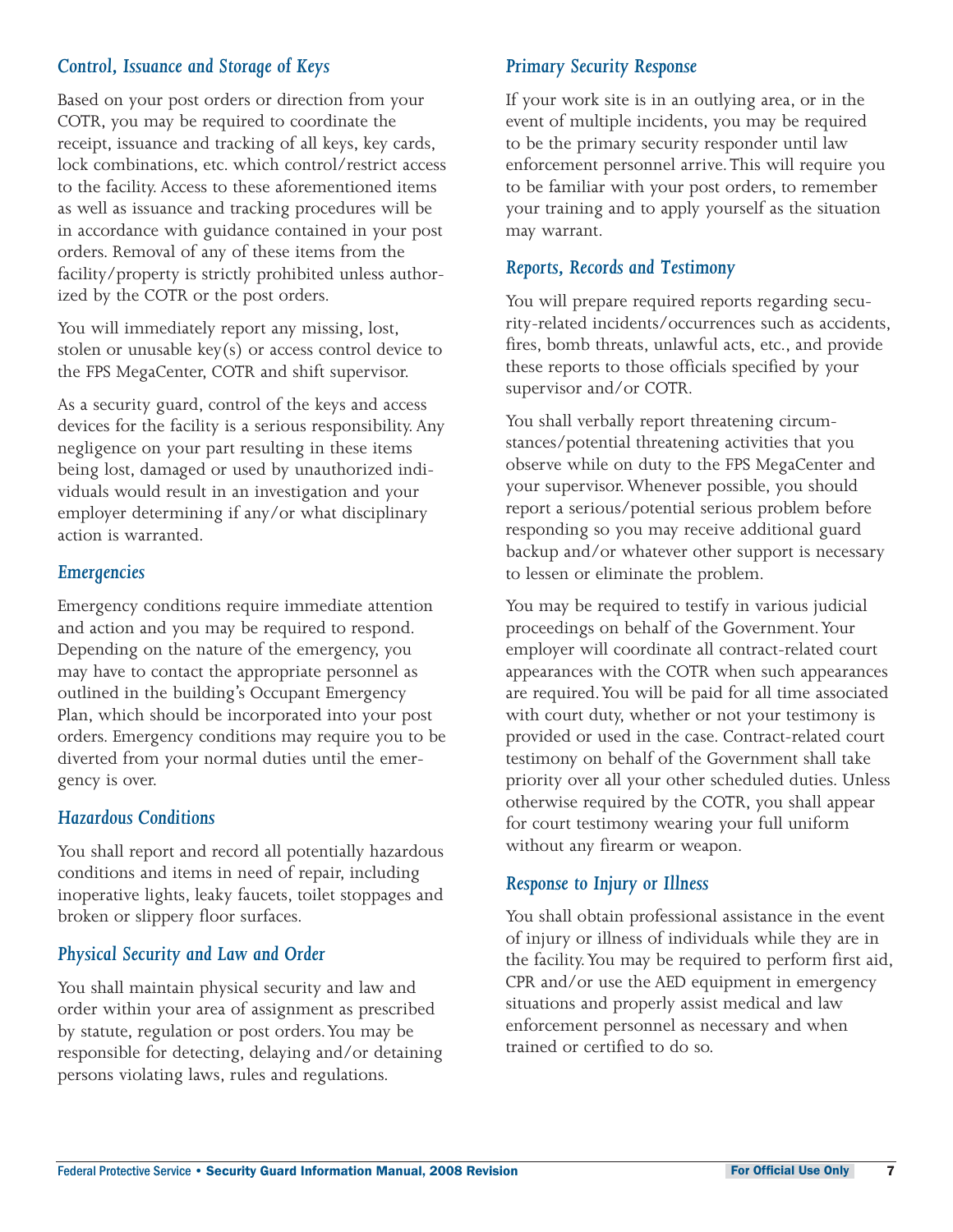#### *Control, Issuance and Storage of Keys*

Based on your post orders or direction from your COTR, you may be required to coordinate the receipt, issuance and tracking of all keys, key cards, lock combinations, etc. which control/restrict access to the facility. Access to these aforementioned items as well as issuance and tracking procedures will be in accordance with guidance contained in your post orders. Removal of any of these items from the facility/property is strictly prohibited unless authorized by the COTR or the post orders.

You will immediately report any missing, lost, stolen or unusable key(s) or access control device to the FPS MegaCenter, COTR and shift supervisor.

As a security guard, control of the keys and access devices for the facility is a serious responsibility. Any negligence on your part resulting in these items being lost, damaged or used by unauthorized individuals would result in an investigation and your employer determining if any/or what disciplinary action is warranted.

#### *Emergencies*

Emergency conditions require immediate attention and action and you may be required to respond. Depending on the nature of the emergency, you may have to contact the appropriate personnel as outlined in the building's Occupant Emergency Plan, which should be incorporated into your post orders. Emergency conditions may require you to be diverted from your normal duties until the emergency is over.

#### *Hazardous Conditions*

You shall report and record all potentially hazardous conditions and items in need of repair, including inoperative lights, leaky faucets, toilet stoppages and broken or slippery floor surfaces.

#### *Physical Security and Law and Order*

You shall maintain physical security and law and order within your area of assignment as prescribed by statute, regulation or post orders.You may be responsible for detecting, delaying and/or detaining persons violating laws, rules and regulations.

#### *Primary Security Response*

If your work site is in an outlying area, or in the event of multiple incidents, you may be required to be the primary security responder until law enforcement personnel arrive.This will require you to be familiar with your post orders, to remember your training and to apply yourself as the situation may warrant.

#### *Reports, Records and Testimony*

You will prepare required reports regarding security-related incidents/occurrences such as accidents, fires, bomb threats, unlawful acts, etc., and provide these reports to those officials specified by your supervisor and/or COTR.

You shall verbally report threatening circumstances/potential threatening activities that you observe while on duty to the FPS MegaCenter and your supervisor. Whenever possible, you should report a serious/potential serious problem before responding so you may receive additional guard backup and/or whatever other support is necessary to lessen or eliminate the problem.

You may be required to testify in various judicial proceedings on behalf of the Government.Your employer will coordinate all contract-related court appearances with the COTR when such appearances are required.You will be paid for all time associated with court duty, whether or not your testimony is provided or used in the case. Contract-related court testimony on behalf of the Government shall take priority over all your other scheduled duties. Unless otherwise required by the COTR, you shall appear for court testimony wearing your full uniform without any firearm or weapon.

#### *Response to Injury or Illness*

You shall obtain professional assistance in the event of injury or illness of individuals while they are in the facility.You may be required to perform first aid, CPR and/or use the AED equipment in emergency situations and properly assist medical and law enforcement personnel as necessary and when trained or certified to do so.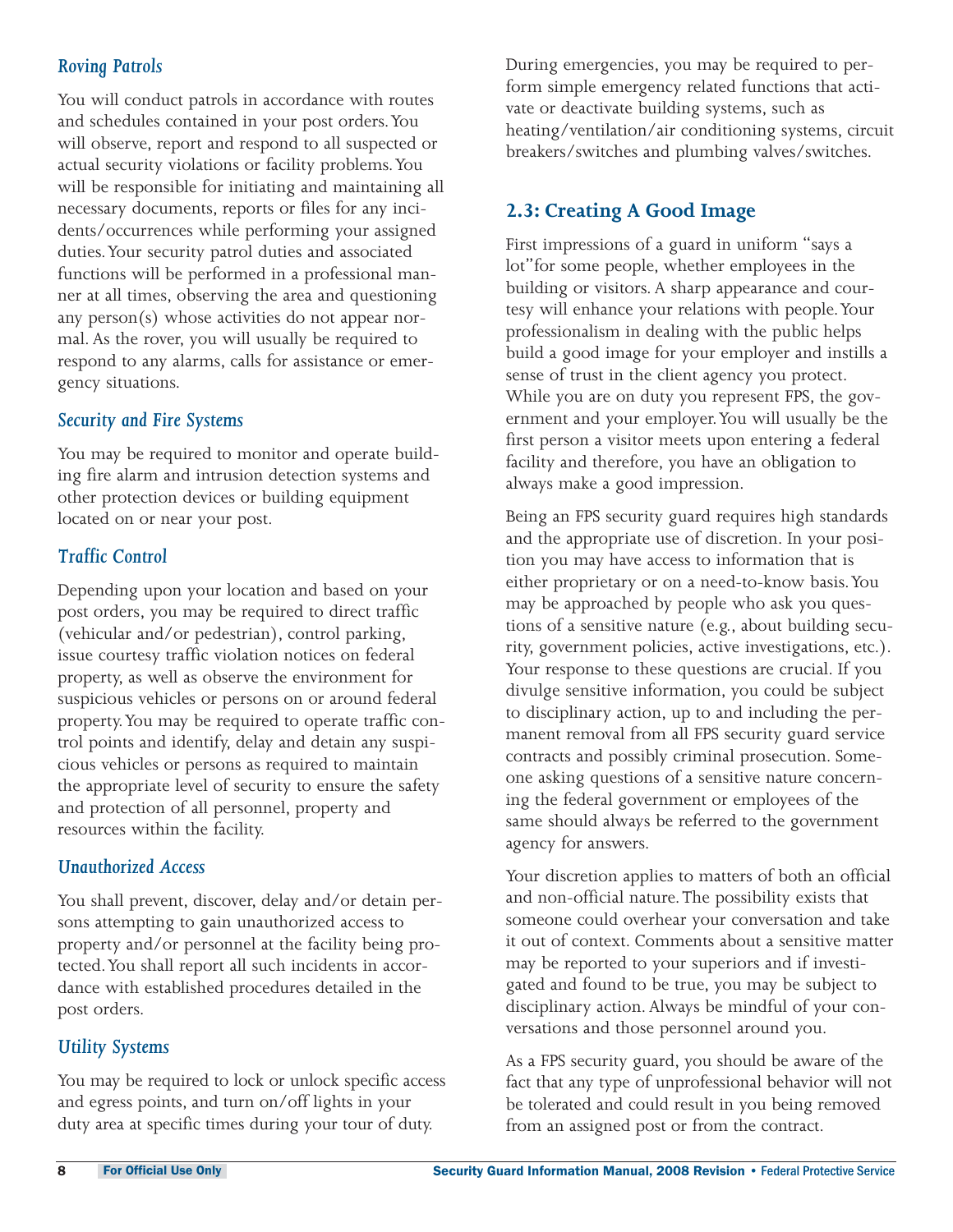#### *Roving Patrols*

You will conduct patrols in accordance with routes and schedules contained in your post orders.You will observe, report and respond to all suspected or actual security violations or facility problems.You will be responsible for initiating and maintaining all necessary documents, reports or files for any incidents/occurrences while performing your assigned duties.Your security patrol duties and associated functions will be performed in a professional manner at all times, observing the area and questioning any person(s) whose activities do not appear normal. As the rover, you will usually be required to respond to any alarms, calls for assistance or emergency situations.

#### *Security and Fire Systems*

You may be required to monitor and operate building fire alarm and intrusion detection systems and other protection devices or building equipment located on or near your post.

#### *Traffic Control*

Depending upon your location and based on your post orders, you may be required to direct traffic (vehicular and/or pedestrian), control parking, issue courtesy traffic violation notices on federal property, as well as observe the environment for suspicious vehicles or persons on or around federal property.You may be required to operate traffic control points and identify, delay and detain any suspicious vehicles or persons as required to maintain the appropriate level of security to ensure the safety and protection of all personnel, property and resources within the facility.

#### *Unauthorized Access*

You shall prevent, discover, delay and/or detain persons attempting to gain unauthorized access to property and/or personnel at the facility being protected.You shall report all such incidents in accordance with established procedures detailed in the post orders.

#### *Utility Systems*

You may be required to lock or unlock specific access and egress points, and turn on/off lights in your duty area at specific times during your tour of duty.

During emergencies, you may be required to perform simple emergency related functions that activate or deactivate building systems, such as heating/ventilation/air conditioning systems, circuit breakers/switches and plumbing valves/switches.

#### **2.3: Creating A Good Image**

First impressions of a guard in uniform "says a lot "for some people, whether employees in the building or visitors. A sharp appearance and courtesy will enhance your relations with people.Your professionalism in dealing with the public helps build a good image for your employer and instills a sense of trust in the client agency you protect. While you are on duty you represent FPS, the government and your employer.You will usually be the first person a visitor meets upon entering a federal facility and therefore, you have an obligation to always make a good impression.

Being an FPS security guard requires high standards and the appropriate use of discretion. In your position you may have access to information that is either proprietary or on a need-to-know basis.You may be approached by people who ask you questions of a sensitive nature (e.g., about building security, government policies, active investigations, etc.). Your response to these questions are crucial. If you divulge sensitive information, you could be subject to disciplinary action, up to and including the permanent removal from all FPS security guard service contracts and possibly criminal prosecution. Someone asking questions of a sensitive nature concerning the federal government or employees of the same should always be referred to the government agency for answers.

Your discretion applies to matters of both an official and non-official nature.The possibility exists that someone could overhear your conversation and take it out of context. Comments about a sensitive matter may be reported to your superiors and if investigated and found to be true, you may be subject to disciplinary action. Always be mindful of your conversations and those personnel around you.

As a FPS security guard, you should be aware of the fact that any type of unprofessional behavior will not be tolerated and could result in you being removed from an assigned post or from the contract.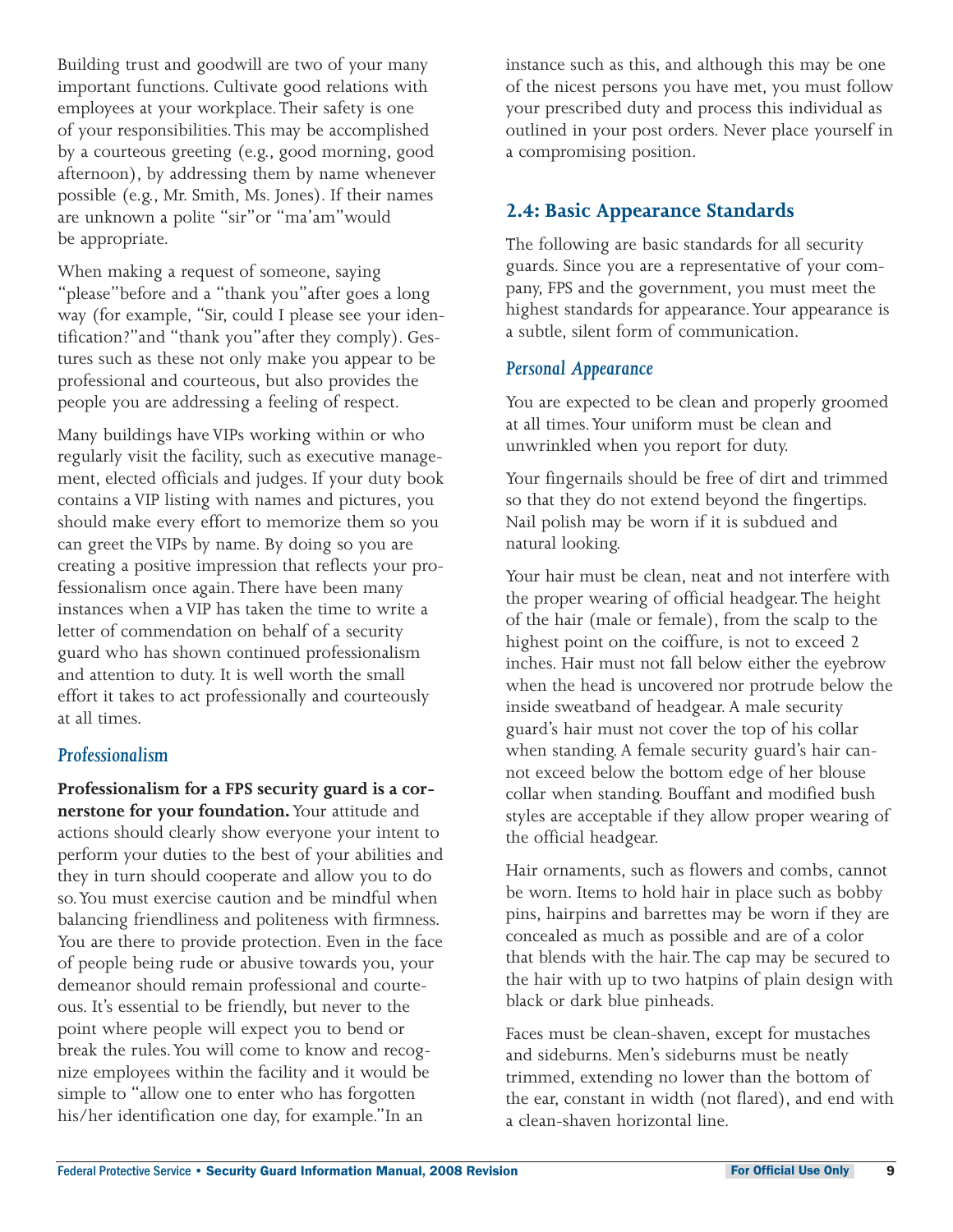Building trust and goodwill are two of your many important functions. Cultivate good relations with employees at your workplace.Their safety is one of your responsibilities.This may be accomplished by a courteous greeting (e.g., good morning, good afternoon), by addressing them by name whenever possible (e.g., Mr. Smith, Ms. Jones). If their names are unknown a polite "sir"or "ma'am" would be appropriate.

When making a request of someone, saying "please" before and a "thank you" after goes a long way (for example, "Sir, could I please see your identification?" and "thank you" after they comply). Gestures such as these not only make you appear to be professional and courteous, but also provides the people you are addressing a feeling of respect.

Many buildings have VIPs working within or who regularly visit the facility, such as executive management, elected officials and judges. If your duty book contains a VIP listing with names and pictures, you should make every effort to memorize them so you can greet the VIPs by name. By doing so you are creating a positive impression that reflects your professionalism once again.There have been many instances when a VIP has taken the time to write a letter of commendation on behalf of a security guard who has shown continued professionalism and attention to duty. It is well worth the small effort it takes to act professionally and courteously at all times.

#### *Professionalism*

**Professionalism for a FPS security guard is a cornerstone for your foundation.**Your attitude and actions should clearly show everyone your intent to perform your duties to the best of your abilities and they in turn should cooperate and allow you to do so.You must exercise caution and be mindful when balancing friendliness and politeness with firmness. You are there to provide protection. Even in the face of people being rude or abusive towards you, your demeanor should remain professional and courteous. It's essential to be friendly, but never to the point where people will expect you to bend or break the rules.You will come to know and recognize employees within the facility and it would be simple to "allow one to enter who has forgotten his/her identification one day, for example."In an

instance such as this, and although this may be one of the nicest persons you have met, you must follow your prescribed duty and process this individual as outlined in your post orders. Never place yourself in a compromising position.

#### **2.4: Basic Appearance Standards**

The following are basic standards for all security guards. Since you are a representative of your company, FPS and the government, you must meet the highest standards for appearance.Your appearance is a subtle, silent form of communication.

#### *Personal Appearance*

You are expected to be clean and properly groomed at all times.Your uniform must be clean and unwrinkled when you report for duty.

Your fingernails should be free of dirt and trimmed so that they do not extend beyond the fingertips. Nail polish may be worn if it is subdued and natural looking.

Your hair must be clean, neat and not interfere with the proper wearing of official headgear.The height of the hair (male or female), from the scalp to the highest point on the coiffure, is not to exceed 2 inches. Hair must not fall below either the eyebrow when the head is uncovered nor protrude below the inside sweatband of headgear. A male security guard's hair must not cover the top of his collar when standing. A female security guard's hair cannot exceed below the bottom edge of her blouse collar when standing. Bouffant and modified bush styles are acceptable if they allow proper wearing of the official headgear.

Hair ornaments, such as flowers and combs, cannot be worn. Items to hold hair in place such as bobby pins, hairpins and barrettes may be worn if they are concealed as much as possible and are of a color that blends with the hair.The cap may be secured to the hair with up to two hatpins of plain design with black or dark blue pinheads.

Faces must be clean-shaven, except for mustaches and sideburns. Men's sideburns must be neatly trimmed, extending no lower than the bottom of the ear, constant in width (not flared), and end with a clean-shaven horizontal line.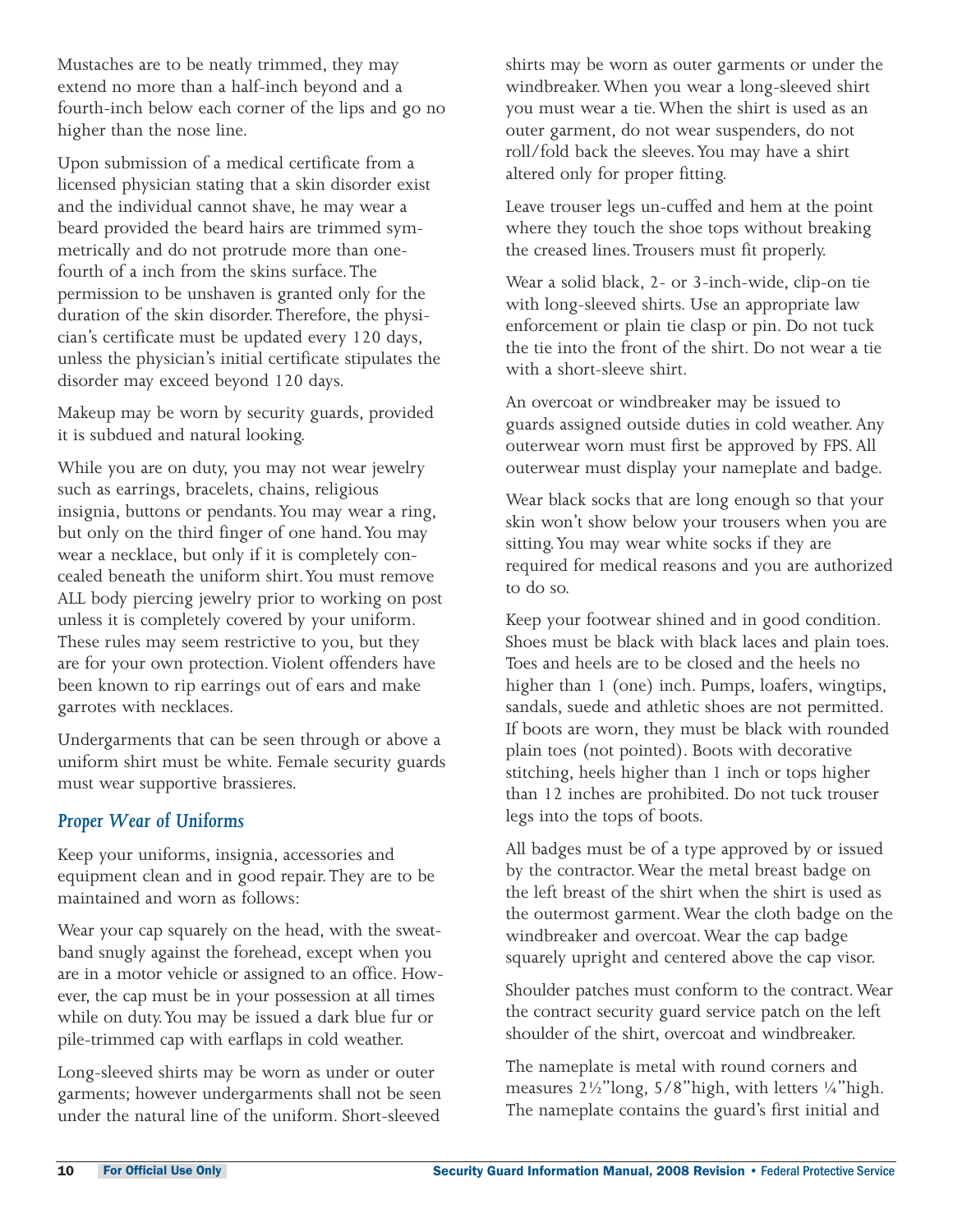Mustaches are to be neatly trimmed, they may extend no more than a half-inch beyond and a fourth-inch below each corner of the lips and go no higher than the nose line.

Upon submission of a medical certificate from a licensed physician stating that a skin disorder exist and the individual cannot shave, he may wear a beard provided the beard hairs are trimmed symmetrically and do not protrude more than onefourth of a inch from the skins surface.The permission to be unshaven is granted only for the duration of the skin disorder.Therefore, the physician's certificate must be updated every 120 days, unless the physician's initial certificate stipulates the disorder may exceed beyond 120 days.

Makeup may be worn by security guards, provided it is subdued and natural looking.

While you are on duty, you may not wear jewelry such as earrings, bracelets, chains, religious insignia, buttons or pendants.You may wear a ring, but only on the third finger of one hand.You may wear a necklace, but only if it is completely concealed beneath the uniform shirt.You must remove ALL body piercing jewelry prior to working on post unless it is completely covered by your uniform. These rules may seem restrictive to you, but they are for your own protection. Violent offenders have been known to rip earrings out of ears and make garrotes with necklaces.

Undergarments that can be seen through or above a uniform shirt must be white. Female security guards must wear supportive brassieres.

#### *Proper Wear of Uniforms*

Keep your uniforms, insignia, accessories and equipment clean and in good repair.They are to be maintained and worn as follows:

Wear your cap squarely on the head, with the sweatband snugly against the forehead, except when you are in a motor vehicle or assigned to an office. However, the cap must be in your possession at all times while on duty.You may be issued a dark blue fur or pile-trimmed cap with earflaps in cold weather.

Long-sleeved shirts may be worn as under or outer garments; however undergarments shall not be seen under the natural line of the uniform. Short-sleeved shirts may be worn as outer garments or under the windbreaker. When you wear a long-sleeved shirt you must wear a tie. When the shirt is used as an outer garment, do not wear suspenders, do not roll/fold back the sleeves.You may have a shirt altered only for proper fitting.

Leave trouser legs un-cuffed and hem at the point where they touch the shoe tops without breaking the creased lines.Trousers must fit properly.

Wear a solid black, 2- or 3-inch-wide, clip-on tie with long-sleeved shirts. Use an appropriate law enforcement or plain tie clasp or pin. Do not tuck the tie into the front of the shirt. Do not wear a tie with a short-sleeve shirt.

An overcoat or windbreaker may be issued to guards assigned outside duties in cold weather. Any outerwear worn must first be approved by FPS. All outerwear must display your nameplate and badge.

Wear black socks that are long enough so that your skin won't show below your trousers when you are sitting.You may wear white socks if they are required for medical reasons and you are authorized to do so.

Keep your footwear shined and in good condition. Shoes must be black with black laces and plain toes. Toes and heels are to be closed and the heels no higher than 1 (one) inch. Pumps, loafers, wingtips, sandals, suede and athletic shoes are not permitted. If boots are worn, they must be black with rounded plain toes (not pointed). Boots with decorative stitching, heels higher than 1 inch or tops higher than 12 inches are prohibited. Do not tuck trouser legs into the tops of boots.

All badges must be of a type approved by or issued by the contractor. Wear the metal breast badge on the left breast of the shirt when the shirt is used as the outermost garment. Wear the cloth badge on the windbreaker and overcoat. Wear the cap badge squarely upright and centered above the cap visor.

Shoulder patches must conform to the contract. Wear the contract security guard service patch on the left shoulder of the shirt, overcoat and windbreaker.

The nameplate is metal with round corners and measures  $2\frac{1}{2}$ "long,  $5/8$ " high, with letters ¼" high. The nameplate contains the guard's first initial and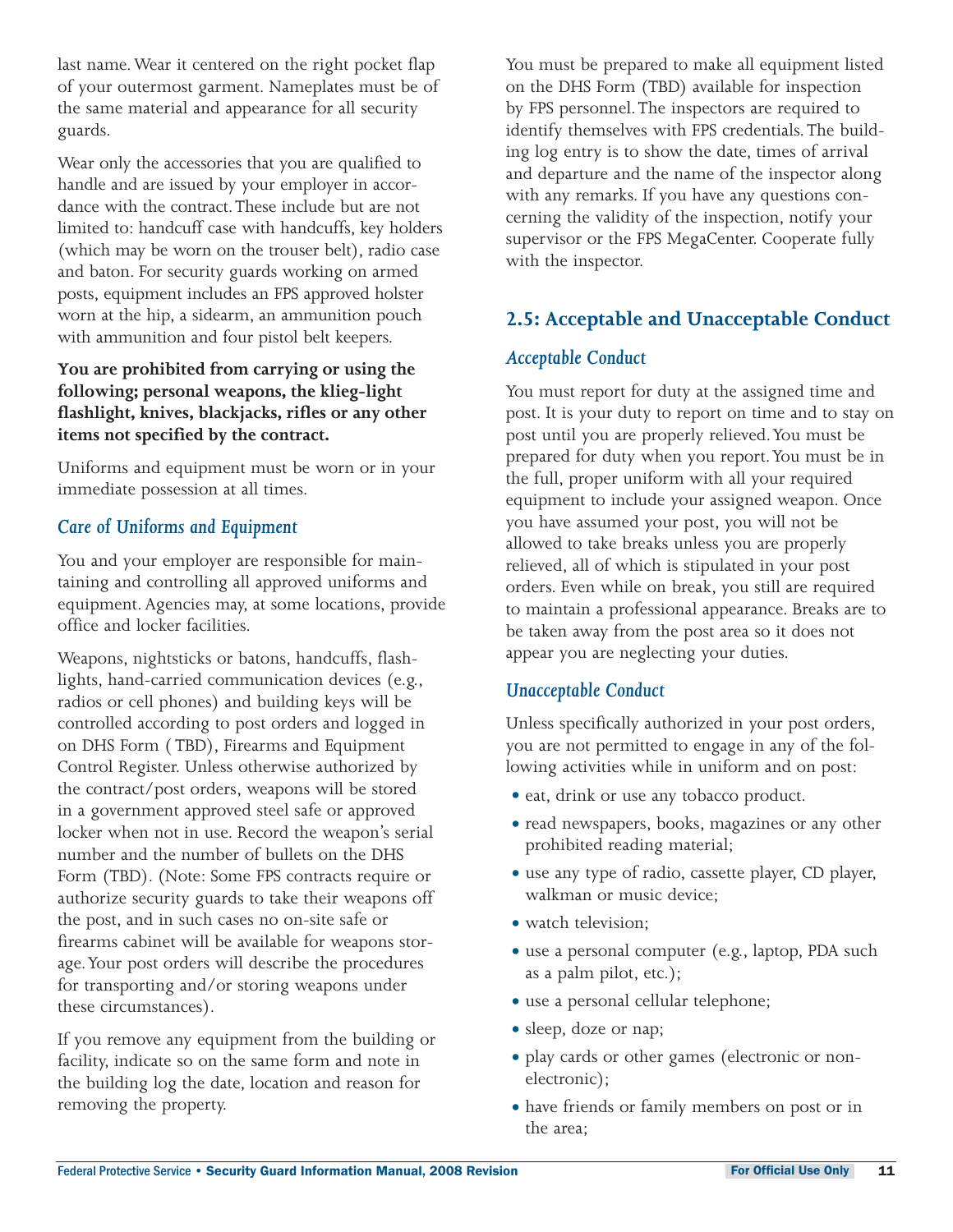last name. Wear it centered on the right pocket flap of your outermost garment. Nameplates must be of the same material and appearance for all security guards.

Wear only the accessories that you are qualified to handle and are issued by your employer in accordance with the contract.These include but are not limited to: handcuff case with handcuffs, key holders (which may be worn on the trouser belt), radio case and baton. For security guards working on armed posts, equipment includes an FPS approved holster worn at the hip, a sidearm, an ammunition pouch with ammunition and four pistol belt keepers.

#### **You are prohibited from carrying or using the following; personal weapons, the klieg-light flashlight, knives, blackjacks, rifles or any other items not specified by the contract.**

Uniforms and equipment must be worn or in your immediate possession at all times.

#### *Care of Uniforms and Equipment*

You and your employer are responsible for maintaining and controlling all approved uniforms and equipment. Agencies may, at some locations, provide office and locker facilities.

Weapons, nightsticks or batons, handcuffs, flashlights, hand-carried communication devices (e.g., radios or cell phones) and building keys will be controlled according to post orders and logged in on DHS Form ( TBD), Firearms and Equipment Control Register. Unless otherwise authorized by the contract/post orders, weapons will be stored in a government approved steel safe or approved locker when not in use. Record the weapon's serial number and the number of bullets on the DHS Form (TBD). (Note: Some FPS contracts require or authorize security guards to take their weapons off the post, and in such cases no on-site safe or firearms cabinet will be available for weapons storage.Your post orders will describe the procedures for transporting and/or storing weapons under these circumstances).

If you remove any equipment from the building or facility, indicate so on the same form and note in the building log the date, location and reason for removing the property.

You must be prepared to make all equipment listed on the DHS Form (TBD) available for inspection by FPS personnel.The inspectors are required to identify themselves with FPS credentials.The building log entry is to show the date, times of arrival and departure and the name of the inspector along with any remarks. If you have any questions concerning the validity of the inspection, notify your supervisor or the FPS MegaCenter. Cooperate fully with the inspector.

#### **2.5: Acceptable and Unacceptable Conduct**

#### *Acceptable Conduct*

You must report for duty at the assigned time and post. It is your duty to report on time and to stay on post until you are properly relieved.You must be prepared for duty when you report.You must be in the full, proper uniform with all your required equipment to include your assigned weapon. Once you have assumed your post, you will not be allowed to take breaks unless you are properly relieved, all of which is stipulated in your post orders. Even while on break, you still are required to maintain a professional appearance. Breaks are to be taken away from the post area so it does not appear you are neglecting your duties.

#### *Unacceptable Conduct*

Unless specifically authorized in your post orders, you are not permitted to engage in any of the following activities while in uniform and on post:

- eat, drink or use any tobacco product.
- read newspapers, books, magazines or any other prohibited reading material;
- use any type of radio, cassette player, CD player, walkman or music device;
- watch television;
- use a personal computer (e.g., laptop, PDA such as a palm pilot, etc.);
- use a personal cellular telephone;
- sleep, doze or nap;
- play cards or other games (electronic or nonelectronic);
- have friends or family members on post or in the area;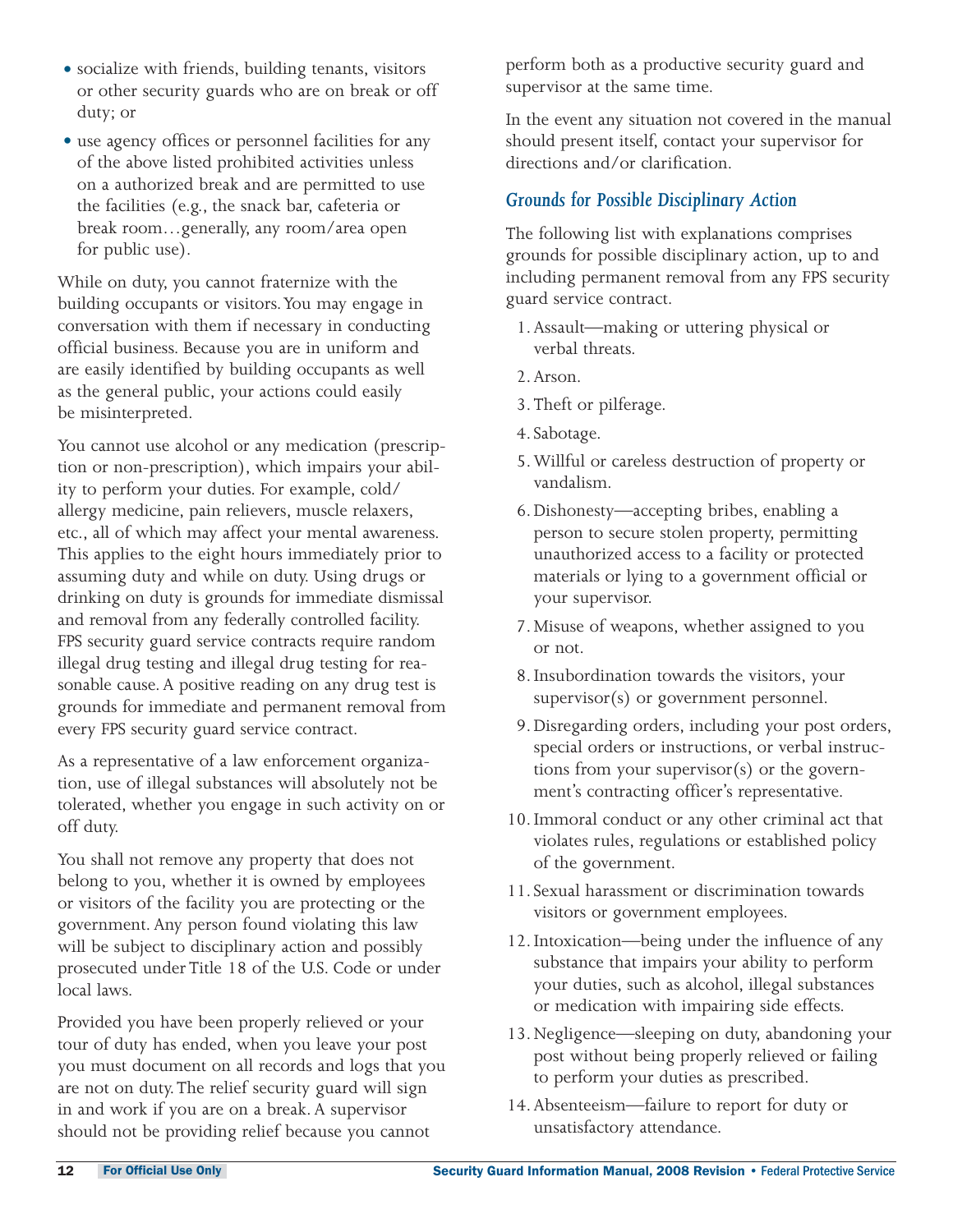- socialize with friends, building tenants, visitors or other security guards who are on break or off duty; or
- use agency offices or personnel facilities for any of the above listed prohibited activities unless on a authorized break and are permitted to use the facilities (e.g., the snack bar, cafeteria or break room...generally, any room/area open for public use).

While on duty, you cannot fraternize with the building occupants or visitors.You may engage in conversation with them if necessary in conducting official business. Because you are in uniform and are easily identified by building occupants as well as the general public, your actions could easily be misinterpreted.

You cannot use alcohol or any medication (prescription or non-prescription), which impairs your ability to perform your duties. For example, cold/ allergy medicine, pain relievers, muscle relaxers, etc., all of which may affect your mental awareness. This applies to the eight hours immediately prior to assuming duty and while on duty. Using drugs or drinking on duty is grounds for immediate dismissal and removal from any federally controlled facility. FPS security guard service contracts require random illegal drug testing and illegal drug testing for reasonable cause. A positive reading on any drug test is grounds for immediate and permanent removal from every FPS security guard service contract.

As a representative of a law enforcement organization, use of illegal substances will absolutely not be tolerated, whether you engage in such activity on or off duty.

You shall not remove any property that does not belong to you, whether it is owned by employees or visitors of the facility you are protecting or the government. Any person found violating this law will be subject to disciplinary action and possibly prosecuted under Title 18 of the U.S. Code or under local laws.

Provided you have been properly relieved or your tour of duty has ended, when you leave your post you must document on all records and logs that you are not on duty.The relief security guard will sign in and work if you are on a break. A supervisor should not be providing relief because you cannot

perform both as a productive security guard and supervisor at the same time.

In the event any situation not covered in the manual should present itself, contact your supervisor for directions and/or clarification.

#### *Grounds for Possible Disciplinary Action*

The following list with explanations comprises grounds for possible disciplinary action, up to and including permanent removal from any FPS security guard service contract.

- 1. Assault—making or uttering physical or verbal threats.
- 2. Arson.
- 3. Theft or pilferage.
- 4. Sabotage.
- 5. Willful or careless destruction of property or vandalism.
- 6. Dishonesty—accepting bribes, enabling a person to secure stolen property, permitting unauthorized access to a facility or protected materials or lying to a government official or your supervisor.
- 7. Misuse of weapons, whether assigned to you or not.
- 8. Insubordination towards the visitors, your supervisor(s) or government personnel.
- 9. Disregarding orders, including your post orders, special orders or instructions, or verbal instructions from your supervisor(s) or the government's contracting officer's representative.
- 10. Immoral conduct or any other criminal act that violates rules, regulations or established policy of the government.
- 11. Sexual harassment or discrimination towards visitors or government employees.
- 12. Intoxication—being under the influence of any substance that impairs your ability to perform your duties, such as alcohol, illegal substances or medication with impairing side effects.
- 13. Negligence—sleeping on duty, abandoning your post without being properly relieved or failing to perform your duties as prescribed.
- 14. Absenteeism-failure to report for duty or unsatisfactory attendance.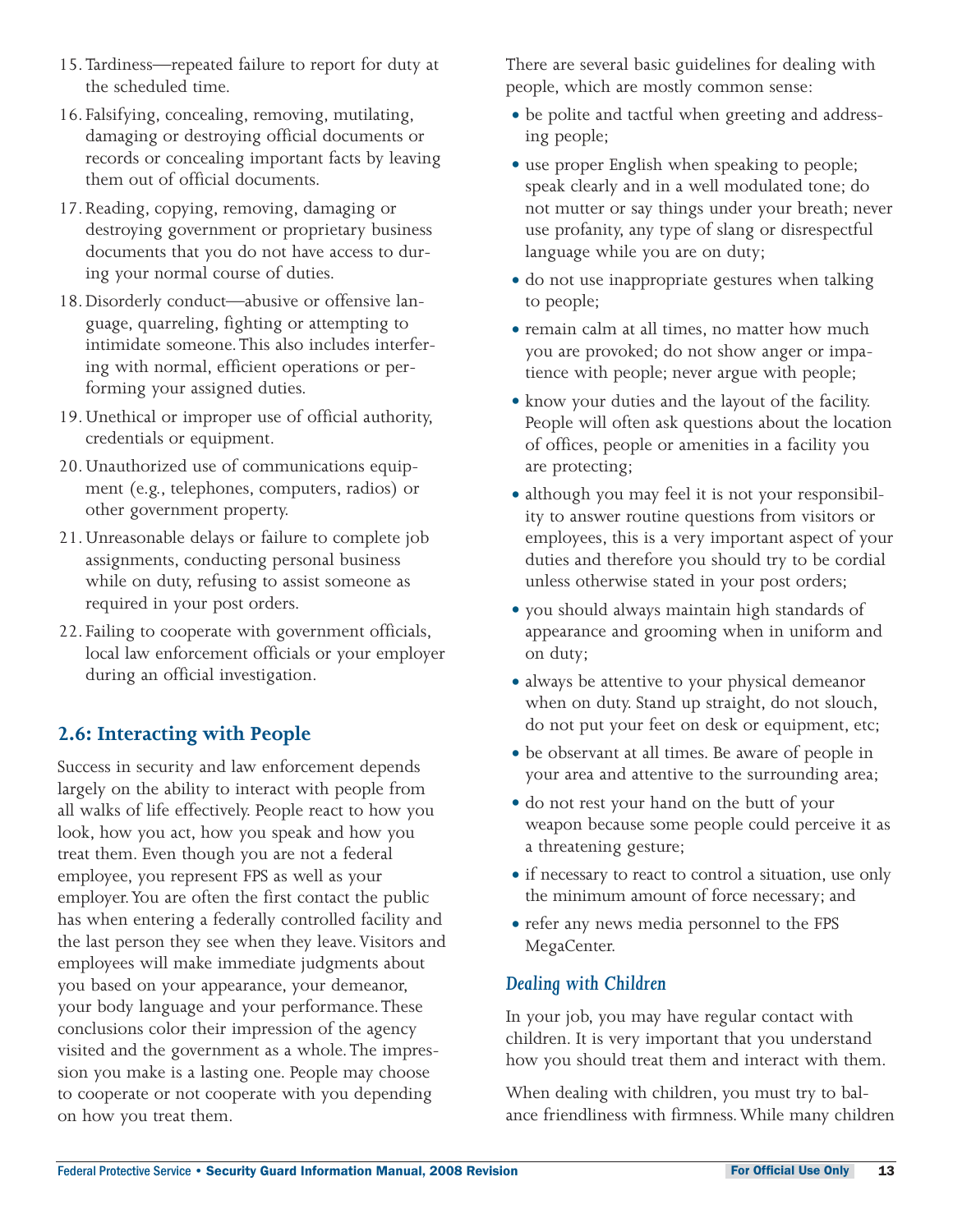- 15. Tardiness—repeated failure to report for duty at the scheduled time.
- 16. Falsifying, concealing, removing, mutilating, damaging or destroying official documents or records or concealing important facts by leaving them out of official documents.
- 17. Reading, copying, removing, damaging or destroying government or proprietary business documents that you do not have access to during your normal course of duties.
- 18. Disorderly conduct-abusive or offensive language, quarreling, fighting or attempting to intimidate someone.This also includes interfering with normal, efficient operations or performing your assigned duties.
- 19. Unethical or improper use of official authority, credentials or equipment.
- 20. Unauthorized use of communications equipment (e.g., telephones, computers, radios) or other government property.
- 21. Unreasonable delays or failure to complete job assignments, conducting personal business while on duty, refusing to assist someone as required in your post orders.
- 22. Failing to cooperate with government officials, local law enforcement officials or your employer during an official investigation.

#### **2.6: Interacting with People**

Success in security and law enforcement depends largely on the ability to interact with people from all walks of life effectively. People react to how you look, how you act, how you speak and how you treat them. Even though you are not a federal employee, you represent FPS as well as your employer.You are often the first contact the public has when entering a federally controlled facility and the last person they see when they leave. Visitors and employees will make immediate judgments about you based on your appearance, your demeanor, your body language and your performance.These conclusions color their impression of the agency visited and the government as a whole.The impression you make is a lasting one. People may choose to cooperate or not cooperate with you depending on how you treat them.

There are several basic guidelines for dealing with people, which are mostly common sense:

- be polite and tactful when greeting and addressing people;
- use proper English when speaking to people; speak clearly and in a well modulated tone; do not mutter or say things under your breath; never use profanity, any type of slang or disrespectful language while you are on duty;
- do not use inappropriate gestures when talking to people;
- remain calm at all times, no matter how much you are provoked; do not show anger or impatience with people; never argue with people;
- know your duties and the layout of the facility. People will often ask questions about the location of offices, people or amenities in a facility you are protecting;
- although you may feel it is not your responsibility to answer routine questions from visitors or employees, this is a very important aspect of your duties and therefore you should try to be cordial unless otherwise stated in your post orders;
- you should always maintain high standards of appearance and grooming when in uniform and on duty;
- always be attentive to your physical demeanor when on duty. Stand up straight, do not slouch, do not put your feet on desk or equipment, etc;
- be observant at all times. Be aware of people in your area and attentive to the surrounding area;
- do not rest your hand on the butt of your weapon because some people could perceive it as a threatening gesture;
- if necessary to react to control a situation, use only the minimum amount of force necessary; and
- refer any news media personnel to the FPS MegaCenter.

#### *Dealing with Children*

In your job, you may have regular contact with children. It is very important that you understand how you should treat them and interact with them.

When dealing with children, you must try to balance friendliness with firmness. While many children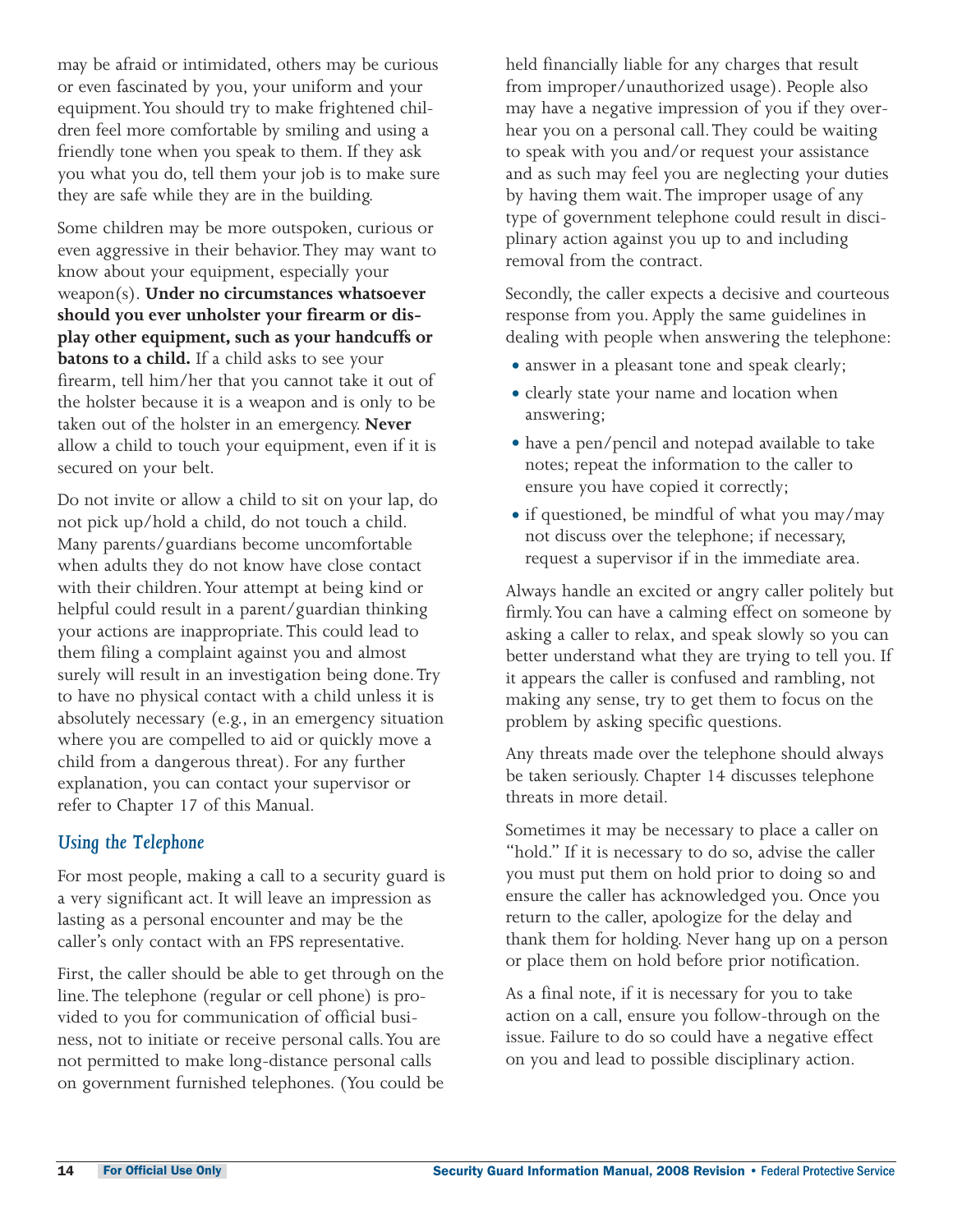may be afraid or intimidated, others may be curious or even fascinated by you, your uniform and your equipment.You should try to make frightened children feel more comfortable by smiling and using a friendly tone when you speak to them. If they ask you what you do, tell them your job is to make sure they are safe while they are in the building.

Some children may be more outspoken, curious or even aggressive in their behavior.They may want to know about your equipment, especially your weapon(s). **Under no circumstances whatsoever should you ever unholster your firearm or display other equipment, such as your handcuffs or batons to a child.** If a child asks to see your firearm, tell him/her that you cannot take it out of the holster because it is a weapon and is only to be taken out of the holster in an emergency. **Never** allow a child to touch your equipment, even if it is secured on your belt.

Do not invite or allow a child to sit on your lap, do not pick up/hold a child, do not touch a child. Many parents/guardians become uncomfortable when adults they do not know have close contact with their children.Your attempt at being kind or helpful could result in a parent/guardian thinking your actions are inappropriate.This could lead to them filing a complaint against you and almost surely will result in an investigation being done. Try to have no physical contact with a child unless it is absolutely necessary (e.g., in an emergency situation where you are compelled to aid or quickly move a child from a dangerous threat). For any further explanation, you can contact your supervisor or refer to Chapter 17 of this Manual.

#### *Using the Telephone*

For most people, making a call to a security guard is a very significant act. It will leave an impression as lasting as a personal encounter and may be the caller's only contact with an FPS representative.

First, the caller should be able to get through on the line.The telephone (regular or cell phone) is provided to you for communication of official business, not to initiate or receive personal calls.You are not permitted to make long-distance personal calls on government furnished telephones. (You could be held financially liable for any charges that result from improper/unauthorized usage). People also may have a negative impression of you if they overhear you on a personal call.They could be waiting to speak with you and/or request your assistance and as such may feel you are neglecting your duties by having them wait.The improper usage of any type of government telephone could result in disciplinary action against you up to and including removal from the contract.

Secondly, the caller expects a decisive and courteous response from you. Apply the same guidelines in dealing with people when answering the telephone:

- answer in a pleasant tone and speak clearly;
- clearly state your name and location when answering;
- have a pen/pencil and notepad available to take notes; repeat the information to the caller to ensure you have copied it correctly;
- $\bullet$  if questioned, be mindful of what you may/may not discuss over the telephone; if necessary, request a supervisor if in the immediate area.

Always handle an excited or angry caller politely but firmly.You can have a calming effect on someone by asking a caller to relax, and speak slowly so you can better understand what they are trying to tell you. If it appears the caller is confused and rambling, not making any sense, try to get them to focus on the problem by asking specific questions.

Any threats made over the telephone should always be taken seriously. Chapter 14 discusses telephone threats in more detail.

Sometimes it may be necessary to place a caller on "hold." If it is necessary to do so, advise the caller you must put them on hold prior to doing so and ensure the caller has acknowledged you. Once you return to the caller, apologize for the delay and thank them for holding. Never hang up on a person or place them on hold before prior notification.

As a final note, if it is necessary for you to take action on a call, ensure you follow-through on the issue. Failure to do so could have a negative effect on you and lead to possible disciplinary action.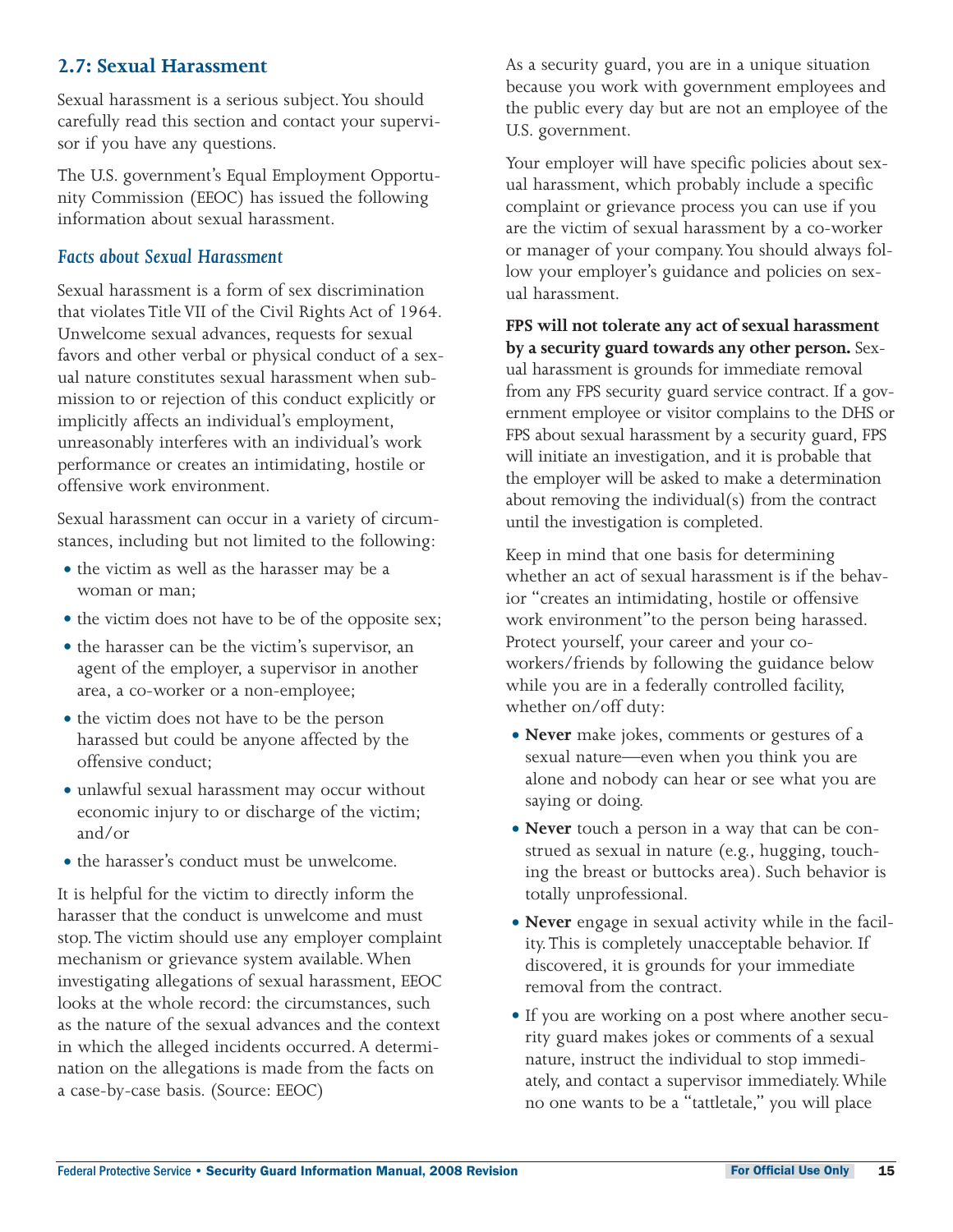#### **2.7: Sexual Harassment**

Sexual harassment is a serious subject.You should carefully read this section and contact your supervisor if you have any questions.

The U.S. government's Equal Employment Opportunity Commission (EEOC) has issued the following information about sexual harassment.

#### *Facts about Sexual Harassment*

Sexual harassment is a form of sex discrimination that violates Title VII of the Civil Rights Act of 1964. Unwelcome sexual advances, requests for sexual favors and other verbal or physical conduct of a sexual nature constitutes sexual harassment when submission to or rejection of this conduct explicitly or implicitly affects an individual's employment, unreasonably interferes with an individual's work performance or creates an intimidating, hostile or offensive work environment.

Sexual harassment can occur in a variety of circumstances, including but not limited to the following:

- the victim as well as the harasser may be a woman or man;
- the victim does not have to be of the opposite sex;
- the harasser can be the victim's supervisor, an agent of the employer, a supervisor in another area, a co-worker or a non-employee;
- the victim does not have to be the person harassed but could be anyone affected by the offensive conduct;
- unlawful sexual harassment may occur without economic injury to or discharge of the victim; and/or
- the harasser's conduct must be unwelcome.

It is helpful for the victim to directly inform the harasser that the conduct is unwelcome and must stop.The victim should use any employer complaint mechanism or grievance system available. When investigating allegations of sexual harassment, EEOC looks at the whole record: the circumstances, such as the nature of the sexual advances and the context in which the alleged incidents occurred. A determination on the allegations is made from the facts on a case-by-case basis. (Source: EEOC)

As a security guard, you are in a unique situation because you work with government employees and the public every day but are not an employee of the U.S. government.

Your employer will have specific policies about sexual harassment, which probably include a specific complaint or grievance process you can use if you are the victim of sexual harassment by a co-worker or manager of your company.You should always follow your employer's guidance and policies on sexual harassment.

**FPS will not tolerate any act of sexual harassment by a security guard towards any other person.** Sexual harassment is grounds for immediate removal from any FPS security guard service contract. If a government employee or visitor complains to the DHS or FPS about sexual harassment by a security guard, FPS will initiate an investigation, and it is probable that the employer will be asked to make a determination about removing the individual(s) from the contract until the investigation is completed.

Keep in mind that one basis for determining whether an act of sexual harassment is if the behavior "creates an intimidating, hostile or offensive work environment" to the person being harassed. Protect yourself, your career and your coworkers/friends by following the guidance below while you are in a federally controlled facility, whether on/off duty:

- **· Never** make jokes, comments or gestures of a sexual nature—even when you think you are alone and nobody can hear or see what you are saying or doing.
- **Never** touch a person in a way that can be construed as sexual in nature (e.g., hugging, touching the breast or buttocks area). Such behavior is totally unprofessional.
- **Never** engage in sexual activity while in the facility.This is completely unacceptable behavior. If discovered, it is grounds for your immediate removal from the contract.
- If you are working on a post where another security guard makes jokes or comments of a sexual nature, instruct the individual to stop immediately, and contact a supervisor immediately. While no one wants to be a "tattletale," you will place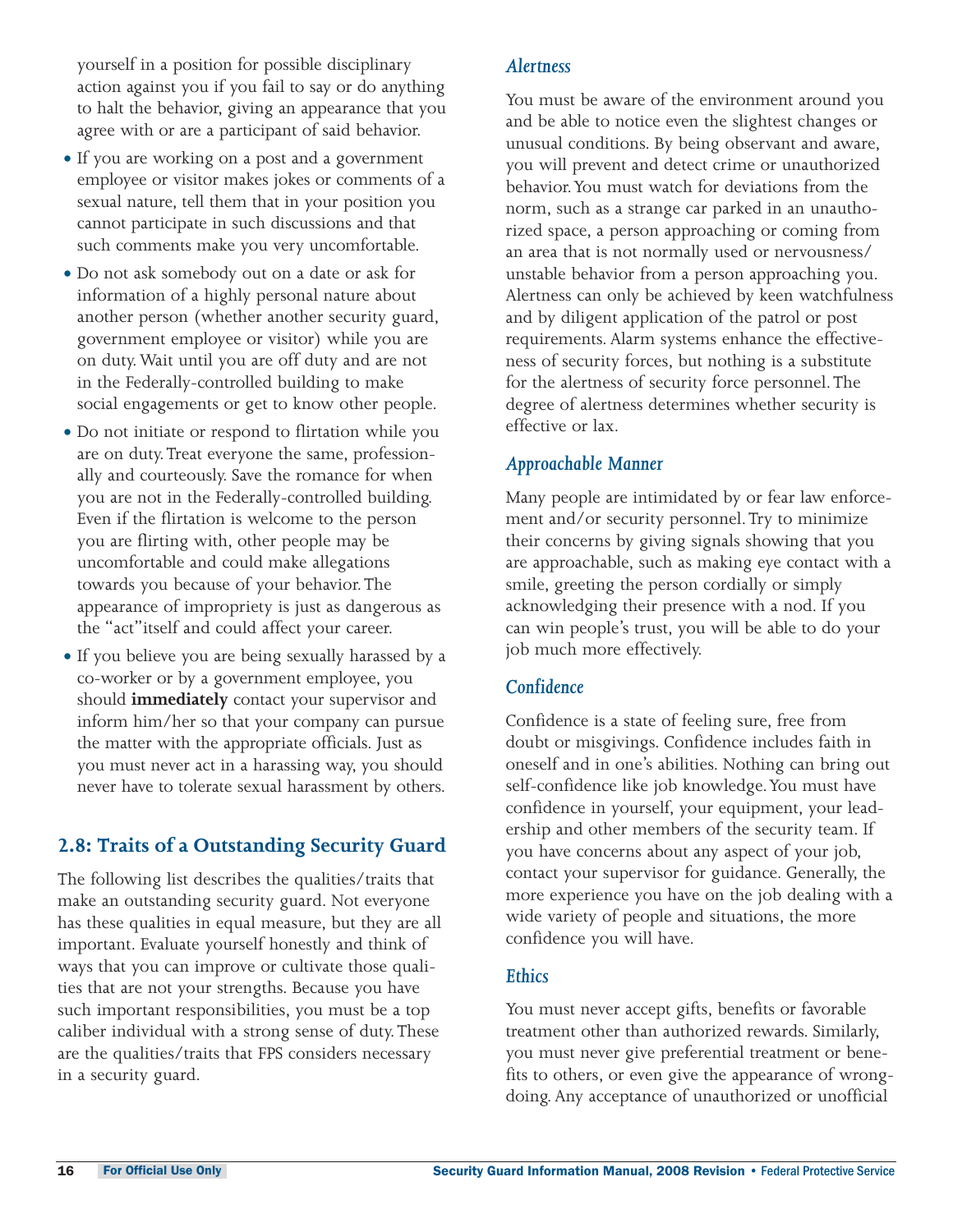yourself in a position for possible disciplinary action against you if you fail to say or do anything to halt the behavior, giving an appearance that you agree with or are a participant of said behavior.

- If you are working on a post and a government employee or visitor makes jokes or comments of a sexual nature, tell them that in your position you cannot participate in such discussions and that such comments make you very uncomfortable.
- l Do not ask somebody out on a date or ask for information of a highly personal nature about another person (whether another security guard, government employee or visitor) while you are on duty. Wait until you are off duty and are not in the Federally-controlled building to make social engagements or get to know other people.
- Do not initiate or respond to flirtation while you are on duty.Treat everyone the same, professionally and courteously. Save the romance for when you are not in the Federally-controlled building. Even if the flirtation is welcome to the person you are flirting with, other people may be uncomfortable and could make allegations towards you because of your behavior.The appearance of impropriety is just as dangerous as the "act" itself and could affect your career.
- If you believe you are being sexually harassed by a co-worker or by a government employee, you should **immediately** contact your supervisor and inform him/her so that your company can pursue the matter with the appropriate officials. Just as you must never act in a harassing way, you should never have to tolerate sexual harassment by others.

#### **2.8: Traits of a Outstanding Security Guard**

The following list describes the qualities/traits that make an outstanding security guard. Not everyone has these qualities in equal measure, but they are all important. Evaluate yourself honestly and think of ways that you can improve or cultivate those qualities that are not your strengths. Because you have such important responsibilities, you must be a top caliber individual with a strong sense of duty.These are the qualities/traits that FPS considers necessary in a security guard.

#### *Alertness*

You must be aware of the environment around you and be able to notice even the slightest changes or unusual conditions. By being observant and aware, you will prevent and detect crime or unauthorized behavior.You must watch for deviations from the norm, such as a strange car parked in an unauthorized space, a person approaching or coming from an area that is not normally used or nervousness/ unstable behavior from a person approaching you. Alertness can only be achieved by keen watchfulness and by diligent application of the patrol or post requirements. Alarm systems enhance the effectiveness of security forces, but nothing is a substitute for the alertness of security force personnel.The degree of alertness determines whether security is effective or lax.

#### *Approachable Manner*

Many people are intimidated by or fear law enforcement and/or security personnel.Try to minimize their concerns by giving signals showing that you are approachable, such as making eye contact with a smile, greeting the person cordially or simply acknowledging their presence with a nod. If you can win people's trust, you will be able to do your job much more effectively.

#### *Confidence*

Confidence is a state of feeling sure, free from doubt or misgivings. Confidence includes faith in oneself and in one's abilities. Nothing can bring out self-confidence like job knowledge.You must have confidence in yourself, your equipment, your leadership and other members of the security team. If you have concerns about any aspect of your job, contact your supervisor for guidance. Generally, the more experience you have on the job dealing with a wide variety of people and situations, the more confidence you will have.

#### *Ethics*

You must never accept gifts, benefits or favorable treatment other than authorized rewards. Similarly, you must never give preferential treatment or benefits to others, or even give the appearance of wrongdoing. Any acceptance of unauthorized or unofficial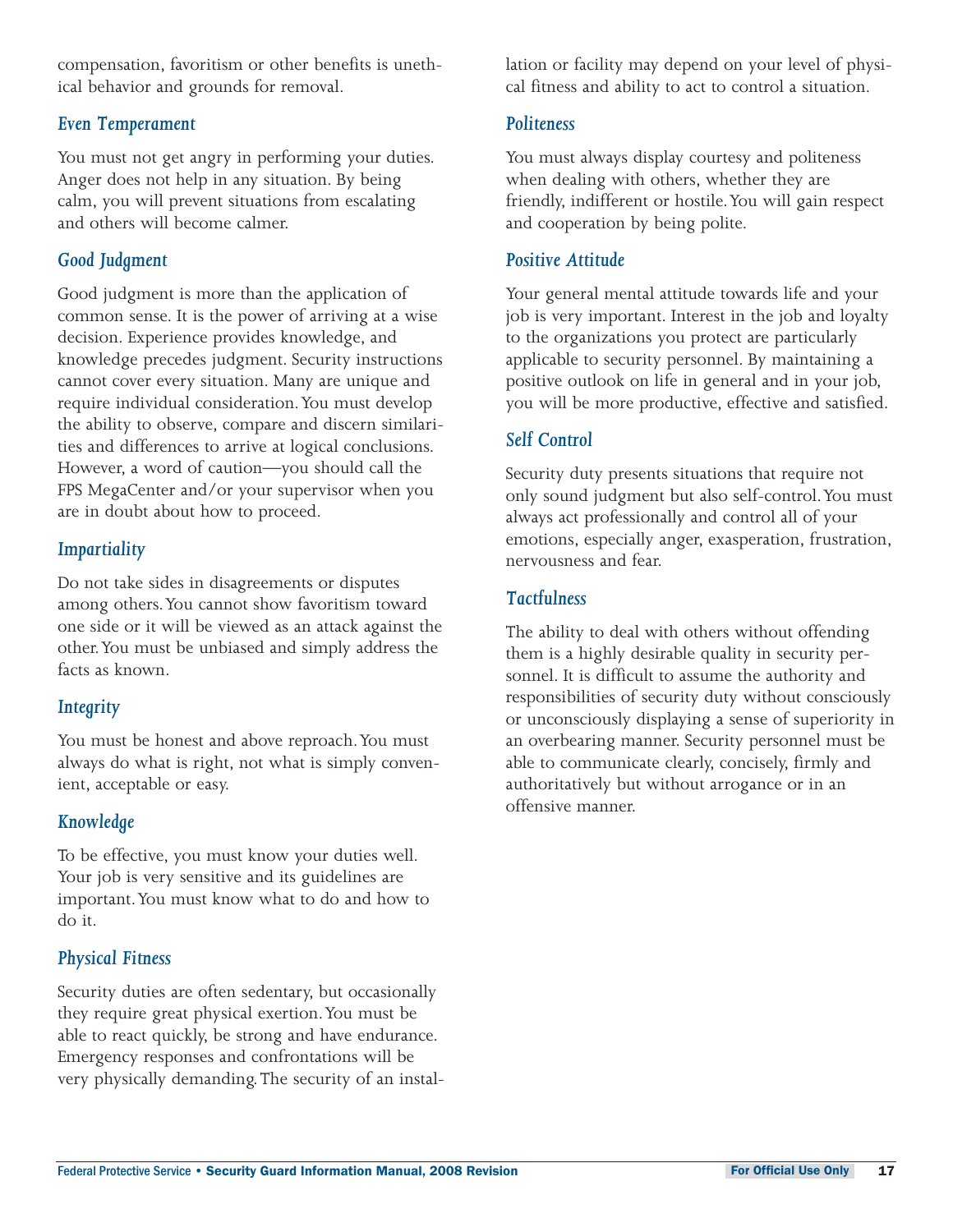compensation, favoritism or other benefits is unethical behavior and grounds for removal.

#### *Even Temperament*

You must not get angry in performing your duties. Anger does not help in any situation. By being calm, you will prevent situations from escalating and others will become calmer.

#### *Good Judgment*

Good judgment is more than the application of common sense. It is the power of arriving at a wise decision. Experience provides knowledge, and knowledge precedes judgment. Security instructions cannot cover every situation. Many are unique and require individual consideration.You must develop the ability to observe, compare and discern similarities and differences to arrive at logical conclusions. However, a word of caution-you should call the FPS MegaCenter and/or your supervisor when you are in doubt about how to proceed.

#### *Impartiality*

Do not take sides in disagreements or disputes among others.You cannot show favoritism toward one side or it will be viewed as an attack against the other.You must be unbiased and simply address the facts as known.

#### *Integrity*

You must be honest and above reproach.You must always do what is right, not what is simply convenient, acceptable or easy.

#### *Knowledge*

To be effective, you must know your duties well. Your job is very sensitive and its guidelines are important.You must know what to do and how to do it.

#### *Physical Fitness*

Security duties are often sedentary, but occasionally they require great physical exertion.You must be able to react quickly, be strong and have endurance. Emergency responses and confrontations will be very physically demanding.The security of an installation or facility may depend on your level of physical fitness and ability to act to control a situation.

#### *Politeness*

You must always display courtesy and politeness when dealing with others, whether they are friendly, indifferent or hostile.You will gain respect and cooperation by being polite.

#### *Positive Attitude*

Your general mental attitude towards life and your job is very important. Interest in the job and loyalty to the organizations you protect are particularly applicable to security personnel. By maintaining a positive outlook on life in general and in your job, you will be more productive, effective and satisfied.

#### *Self Control*

Security duty presents situations that require not only sound judgment but also self-control.You must always act professionally and control all of your emotions, especially anger, exasperation, frustration, nervousness and fear.

#### *Tactfulness*

The ability to deal with others without offending them is a highly desirable quality in security personnel. It is difficult to assume the authority and responsibilities of security duty without consciously or unconsciously displaying a sense of superiority in an overbearing manner. Security personnel must be able to communicate clearly, concisely, firmly and authoritatively but without arrogance or in an offensive manner.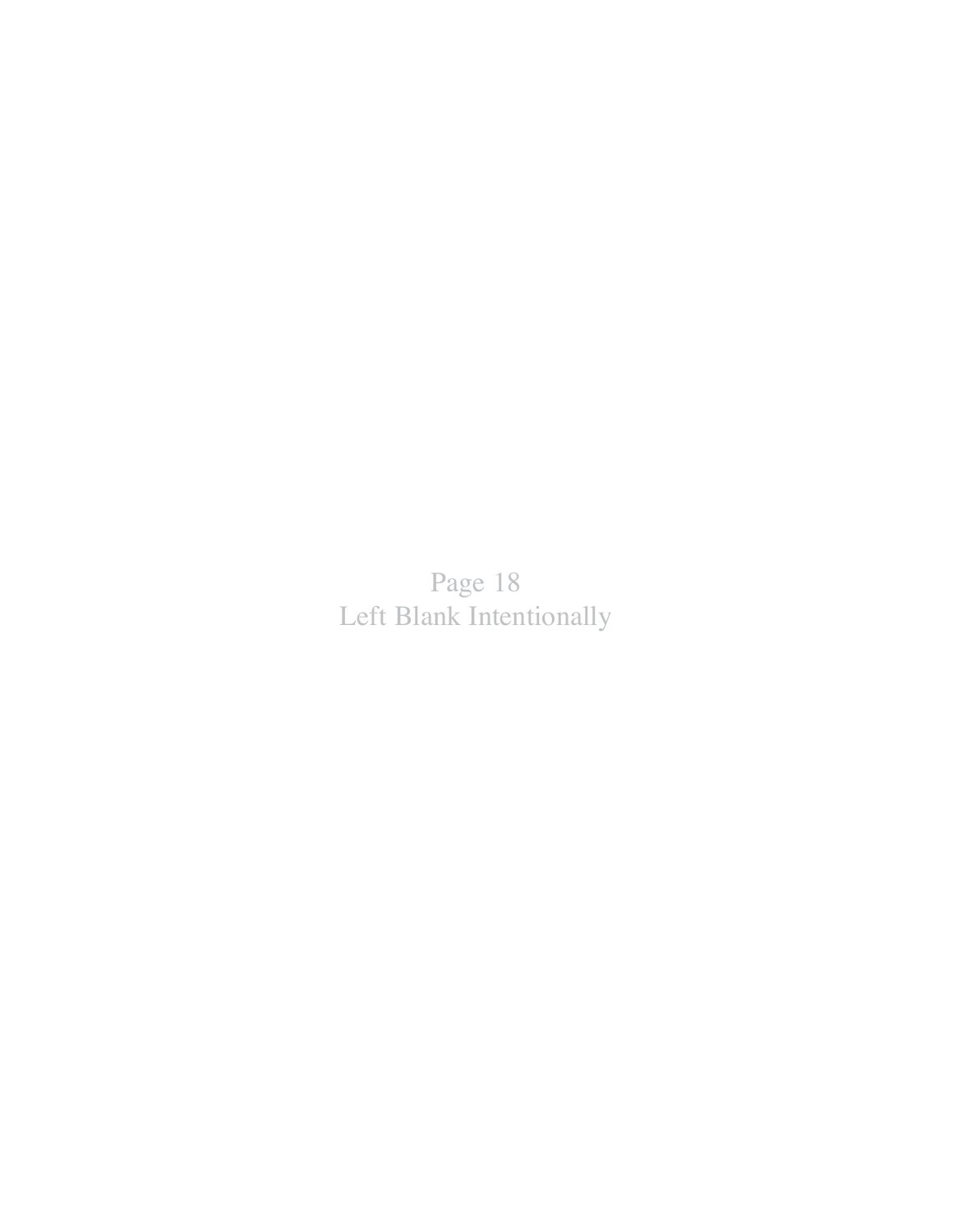Page 18 Left Blank Intentionally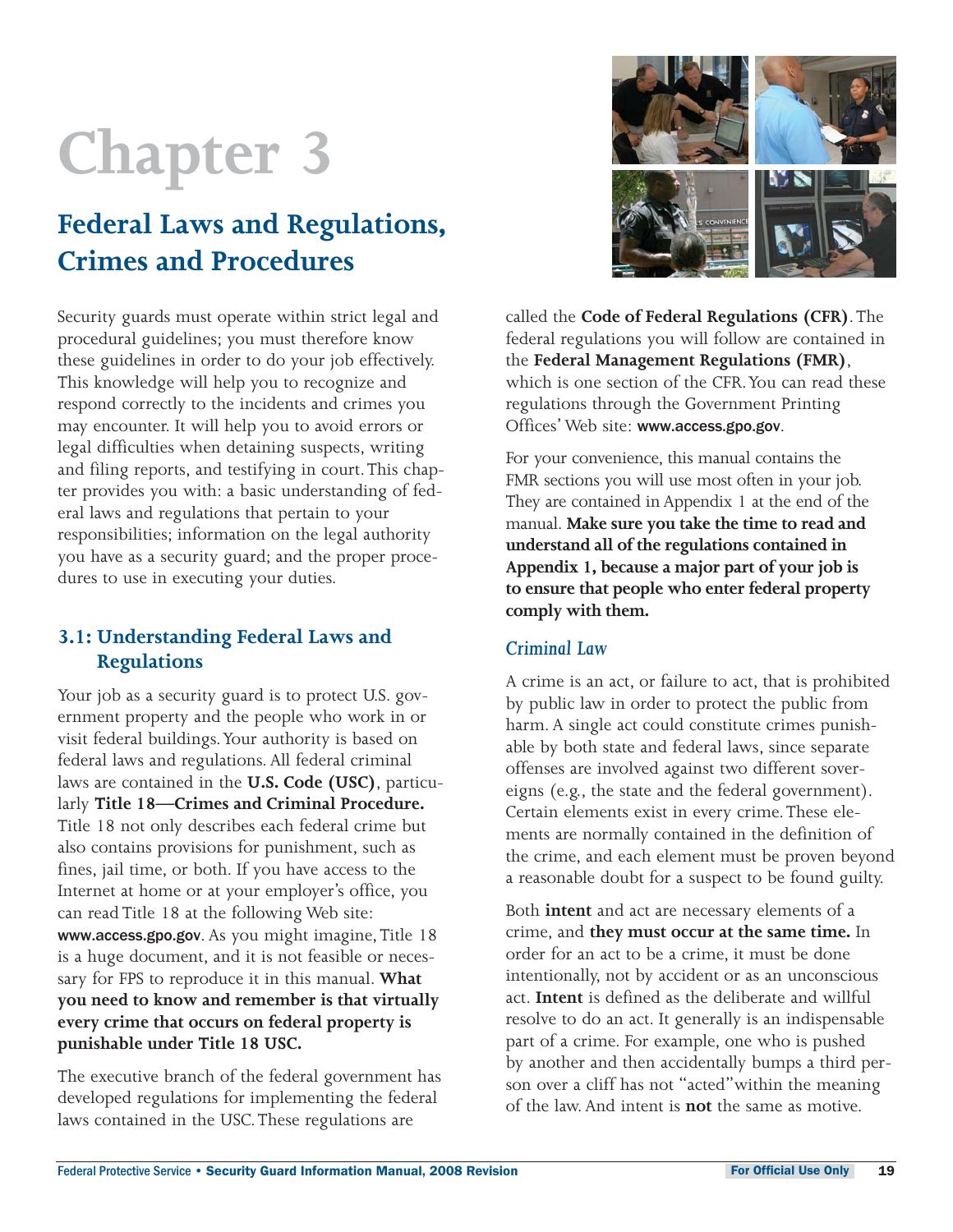# **Chapter 3**

## **Federal Laws and Regulations, Crimes and Procedures**

Security guards must operate within strict legal and procedural guidelines; you must therefore know these guidelines in order to do your job effectively. This knowledge will help you to recognize and respond correctly to the incidents and crimes you may encounter. It will help you to avoid errors or legal difficulties when detaining suspects, writing and filing reports, and testifying in court.This chapter provides you with: a basic understanding of federal laws and regulations that pertain to your responsibilities; information on the legal authority you have as a security guard; and the proper procedures to use in executing your duties.

#### **3.1: Understanding Federal Laws and Regulations**

Your job as a security guard is to protect U.S. government property and the people who work in or visit federal buildings.Your authority is based on federal laws and regulations. All federal criminal laws are contained in the **U.S. Code (USC)**, particularly Title 18-Crimes and Criminal Procedure. Title 18 not only describes each federal crime but also contains provisions for punishment, such as fines, jail time, or both. If you have access to the Internet at home or at your employer's office, you can read Title 18 at the following Web site: www.access.gpo.gov. As you might imagine, Title 18 is a huge document, and it is not feasible or necessary for FPS to reproduce it in this manual. **What you need to know and remember is that virtually every crime that occurs on federal property is punishable under Title 18 USC.**

The executive branch of the federal government has developed regulations for implementing the federal laws contained in the USC.These regulations are



called the **Code of Federal Regulations (CFR)**.The federal regulations you will follow are contained in the **Federal Management Regulations (FMR)**, which is one section of the CFR.You can read these regulations through the Government Printing Offices' Web site: www.access.gpo.gov.

For your convenience, this manual contains the FMR sections you will use most often in your job. They are contained in Appendix 1 at the end of the manual. **Make sure you take the time to read and understand all of the regulations contained in Appendix 1, because a major part of your job is to ensure that people who enter federal property comply with them.**

#### *Criminal Law*

A crime is an act, or failure to act, that is prohibited by public law in order to protect the public from harm. A single act could constitute crimes punishable by both state and federal laws, since separate offenses are involved against two different sovereigns (e.g., the state and the federal government). Certain elements exist in every crime.These elements are normally contained in the definition of the crime, and each element must be proven beyond a reasonable doubt for a suspect to be found guilty.

Both **intent** and act are necessary elements of a crime, and **they must occur at the same time.** In order for an act to be a crime, it must be done intentionally, not by accident or as an unconscious act. **Intent** is defined as the deliberate and willful resolve to do an act. It generally is an indispensable part of a crime. For example, one who is pushed by another and then accidentally bumps a third person over a cliff has not "acted" within the meaning of the law. And intent is **not** the same as motive.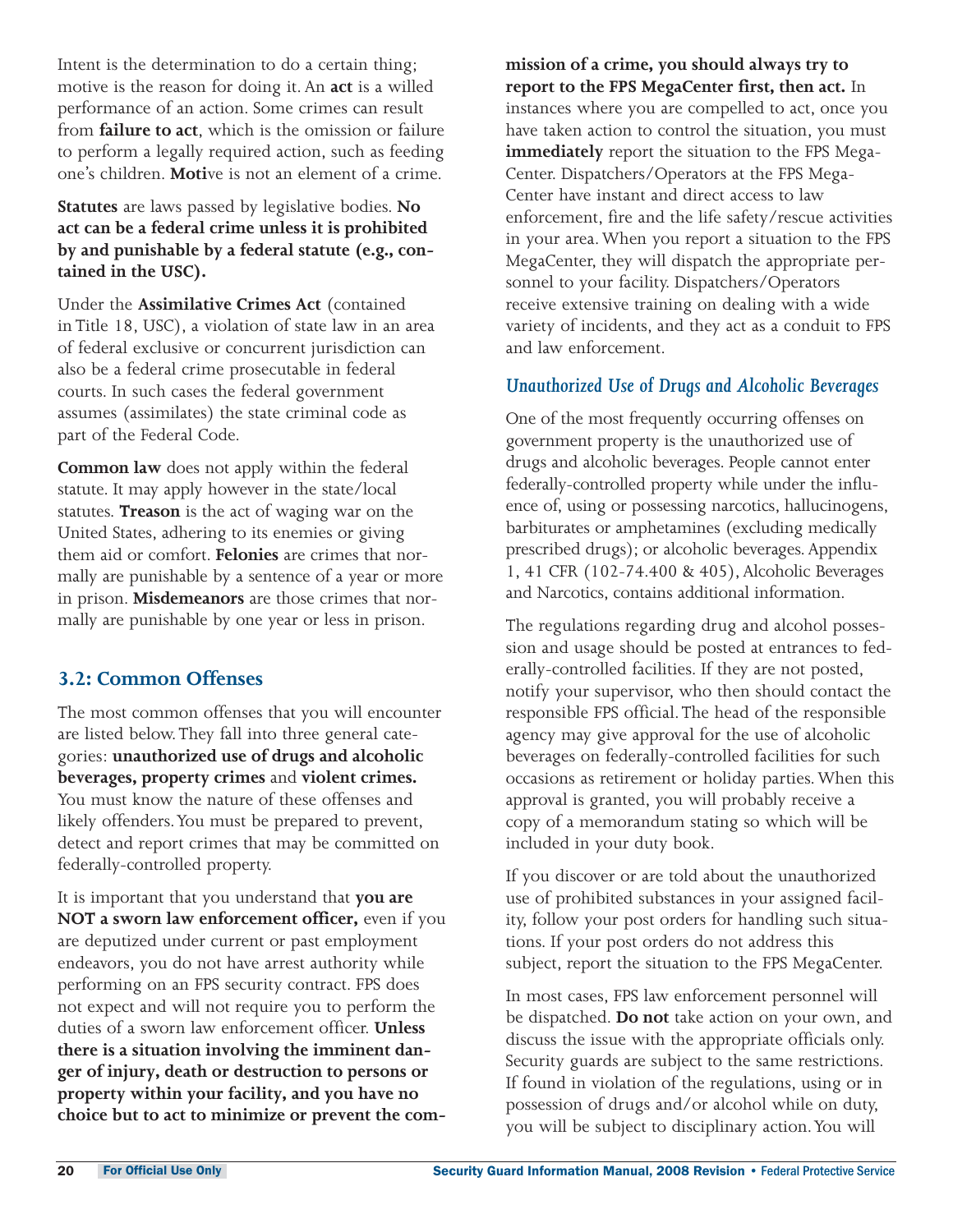Intent is the determination to do a certain thing; motive is the reason for doing it. An **act** is a willed performance of an action. Some crimes can result from **failure to act**, which is the omission or failure to perform a legally required action, such as feeding one's children. **Moti**ve is not an element of a crime.

**Statutes** are laws passed by legislative bodies. **No act can be a federal crime unless it is prohibited by and punishable by a federal statute (e.g., contained in the USC).**

Under the **Assimilative Crimes Act** (contained in Title 18, USC), a violation of state law in an area of federal exclusive or concurrent jurisdiction can also be a federal crime prosecutable in federal courts. In such cases the federal government assumes (assimilates) the state criminal code as part of the Federal Code.

**Common law** does not apply within the federal statute. It may apply however in the state/local statutes. **Treason** is the act of waging war on the United States, adhering to its enemies or giving them aid or comfort. **Felonies** are crimes that normally are punishable by a sentence of a year or more in prison. **Misdemeanors** are those crimes that normally are punishable by one year or less in prison.

#### **3.2: Common Offenses**

The most common offenses that you will encounter are listed below.They fall into three general categories: **unauthorized use of drugs and alcoholic beverages, property crimes** and **violent crimes.** You must know the nature of these offenses and likely offenders.You must be prepared to prevent, detect and report crimes that may be committed on federally-controlled property.

It is important that you understand that **you are NOT a sworn law enforcement officer,** even if you are deputized under current or past employment endeavors, you do not have arrest authority while performing on an FPS security contract. FPS does not expect and will not require you to perform the duties of a sworn law enforcement officer. **Unless there is a situation involving the imminent danger of injury, death or destruction to persons or property within your facility, and you have no choice but to act to minimize or prevent the com-** **mission of a crime, you should always try to report to the FPS MegaCenter first, then act.** In instances where you are compelled to act, once you have taken action to control the situation, you must **immediately** report the situation to the FPS Mega-Center. Dispatchers/Operators at the FPS Mega-Center have instant and direct access to law enforcement, fire and the life safety/rescue activities in your area. When you report a situation to the FPS MegaCenter, they will dispatch the appropriate personnel to your facility. Dispatchers/Operators receive extensive training on dealing with a wide variety of incidents, and they act as a conduit to FPS and law enforcement.

#### *Unauthorized Use of Drugs and Alcoholic Beverages*

One of the most frequently occurring offenses on government property is the unauthorized use of drugs and alcoholic beverages. People cannot enter federally-controlled property while under the influence of, using or possessing narcotics, hallucinogens, barbiturates or amphetamines (excluding medically prescribed drugs); or alcoholic beverages. Appendix 1, 41 CFR (102-74.400 & 405), Alcoholic Beverages and Narcotics, contains additional information.

The regulations regarding drug and alcohol possession and usage should be posted at entrances to federally-controlled facilities. If they are not posted, notify your supervisor, who then should contact the responsible FPS official.The head of the responsible agency may give approval for the use of alcoholic beverages on federally-controlled facilities for such occasions as retirement or holiday parties. When this approval is granted, you will probably receive a copy of a memorandum stating so which will be included in your duty book.

If you discover or are told about the unauthorized use of prohibited substances in your assigned facility, follow your post orders for handling such situations. If your post orders do not address this subject, report the situation to the FPS MegaCenter.

In most cases, FPS law enforcement personnel will be dispatched. **Do not** take action on your own, and discuss the issue with the appropriate officials only. Security guards are subject to the same restrictions. If found in violation of the regulations, using or in possession of drugs and/or alcohol while on duty, you will be subject to disciplinary action.You will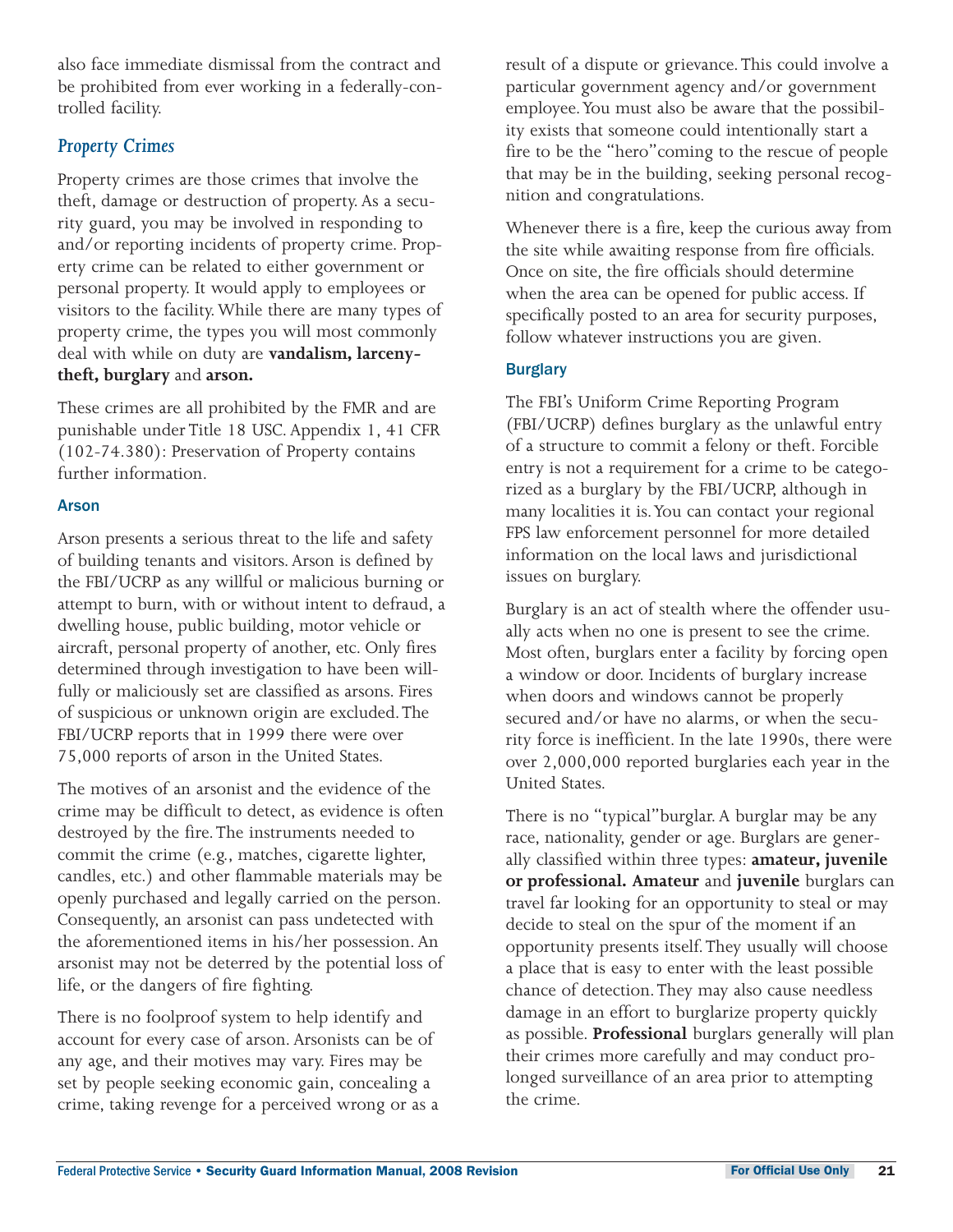also face immediate dismissal from the contract and be prohibited from ever working in a federally-controlled facility.

#### *Property Crimes*

Property crimes are those crimes that involve the theft, damage or destruction of property. As a security guard, you may be involved in responding to and/or reporting incidents of property crime. Property crime can be related to either government or personal property. It would apply to employees or visitors to the facility. While there are many types of property crime, the types you will most commonly deal with while on duty are **vandalism, larcenytheft, burglary** and **arson.**

These crimes are all prohibited by the FMR and are punishable under Title 18 USC. Appendix 1, 41 CFR (102-74.380): Preservation of Property contains further information.

#### Arson

Arson presents a serious threat to the life and safety of building tenants and visitors. Arson is defined by the FBI/UCRP as any willful or malicious burning or attempt to burn, with or without intent to defraud, a dwelling house, public building, motor vehicle or aircraft, personal property of another, etc. Only fires determined through investigation to have been willfully or maliciously set are classified as arsons. Fires of suspicious or unknown origin are excluded.The FBI/UCRP reports that in 1999 there were over 75,000 reports of arson in the United States.

The motives of an arsonist and the evidence of the crime may be difficult to detect, as evidence is often destroyed by the fire.The instruments needed to commit the crime (e.g., matches, cigarette lighter, candles, etc.) and other flammable materials may be openly purchased and legally carried on the person. Consequently, an arsonist can pass undetected with the aforementioned items in his/her possession. An arsonist may not be deterred by the potential loss of life, or the dangers of fire fighting.

There is no foolproof system to help identify and account for every case of arson. Arsonists can be of any age, and their motives may vary. Fires may be set by people seeking economic gain, concealing a crime, taking revenge for a perceived wrong or as a result of a dispute or grievance.This could involve a particular government agency and/or government employee.You must also be aware that the possibility exists that someone could intentionally start a fire to be the "hero" coming to the rescue of people that may be in the building, seeking personal recognition and congratulations.

Whenever there is a fire, keep the curious away from the site while awaiting response from fire officials. Once on site, the fire officials should determine when the area can be opened for public access. If specifically posted to an area for security purposes, follow whatever instructions you are given.

#### **Burglary**

The FBI's Uniform Crime Reporting Program (FBI/UCRP) defines burglary as the unlawful entry of a structure to commit a felony or theft. Forcible entry is not a requirement for a crime to be categorized as a burglary by the FBI/UCRP, although in many localities it is.You can contact your regional FPS law enforcement personnel for more detailed information on the local laws and jurisdictional issues on burglary.

Burglary is an act of stealth where the offender usually acts when no one is present to see the crime. Most often, burglars enter a facility by forcing open a window or door. Incidents of burglary increase when doors and windows cannot be properly secured and/or have no alarms, or when the security force is inefficient. In the late 1990s, there were over 2,000,000 reported burglaries each year in the United States.

There is no "typical" burglar. A burglar may be any race, nationality, gender or age. Burglars are generally classified within three types: **amateur, juvenile or professional. Amateur** and **juvenile** burglars can travel far looking for an opportunity to steal or may decide to steal on the spur of the moment if an opportunity presents itself.They usually will choose a place that is easy to enter with the least possible chance of detection.They may also cause needless damage in an effort to burglarize property quickly as possible. **Professional** burglars generally will plan their crimes more carefully and may conduct prolonged surveillance of an area prior to attempting the crime.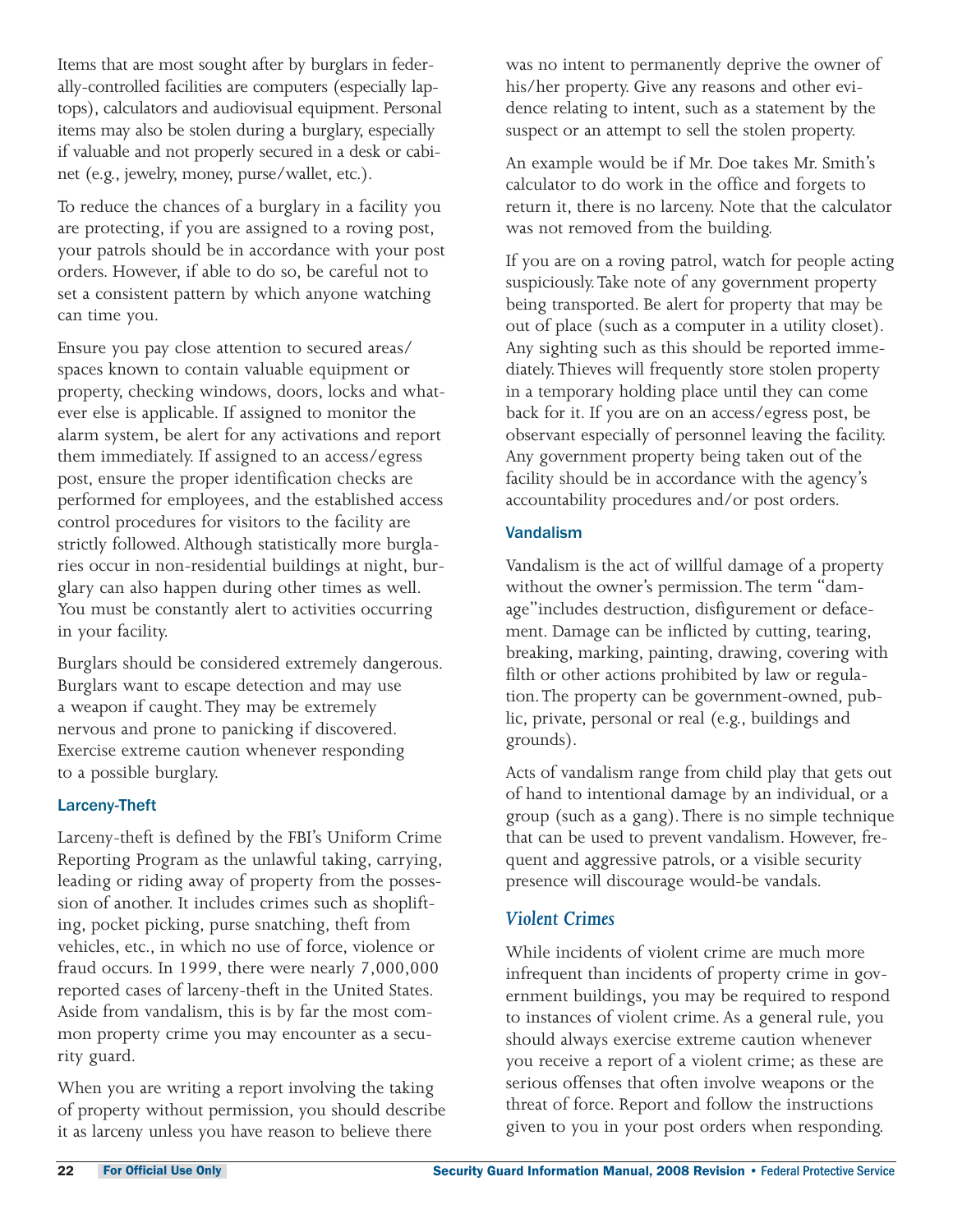Items that are most sought after by burglars in federally-controlled facilities are computers (especially laptops), calculators and audiovisual equipment. Personal items may also be stolen during a burglary, especially if valuable and not properly secured in a desk or cabinet (e.g., jewelry, money, purse/wallet, etc.).

To reduce the chances of a burglary in a facility you are protecting, if you are assigned to a roving post, your patrols should be in accordance with your post orders. However, if able to do so, be careful not to set a consistent pattern by which anyone watching can time you.

Ensure you pay close attention to secured areas/ spaces known to contain valuable equipment or property, checking windows, doors, locks and whatever else is applicable. If assigned to monitor the alarm system, be alert for any activations and report them immediately. If assigned to an access/egress post, ensure the proper identification checks are performed for employees, and the established access control procedures for visitors to the facility are strictly followed. Although statistically more burglaries occur in non-residential buildings at night, burglary can also happen during other times as well. You must be constantly alert to activities occurring in your facility.

Burglars should be considered extremely dangerous. Burglars want to escape detection and may use a weapon if caught.They may be extremely nervous and prone to panicking if discovered. Exercise extreme caution whenever responding to a possible burglary.

#### Larceny-Theft

Larceny-theft is defined by the FBI's Uniform Crime Reporting Program as the unlawful taking, carrying, leading or riding away of property from the possession of another. It includes crimes such as shoplifting, pocket picking, purse snatching, theft from vehicles, etc., in which no use of force, violence or fraud occurs. In 1999, there were nearly 7,000,000 reported cases of larceny-theft in the United States. Aside from vandalism, this is by far the most common property crime you may encounter as a security guard.

When you are writing a report involving the taking of property without permission, you should describe it as larceny unless you have reason to believe there

was no intent to permanently deprive the owner of his/her property. Give any reasons and other evidence relating to intent, such as a statement by the suspect or an attempt to sell the stolen property.

An example would be if Mr. Doe takes Mr. Smith's calculator to do work in the office and forgets to return it, there is no larceny. Note that the calculator was not removed from the building.

If you are on a roving patrol, watch for people acting suspiciously.Take note of any government property being transported. Be alert for property that may be out of place (such as a computer in a utility closet). Any sighting such as this should be reported immediately.Thieves will frequently store stolen property in a temporary holding place until they can come back for it. If you are on an access/egress post, be observant especially of personnel leaving the facility. Any government property being taken out of the facility should be in accordance with the agency's accountability procedures and/or post orders.

#### Vandalism

Vandalism is the act of willful damage of a property without the owner's permission. The term "damage"includes destruction, disfigurement or defacement. Damage can be inflicted by cutting, tearing, breaking, marking, painting, drawing, covering with filth or other actions prohibited by law or regulation.The property can be government-owned, public, private, personal or real (e.g., buildings and grounds).

Acts of vandalism range from child play that gets out of hand to intentional damage by an individual, or a group (such as a gang).There is no simple technique that can be used to prevent vandalism. However, frequent and aggressive patrols, or a visible security presence will discourage would-be vandals.

#### *Violent Crimes*

While incidents of violent crime are much more infrequent than incidents of property crime in government buildings, you may be required to respond to instances of violent crime. As a general rule, you should always exercise extreme caution whenever you receive a report of a violent crime; as these are serious offenses that often involve weapons or the threat of force. Report and follow the instructions given to you in your post orders when responding.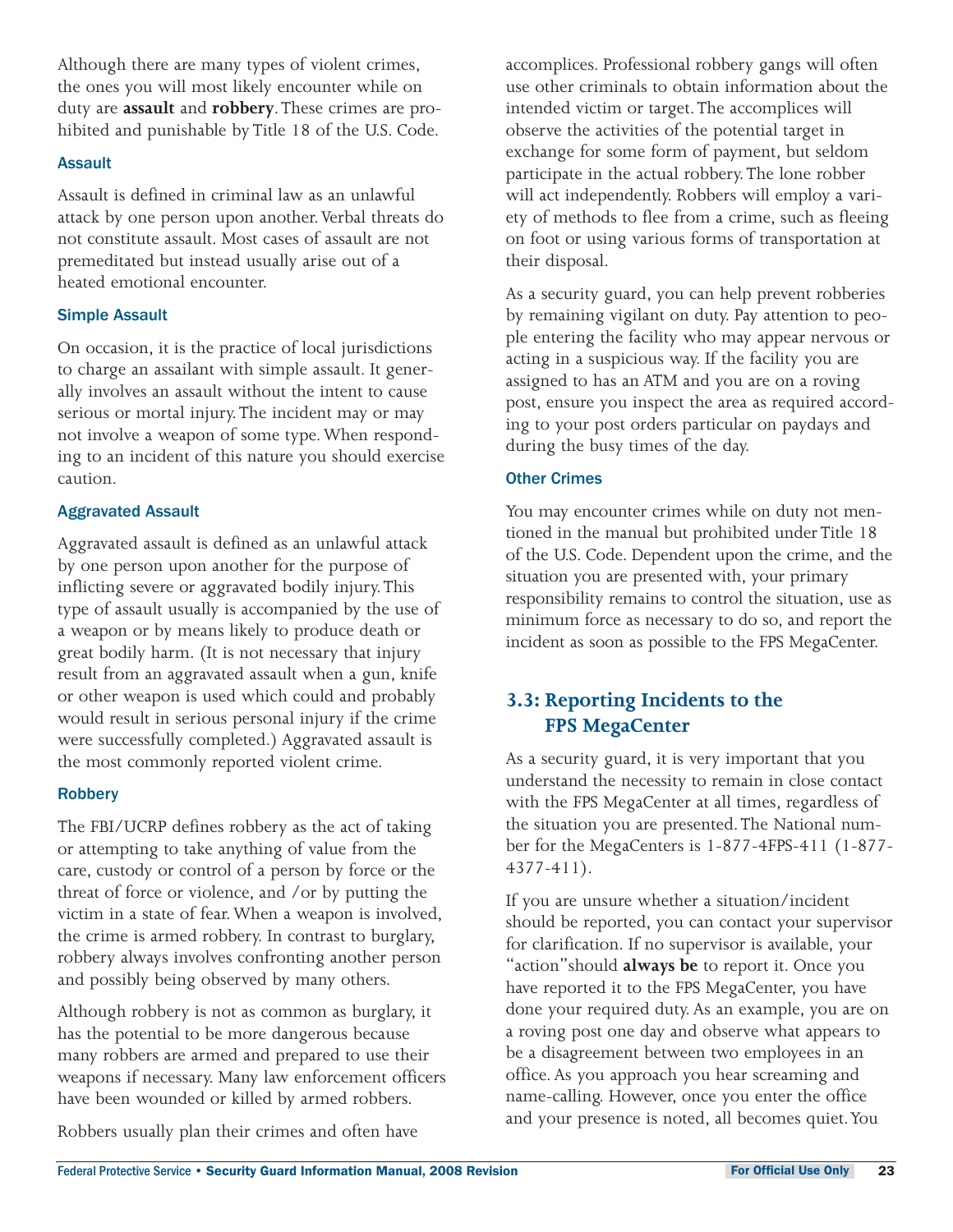Although there are many types of violent crimes, the ones you will most likely encounter while on duty are **assault** and **robbery**.These crimes are prohibited and punishable by Title 18 of the U.S. Code.

#### Assault

Assault is defined in criminal law as an unlawful attack by one person upon another.Verbal threats do not constitute assault. Most cases of assault are not premeditated but instead usually arise out of a heated emotional encounter.

#### Simple Assault

On occasion, it is the practice of local jurisdictions to charge an assailant with simple assault. It generally involves an assault without the intent to cause serious or mortal injury.The incident may or may not involve a weapon of some type. When responding to an incident of this nature you should exercise caution.

#### Aggravated Assault

Aggravated assault is defined as an unlawful attack by one person upon another for the purpose of inflicting severe or aggravated bodily injury.This type of assault usually is accompanied by the use of a weapon or by means likely to produce death or great bodily harm. (It is not necessary that injury result from an aggravated assault when a gun, knife or other weapon is used which could and probably would result in serious personal injury if the crime were successfully completed.) Aggravated assault is the most commonly reported violent crime.

#### Robbery

The FBI/UCRP defines robbery as the act of taking or attempting to take anything of value from the care, custody or control of a person by force or the threat of force or violence, and /or by putting the victim in a state of fear. When a weapon is involved, the crime is armed robbery. In contrast to burglary, robbery always involves confronting another person and possibly being observed by many others.

Although robbery is not as common as burglary, it has the potential to be more dangerous because many robbers are armed and prepared to use their weapons if necessary. Many law enforcement officers have been wounded or killed by armed robbers.

accomplices. Professional robbery gangs will often use other criminals to obtain information about the intended victim or target.The accomplices will observe the activities of the potential target in exchange for some form of payment, but seldom participate in the actual robbery.The lone robber will act independently. Robbers will employ a variety of methods to flee from a crime, such as fleeing on foot or using various forms of transportation at their disposal.

As a security guard, you can help prevent robberies by remaining vigilant on duty. Pay attention to people entering the facility who may appear nervous or acting in a suspicious way. If the facility you are assigned to has an ATM and you are on a roving post, ensure you inspect the area as required according to your post orders particular on paydays and during the busy times of the day.

#### Other Crimes

You may encounter crimes while on duty not mentioned in the manual but prohibited under Title 18 of the U.S. Code. Dependent upon the crime, and the situation you are presented with, your primary responsibility remains to control the situation, use as minimum force as necessary to do so, and report the incident as soon as possible to the FPS MegaCenter.

#### **3.3: Reporting Incidents to the FPS MegaCenter**

As a security guard, it is very important that you understand the necessity to remain in close contact with the FPS MegaCenter at all times, regardless of the situation you are presented.The National number for the MegaCenters is 1-877-4FPS-411 (1-877- 4377-411).

If you are unsure whether a situation/incident should be reported, you can contact your supervisor for clarification. If no supervisor is available, your "action" should **always be** to report it. Once you have reported it to the FPS MegaCenter, you have done your required duty. As an example, you are on a roving post one day and observe what appears to be a disagreement between two employees in an office. As you approach you hear screaming and name-calling. However, once you enter the office and your presence is noted, all becomes quiet.You

Robbers usually plan their crimes and often have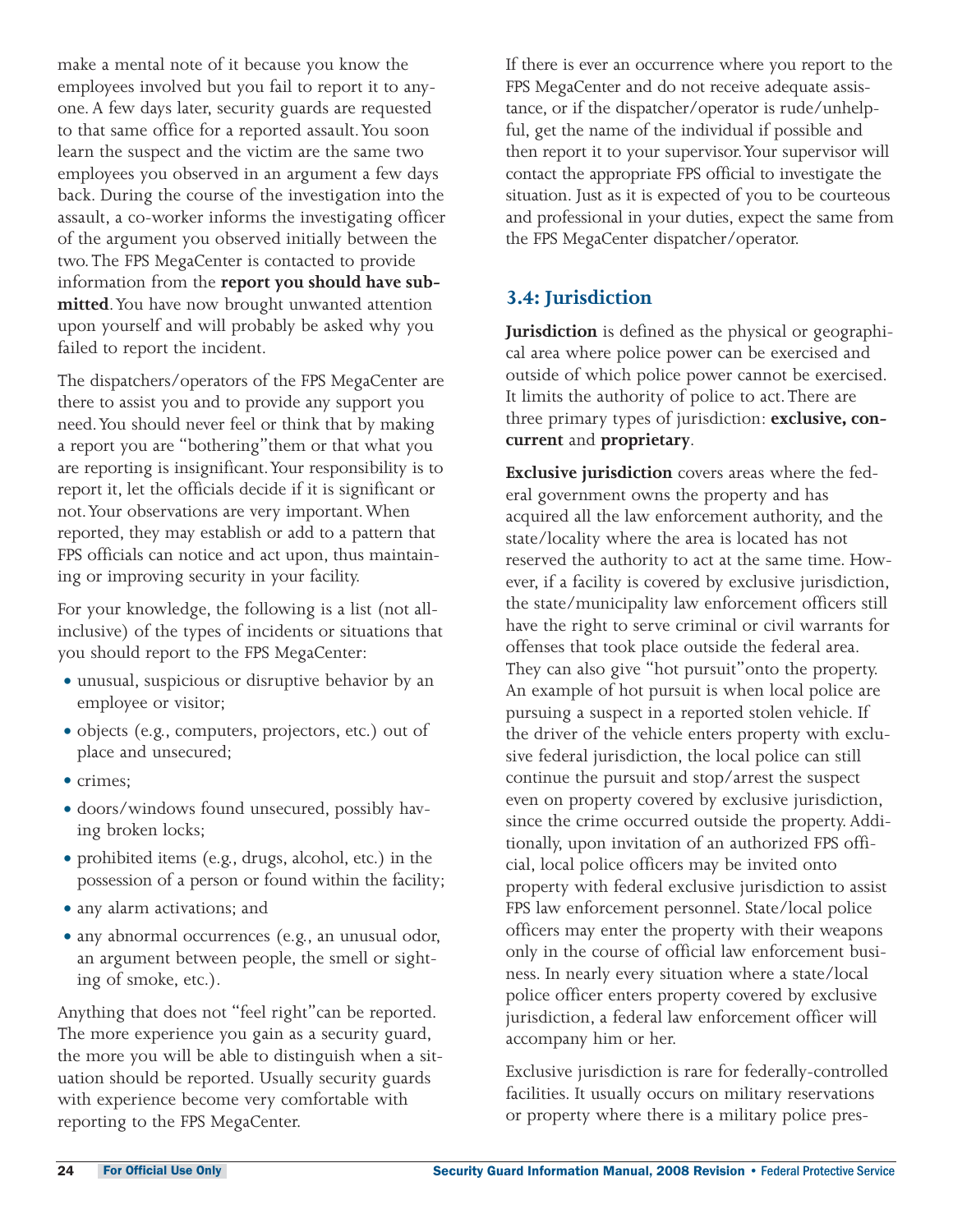make a mental note of it because you know the employees involved but you fail to report it to anyone. A few days later, security guards are requested to that same office for a reported assault.You soon learn the suspect and the victim are the same two employees you observed in an argument a few days back. During the course of the investigation into the assault, a co-worker informs the investigating officer of the argument you observed initially between the two.The FPS MegaCenter is contacted to provide information from the **report you should have submitted**. You have now brought unwanted attention upon yourself and will probably be asked why you failed to report the incident.

The dispatchers/operators of the FPS MegaCenter are there to assist you and to provide any support you need.You should never feel or think that by making a report you are "bothering" them or that what you are reporting is insignificant.Your responsibility is to report it, let the officials decide if it is significant or not.Your observations are very important. When reported, they may establish or add to a pattern that FPS officials can notice and act upon, thus maintaining or improving security in your facility.

For your knowledge, the following is a list (not allinclusive) of the types of incidents or situations that you should report to the FPS MegaCenter:

- unusual, suspicious or disruptive behavior by an employee or visitor;
- objects (e.g., computers, projectors, etc.) out of place and unsecured;
- $\bullet$  crimes:
- doors/windows found unsecured, possibly having broken locks;
- prohibited items (e.g., drugs, alcohol, etc.) in the possession of a person or found within the facility;
- any alarm activations; and
- any abnormal occurrences (e.g., an unusual odor, an argument between people, the smell or sighting of smoke, etc.).

Anything that does not "feel right" can be reported. The more experience you gain as a security guard, the more you will be able to distinguish when a situation should be reported. Usually security guards with experience become very comfortable with reporting to the FPS MegaCenter.

If there is ever an occurrence where you report to the FPS MegaCenter and do not receive adequate assistance, or if the dispatcher/operator is rude/unhelpful, get the name of the individual if possible and then report it to your supervisor.Your supervisor will contact the appropriate FPS official to investigate the situation. Just as it is expected of you to be courteous and professional in your duties, expect the same from the FPS MegaCenter dispatcher/operator.

#### **3.4: Jurisdiction**

**Jurisdiction** is defined as the physical or geographical area where police power can be exercised and outside of which police power cannot be exercised. It limits the authority of police to act.There are three primary types of jurisdiction: **exclusive, concurrent** and **proprietary**.

**Exclusive jurisdiction** covers areas where the federal government owns the property and has acquired all the law enforcement authority, and the state/locality where the area is located has not reserved the authority to act at the same time. However, if a facility is covered by exclusive jurisdiction, the state/municipality law enforcement officers still have the right to serve criminal or civil warrants for offenses that took place outside the federal area. They can also give "hot pursuit" onto the property. An example of hot pursuit is when local police are pursuing a suspect in a reported stolen vehicle. If the driver of the vehicle enters property with exclusive federal jurisdiction, the local police can still continue the pursuit and stop/arrest the suspect even on property covered by exclusive jurisdiction, since the crime occurred outside the property. Additionally, upon invitation of an authorized FPS official, local police officers may be invited onto property with federal exclusive jurisdiction to assist FPS law enforcement personnel. State/local police officers may enter the property with their weapons only in the course of official law enforcement business. In nearly every situation where a state/local police officer enters property covered by exclusive jurisdiction, a federal law enforcement officer will accompany him or her.

Exclusive jurisdiction is rare for federally-controlled facilities. It usually occurs on military reservations or property where there is a military police pres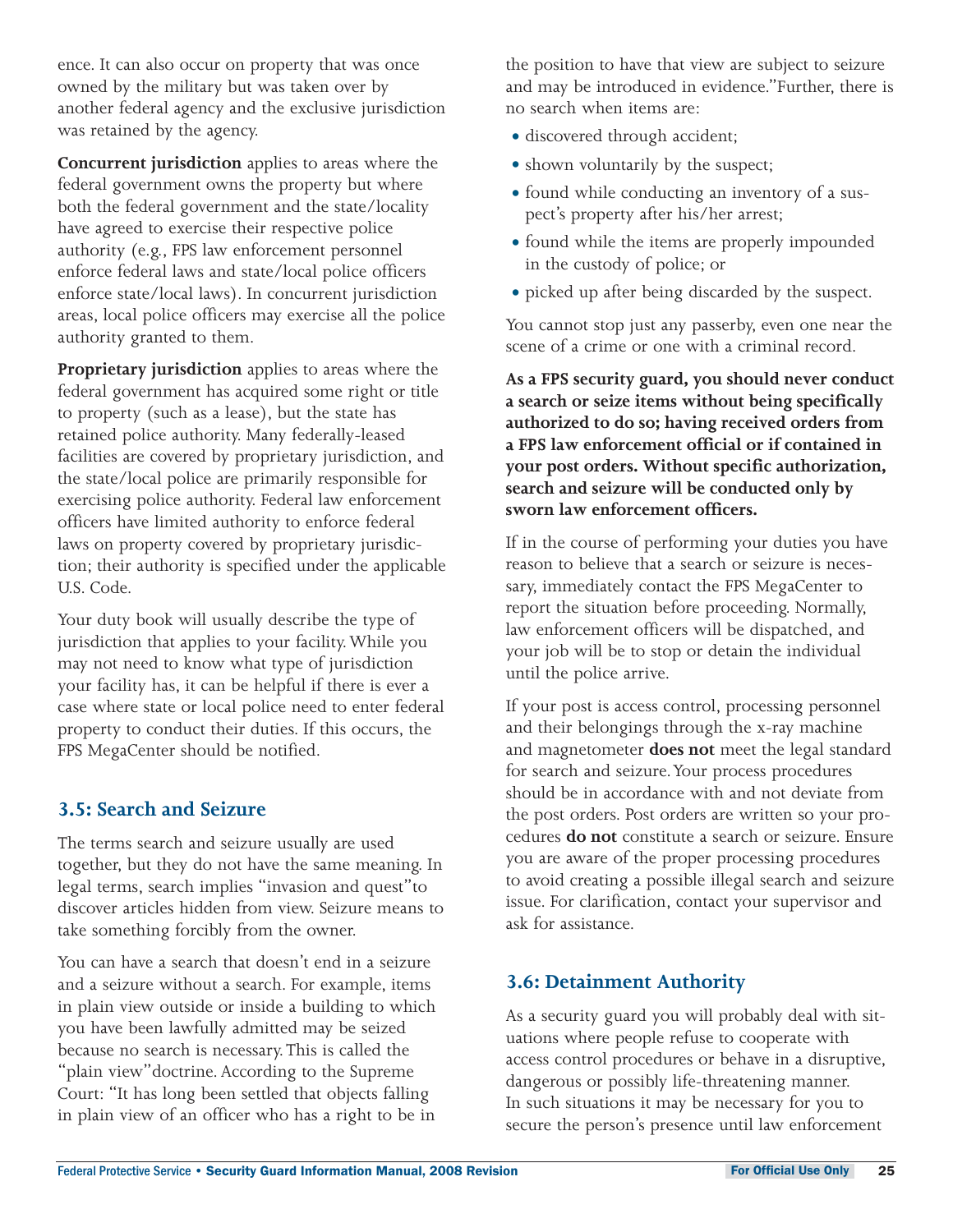ence. It can also occur on property that was once owned by the military but was taken over by another federal agency and the exclusive jurisdiction was retained by the agency.

**Concurrent jurisdiction** applies to areas where the federal government owns the property but where both the federal government and the state/locality have agreed to exercise their respective police authority (e.g., FPS law enforcement personnel enforce federal laws and state/local police officers enforce state/local laws). In concurrent jurisdiction areas, local police officers may exercise all the police authority granted to them.

**Proprietary jurisdiction** applies to areas where the federal government has acquired some right or title to property (such as a lease), but the state has retained police authority. Many federally-leased facilities are covered by proprietary jurisdiction, and the state/local police are primarily responsible for exercising police authority. Federal law enforcement officers have limited authority to enforce federal laws on property covered by proprietary jurisdiction; their authority is specified under the applicable U.S. Code.

Your duty book will usually describe the type of jurisdiction that applies to your facility. While you may not need to know what type of jurisdiction your facility has, it can be helpful if there is ever a case where state or local police need to enter federal property to conduct their duties. If this occurs, the FPS MegaCenter should be notified.

#### **3.5: Search and Seizure**

The terms search and seizure usually are used together, but they do not have the same meaning. In legal terms, search implies "invasion and quest"to discover articles hidden from view. Seizure means to take something forcibly from the owner.

You can have a search that doesn't end in a seizure and a seizure without a search. For example, items in plain view outside or inside a building to which you have been lawfully admitted may be seized because no search is necessary.This is called the "plain view" doctrine. According to the Supreme Court: "It has long been settled that objects falling in plain view of an officer who has a right to be in the position to have that view are subject to seizure and may be introduced in evidence."Further, there is no search when items are:

- discovered through accident;
- shown voluntarily by the suspect;
- found while conducting an inventory of a suspect's property after his/her arrest;
- found while the items are properly impounded in the custody of police; or
- picked up after being discarded by the suspect.

You cannot stop just any passerby, even one near the scene of a crime or one with a criminal record.

**As a FPS security guard, you should never conduct a search or seize items without being specifically authorized to do so; having received orders from a FPS law enforcement official or if contained in your post orders. Without specific authorization, search and seizure will be conducted only by sworn law enforcement officers.**

If in the course of performing your duties you have reason to believe that a search or seizure is necessary, immediately contact the FPS MegaCenter to report the situation before proceeding. Normally, law enforcement officers will be dispatched, and your job will be to stop or detain the individual until the police arrive.

If your post is access control, processing personnel and their belongings through the x-ray machine and magnetometer **does not** meet the legal standard for search and seizure.Your process procedures should be in accordance with and not deviate from the post orders. Post orders are written so your procedures **do not** constitute a search or seizure. Ensure you are aware of the proper processing procedures to avoid creating a possible illegal search and seizure issue. For clarification, contact your supervisor and ask for assistance.

#### **3.6: Detainment Authority**

As a security guard you will probably deal with situations where people refuse to cooperate with access control procedures or behave in a disruptive, dangerous or possibly life-threatening manner. In such situations it may be necessary for you to secure the person's presence until law enforcement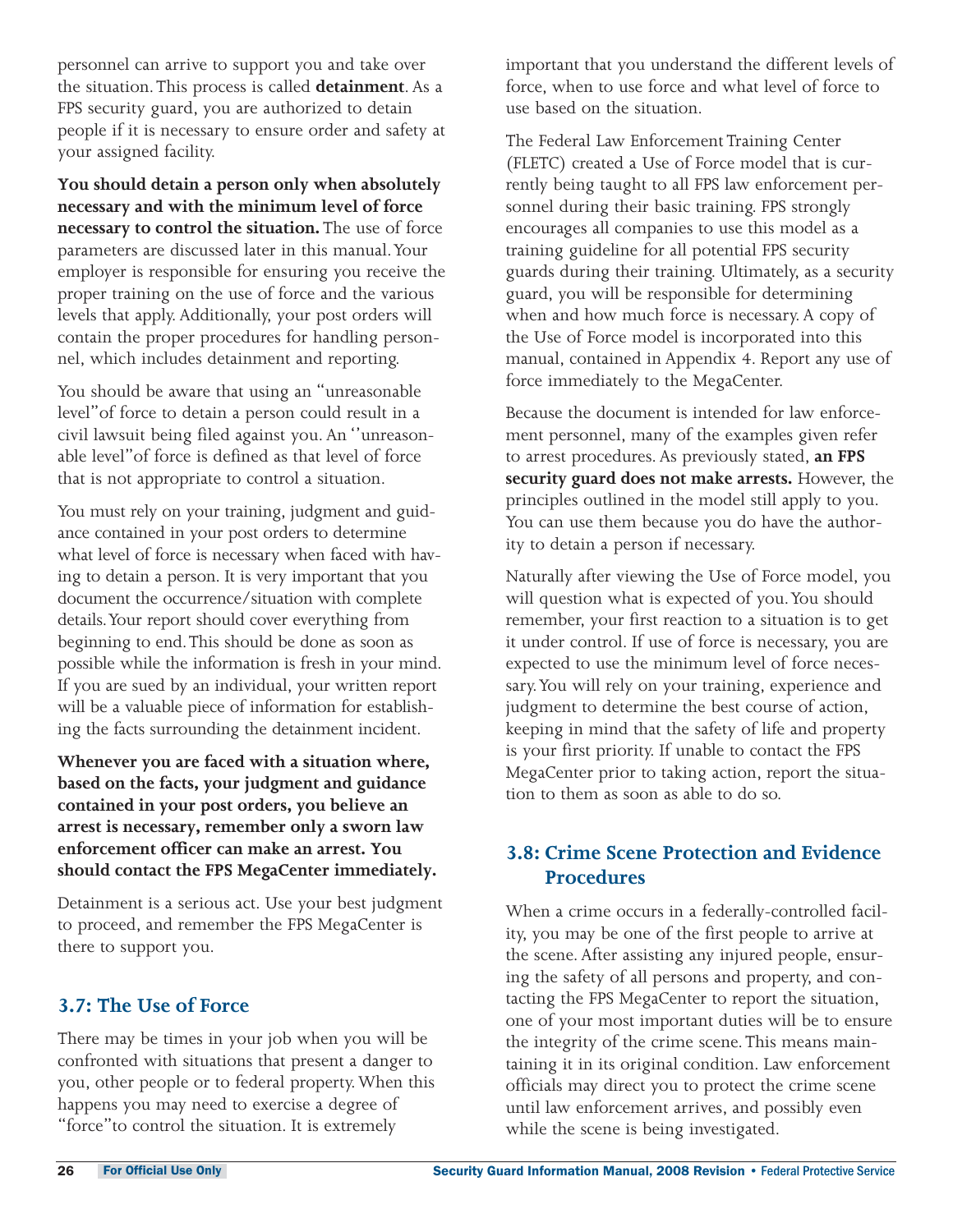personnel can arrive to support you and take over the situation.This process is called **detainment**. As a FPS security guard, you are authorized to detain people if it is necessary to ensure order and safety at your assigned facility.

**You should detain a person only when absolutely necessary and with the minimum level of force necessary to control the situation.** The use of force parameters are discussed later in this manual.Your employer is responsible for ensuring you receive the proper training on the use of force and the various levels that apply. Additionally, your post orders will contain the proper procedures for handling personnel, which includes detainment and reporting.

You should be aware that using an "unreasonable level" of force to detain a person could result in a civil lawsuit being filed against you. An "unreasonable level" of force is defined as that level of force that is not appropriate to control a situation.

You must rely on your training, judgment and guidance contained in your post orders to determine what level of force is necessary when faced with having to detain a person. It is very important that you document the occurrence/situation with complete details.Your report should cover everything from beginning to end.This should be done as soon as possible while the information is fresh in your mind. If you are sued by an individual, your written report will be a valuable piece of information for establishing the facts surrounding the detainment incident.

**Whenever you are faced with a situation where, based on the facts, your judgment and guidance contained in your post orders, you believe an arrest is necessary, remember only a sworn law enforcement officer can make an arrest. You should contact the FPS MegaCenter immediately.**

Detainment is a serious act. Use your best judgment to proceed, and remember the FPS MegaCenter is there to support you.

#### **3.7: The Use of Force**

There may be times in your job when you will be confronted with situations that present a danger to you, other people or to federal property. When this happens you may need to exercise a degree of "force" to control the situation. It is extremely

important that you understand the different levels of force, when to use force and what level of force to use based on the situation.

The Federal Law Enforcement Training Center (FLETC) created a Use of Force model that is currently being taught to all FPS law enforcement personnel during their basic training. FPS strongly encourages all companies to use this model as a training guideline for all potential FPS security guards during their training. Ultimately, as a security guard, you will be responsible for determining when and how much force is necessary. A copy of the Use of Force model is incorporated into this manual, contained in Appendix 4. Report any use of force immediately to the MegaCenter.

Because the document is intended for law enforcement personnel, many of the examples given refer to arrest procedures. As previously stated, **an FPS security guard does not make arrests.** However, the principles outlined in the model still apply to you. You can use them because you do have the authority to detain a person if necessary.

Naturally after viewing the Use of Force model, you will question what is expected of you.You should remember, your first reaction to a situation is to get it under control. If use of force is necessary, you are expected to use the minimum level of force necessary.You will rely on your training, experience and judgment to determine the best course of action, keeping in mind that the safety of life and property is your first priority. If unable to contact the FPS MegaCenter prior to taking action, report the situation to them as soon as able to do so.

#### **3.8: Crime Scene Protection and Evidence Procedures**

When a crime occurs in a federally-controlled facility, you may be one of the first people to arrive at the scene. After assisting any injured people, ensuring the safety of all persons and property, and contacting the FPS MegaCenter to report the situation, one of your most important duties will be to ensure the integrity of the crime scene.This means maintaining it in its original condition. Law enforcement officials may direct you to protect the crime scene until law enforcement arrives, and possibly even while the scene is being investigated.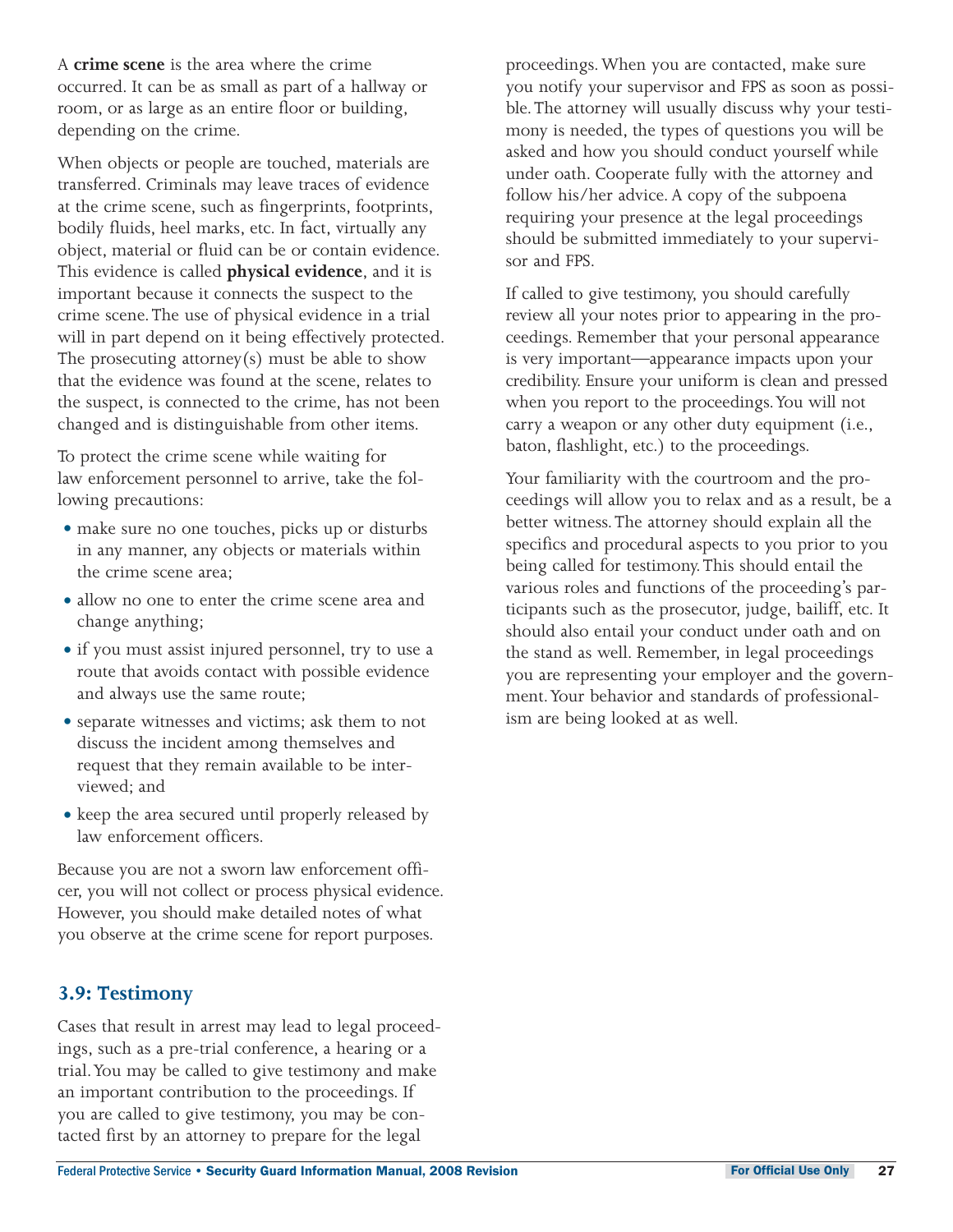A **crime scene** is the area where the crime occurred. It can be as small as part of a hallway or room, or as large as an entire floor or building, depending on the crime.

When objects or people are touched, materials are transferred. Criminals may leave traces of evidence at the crime scene, such as fingerprints, footprints, bodily fluids, heel marks, etc. In fact, virtually any object, material or fluid can be or contain evidence. This evidence is called **physical evidence**, and it is important because it connects the suspect to the crime scene.The use of physical evidence in a trial will in part depend on it being effectively protected. The prosecuting attorney $(s)$  must be able to show that the evidence was found at the scene, relates to the suspect, is connected to the crime, has not been changed and is distinguishable from other items.

To protect the crime scene while waiting for law enforcement personnel to arrive, take the following precautions:

- make sure no one touches, picks up or disturbs in any manner, any objects or materials within the crime scene area;
- allow no one to enter the crime scene area and change anything;
- if you must assist injured personnel, try to use a route that avoids contact with possible evidence and always use the same route;
- separate witnesses and victims; ask them to not discuss the incident among themselves and request that they remain available to be interviewed; and
- keep the area secured until properly released by law enforcement officers.

Because you are not a sworn law enforcement officer, you will not collect or process physical evidence. However, you should make detailed notes of what you observe at the crime scene for report purposes.

#### **3.9: Testimony**

Cases that result in arrest may lead to legal proceedings, such as a pre-trial conference, a hearing or a trial.You may be called to give testimony and make an important contribution to the proceedings. If you are called to give testimony, you may be contacted first by an attorney to prepare for the legal

proceedings. When you are contacted, make sure you notify your supervisor and FPS as soon as possible.The attorney will usually discuss why your testimony is needed, the types of questions you will be asked and how you should conduct yourself while under oath. Cooperate fully with the attorney and follow his/her advice. A copy of the subpoena requiring your presence at the legal proceedings should be submitted immediately to your supervisor and FPS.

If called to give testimony, you should carefully review all your notes prior to appearing in the proceedings. Remember that your personal appearance is very important—appearance impacts upon your credibility. Ensure your uniform is clean and pressed when you report to the proceedings.You will not carry a weapon or any other duty equipment (i.e., baton, flashlight, etc.) to the proceedings.

Your familiarity with the courtroom and the proceedings will allow you to relax and as a result, be a better witness.The attorney should explain all the specifics and procedural aspects to you prior to you being called for testimony.This should entail the various roles and functions of the proceeding's participants such as the prosecutor, judge, bailiff, etc. It should also entail your conduct under oath and on the stand as well. Remember, in legal proceedings you are representing your employer and the government.Your behavior and standards of professionalism are being looked at as well.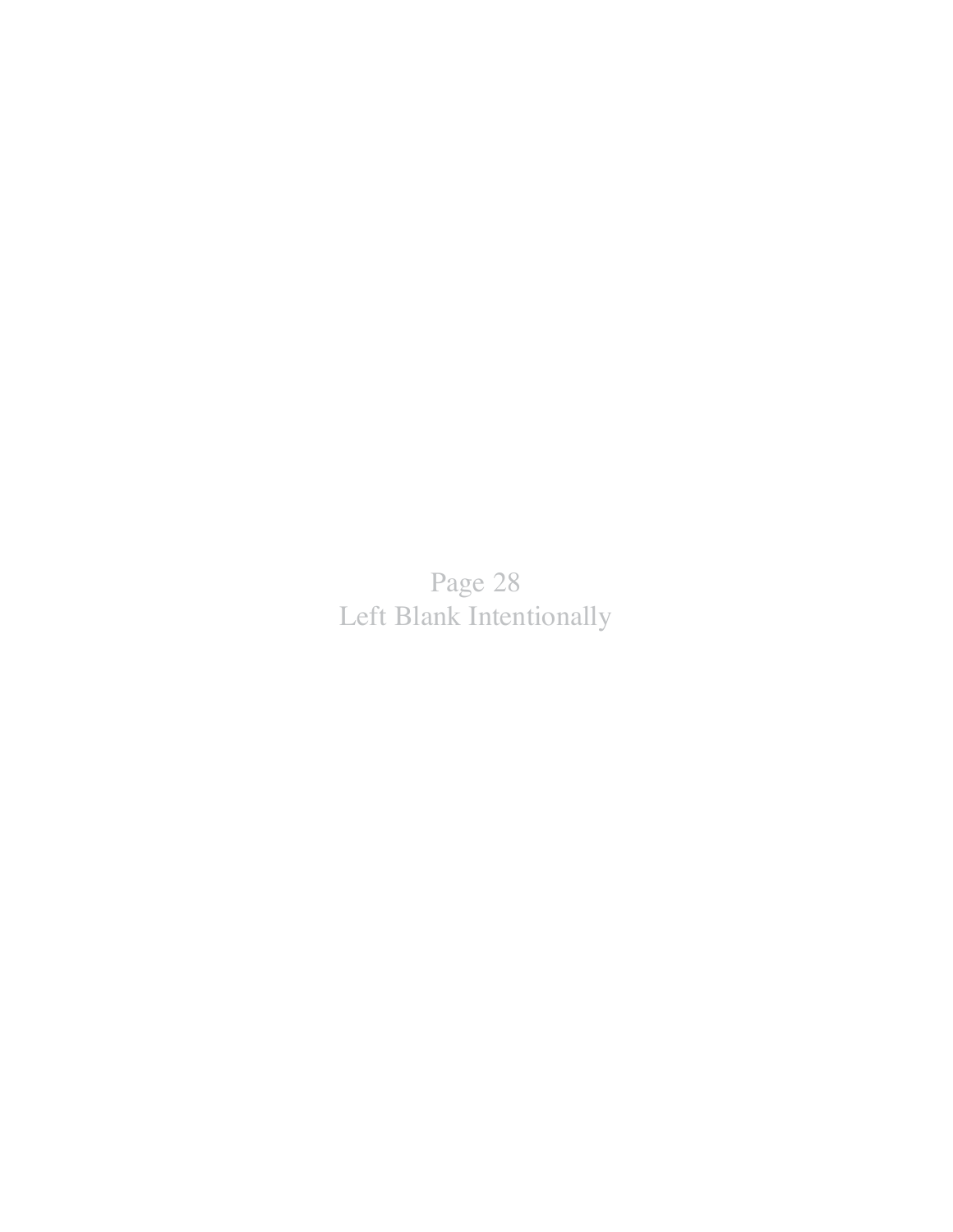Page 28 Left Blank Intentionally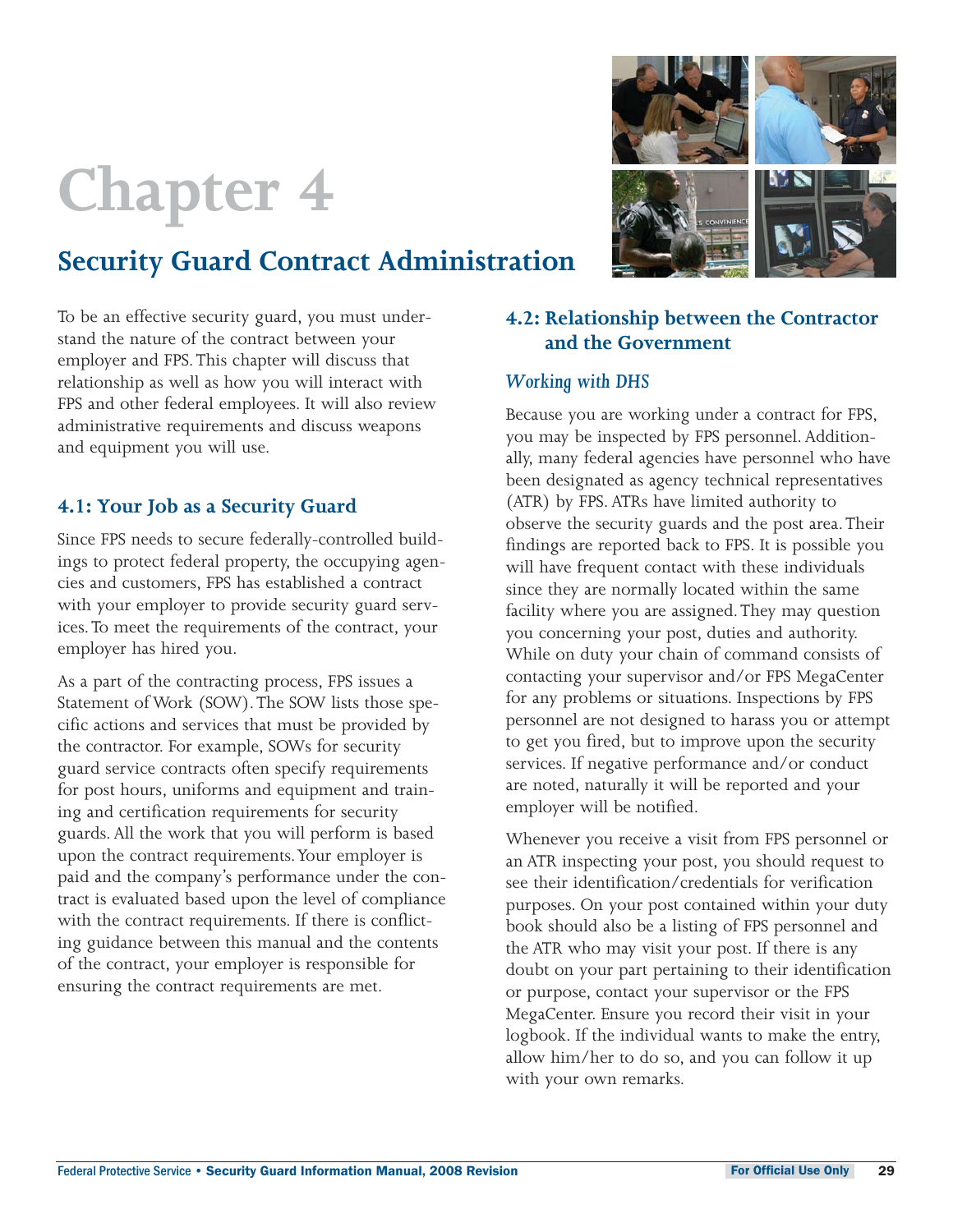# **Chapter 4**

### **Security Guard Contract Administration**

To be an effective security guard, you must understand the nature of the contract between your employer and FPS.This chapter will discuss that relationship as well as how you will interact with FPS and other federal employees. It will also review administrative requirements and discuss weapons and equipment you will use.

#### **4.1: Your Job as a Security Guard**

Since FPS needs to secure federally-controlled buildings to protect federal property, the occupying agencies and customers, FPS has established a contract with your employer to provide security guard services.To meet the requirements of the contract, your employer has hired you.

As a part of the contracting process, FPS issues a Statement of Work (SOW).The SOW lists those specific actions and services that must be provided by the contractor. For example, SOWs for security guard service contracts often specify requirements for post hours, uniforms and equipment and training and certification requirements for security guards. All the work that you will perform is based upon the contract requirements.Your employer is paid and the company's performance under the contract is evaluated based upon the level of compliance with the contract requirements. If there is conflicting guidance between this manual and the contents of the contract, your employer is responsible for ensuring the contract requirements are met.



#### **4.2: Relationship between the Contractor and the Government**

#### *Working with DHS*

Because you are working under a contract for FPS, you may be inspected by FPS personnel. Additionally, many federal agencies have personnel who have been designated as agency technical representatives (ATR) by FPS. ATRs have limited authority to observe the security guards and the post area.Their findings are reported back to FPS. It is possible you will have frequent contact with these individuals since they are normally located within the same facility where you are assigned.They may question you concerning your post, duties and authority. While on duty your chain of command consists of contacting your supervisor and/or FPS MegaCenter for any problems or situations. Inspections by FPS personnel are not designed to harass you or attempt to get you fired, but to improve upon the security services. If negative performance and/or conduct are noted, naturally it will be reported and your employer will be notified.

Whenever you receive a visit from FPS personnel or an ATR inspecting your post, you should request to see their identification/credentials for verification purposes. On your post contained within your duty book should also be a listing of FPS personnel and the ATR who may visit your post. If there is any doubt on your part pertaining to their identification or purpose, contact your supervisor or the FPS MegaCenter. Ensure you record their visit in your logbook. If the individual wants to make the entry, allow him/her to do so, and you can follow it up with your own remarks.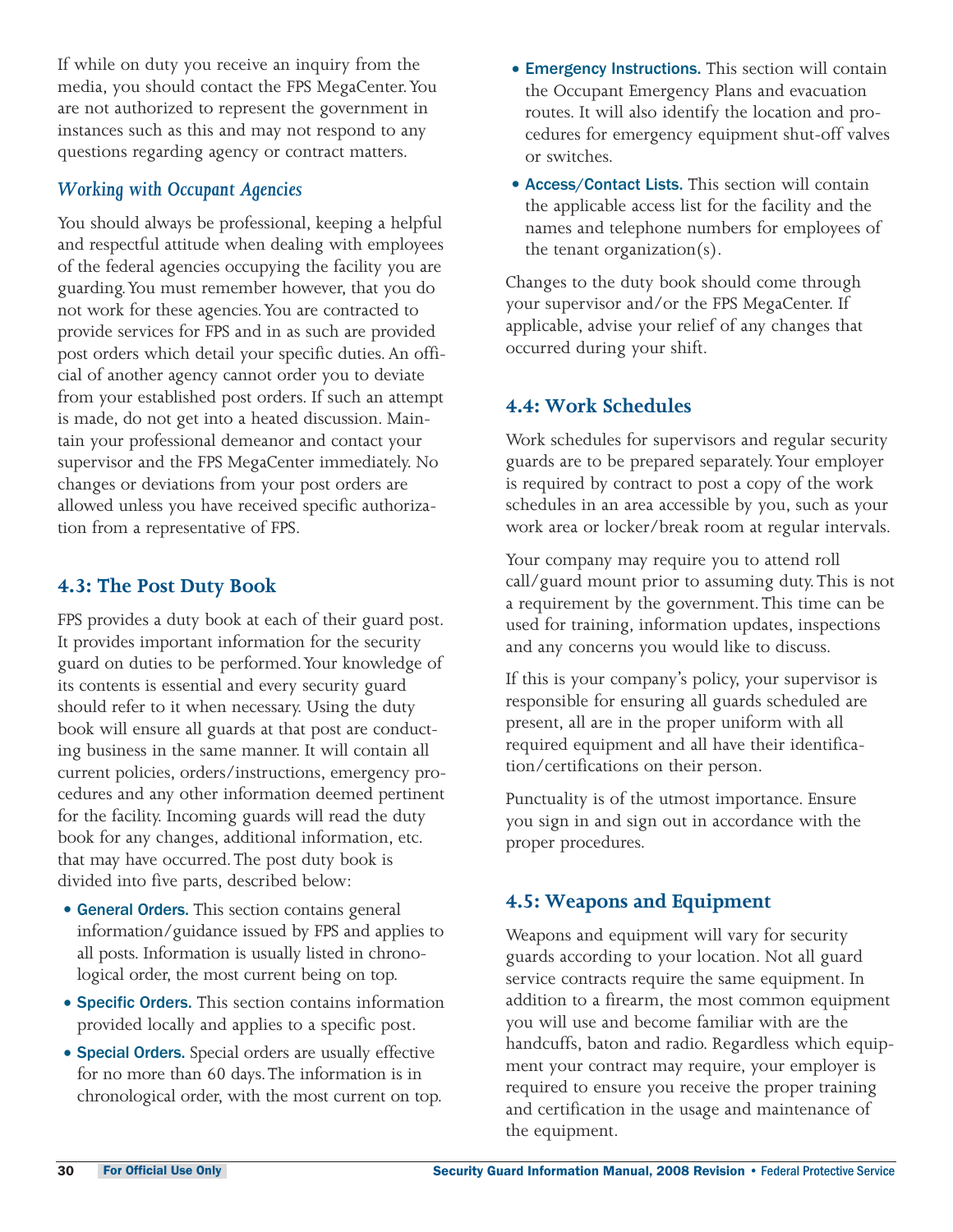If while on duty you receive an inquiry from the media, you should contact the FPS MegaCenter.You are not authorized to represent the government in instances such as this and may not respond to any questions regarding agency or contract matters.

#### *Working with Occupant Agencies*

You should always be professional, keeping a helpful and respectful attitude when dealing with employees of the federal agencies occupying the facility you are guarding.You must remember however, that you do not work for these agencies.You are contracted to provide services for FPS and in as such are provided post orders which detail your specific duties. An official of another agency cannot order you to deviate from your established post orders. If such an attempt is made, do not get into a heated discussion. Maintain your professional demeanor and contact your supervisor and the FPS MegaCenter immediately. No changes or deviations from your post orders are allowed unless you have received specific authorization from a representative of FPS.

#### **4.3: The Post Duty Book**

FPS provides a duty book at each of their guard post. It provides important information for the security guard on duties to be performed.Your knowledge of its contents is essential and every security guard should refer to it when necessary. Using the duty book will ensure all guards at that post are conducting business in the same manner. It will contain all current policies, orders/instructions, emergency procedures and any other information deemed pertinent for the facility. Incoming guards will read the duty book for any changes, additional information, etc. that may have occurred.The post duty book is divided into five parts, described below:

- General Orders. This section contains general information/guidance issued by FPS and applies to all posts. Information is usually listed in chronological order, the most current being on top.
- Specific Orders. This section contains information provided locally and applies to a specific post.
- Special Orders. Special orders are usually effective for no more than 60 days.The information is in chronological order, with the most current on top.
- Emergency Instructions. This section will contain the Occupant Emergency Plans and evacuation routes. It will also identify the location and procedures for emergency equipment shut-off valves or switches.
- Access/Contact Lists. This section will contain the applicable access list for the facility and the names and telephone numbers for employees of the tenant organization(s).

Changes to the duty book should come through your supervisor and/or the FPS MegaCenter. If applicable, advise your relief of any changes that occurred during your shift.

#### **4.4: Work Schedules**

Work schedules for supervisors and regular security guards are to be prepared separately.Your employer is required by contract to post a copy of the work schedules in an area accessible by you, such as your work area or locker/break room at regular intervals.

Your company may require you to attend roll call/guard mount prior to assuming duty.This is not a requirement by the government.This time can be used for training, information updates, inspections and any concerns you would like to discuss.

If this is your company's policy, your supervisor is responsible for ensuring all guards scheduled are present, all are in the proper uniform with all required equipment and all have their identification/certifications on their person.

Punctuality is of the utmost importance. Ensure you sign in and sign out in accordance with the proper procedures.

#### **4.5: Weapons and Equipment**

Weapons and equipment will vary for security guards according to your location. Not all guard service contracts require the same equipment. In addition to a firearm, the most common equipment you will use and become familiar with are the handcuffs, baton and radio. Regardless which equipment your contract may require, your employer is required to ensure you receive the proper training and certification in the usage and maintenance of the equipment.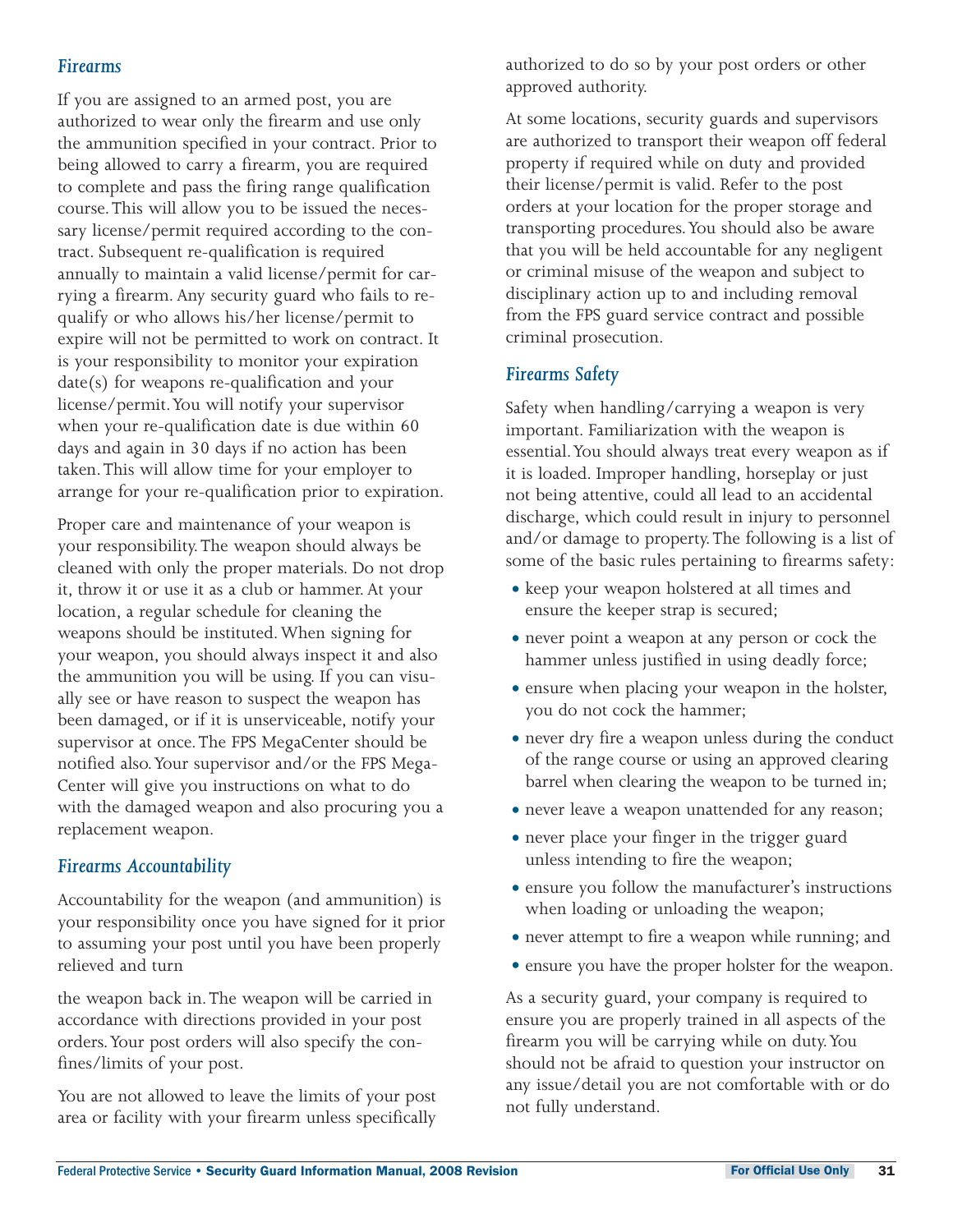#### *Firearms*

If you are assigned to an armed post, you are authorized to wear only the firearm and use only the ammunition specified in your contract. Prior to being allowed to carry a firearm, you are required to complete and pass the firing range qualification course.This will allow you to be issued the necessary license/permit required according to the contract. Subsequent re-qualification is required annually to maintain a valid license/permit for carrying a firearm. Any security guard who fails to requalify or who allows his/her license/permit to expire will not be permitted to work on contract. It is your responsibility to monitor your expiration date(s) for weapons re-qualification and your license/permit.You will notify your supervisor when your re-qualification date is due within 60 days and again in 30 days if no action has been taken.This will allow time for your employer to arrange for your re-qualification prior to expiration.

Proper care and maintenance of your weapon is your responsibility.The weapon should always be cleaned with only the proper materials. Do not drop it, throw it or use it as a club or hammer. At your location, a regular schedule for cleaning the weapons should be instituted. When signing for your weapon, you should always inspect it and also the ammunition you will be using. If you can visually see or have reason to suspect the weapon has been damaged, or if it is unserviceable, notify your supervisor at once.The FPS MegaCenter should be notified also.Your supervisor and/or the FPS Mega-Center will give you instructions on what to do with the damaged weapon and also procuring you a replacement weapon.

#### *Firearms Accountability*

Accountability for the weapon (and ammunition) is your responsibility once you have signed for it prior to assuming your post until you have been properly relieved and turn

the weapon back in.The weapon will be carried in accordance with directions provided in your post orders.Your post orders will also specify the confines/limits of your post.

You are not allowed to leave the limits of your post area or facility with your firearm unless specifically authorized to do so by your post orders or other approved authority.

At some locations, security guards and supervisors are authorized to transport their weapon off federal property if required while on duty and provided their license/permit is valid. Refer to the post orders at your location for the proper storage and transporting procedures.You should also be aware that you will be held accountable for any negligent or criminal misuse of the weapon and subject to disciplinary action up to and including removal from the FPS guard service contract and possible criminal prosecution.

#### *Firearms Safety*

Safety when handling/carrying a weapon is very important. Familiarization with the weapon is essential.You should always treat every weapon as if it is loaded. Improper handling, horseplay or just not being attentive, could all lead to an accidental discharge, which could result in injury to personnel and/or damage to property.The following is a list of some of the basic rules pertaining to firearms safety:

- keep your weapon holstered at all times and ensure the keeper strap is secured;
- never point a weapon at any person or cock the hammer unless justified in using deadly force;
- ensure when placing your weapon in the holster, you do not cock the hammer;
- never dry fire a weapon unless during the conduct of the range course or using an approved clearing barrel when clearing the weapon to be turned in;
- never leave a weapon unattended for any reason;
- never place your finger in the trigger guard unless intending to fire the weapon;
- ensure you follow the manufacturer's instructions when loading or unloading the weapon;
- never attempt to fire a weapon while running; and
- ensure you have the proper holster for the weapon.

As a security guard, your company is required to ensure you are properly trained in all aspects of the firearm you will be carrying while on duty.You should not be afraid to question your instructor on any issue/detail you are not comfortable with or do not fully understand.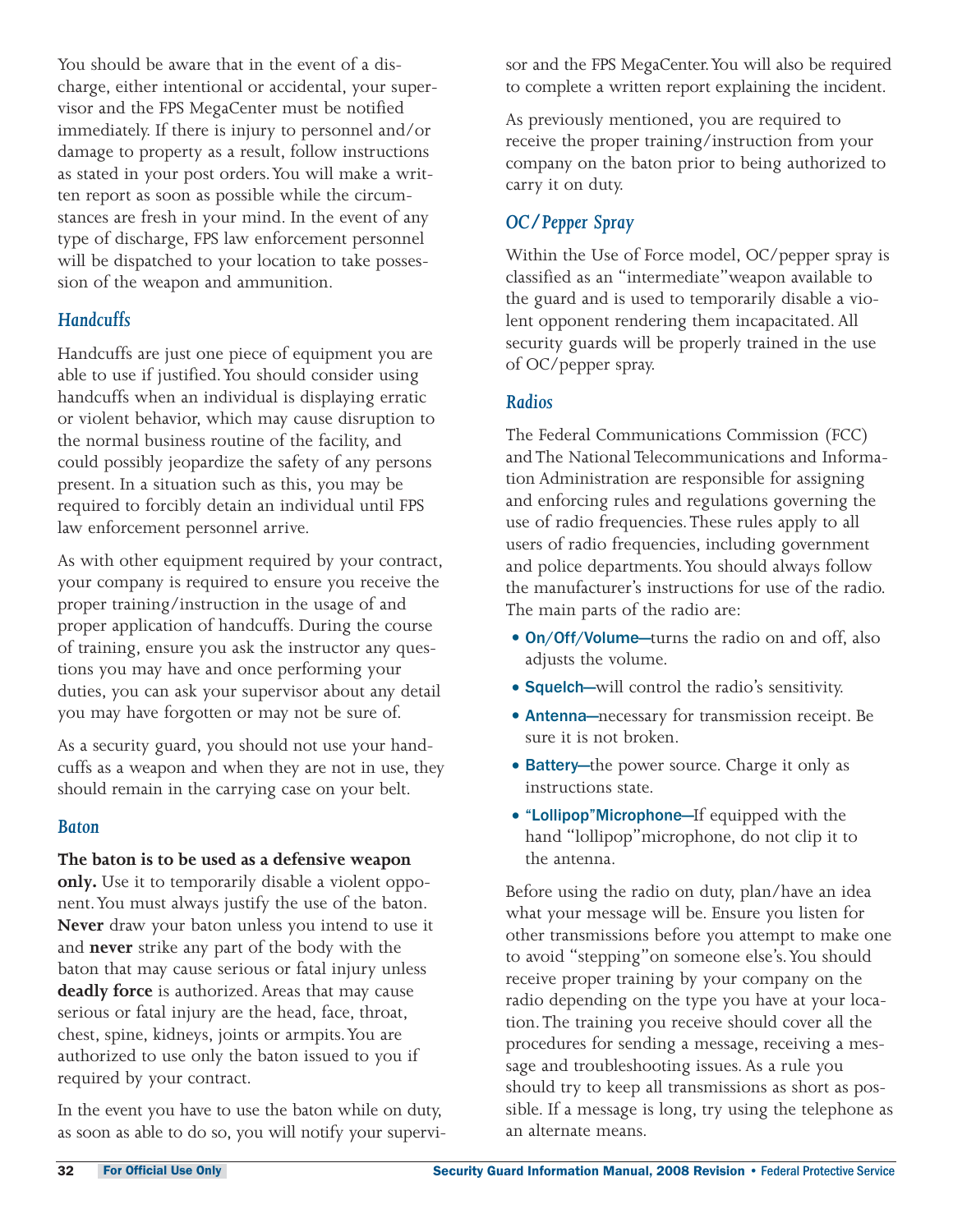You should be aware that in the event of a discharge, either intentional or accidental, your supervisor and the FPS MegaCenter must be notified immediately. If there is injury to personnel and/or damage to property as a result, follow instructions as stated in your post orders.You will make a written report as soon as possible while the circumstances are fresh in your mind. In the event of any type of discharge, FPS law enforcement personnel will be dispatched to your location to take possession of the weapon and ammunition.

## *Handcuffs*

Handcuffs are just one piece of equipment you are able to use if justified.You should consider using handcuffs when an individual is displaying erratic or violent behavior, which may cause disruption to the normal business routine of the facility, and could possibly jeopardize the safety of any persons present. In a situation such as this, you may be required to forcibly detain an individual until FPS law enforcement personnel arrive.

As with other equipment required by your contract, your company is required to ensure you receive the proper training/instruction in the usage of and proper application of handcuffs. During the course of training, ensure you ask the instructor any questions you may have and once performing your duties, you can ask your supervisor about any detail you may have forgotten or may not be sure of.

As a security guard, you should not use your handcuffs as a weapon and when they are not in use, they should remain in the carrying case on your belt.

#### *Baton*

#### **The baton is to be used as a defensive weapon**

**only.** Use it to temporarily disable a violent opponent.You must always justify the use of the baton. **Never** draw your baton unless you intend to use it and **never** strike any part of the body with the baton that may cause serious or fatal injury unless **deadly force** is authorized. Areas that may cause serious or fatal injury are the head, face, throat, chest, spine, kidneys, joints or armpits.You are authorized to use only the baton issued to you if required by your contract.

In the event you have to use the baton while on duty, as soon as able to do so, you will notify your supervisor and the FPS MegaCenter.You will also be required to complete a written report explaining the incident.

As previously mentioned, you are required to receive the proper training/instruction from your company on the baton prior to being authorized to carry it on duty.

# *OC/Pepper Spray*

Within the Use of Force model, OC/pepper spray is classified as an "intermediate" weapon available to the guard and is used to temporarily disable a violent opponent rendering them incapacitated. All security guards will be properly trained in the use of OC/pepper spray.

### *Radios*

The Federal Communications Commission (FCC) and The National Telecommunications and Information Administration are responsible for assigning and enforcing rules and regulations governing the use of radio frequencies.These rules apply to all users of radio frequencies, including government and police departments.You should always follow the manufacturer's instructions for use of the radio. The main parts of the radio are:

- On/Off/Volume-turns the radio on and off, also adjusts the volume.
- Squelch-will control the radio's sensitivity.
- Antenna-necessary for transmission receipt. Be sure it is not broken.
- Battery—the power source. Charge it only as instructions state.
- "Lollipop" Microphone—If equipped with the hand "lollipop" microphone, do not clip it to the antenna.

Before using the radio on duty, plan/have an idea what your message will be. Ensure you listen for other transmissions before you attempt to make one to avoid "stepping" on someone else's. You should receive proper training by your company on the radio depending on the type you have at your location.The training you receive should cover all the procedures for sending a message, receiving a message and troubleshooting issues. As a rule you should try to keep all transmissions as short as possible. If a message is long, try using the telephone as an alternate means.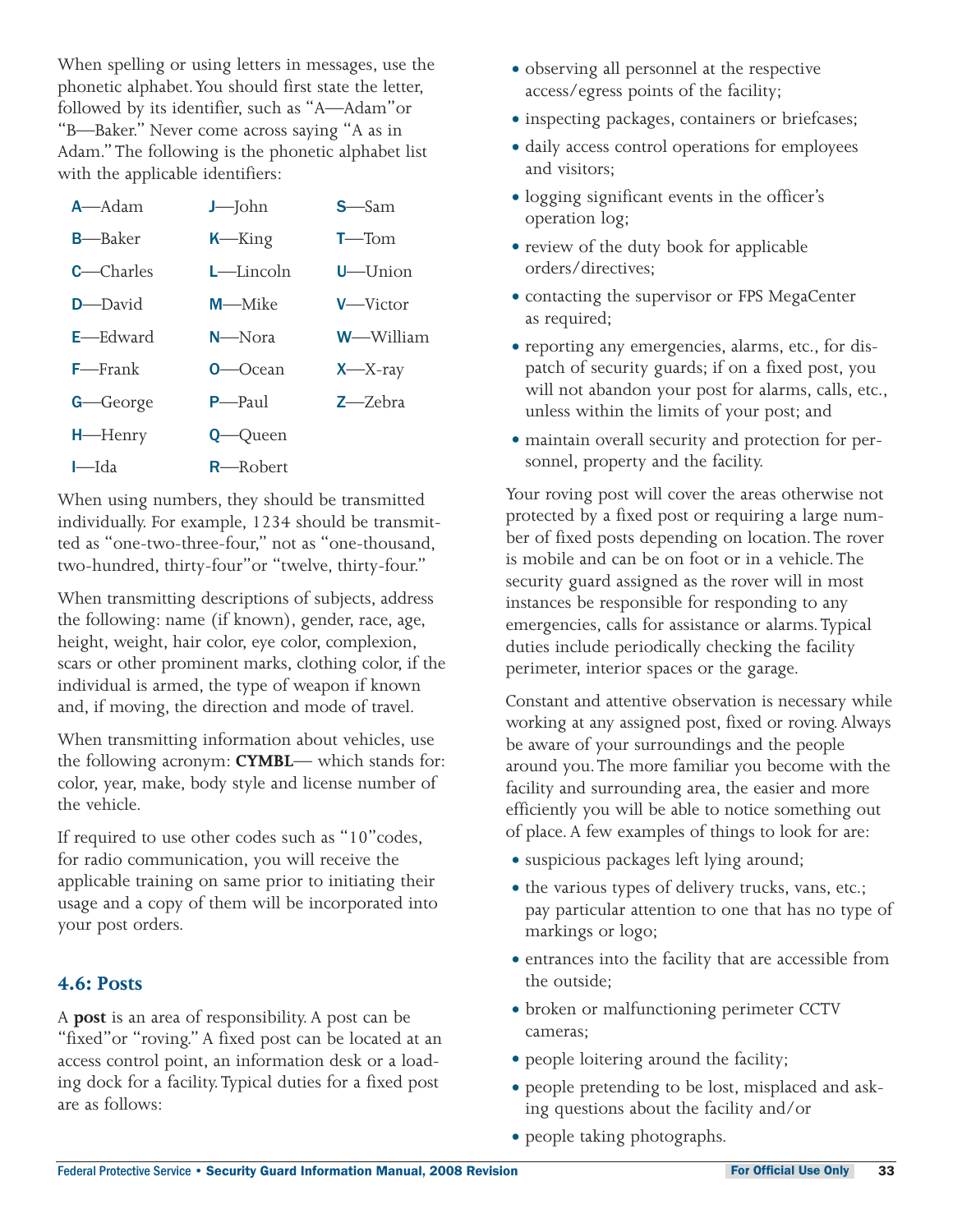When spelling or using letters in messages, use the phonetic alphabet.You should first state the letter, followed by its identifier, such as "A-Adam"or "B—Baker." Never come across saying "A as in Adam." The following is the phonetic alphabet list with the applicable identifiers:

| $A -$ Adam        | $J$ —John           | $S$ <sub>Sam</sub> |
|-------------------|---------------------|--------------------|
| <b>B</b> —Baker   | $K$ <sub>King</sub> | $T$ —Tom           |
| <b>C</b> —Charles | $L$ —Lincoln        | $U$ —Union         |
| $D$ —David        | M—Mike              | V—Victor           |
| $E$ –Edward       | $N$ —Nora           | <b>W</b> —William  |
| $F$ –Frank        | $O$ — $O$ cean      | $X$ —X-ray         |
| G-George          | $P_{\text{null}}$   | $Z$ — $Z$ ebra     |
| $H$ —Henry        | Q—Queen             |                    |
| $I$ —Ida          | $R$ –Robert         |                    |

When using numbers, they should be transmitted individually. For example, 1234 should be transmitted as "one-two-three-four," not as "one-thousand, two-hundred, thirty-four" or "twelve, thirty-four."

When transmitting descriptions of subjects, address the following: name (if known), gender, race, age, height, weight, hair color, eye color, complexion, scars or other prominent marks, clothing color, if the individual is armed, the type of weapon if known and, if moving, the direction and mode of travel.

When transmitting information about vehicles, use the following acronym: **CYMBL**— which stands for: color, year, make, body style and license number of the vehicle.

If required to use other codes such as "10" codes, for radio communication, you will receive the applicable training on same prior to initiating their usage and a copy of them will be incorporated into your post orders.

#### **4.6: Posts**

A **post** is an area of responsibility. A post can be "fixed"or "roving." A fixed post can be located at an access control point, an information desk or a loading dock for a facility.Typical duties for a fixed post are as follows:

- observing all personnel at the respective access/egress points of the facility;
- inspecting packages, containers or briefcases;
- daily access control operations for employees and visitors;
- logging significant events in the officer's operation log;
- review of the duty book for applicable orders/directives;
- contacting the supervisor or FPS MegaCenter as required;
- reporting any emergencies, alarms, etc., for dispatch of security guards; if on a fixed post, you will not abandon your post for alarms, calls, etc., unless within the limits of your post; and
- maintain overall security and protection for personnel, property and the facility.

Your roving post will cover the areas otherwise not protected by a fixed post or requiring a large number of fixed posts depending on location.The rover is mobile and can be on foot or in a vehicle.The security guard assigned as the rover will in most instances be responsible for responding to any emergencies, calls for assistance or alarms.Typical duties include periodically checking the facility perimeter, interior spaces or the garage.

Constant and attentive observation is necessary while working at any assigned post, fixed or roving. Always be aware of your surroundings and the people around you.The more familiar you become with the facility and surrounding area, the easier and more efficiently you will be able to notice something out of place. A few examples of things to look for are:

- suspicious packages left lying around;
- the various types of delivery trucks, vans, etc.; pay particular attention to one that has no type of markings or logo;
- entrances into the facility that are accessible from the outside;
- broken or malfunctioning perimeter CCTV cameras;
- people loitering around the facility;
- people pretending to be lost, misplaced and asking questions about the facility and/or
- people taking photographs.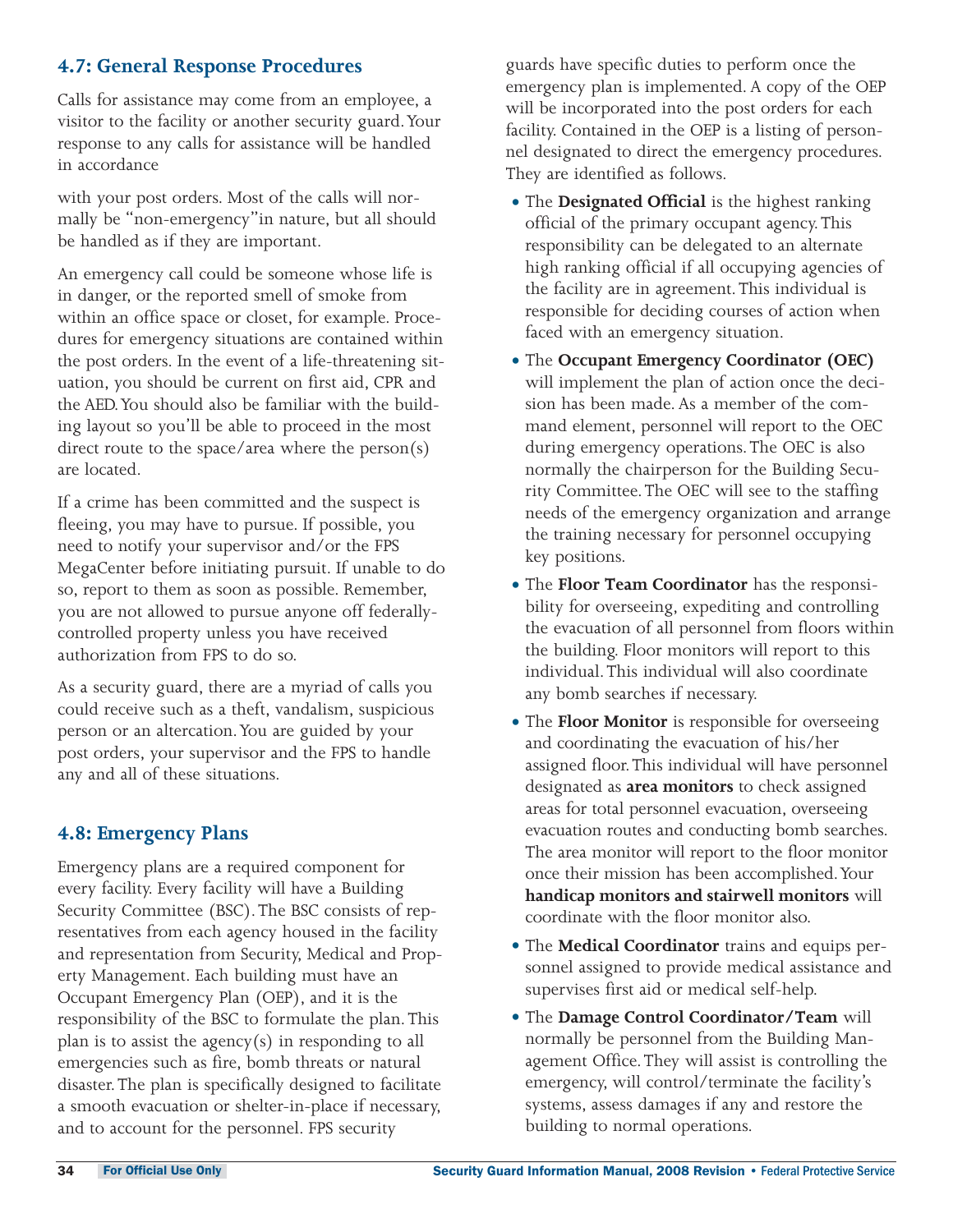## **4.7: General Response Procedures**

Calls for assistance may come from an employee, a visitor to the facility or another security guard.Your response to any calls for assistance will be handled in accordance

with your post orders. Most of the calls will normally be "non-emergency" in nature, but all should be handled as if they are important.

An emergency call could be someone whose life is in danger, or the reported smell of smoke from within an office space or closet, for example. Procedures for emergency situations are contained within the post orders. In the event of a life-threatening situation, you should be current on first aid, CPR and the AED.You should also be familiar with the building layout so you'll be able to proceed in the most direct route to the space/area where the person(s) are located.

If a crime has been committed and the suspect is fleeing, you may have to pursue. If possible, you need to notify your supervisor and/or the FPS MegaCenter before initiating pursuit. If unable to do so, report to them as soon as possible. Remember, you are not allowed to pursue anyone off federallycontrolled property unless you have received authorization from FPS to do so.

As a security guard, there are a myriad of calls you could receive such as a theft, vandalism, suspicious person or an altercation.You are guided by your post orders, your supervisor and the FPS to handle any and all of these situations.

### **4.8: Emergency Plans**

Emergency plans are a required component for every facility. Every facility will have a Building Security Committee (BSC).The BSC consists of representatives from each agency housed in the facility and representation from Security, Medical and Property Management. Each building must have an Occupant Emergency Plan (OEP), and it is the responsibility of the BSC to formulate the plan.This plan is to assist the agency(s) in responding to all emergencies such as fire, bomb threats or natural disaster.The plan is specifically designed to facilitate a smooth evacuation or shelter-in-place if necessary, and to account for the personnel. FPS security

guards have specific duties to perform once the emergency plan is implemented. A copy of the OEP will be incorporated into the post orders for each facility. Contained in the OEP is a listing of personnel designated to direct the emergency procedures. They are identified as follows.

- **The Designated Official** is the highest ranking official of the primary occupant agency.This responsibility can be delegated to an alternate high ranking official if all occupying agencies of the facility are in agreement.This individual is responsible for deciding courses of action when faced with an emergency situation.
- **The Occupant Emergency Coordinator (OEC)** will implement the plan of action once the decision has been made. As a member of the command element, personnel will report to the OEC during emergency operations.The OEC is also normally the chairperson for the Building Security Committee.The OEC will see to the staffing needs of the emergency organization and arrange the training necessary for personnel occupying key positions.
- **The Floor Team Coordinator** has the responsibility for overseeing, expediting and controlling the evacuation of all personnel from floors within the building. Floor monitors will report to this individual.This individual will also coordinate any bomb searches if necessary.
- The **Floor Monitor** is responsible for overseeing and coordinating the evacuation of his/her assigned floor.This individual will have personnel designated as **area monitors** to check assigned areas for total personnel evacuation, overseeing evacuation routes and conducting bomb searches. The area monitor will report to the floor monitor once their mission has been accomplished.Your **handicap monitors and stairwell monitors** will coordinate with the floor monitor also.
- The **Medical Coordinator** trains and equips personnel assigned to provide medical assistance and supervises first aid or medical self-help.
- **.** The **Damage Control Coordinator/Team** will normally be personnel from the Building Management Office.They will assist is controlling the emergency, will control/terminate the facility's systems, assess damages if any and restore the building to normal operations.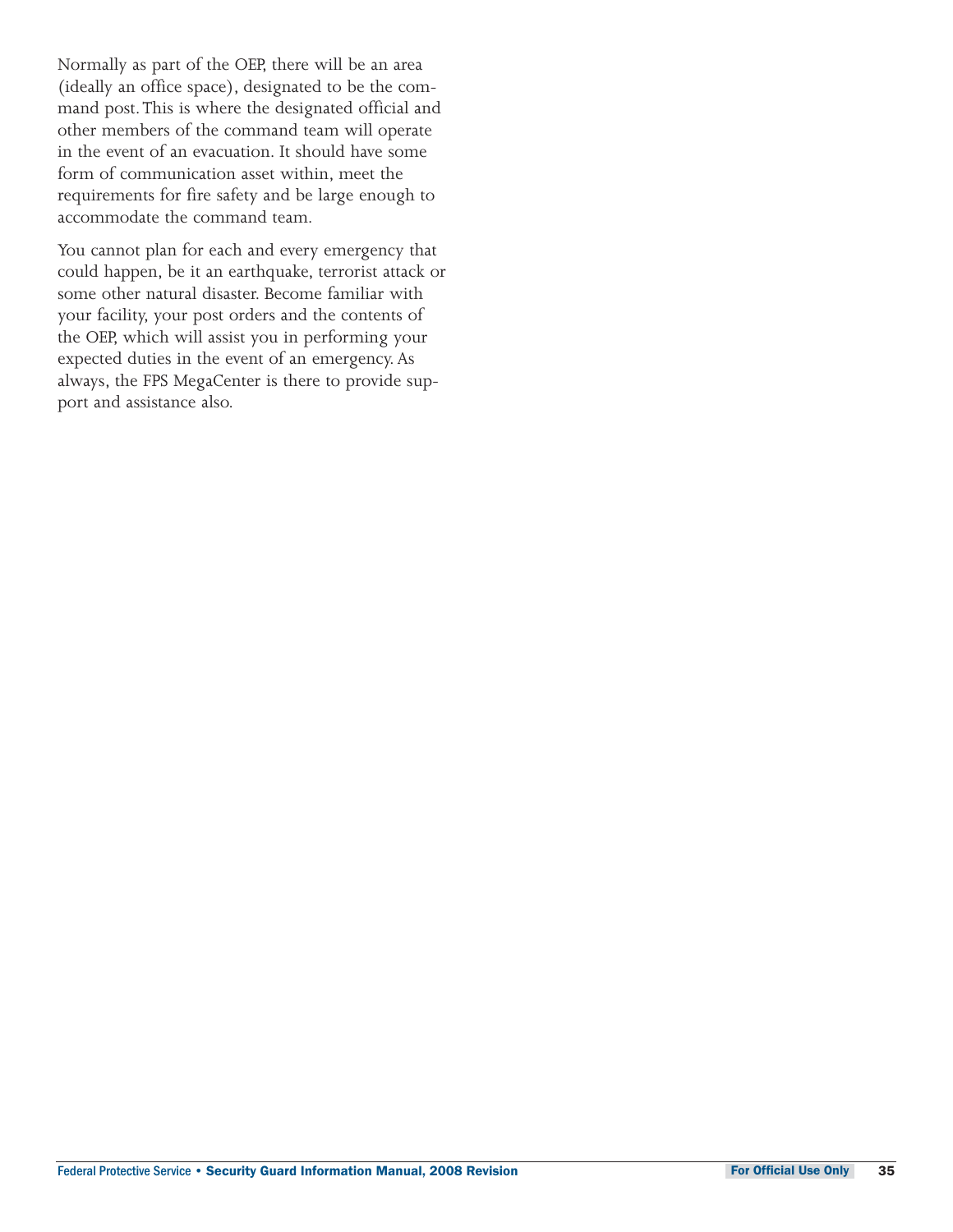Normally as part of the OEP, there will be an area (ideally an office space), designated to be the command post.This is where the designated official and other members of the command team will operate in the event of an evacuation. It should have some form of communication asset within, meet the requirements for fire safety and be large enough to accommodate the command team.

You cannot plan for each and every emergency that could happen, be it an earthquake, terrorist attack or some other natural disaster. Become familiar with your facility, your post orders and the contents of the OEP, which will assist you in performing your expected duties in the event of an emergency. As always, the FPS MegaCenter is there to provide support and assistance also.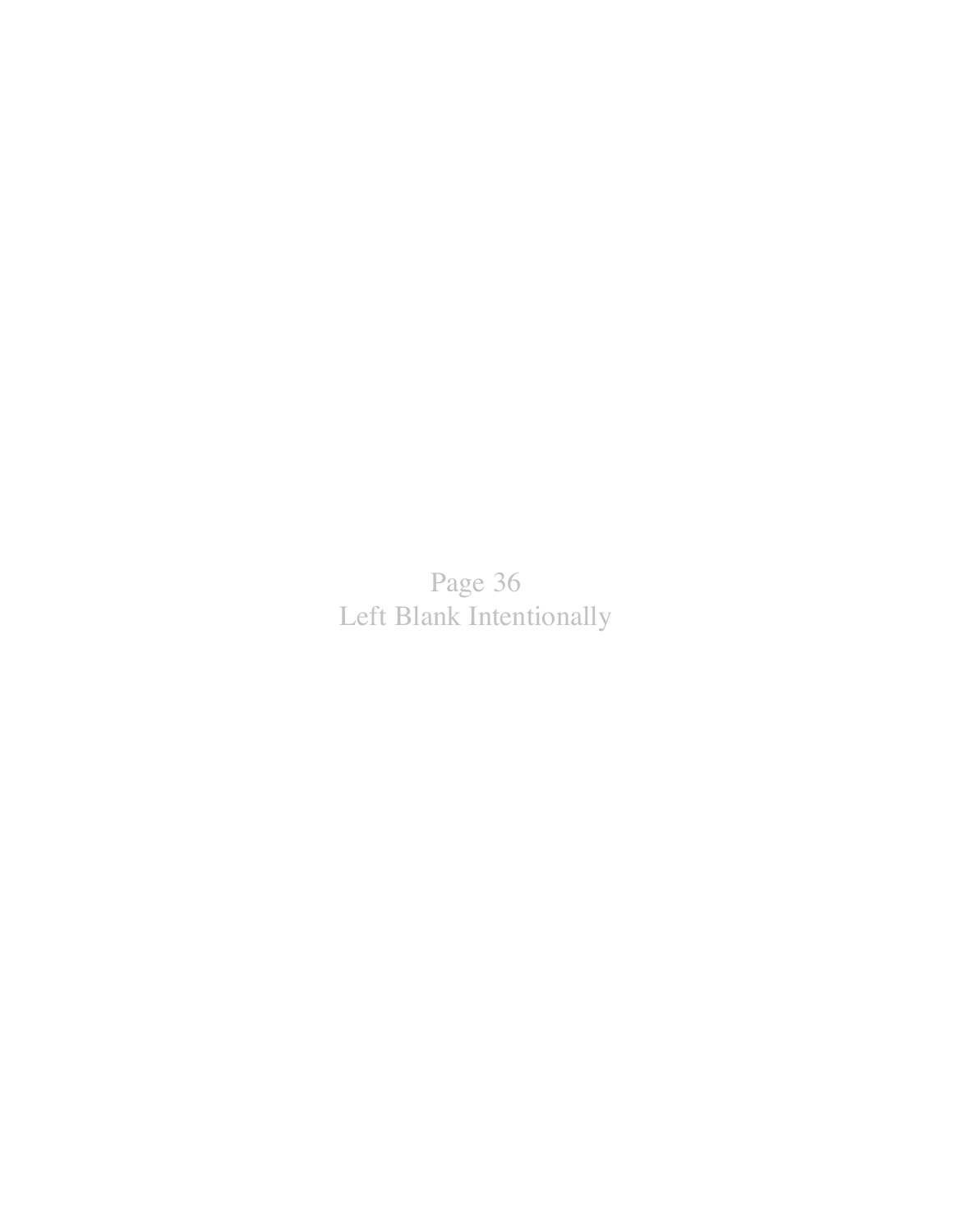Page 36 Left Blank Intentionally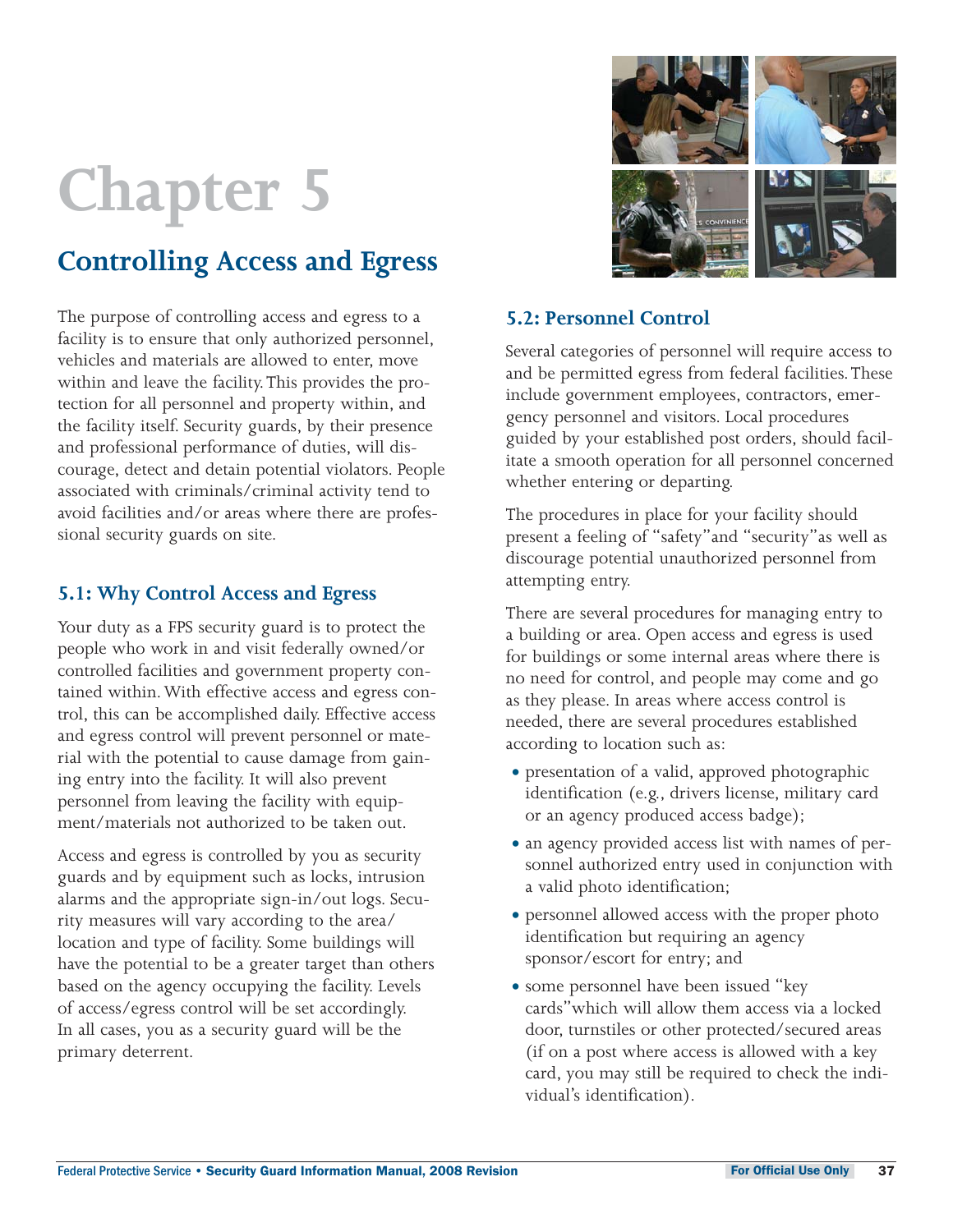# **Controlling Access and Egress**

The purpose of controlling access and egress to a facility is to ensure that only authorized personnel, vehicles and materials are allowed to enter, move within and leave the facility.This provides the protection for all personnel and property within, and the facility itself. Security guards, by their presence and professional performance of duties, will discourage, detect and detain potential violators. People associated with criminals/criminal activity tend to avoid facilities and/or areas where there are professional security guards on site.

## **5.1: Why Control Access and Egress**

Your duty as a FPS security guard is to protect the people who work in and visit federally owned/or controlled facilities and government property contained within. With effective access and egress control, this can be accomplished daily. Effective access and egress control will prevent personnel or material with the potential to cause damage from gaining entry into the facility. It will also prevent personnel from leaving the facility with equipment/materials not authorized to be taken out.

Access and egress is controlled by you as security guards and by equipment such as locks, intrusion alarms and the appropriate sign-in/out logs. Security measures will vary according to the area/ location and type of facility. Some buildings will have the potential to be a greater target than others based on the agency occupying the facility. Levels of access/egress control will be set accordingly. In all cases, you as a security guard will be the primary deterrent.



## **5.2: Personnel Control**

Several categories of personnel will require access to and be permitted egress from federal facilities.These include government employees, contractors, emergency personnel and visitors. Local procedures guided by your established post orders, should facilitate a smooth operation for all personnel concerned whether entering or departing.

The procedures in place for your facility should present a feeling of "safety" and "security" as well as discourage potential unauthorized personnel from attempting entry.

There are several procedures for managing entry to a building or area. Open access and egress is used for buildings or some internal areas where there is no need for control, and people may come and go as they please. In areas where access control is needed, there are several procedures established according to location such as:

- $\bullet$  presentation of a valid, approved photographic identification (e.g., drivers license, military card or an agency produced access badge);
- an agency provided access list with names of personnel authorized entry used in conjunction with a valid photo identification;
- personnel allowed access with the proper photo identification but requiring an agency sponsor/escort for entry; and
- some personnel have been issued "key cards" which will allow them access via a locked door, turnstiles or other protected/secured areas (if on a post where access is allowed with a key card, you may still be required to check the individual's identification).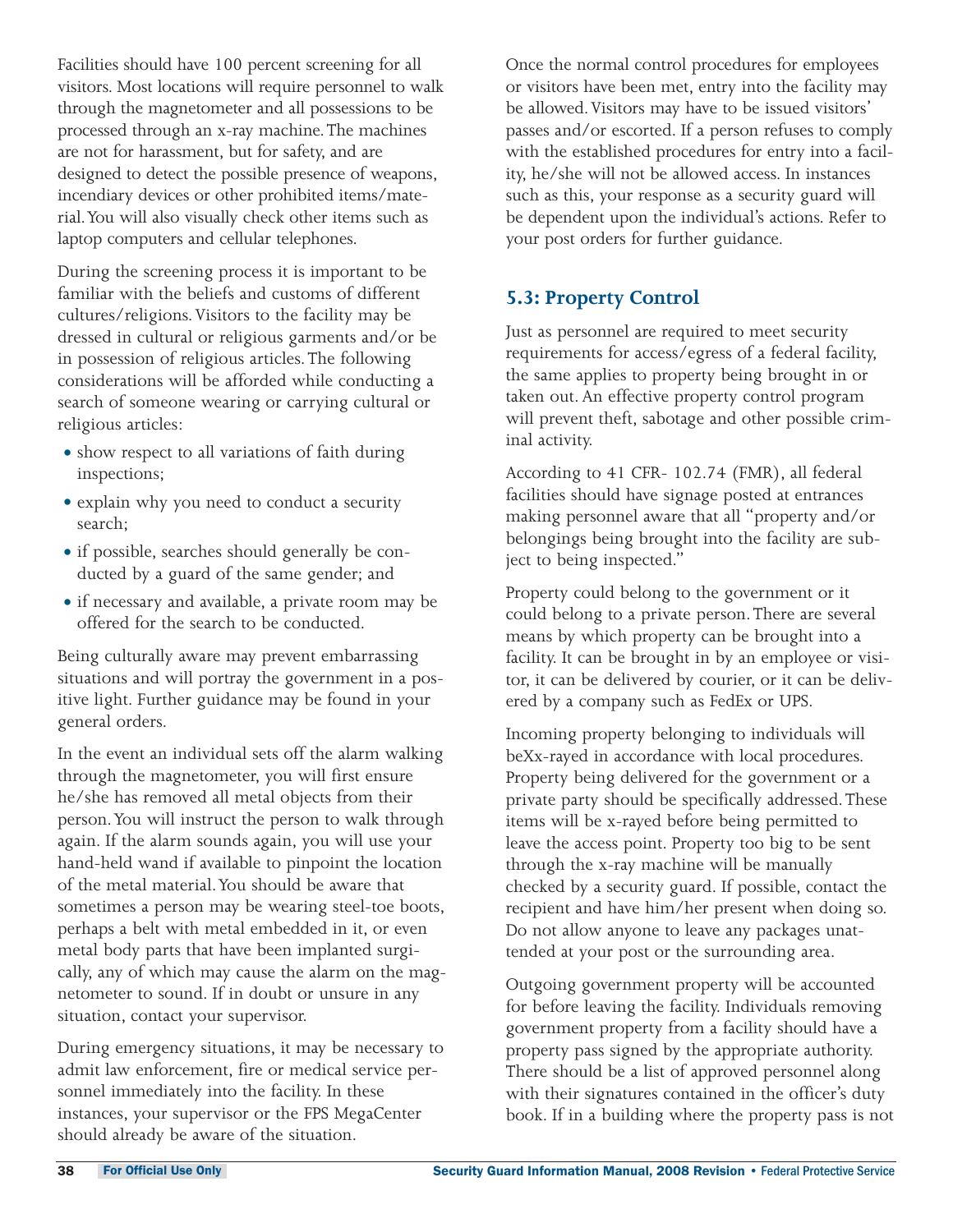Facilities should have 100 percent screening for all visitors. Most locations will require personnel to walk through the magnetometer and all possessions to be processed through an x-ray machine.The machines are not for harassment, but for safety, and are designed to detect the possible presence of weapons, incendiary devices or other prohibited items/material.You will also visually check other items such as laptop computers and cellular telephones.

During the screening process it is important to be familiar with the beliefs and customs of different cultures/religions.Visitors to the facility may be dressed in cultural or religious garments and/or be in possession of religious articles.The following considerations will be afforded while conducting a search of someone wearing or carrying cultural or religious articles:

- show respect to all variations of faith during inspections;
- explain why you need to conduct a security search;
- if possible, searches should generally be conducted by a guard of the same gender; and
- if necessary and available, a private room may be offered for the search to be conducted.

Being culturally aware may prevent embarrassing situations and will portray the government in a positive light. Further guidance may be found in your general orders.

In the event an individual sets off the alarm walking through the magnetometer, you will first ensure he/she has removed all metal objects from their person.You will instruct the person to walk through again. If the alarm sounds again, you will use your hand-held wand if available to pinpoint the location of the metal material.You should be aware that sometimes a person may be wearing steel-toe boots, perhaps a belt with metal embedded in it, or even metal body parts that have been implanted surgically, any of which may cause the alarm on the magnetometer to sound. If in doubt or unsure in any situation, contact your supervisor.

During emergency situations, it may be necessary to admit law enforcement, fire or medical service personnel immediately into the facility. In these instances, your supervisor or the FPS MegaCenter should already be aware of the situation.

Once the normal control procedures for employees or visitors have been met, entry into the facility may be allowed. Visitors may have to be issued visitors' passes and/or escorted. If a person refuses to comply with the established procedures for entry into a facility, he/she will not be allowed access. In instances such as this, your response as a security guard will be dependent upon the individual's actions. Refer to your post orders for further guidance.

## **5.3: Property Control**

Just as personnel are required to meet security requirements for access/egress of a federal facility, the same applies to property being brought in or taken out. An effective property control program will prevent theft, sabotage and other possible criminal activity.

According to 41 CFR- 102.74 (FMR), all federal facilities should have signage posted at entrances making personnel aware that all "property and/or belongings being brought into the facility are subject to being inspected."

Property could belong to the government or it could belong to a private person.There are several means by which property can be brought into a facility. It can be brought in by an employee or visitor, it can be delivered by courier, or it can be delivered by a company such as FedEx or UPS.

Incoming property belonging to individuals will beXx-rayed in accordance with local procedures. Property being delivered for the government or a private party should be specifically addressed.These items will be x-rayed before being permitted to leave the access point. Property too big to be sent through the x-ray machine will be manually checked by a security guard. If possible, contact the recipient and have him/her present when doing so. Do not allow anyone to leave any packages unattended at your post or the surrounding area.

Outgoing government property will be accounted for before leaving the facility. Individuals removing government property from a facility should have a property pass signed by the appropriate authority. There should be a list of approved personnel along with their signatures contained in the officer's duty book. If in a building where the property pass is not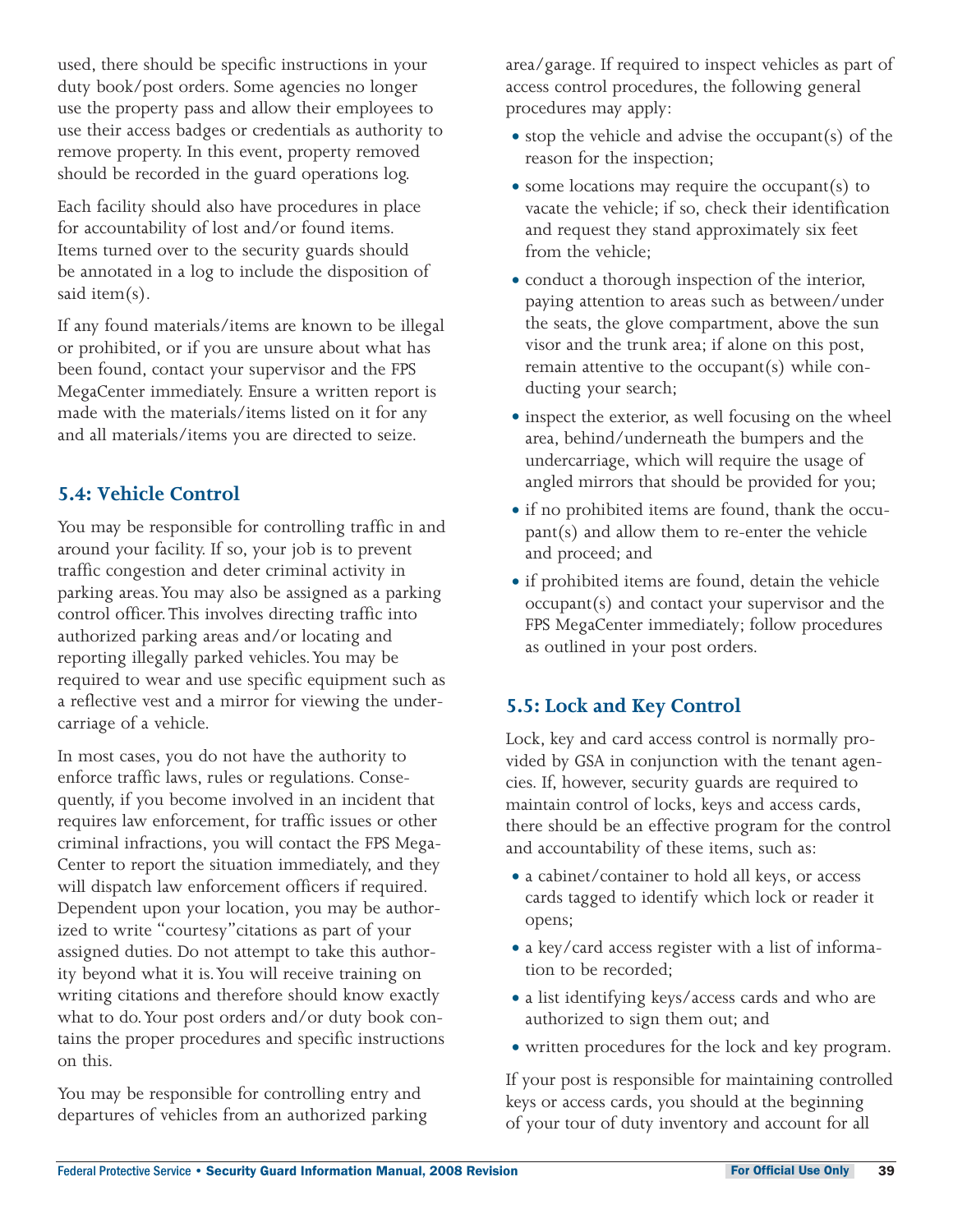used, there should be specific instructions in your duty book/post orders. Some agencies no longer use the property pass and allow their employees to use their access badges or credentials as authority to remove property. In this event, property removed should be recorded in the guard operations log.

Each facility should also have procedures in place for accountability of lost and/or found items. Items turned over to the security guards should be annotated in a log to include the disposition of said item(s).

If any found materials/items are known to be illegal or prohibited, or if you are unsure about what has been found, contact your supervisor and the FPS MegaCenter immediately. Ensure a written report is made with the materials/items listed on it for any and all materials/items you are directed to seize.

## **5.4: Vehicle Control**

You may be responsible for controlling traffic in and around your facility. If so, your job is to prevent traffic congestion and deter criminal activity in parking areas.You may also be assigned as a parking control officer.This involves directing traffic into authorized parking areas and/or locating and reporting illegally parked vehicles.You may be required to wear and use specific equipment such as a reflective vest and a mirror for viewing the undercarriage of a vehicle.

In most cases, you do not have the authority to enforce traffic laws, rules or regulations. Consequently, if you become involved in an incident that requires law enforcement, for traffic issues or other criminal infractions, you will contact the FPS Mega-Center to report the situation immediately, and they will dispatch law enforcement officers if required. Dependent upon your location, you may be authorized to write "courtesy" citations as part of your assigned duties. Do not attempt to take this authority beyond what it is.You will receive training on writing citations and therefore should know exactly what to do.Your post orders and/or duty book contains the proper procedures and specific instructions on this.

You may be responsible for controlling entry and departures of vehicles from an authorized parking area/garage. If required to inspect vehicles as part of access control procedures, the following general procedures may apply:

- $\bullet$  stop the vehicle and advise the occupant(s) of the reason for the inspection;
- $\bullet$  some locations may require the occupant(s) to vacate the vehicle; if so, check their identification and request they stand approximately six feet from the vehicle;
- conduct a thorough inspection of the interior, paying attention to areas such as between/under the seats, the glove compartment, above the sun visor and the trunk area; if alone on this post, remain attentive to the occupant(s) while conducting your search;
- inspect the exterior, as well focusing on the wheel area, behind/underneath the bumpers and the undercarriage, which will require the usage of angled mirrors that should be provided for you;
- if no prohibited items are found, thank the occupant(s) and allow them to re-enter the vehicle and proceed; and
- if prohibited items are found, detain the vehicle occupant(s) and contact your supervisor and the FPS MegaCenter immediately; follow procedures as outlined in your post orders.

## **5.5: Lock and Key Control**

Lock, key and card access control is normally provided by GSA in conjunction with the tenant agencies. If, however, security guards are required to maintain control of locks, keys and access cards, there should be an effective program for the control and accountability of these items, such as:

- a cabinet/container to hold all keys, or access cards tagged to identify which lock or reader it opens;
- a key/card access register with a list of information to be recorded;
- a list identifying keys/access cards and who are authorized to sign them out; and
- written procedures for the lock and key program.

If your post is responsible for maintaining controlled keys or access cards, you should at the beginning of your tour of duty inventory and account for all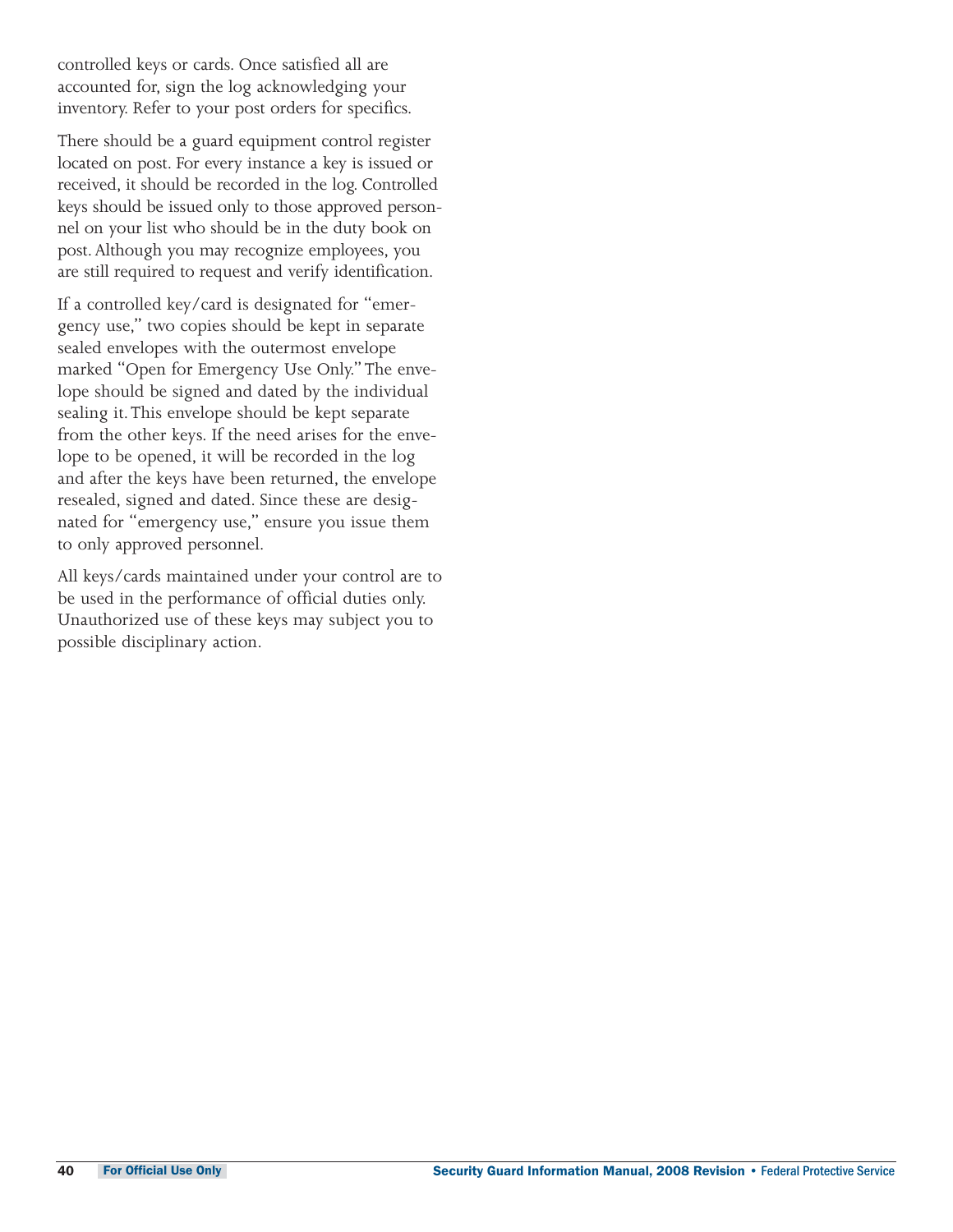controlled keys or cards. Once satisfied all are accounted for, sign the log acknowledging your inventory. Refer to your post orders for specifics.

There should be a guard equipment control register located on post. For every instance a key is issued or received, it should be recorded in the log. Controlled keys should be issued only to those approved personnel on your list who should be in the duty book on post. Although you may recognize employees, you are still required to request and verify identification.

If a controlled key/card is designated for "emergency use," two copies should be kept in separate sealed envelopes with the outermost envelope marked "Open for Emergency Use Only." The envelope should be signed and dated by the individual sealing it.This envelope should be kept separate from the other keys. If the need arises for the envelope to be opened, it will be recorded in the log and after the keys have been returned, the envelope resealed, signed and dated. Since these are designated for "emergency use," ensure you issue them to only approved personnel.

All keys/cards maintained under your control are to be used in the performance of official duties only. Unauthorized use of these keys may subject you to possible disciplinary action.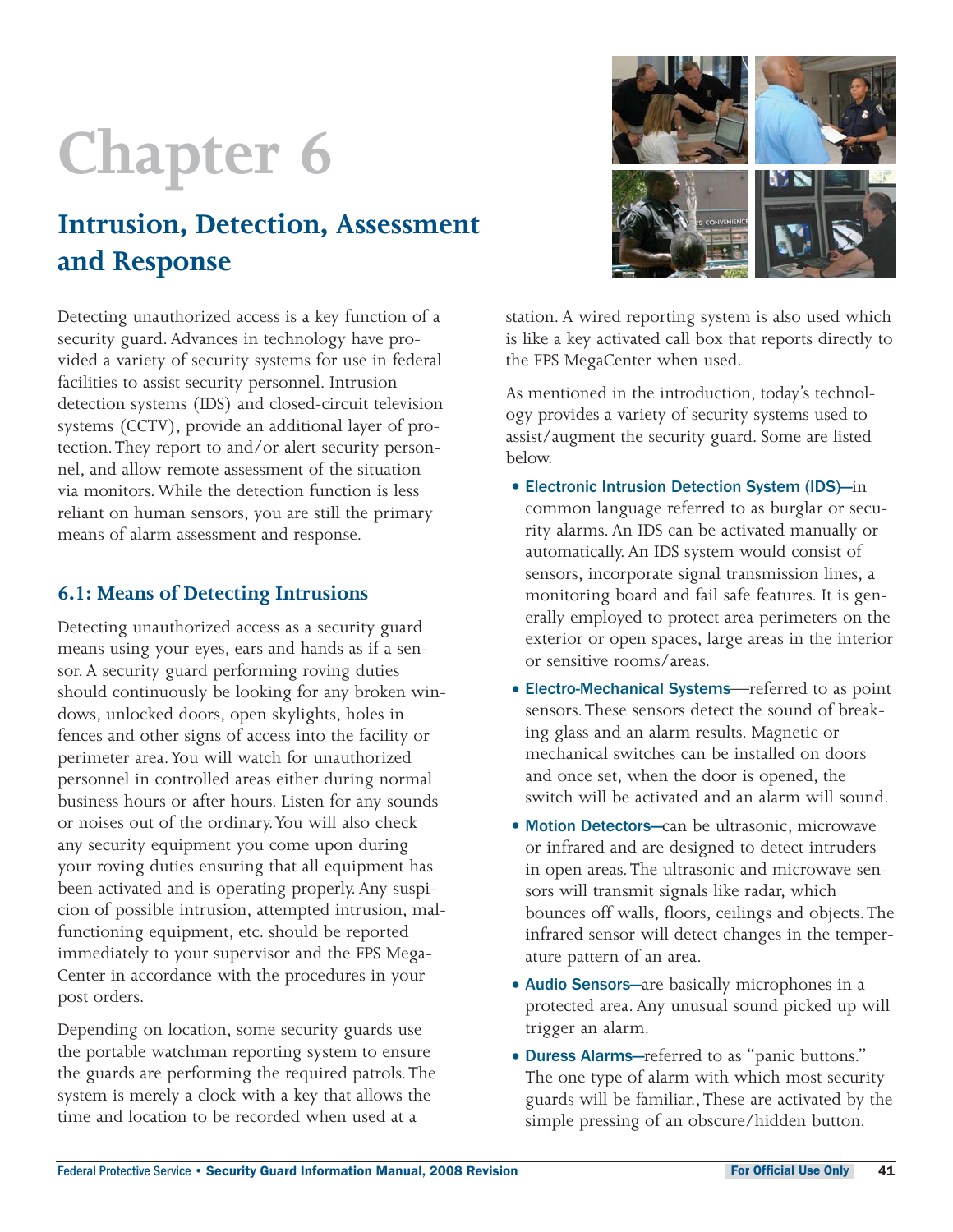# **Intrusion, Detection, Assessment and Response**

Detecting unauthorized access is a key function of a security guard. Advances in technology have provided a variety of security systems for use in federal facilities to assist security personnel. Intrusion detection systems (IDS) and closed-circuit television systems (CCTV), provide an additional layer of protection.They report to and/or alert security personnel, and allow remote assessment of the situation via monitors. While the detection function is less reliant on human sensors, you are still the primary means of alarm assessment and response.

## **6.1: Means of Detecting Intrusions**

Detecting unauthorized access as a security guard means using your eyes, ears and hands as if a sensor. A security guard performing roving duties should continuously be looking for any broken windows, unlocked doors, open skylights, holes in fences and other signs of access into the facility or perimeter area.You will watch for unauthorized personnel in controlled areas either during normal business hours or after hours. Listen for any sounds or noises out of the ordinary.You will also check any security equipment you come upon during your roving duties ensuring that all equipment has been activated and is operating properly. Any suspicion of possible intrusion, attempted intrusion, malfunctioning equipment, etc. should be reported immediately to your supervisor and the FPS Mega-Center in accordance with the procedures in your post orders.

Depending on location, some security guards use the portable watchman reporting system to ensure the guards are performing the required patrols.The system is merely a clock with a key that allows the time and location to be recorded when used at a



station. A wired reporting system is also used which is like a key activated call box that reports directly to the FPS MegaCenter when used.

As mentioned in the introduction, today's technology provides a variety of security systems used to assist/augment the security guard. Some are listed below.

- Electronic Intrusion Detection System (IDS)-in common language referred to as burglar or security alarms. An IDS can be activated manually or automatically. An IDS system would consist of sensors, incorporate signal transmission lines, a monitoring board and fail safe features. It is generally employed to protect area perimeters on the exterior or open spaces, large areas in the interior or sensitive rooms/areas.
- Electro-Mechanical Systems—referred to as point sensors.These sensors detect the sound of breaking glass and an alarm results. Magnetic or mechanical switches can be installed on doors and once set, when the door is opened, the switch will be activated and an alarm will sound.
- Motion Detectors-can be ultrasonic, microwave or infrared and are designed to detect intruders in open areas.The ultrasonic and microwave sensors will transmit signals like radar, which bounces off walls, floors, ceilings and objects.The infrared sensor will detect changes in the temperature pattern of an area.
- Audio Sensors—are basically microphones in a protected area. Any unusual sound picked up will trigger an alarm.
- Duress Alarms-referred to as "panic buttons." The one type of alarm with which most security guards will be familiar.,These are activated by the simple pressing of an obscure/hidden button.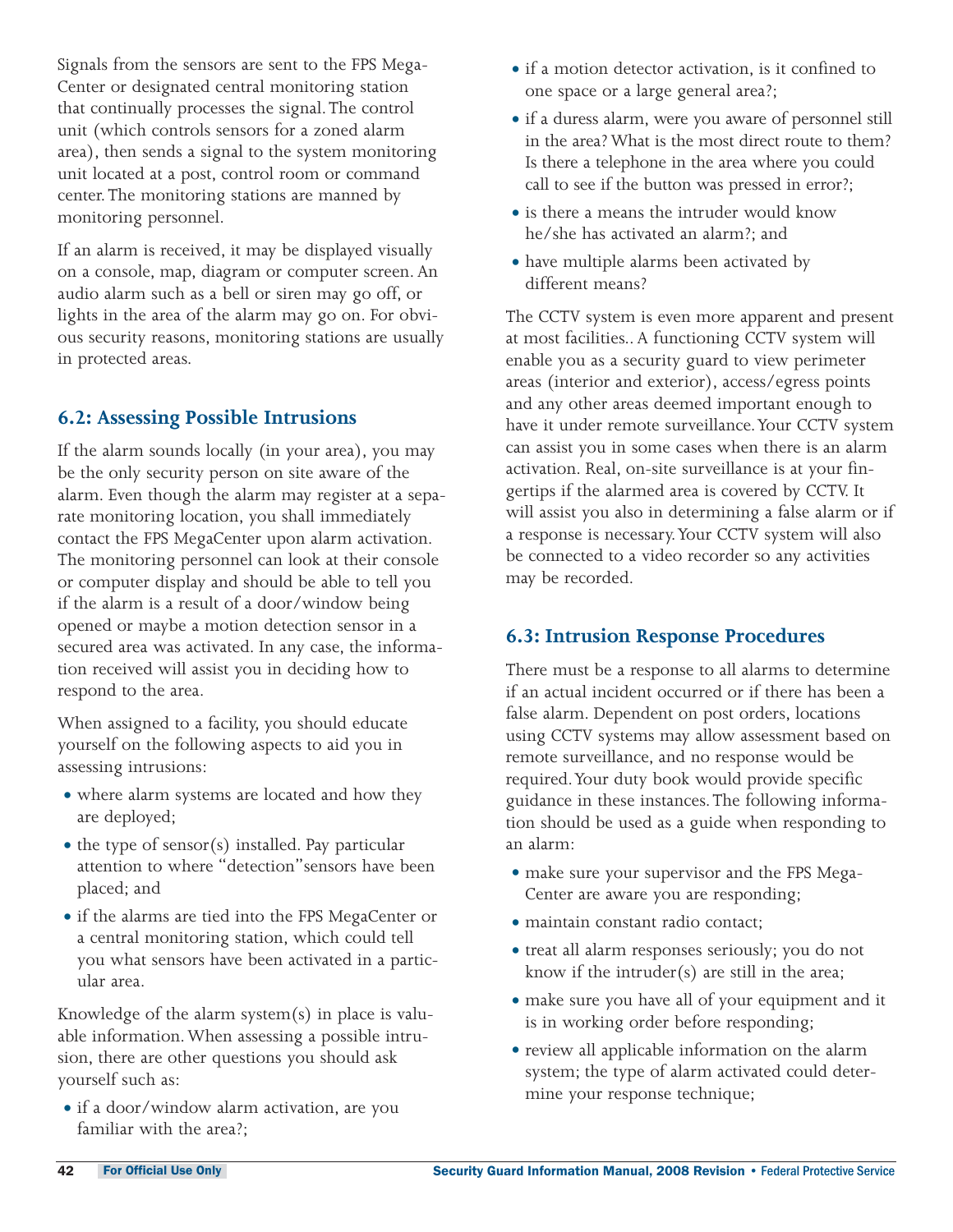Signals from the sensors are sent to the FPS Mega-Center or designated central monitoring station that continually processes the signal.The control unit (which controls sensors for a zoned alarm area), then sends a signal to the system monitoring unit located at a post, control room or command center.The monitoring stations are manned by monitoring personnel.

If an alarm is received, it may be displayed visually on a console, map, diagram or computer screen. An audio alarm such as a bell or siren may go off, or lights in the area of the alarm may go on. For obvious security reasons, monitoring stations are usually in protected areas.

## **6.2: Assessing Possible Intrusions**

If the alarm sounds locally (in your area), you may be the only security person on site aware of the alarm. Even though the alarm may register at a separate monitoring location, you shall immediately contact the FPS MegaCenter upon alarm activation. The monitoring personnel can look at their console or computer display and should be able to tell you if the alarm is a result of a door/window being opened or maybe a motion detection sensor in a secured area was activated. In any case, the information received will assist you in deciding how to respond to the area.

When assigned to a facility, you should educate yourself on the following aspects to aid you in assessing intrusions:

- where alarm systems are located and how they are deployed;
- $\bullet$  the type of sensor(s) installed. Pay particular attention to where "detection" sensors have been placed; and
- if the alarms are tied into the FPS MegaCenter or a central monitoring station, which could tell you what sensors have been activated in a particular area.

Knowledge of the alarm system(s) in place is valuable information. When assessing a possible intrusion, there are other questions you should ask yourself such as:

• if a door/window alarm activation, are you familiar with the area?;

- $\bullet$  if a motion detector activation, is it confined to one space or a large general area?;
- if a duress alarm, were you aware of personnel still in the area? What is the most direct route to them? Is there a telephone in the area where you could call to see if the button was pressed in error?;
- is there a means the intruder would know he/she has activated an alarm?; and
- have multiple alarms been activated by different means?

The CCTV system is even more apparent and present at most facilities.. A functioning CCTV system will enable you as a security guard to view perimeter areas (interior and exterior), access/egress points and any other areas deemed important enough to have it under remote surveillance.Your CCTV system can assist you in some cases when there is an alarm activation. Real, on-site surveillance is at your fingertips if the alarmed area is covered by CCTV. It will assist you also in determining a false alarm or if a response is necessary.Your CCTV system will also be connected to a video recorder so any activities may be recorded.

### **6.3: Intrusion Response Procedures**

There must be a response to all alarms to determine if an actual incident occurred or if there has been a false alarm. Dependent on post orders, locations using CCTV systems may allow assessment based on remote surveillance, and no response would be required.Your duty book would provide specific guidance in these instances.The following information should be used as a guide when responding to an alarm:

- make sure your supervisor and the FPS Mega-Center are aware you are responding;
- $\bullet$  maintain constant radio contact;
- treat all alarm responses seriously; you do not know if the intruder(s) are still in the area;
- make sure you have all of your equipment and it is in working order before responding;
- review all applicable information on the alarm system; the type of alarm activated could determine your response technique;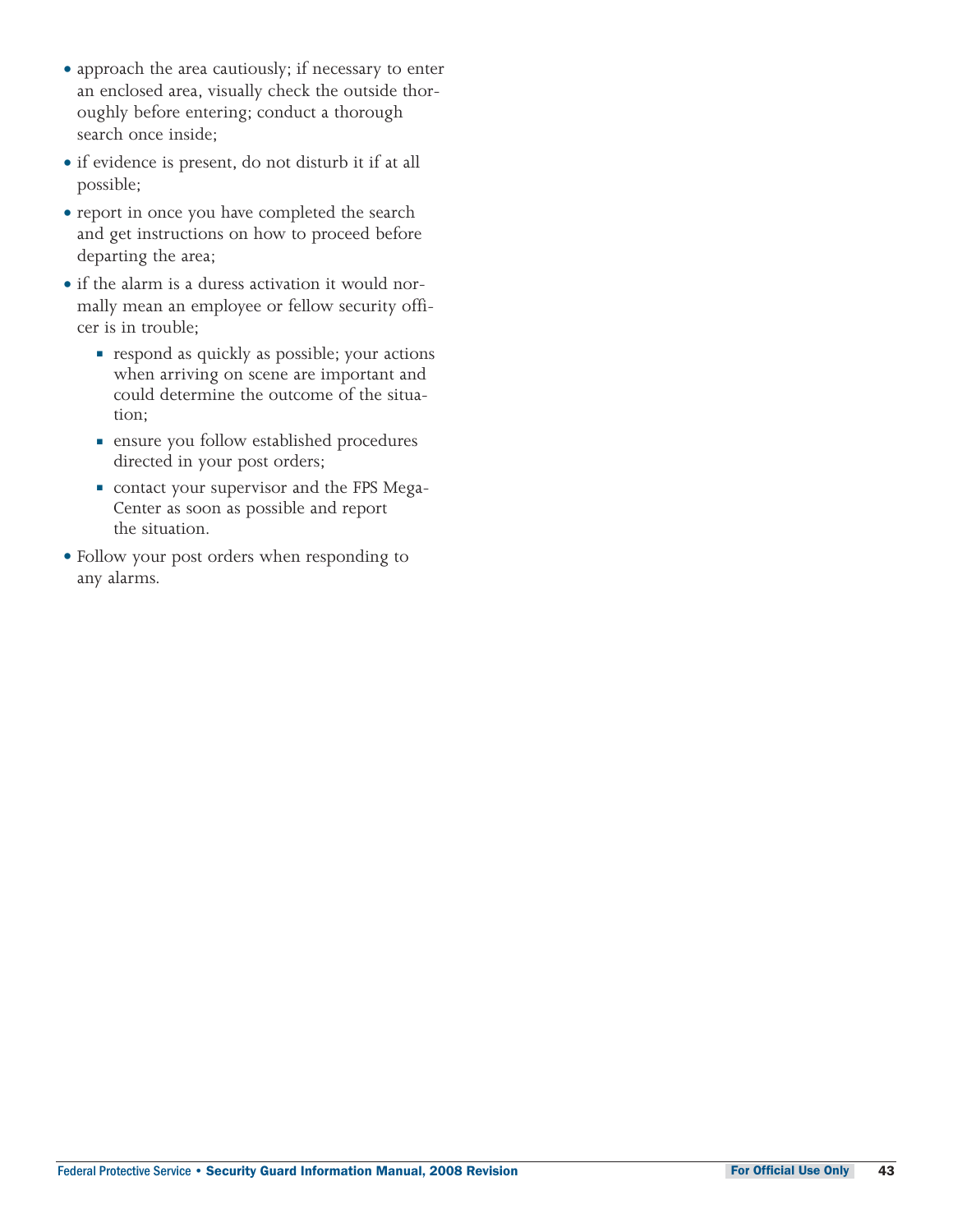- approach the area cautiously; if necessary to enter an enclosed area, visually check the outside thoroughly before entering; conduct a thorough search once inside;
- if evidence is present, do not disturb it if at all possible;
- report in once you have completed the search and get instructions on how to proceed before departing the area;
- if the alarm is a duress activation it would normally mean an employee or fellow security officer is in trouble;
	- respond as quickly as possible; your actions when arriving on scene are important and could determine the outcome of the situation;
	- ensure you follow established procedures directed in your post orders;
	- contact your supervisor and the FPS Mega-Center as soon as possible and report the situation.
- Follow your post orders when responding to any alarms.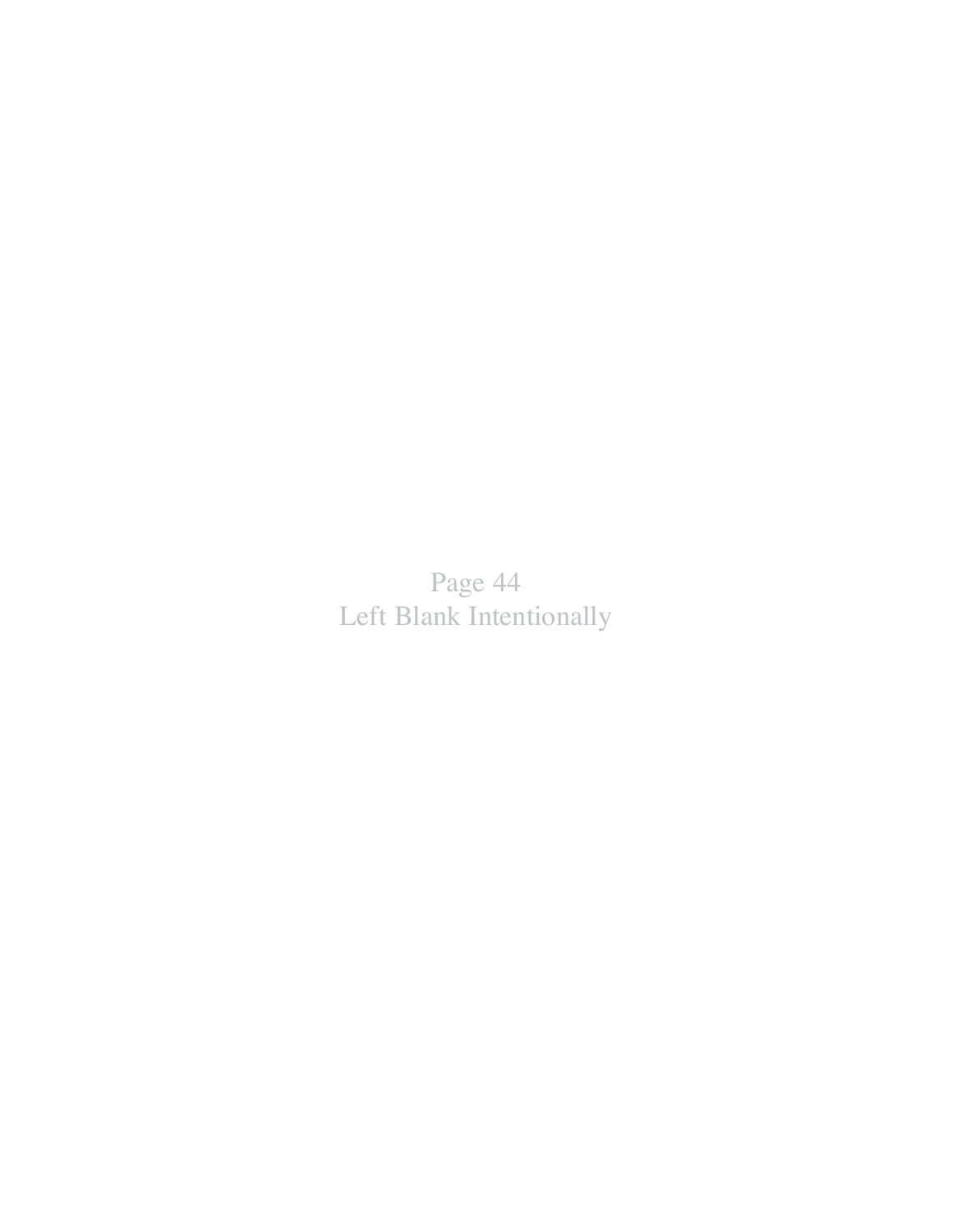Page 44 Left Blank Intentionally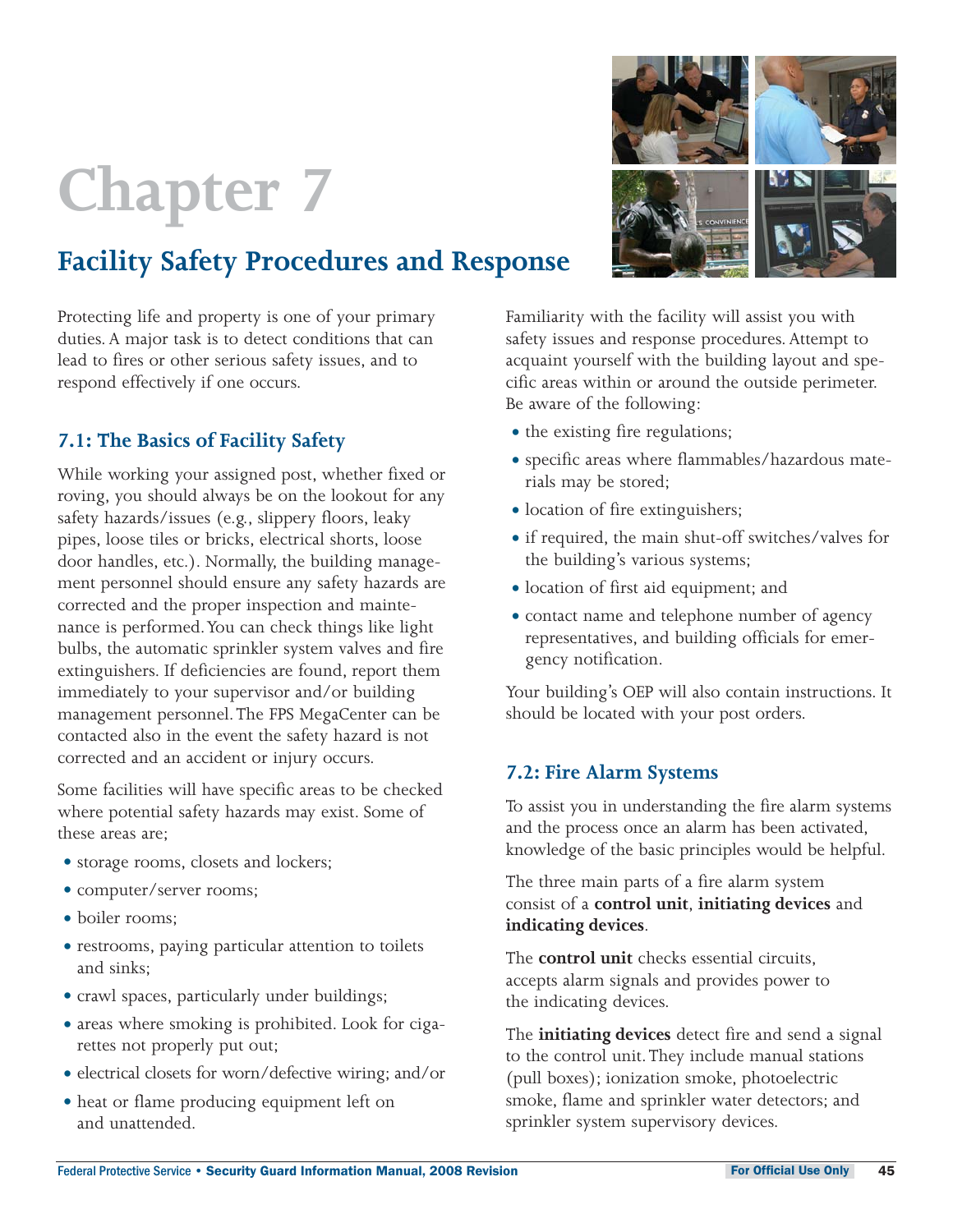# **Facility Safety Procedures and Response**

Protecting life and property is one of your primary duties. A major task is to detect conditions that can lead to fires or other serious safety issues, and to respond effectively if one occurs.

# **7.1: The Basics of Facility Safety**

While working your assigned post, whether fixed or roving, you should always be on the lookout for any safety hazards/issues (e.g., slippery floors, leaky pipes, loose tiles or bricks, electrical shorts, loose door handles, etc.). Normally, the building management personnel should ensure any safety hazards are corrected and the proper inspection and maintenance is performed.You can check things like light bulbs, the automatic sprinkler system valves and fire extinguishers. If deficiencies are found, report them immediately to your supervisor and/or building management personnel.The FPS MegaCenter can be contacted also in the event the safety hazard is not corrected and an accident or injury occurs.

Some facilities will have specific areas to be checked where potential safety hazards may exist. Some of these areas are:

- storage rooms, closets and lockers;
- computer/server rooms;
- boiler rooms:
- restrooms, paying particular attention to toilets and sinks;
- crawl spaces, particularly under buildings;
- areas where smoking is prohibited. Look for cigarettes not properly put out;
- electrical closets for worn/defective wiring; and/or
- heat or flame producing equipment left on and unattended.



Familiarity with the facility will assist you with safety issues and response procedures. Attempt to acquaint yourself with the building layout and specific areas within or around the outside perimeter. Be aware of the following:

- the existing fire regulations;
- specific areas where flammables/hazardous materials may be stored;
- location of fire extinguishers;
- if required, the main shut-off switches/valves for the building's various systems;
- location of first aid equipment; and
- contact name and telephone number of agency representatives, and building officials for emergency notification.

Your building's OEP will also contain instructions. It should be located with your post orders.

### **7.2: Fire Alarm Systems**

To assist you in understanding the fire alarm systems and the process once an alarm has been activated, knowledge of the basic principles would be helpful.

The three main parts of a fire alarm system consist of a **control unit**, **initiating devices** and **indicating devices**.

The **control unit** checks essential circuits, accepts alarm signals and provides power to the indicating devices.

The **initiating devices** detect fire and send a signal to the control unit.They include manual stations (pull boxes); ionization smoke, photoelectric smoke, flame and sprinkler water detectors; and sprinkler system supervisory devices.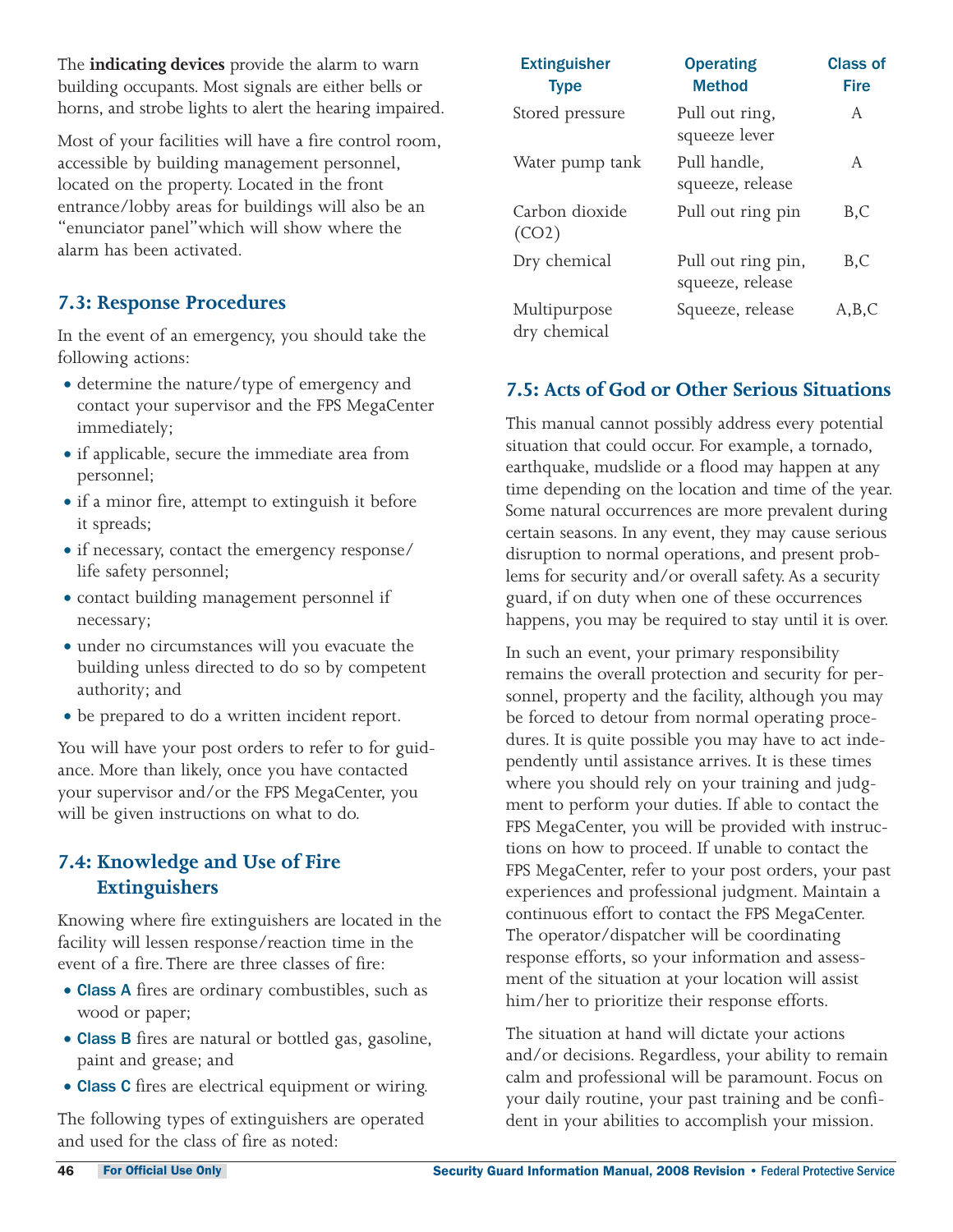The **indicating devices** provide the alarm to warn building occupants. Most signals are either bells or horns, and strobe lights to alert the hearing impaired.

Most of your facilities will have a fire control room, accessible by building management personnel, located on the property. Located in the front entrance/lobby areas for buildings will also be an "enunciator panel" which will show where the alarm has been activated.

## **7.3: Response Procedures**

In the event of an emergency, you should take the following actions:

- determine the nature/type of emergency and contact your supervisor and the FPS MegaCenter immediately;
- if applicable, secure the immediate area from personnel;
- if a minor fire, attempt to extinguish it before it spreads;
- if necessary, contact the emergency response/ life safety personnel;
- contact building management personnel if necessary;
- under no circumstances will you evacuate the building unless directed to do so by competent authority; and
- be prepared to do a written incident report.

You will have your post orders to refer to for guidance. More than likely, once you have contacted your supervisor and/or the FPS MegaCenter, you will be given instructions on what to do.

## **7.4: Knowledge and Use of Fire Extinguishers**

Knowing where fire extinguishers are located in the facility will lessen response/reaction time in the event of a fire.There are three classes of fire:

- Class A fires are ordinary combustibles, such as wood or paper;
- Class B fires are natural or bottled gas, gasoline, paint and grease; and
- Class C fires are electrical equipment or wiring.

The following types of extinguishers are operated and used for the class of fire as noted:

| <b>Extinguisher</b><br><b>Type</b> | <b>Operating</b><br><b>Method</b>      | <b>Class of</b><br><b>Fire</b> |
|------------------------------------|----------------------------------------|--------------------------------|
| Stored pressure                    | Pull out ring,<br>squeeze lever        | A                              |
| Water pump tank                    | Pull handle,<br>squeeze, release       | A                              |
| Carbon dioxide<br>(CO2)            | Pull out ring pin                      | B,C                            |
| Dry chemical                       | Pull out ring pin,<br>squeeze, release | B, C                           |
| Multipurpose<br>dry chemical       | Squeeze, release                       | A, B, C                        |

## **7.5: Acts of God or Other Serious Situations**

This manual cannot possibly address every potential situation that could occur. For example, a tornado, earthquake, mudslide or a flood may happen at any time depending on the location and time of the year. Some natural occurrences are more prevalent during certain seasons. In any event, they may cause serious disruption to normal operations, and present problems for security and/or overall safety. As a security guard, if on duty when one of these occurrences happens, you may be required to stay until it is over.

In such an event, your primary responsibility remains the overall protection and security for personnel, property and the facility, although you may be forced to detour from normal operating procedures. It is quite possible you may have to act independently until assistance arrives. It is these times where you should rely on your training and judgment to perform your duties. If able to contact the FPS MegaCenter, you will be provided with instructions on how to proceed. If unable to contact the FPS MegaCenter, refer to your post orders, your past experiences and professional judgment. Maintain a continuous effort to contact the FPS MegaCenter. The operator/dispatcher will be coordinating response efforts, so your information and assessment of the situation at your location will assist him/her to prioritize their response efforts.

The situation at hand will dictate your actions and/or decisions. Regardless, your ability to remain calm and professional will be paramount. Focus on your daily routine, your past training and be confident in your abilities to accomplish your mission.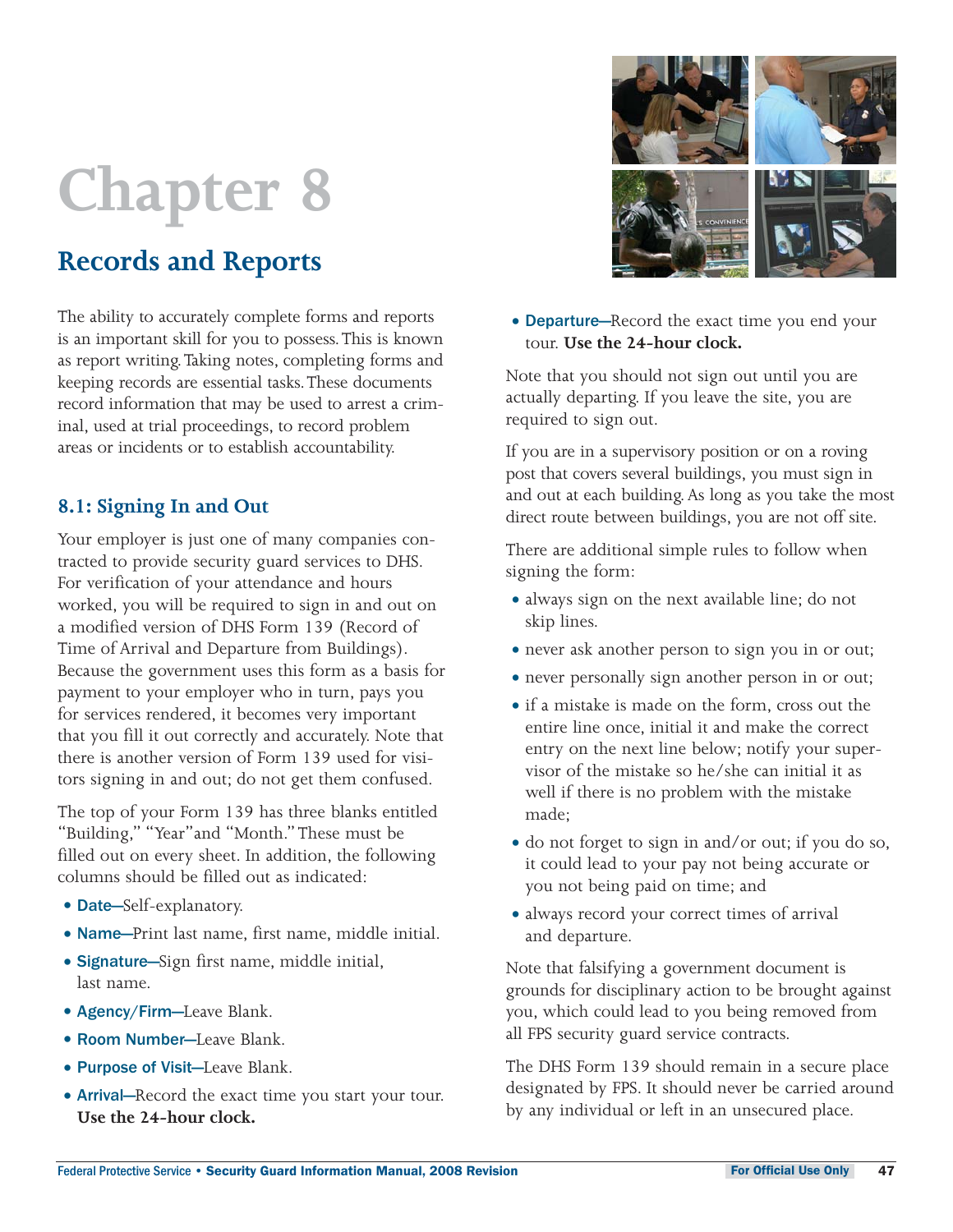# **Records and Reports**

The ability to accurately complete forms and reports is an important skill for you to possess.This is known as report writing.Taking notes, completing forms and keeping records are essential tasks.These documents record information that may be used to arrest a criminal, used at trial proceedings, to record problem areas or incidents or to establish accountability.

## **8.1: Signing In and Out**

Your employer is just one of many companies contracted to provide security guard services to DHS. For verification of your attendance and hours worked, you will be required to sign in and out on a modified version of DHS Form 139 (Record of Time of Arrival and Departure from Buildings). Because the government uses this form as a basis for payment to your employer who in turn, pays you for services rendered, it becomes very important that you fill it out correctly and accurately. Note that there is another version of Form 139 used for visitors signing in and out; do not get them confused.

The top of your Form 139 has three blanks entitled "Building," "Year" and "Month." These must be filled out on every sheet. In addition, the following columns should be filled out as indicated:

- Date-Self-explanatory.
- Name-Print last name, first name, middle initial.
- Signature-Sign first name, middle initial, last name.
- Agency/Firm-Leave Blank.
- Room Number-Leave Blank.
- Purpose of Visit-Leave Blank.
- Arrival-Record the exact time you start your tour. **Use the 24-hour clock.**



• Departure-Record the exact time you end your tour. **Use the 24-hour clock.**

Note that you should not sign out until you are actually departing. If you leave the site, you are required to sign out.

If you are in a supervisory position or on a roving post that covers several buildings, you must sign in and out at each building. As long as you take the most direct route between buildings, you are not off site.

There are additional simple rules to follow when signing the form:

- always sign on the next available line; do not skip lines.
- never ask another person to sign you in or out;
- never personally sign another person in or out;
- $\bullet$  if a mistake is made on the form, cross out the entire line once, initial it and make the correct entry on the next line below; notify your supervisor of the mistake so he/she can initial it as well if there is no problem with the mistake made;
- do not forget to sign in and/or out; if you do so, it could lead to your pay not being accurate or you not being paid on time; and
- always record your correct times of arrival and departure.

Note that falsifying a government document is grounds for disciplinary action to be brought against you, which could lead to you being removed from all FPS security guard service contracts.

The DHS Form 139 should remain in a secure place designated by FPS. It should never be carried around by any individual or left in an unsecured place.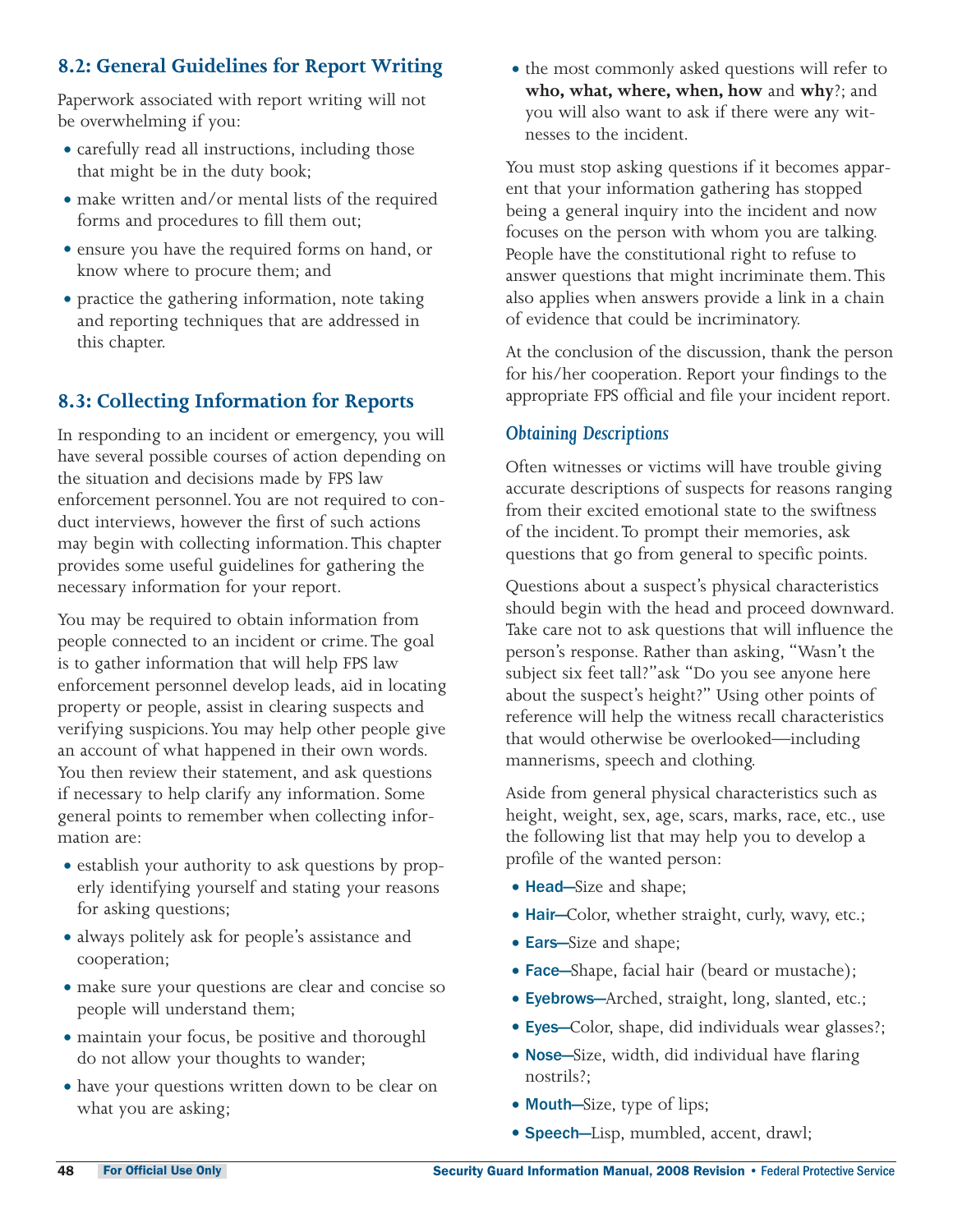# **8.2: General Guidelines for Report Writing**

Paperwork associated with report writing will not be overwhelming if you:

- carefully read all instructions, including those that might be in the duty book;
- $\bullet$  make written and/or mental lists of the required forms and procedures to fill them out;
- ensure you have the required forms on hand, or know where to procure them; and
- $\bullet$  practice the gathering information, note taking and reporting techniques that are addressed in this chapter.

## **8.3: Collecting Information for Reports**

In responding to an incident or emergency, you will have several possible courses of action depending on the situation and decisions made by FPS law enforcement personnel.You are not required to conduct interviews, however the first of such actions may begin with collecting information.This chapter provides some useful guidelines for gathering the necessary information for your report.

You may be required to obtain information from people connected to an incident or crime.The goal is to gather information that will help FPS law enforcement personnel develop leads, aid in locating property or people, assist in clearing suspects and verifying suspicions.You may help other people give an account of what happened in their own words. You then review their statement, and ask questions if necessary to help clarify any information. Some general points to remember when collecting information are:

- establish your authority to ask questions by properly identifying yourself and stating your reasons for asking questions;
- always politely ask for people's assistance and cooperation;
- make sure your questions are clear and concise so people will understand them;
- maintain your focus, be positive and thoroughl do not allow your thoughts to wander;
- have your questions written down to be clear on what you are asking;

• the most commonly asked questions will refer to **who, what, where, when, how** and **why**?; and you will also want to ask if there were any witnesses to the incident.

You must stop asking questions if it becomes apparent that your information gathering has stopped being a general inquiry into the incident and now focuses on the person with whom you are talking. People have the constitutional right to refuse to answer questions that might incriminate them.This also applies when answers provide a link in a chain of evidence that could be incriminatory.

At the conclusion of the discussion, thank the person for his/her cooperation. Report your findings to the appropriate FPS official and file your incident report.

#### *Obtaining Descriptions*

Often witnesses or victims will have trouble giving accurate descriptions of suspects for reasons ranging from their excited emotional state to the swiftness of the incident.To prompt their memories, ask questions that go from general to specific points.

Questions about a suspect's physical characteristics should begin with the head and proceed downward. Take care not to ask questions that will influence the person's response. Rather than asking, "Wasn't the subject six feet tall?"ask "Do you see anyone here about the suspect's height?" Using other points of reference will help the witness recall characteristics that would otherwise be overlooked—including mannerisms, speech and clothing.

Aside from general physical characteristics such as height, weight, sex, age, scars, marks, race, etc., use the following list that may help you to develop a profile of the wanted person:

- Head-Size and shape;
- Hair-Color, whether straight, curly, wavy, etc.;
- Ears-Size and shape;
- Face-Shape, facial hair (beard or mustache);
- Eyebrows-Arched, straight, long, slanted, etc.;
- Eyes-Color, shape, did individuals wear glasses?;
- Nose-Size, width, did individual have flaring nostrils?;
- Mouth-Size, type of lips;
- Speech-Lisp, mumbled, accent, drawl;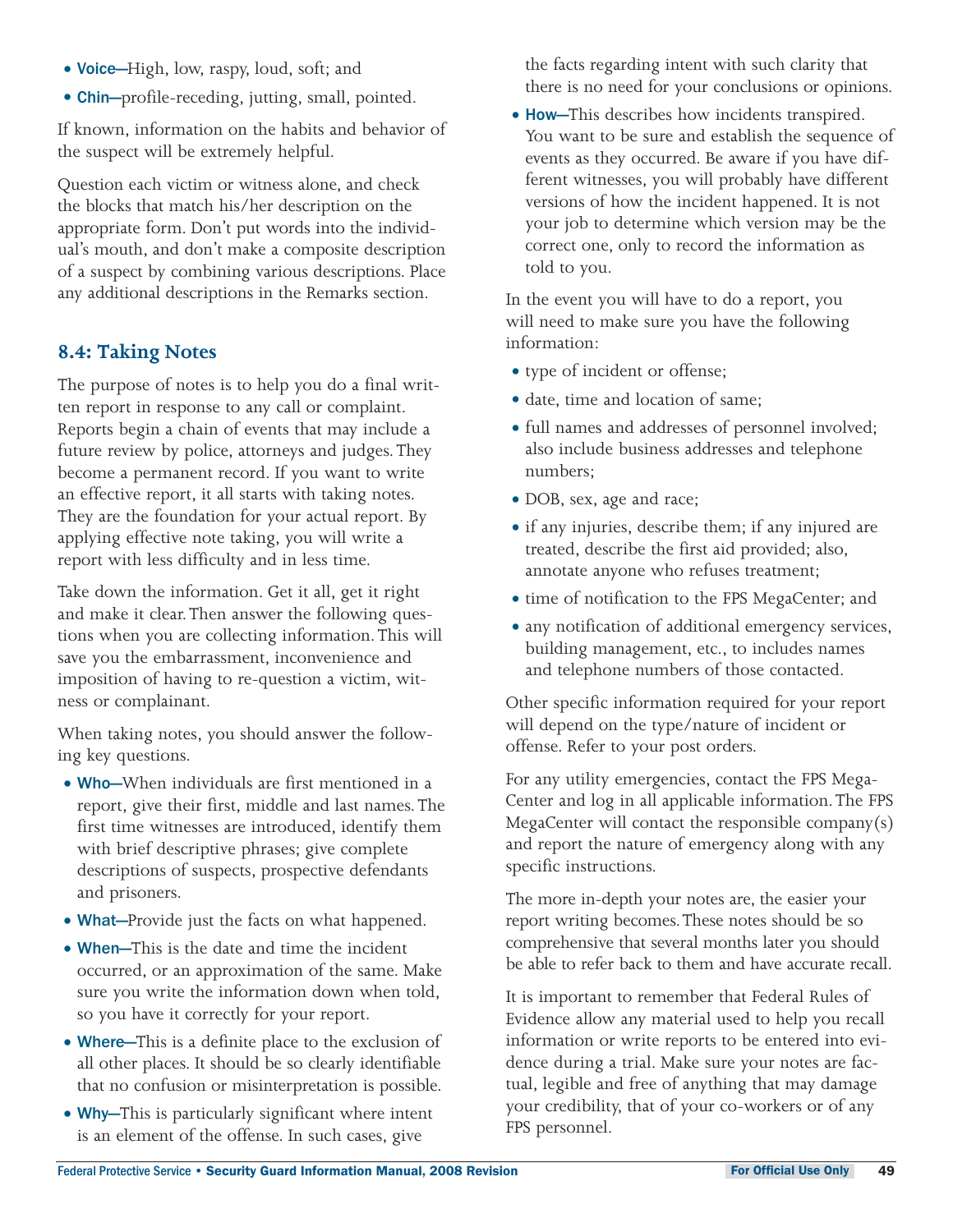- Voice–High, low, raspy, loud, soft; and
- Chin-profile-receding, jutting, small, pointed.

If known, information on the habits and behavior of the suspect will be extremely helpful.

Question each victim or witness alone, and check the blocks that match his/her description on the appropriate form. Don't put words into the individual's mouth, and don't make a composite description of a suspect by combining various descriptions. Place any additional descriptions in the Remarks section.

# **8.4: Taking Notes**

The purpose of notes is to help you do a final written report in response to any call or complaint. Reports begin a chain of events that may include a future review by police, attorneys and judges.They become a permanent record. If you want to write an effective report, it all starts with taking notes. They are the foundation for your actual report. By applying effective note taking, you will write a report with less difficulty and in less time.

Take down the information. Get it all, get it right and make it clear.Then answer the following questions when you are collecting information.This will save you the embarrassment, inconvenience and imposition of having to re-question a victim, witness or complainant.

When taking notes, you should answer the following key questions.

- Who-When individuals are first mentioned in a report, give their first, middle and last names.The first time witnesses are introduced, identify them with brief descriptive phrases; give complete descriptions of suspects, prospective defendants and prisoners.
- What-Provide just the facts on what happened.
- When–This is the date and time the incident occurred, or an approximation of the same. Make sure you write the information down when told, so you have it correctly for your report.
- Where–This is a definite place to the exclusion of all other places. It should be so clearly identifiable that no confusion or misinterpretation is possible.
- Why-This is particularly significant where intent is an element of the offense. In such cases, give

the facts regarding intent with such clarity that there is no need for your conclusions or opinions.

• How-This describes how incidents transpired. You want to be sure and establish the sequence of events as they occurred. Be aware if you have different witnesses, you will probably have different versions of how the incident happened. It is not your job to determine which version may be the correct one, only to record the information as told to you.

In the event you will have to do a report, you will need to make sure you have the following information:

- type of incident or offense;
- date, time and location of same;
- full names and addresses of personnel involved; also include business addresses and telephone numbers;
- DOB, sex, age and race;
- if any injuries, describe them; if any injured are treated, describe the first aid provided; also, annotate anyone who refuses treatment;
- time of notification to the FPS MegaCenter; and
- any notification of additional emergency services, building management, etc., to includes names and telephone numbers of those contacted.

Other specific information required for your report will depend on the type/nature of incident or offense. Refer to your post orders.

For any utility emergencies, contact the FPS Mega-Center and log in all applicable information.The FPS MegaCenter will contact the responsible company(s) and report the nature of emergency along with any specific instructions.

The more in-depth your notes are, the easier your report writing becomes.These notes should be so comprehensive that several months later you should be able to refer back to them and have accurate recall.

It is important to remember that Federal Rules of Evidence allow any material used to help you recall information or write reports to be entered into evidence during a trial. Make sure your notes are factual, legible and free of anything that may damage your credibility, that of your co-workers or of any FPS personnel.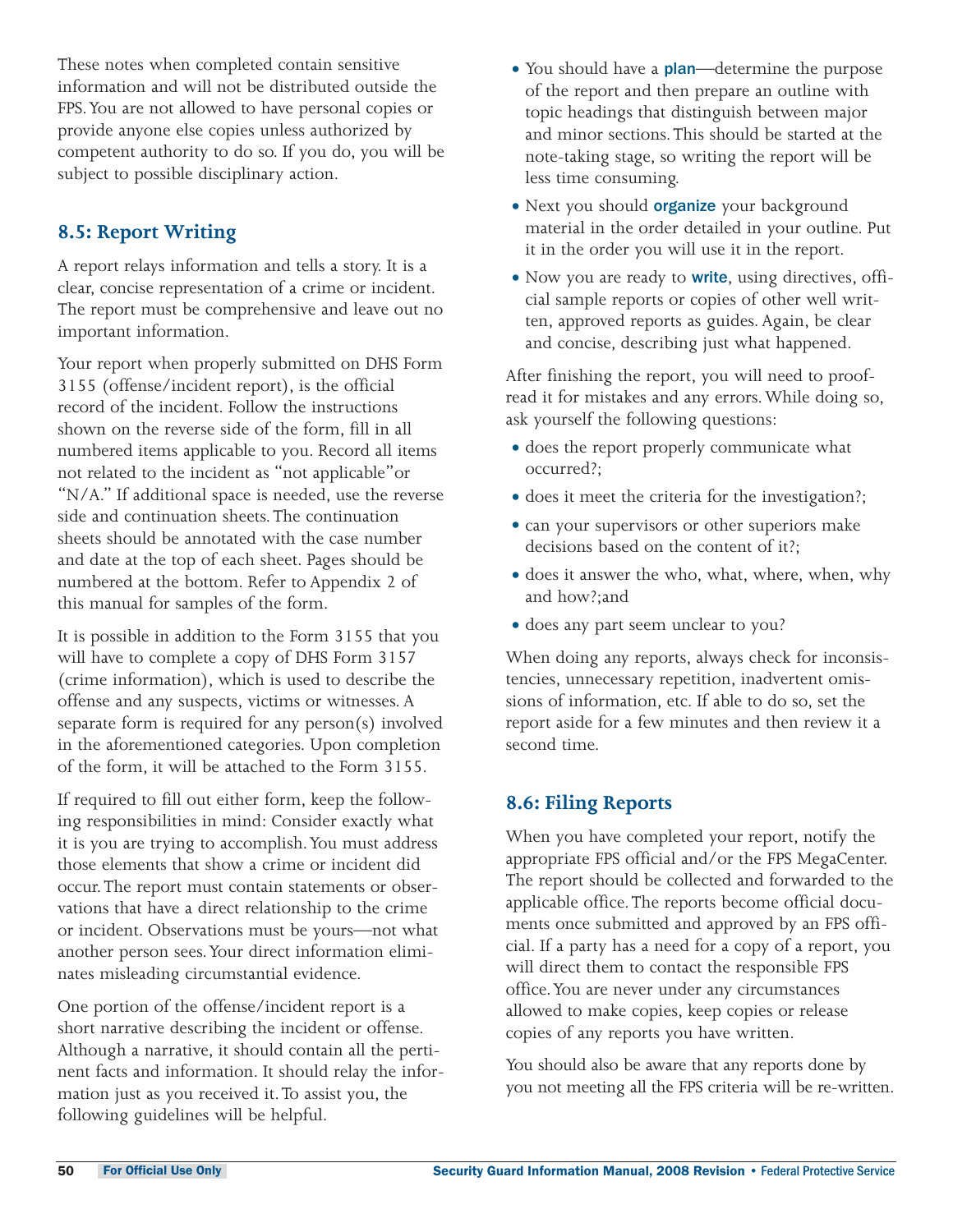These notes when completed contain sensitive information and will not be distributed outside the FPS.You are not allowed to have personal copies or provide anyone else copies unless authorized by competent authority to do so. If you do, you will be subject to possible disciplinary action.

# **8.5: Report Writing**

A report relays information and tells a story. It is a clear, concise representation of a crime or incident. The report must be comprehensive and leave out no important information.

Your report when properly submitted on DHS Form 3155 (offense/incident report), is the official record of the incident. Follow the instructions shown on the reverse side of the form, fill in all numbered items applicable to you. Record all items not related to the incident as "not applicable"or " $N/A$ ." If additional space is needed, use the reverse side and continuation sheets.The continuation sheets should be annotated with the case number and date at the top of each sheet. Pages should be numbered at the bottom. Refer to Appendix 2 of this manual for samples of the form.

It is possible in addition to the Form 3155 that you will have to complete a copy of DHS Form 3157 (crime information), which is used to describe the offense and any suspects, victims or witnesses. A separate form is required for any person(s) involved in the aforementioned categories. Upon completion of the form, it will be attached to the Form 3155.

If required to fill out either form, keep the following responsibilities in mind: Consider exactly what it is you are trying to accomplish.You must address those elements that show a crime or incident did occur.The report must contain statements or observations that have a direct relationship to the crime or incident. Observations must be yours—not what another person sees.Your direct information eliminates misleading circumstantial evidence.

One portion of the offense/incident report is a short narrative describing the incident or offense. Although a narrative, it should contain all the pertinent facts and information. It should relay the information just as you received it.To assist you, the following guidelines will be helpful.

- You should have a **plan**—determine the purpose of the report and then prepare an outline with topic headings that distinguish between major and minor sections.This should be started at the note-taking stage, so writing the report will be less time consuming.
- Next you should **organize** your background material in the order detailed in your outline. Put it in the order you will use it in the report.
- Now you are ready to **write**, using directives, official sample reports or copies of other well written, approved reports as guides. Again, be clear and concise, describing just what happened.

After finishing the report, you will need to proofread it for mistakes and any errors. While doing so, ask yourself the following questions:

- does the report properly communicate what occurred?;
- does it meet the criteria for the investigation?;
- can your supervisors or other superiors make decisions based on the content of it?;
- does it answer the who, what, where, when, why and how?;and
- does any part seem unclear to you?

When doing any reports, always check for inconsistencies, unnecessary repetition, inadvertent omissions of information, etc. If able to do so, set the report aside for a few minutes and then review it a second time.

## **8.6: Filing Reports**

When you have completed your report, notify the appropriate FPS official and/or the FPS MegaCenter. The report should be collected and forwarded to the applicable office.The reports become official documents once submitted and approved by an FPS official. If a party has a need for a copy of a report, you will direct them to contact the responsible FPS office.You are never under any circumstances allowed to make copies, keep copies or release copies of any reports you have written.

You should also be aware that any reports done by you not meeting all the FPS criteria will be re-written.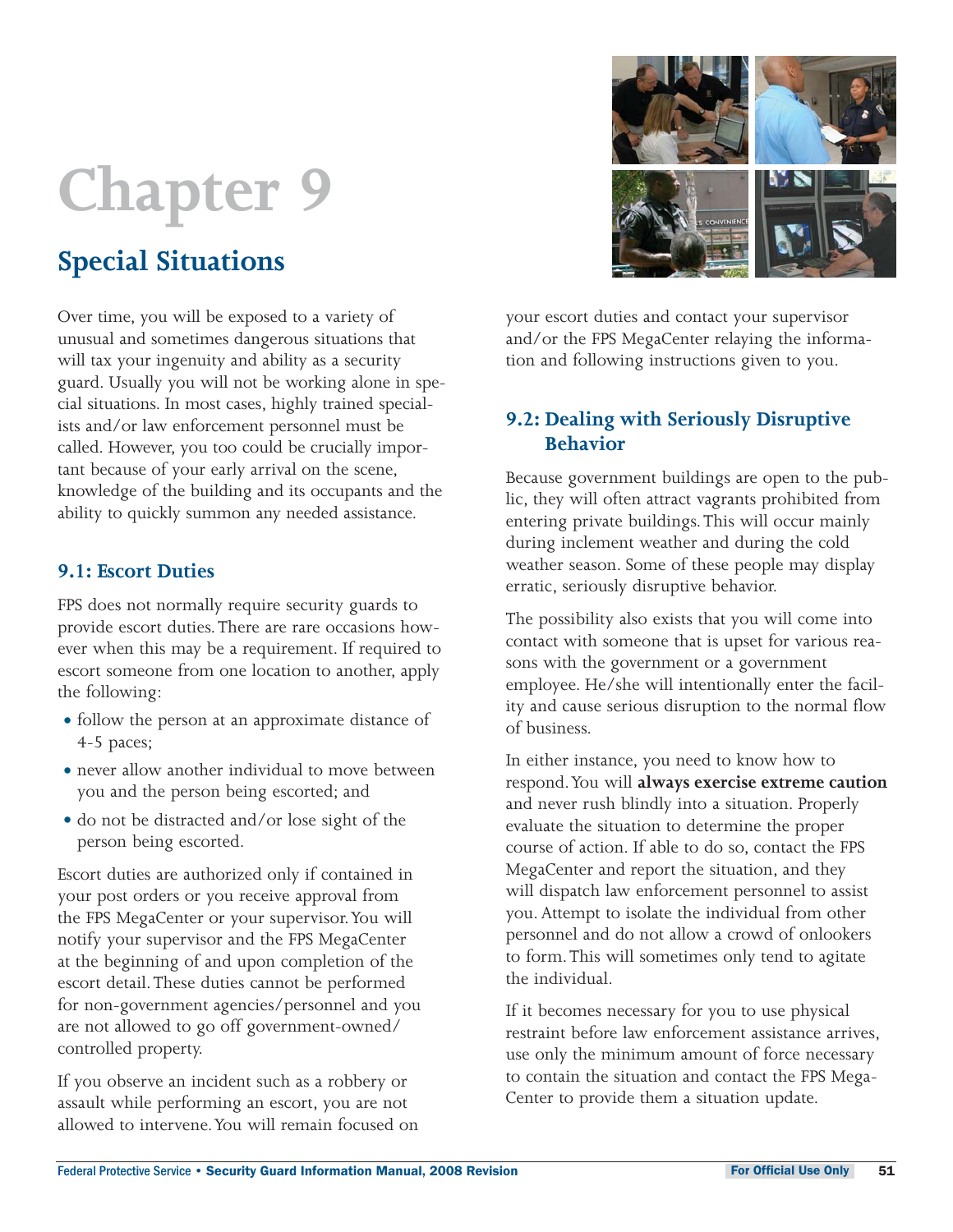# **Special Situations**

Over time, you will be exposed to a variety of unusual and sometimes dangerous situations that will tax your ingenuity and ability as a security guard. Usually you will not be working alone in special situations. In most cases, highly trained specialists and/or law enforcement personnel must be called. However, you too could be crucially important because of your early arrival on the scene, knowledge of the building and its occupants and the ability to quickly summon any needed assistance.

### **9.1: Escort Duties**

FPS does not normally require security guards to provide escort duties.There are rare occasions however when this may be a requirement. If required to escort someone from one location to another, apply the following:

- follow the person at an approximate distance of 4-5 paces;
- never allow another individual to move between you and the person being escorted; and
- do not be distracted and/or lose sight of the person being escorted.

Escort duties are authorized only if contained in your post orders or you receive approval from the FPS MegaCenter or your supervisor.You will notify your supervisor and the FPS MegaCenter at the beginning of and upon completion of the escort detail.These duties cannot be performed for non-government agencies/personnel and you are not allowed to go off government-owned/ controlled property.

If you observe an incident such as a robbery or assault while performing an escort, you are not allowed to intervene.You will remain focused on your escort duties and contact your supervisor and/or the FPS MegaCenter relaying the information and following instructions given to you.

### **9.2: Dealing with Seriously Disruptive Behavior**

Because government buildings are open to the public, they will often attract vagrants prohibited from entering private buildings.This will occur mainly during inclement weather and during the cold weather season. Some of these people may display erratic, seriously disruptive behavior.

The possibility also exists that you will come into contact with someone that is upset for various reasons with the government or a government employee. He/she will intentionally enter the facility and cause serious disruption to the normal flow of business.

In either instance, you need to know how to respond.You will **always exercise extreme caution** and never rush blindly into a situation. Properly evaluate the situation to determine the proper course of action. If able to do so, contact the FPS MegaCenter and report the situation, and they will dispatch law enforcement personnel to assist you. Attempt to isolate the individual from other personnel and do not allow a crowd of onlookers to form.This will sometimes only tend to agitate the individual.

If it becomes necessary for you to use physical restraint before law enforcement assistance arrives, use only the minimum amount of force necessary to contain the situation and contact the FPS Mega-Center to provide them a situation update.

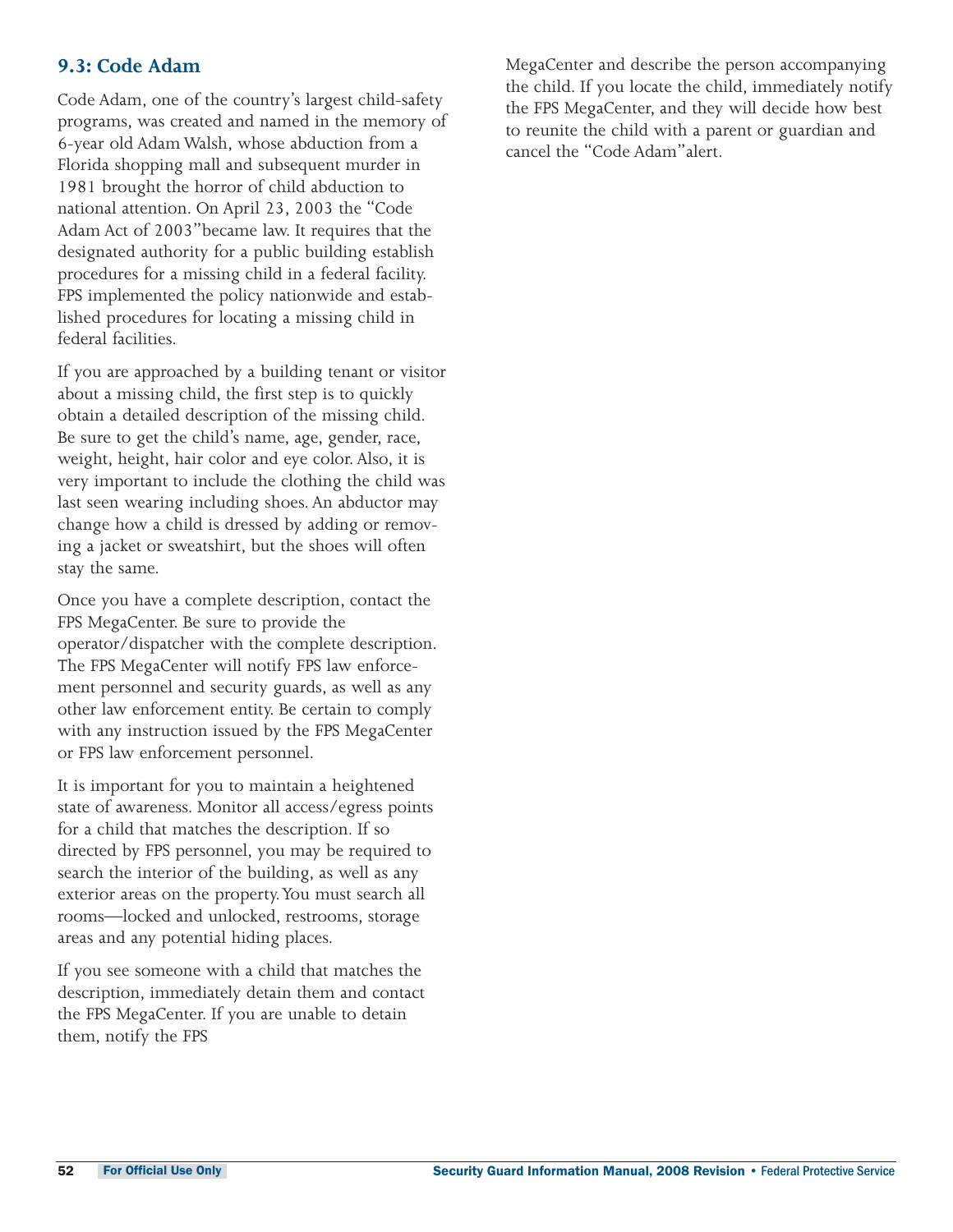### **9.3: Code Adam**

Code Adam, one of the country's largest child-safety programs, was created and named in the memory of 6-year old Adam Walsh, whose abduction from a Florida shopping mall and subsequent murder in 1981 brought the horror of child abduction to national attention. On April 23, 2003 the "Code Adam Act of 2003" became law. It requires that the designated authority for a public building establish procedures for a missing child in a federal facility. FPS implemented the policy nationwide and established procedures for locating a missing child in federal facilities.

If you are approached by a building tenant or visitor about a missing child, the first step is to quickly obtain a detailed description of the missing child. Be sure to get the child's name, age, gender, race, weight, height, hair color and eye color. Also, it is very important to include the clothing the child was last seen wearing including shoes. An abductor may change how a child is dressed by adding or removing a jacket or sweatshirt, but the shoes will often stay the same.

Once you have a complete description, contact the FPS MegaCenter. Be sure to provide the operator/dispatcher with the complete description. The FPS MegaCenter will notify FPS law enforcement personnel and security guards, as well as any other law enforcement entity. Be certain to comply with any instruction issued by the FPS MegaCenter or FPS law enforcement personnel.

It is important for you to maintain a heightened state of awareness. Monitor all access/egress points for a child that matches the description. If so directed by FPS personnel, you may be required to search the interior of the building, as well as any exterior areas on the property.You must search all rooms-locked and unlocked, restrooms, storage areas and any potential hiding places.

If you see someone with a child that matches the description, immediately detain them and contact the FPS MegaCenter. If you are unable to detain them, notify the FPS

MegaCenter and describe the person accompanying the child. If you locate the child, immediately notify the FPS MegaCenter, and they will decide how best to reunite the child with a parent or guardian and cancel the "Code Adam" alert.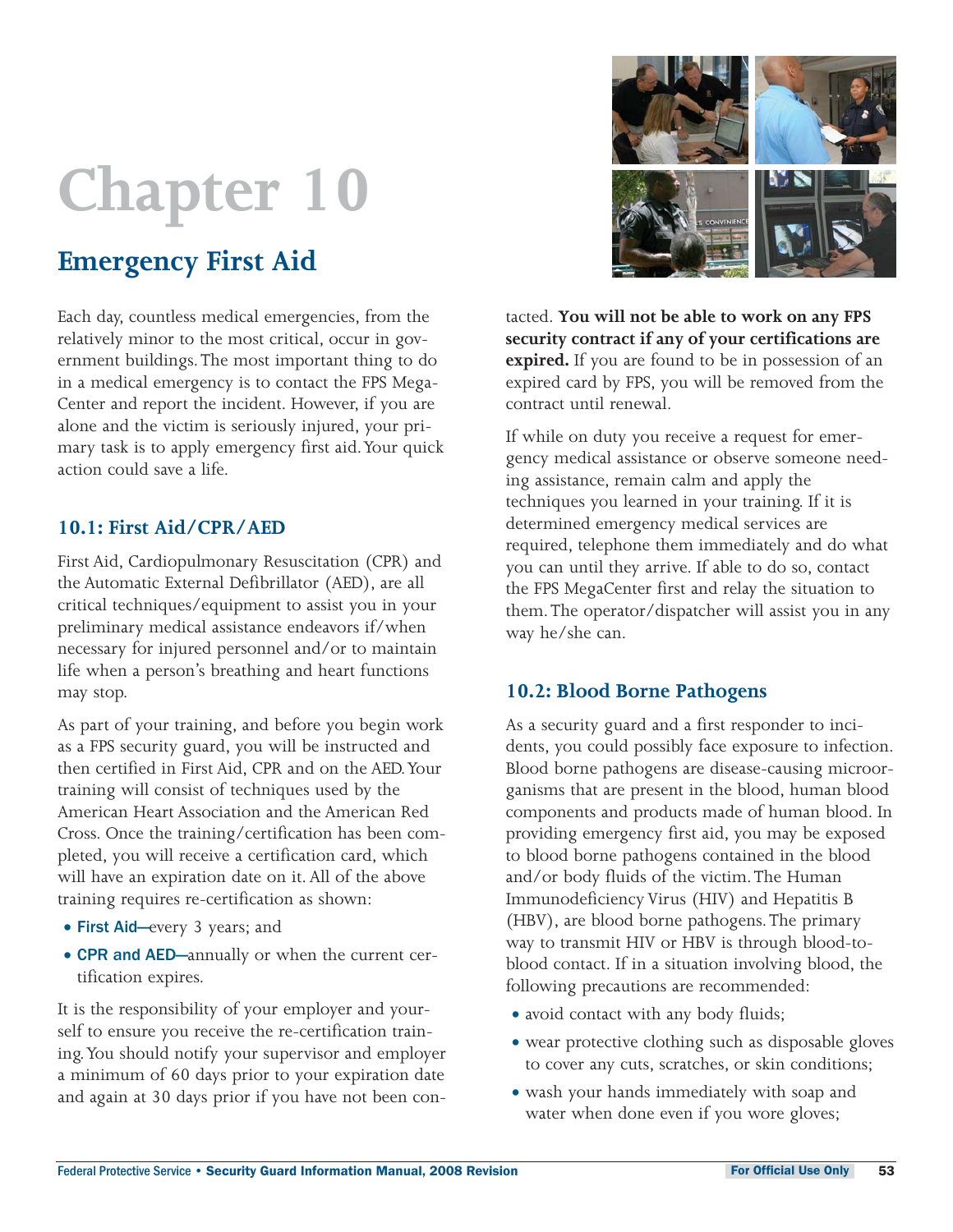# **Emergency First Aid**

Each day, countless medical emergencies, from the relatively minor to the most critical, occur in government buildings.The most important thing to do in a medical emergency is to contact the FPS Mega-Center and report the incident. However, if you are alone and the victim is seriously injured, your primary task is to apply emergency first aid.Your quick action could save a life.

## **10.1: First Aid/CPR/AED**

First Aid, Cardiopulmonary Resuscitation (CPR) and the Automatic External Defibrillator (AED), are all critical techniques/equipment to assist you in your preliminary medical assistance endeavors if/when necessary for injured personnel and/or to maintain life when a person's breathing and heart functions may stop.

As part of your training, and before you begin work as a FPS security guard, you will be instructed and then certified in First Aid, CPR and on the AED.Your training will consist of techniques used by the American Heart Association and the American Red Cross. Once the training/certification has been completed, you will receive a certification card, which will have an expiration date on it. All of the above training requires re-certification as shown:

- First Aid-every 3 years; and
- CPR and AED-annually or when the current certification expires.

It is the responsibility of your employer and yourself to ensure you receive the re-certification training.You should notify your supervisor and employer a minimum of 60 days prior to your expiration date and again at 30 days prior if you have not been con-



If while on duty you receive a request for emergency medical assistance or observe someone needing assistance, remain calm and apply the techniques you learned in your training. If it is determined emergency medical services are required, telephone them immediately and do what you can until they arrive. If able to do so, contact the FPS MegaCenter first and relay the situation to them.The operator/dispatcher will assist you in any way he/she can.

#### **10.2: Blood Borne Pathogens**

As a security guard and a first responder to incidents, you could possibly face exposure to infection. Blood borne pathogens are disease-causing microorganisms that are present in the blood, human blood components and products made of human blood. In providing emergency first aid, you may be exposed to blood borne pathogens contained in the blood and/or body fluids of the victim.The Human Immunodeficiency Virus (HIV) and Hepatitis B (HBV), are blood borne pathogens.The primary way to transmit HIV or HBV is through blood-toblood contact. If in a situation involving blood, the following precautions are recommended:

- avoid contact with any body fluids;
- wear protective clothing such as disposable gloves to cover any cuts, scratches, or skin conditions;
- wash your hands immediately with soap and water when done even if you wore gloves;

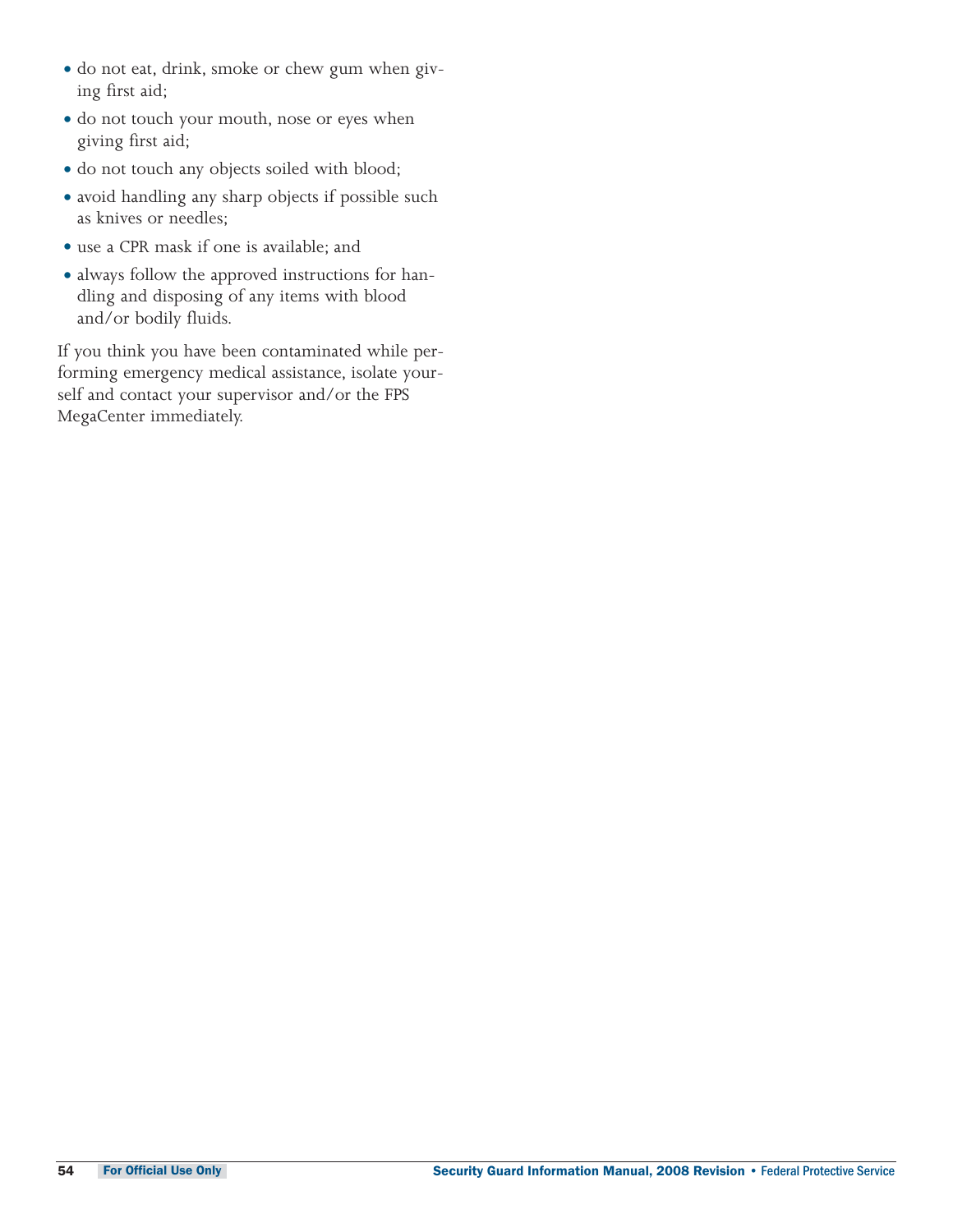- do not eat, drink, smoke or chew gum when giving first aid;
- $\bullet$  do not touch your mouth, nose or eyes when giving first aid;
- $\bullet$  do not touch any objects soiled with blood;
- avoid handling any sharp objects if possible such as knives or needles;
- use a CPR mask if one is available; and
- always follow the approved instructions for handling and disposing of any items with blood and/or bodily fluids.

If you think you have been contaminated while performing emergency medical assistance, isolate yourself and contact your supervisor and/or the FPS MegaCenter immediately.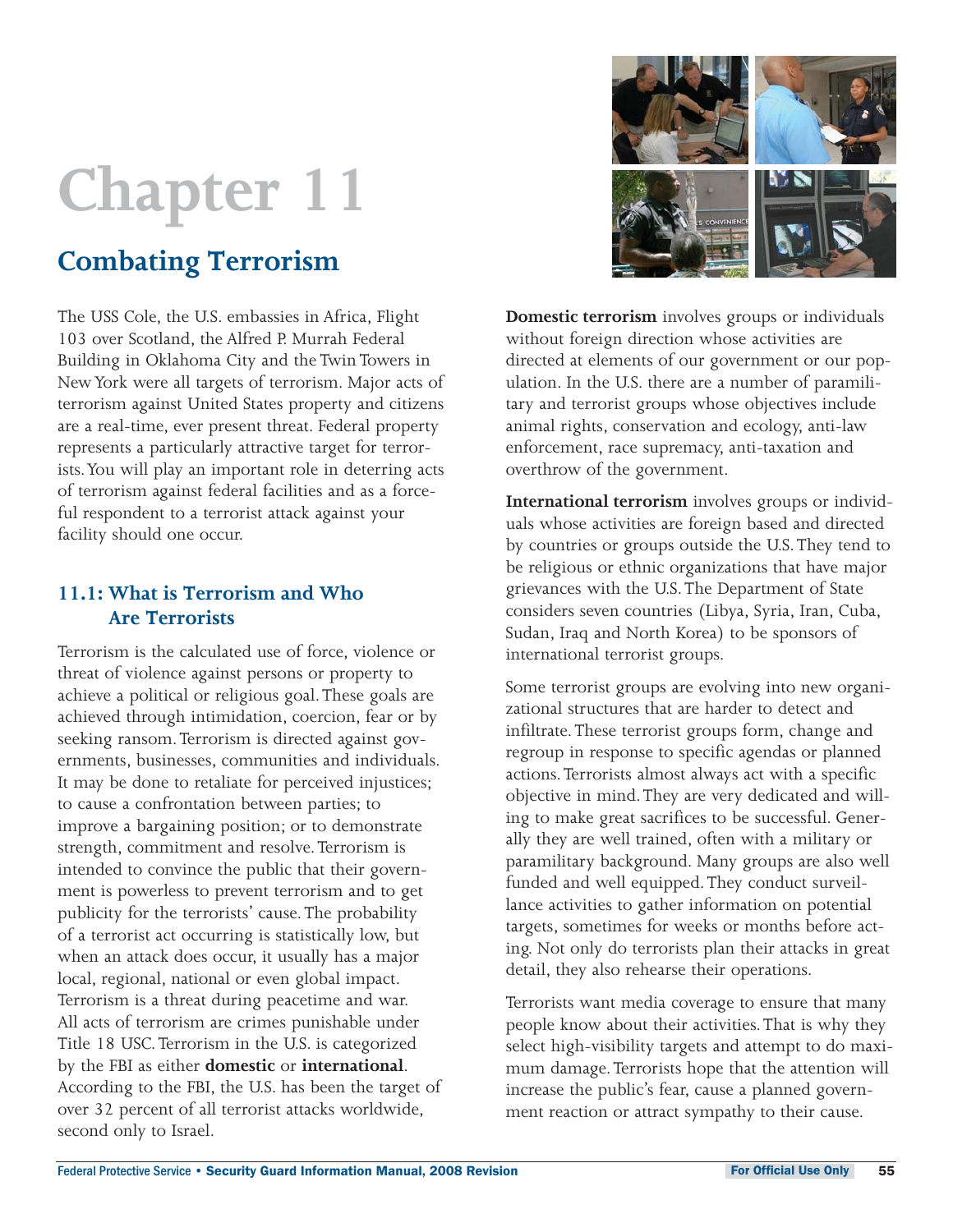# **Combating Terrorism**

The USS Cole, the U.S. embassies in Africa, Flight 103 over Scotland, the Alfred P. Murrah Federal Building in Oklahoma City and the Twin Towers in New York were all targets of terrorism. Major acts of terrorism against United States property and citizens are a real-time, ever present threat. Federal property represents a particularly attractive target for terrorists.You will play an important role in deterring acts of terrorism against federal facilities and as a forceful respondent to a terrorist attack against your facility should one occur.

## **11.1: What is Terrorism and Who Are Terrorists**

Terrorism is the calculated use of force, violence or threat of violence against persons or property to achieve a political or religious goal.These goals are achieved through intimidation, coercion, fear or by seeking ransom.Terrorism is directed against governments, businesses, communities and individuals. It may be done to retaliate for perceived injustices; to cause a confrontation between parties; to improve a bargaining position; or to demonstrate strength, commitment and resolve.Terrorism is intended to convince the public that their government is powerless to prevent terrorism and to get publicity for the terrorists' cause. The probability of a terrorist act occurring is statistically low, but when an attack does occur, it usually has a major local, regional, national or even global impact. Terrorism is a threat during peacetime and war. All acts of terrorism are crimes punishable under Title 18 USC.Terrorism in the U.S. is categorized by the FBI as either **domestic** or **international**. According to the FBI, the U.S. has been the target of over 32 percent of all terrorist attacks worldwide, second only to Israel.



**Domestic terrorism** involves groups or individuals without foreign direction whose activities are directed at elements of our government or our population. In the U.S. there are a number of paramilitary and terrorist groups whose objectives include animal rights, conservation and ecology, anti-law enforcement, race supremacy, anti-taxation and overthrow of the government.

**International terrorism** involves groups or individuals whose activities are foreign based and directed by countries or groups outside the U.S.They tend to be religious or ethnic organizations that have major grievances with the U.S.The Department of State considers seven countries (Libya, Syria, Iran, Cuba, Sudan, Iraq and North Korea) to be sponsors of international terrorist groups.

Some terrorist groups are evolving into new organizational structures that are harder to detect and infiltrate.These terrorist groups form, change and regroup in response to specific agendas or planned actions.Terrorists almost always act with a specific objective in mind.They are very dedicated and willing to make great sacrifices to be successful. Generally they are well trained, often with a military or paramilitary background. Many groups are also well funded and well equipped.They conduct surveillance activities to gather information on potential targets, sometimes for weeks or months before acting. Not only do terrorists plan their attacks in great detail, they also rehearse their operations.

Terrorists want media coverage to ensure that many people know about their activities.That is why they select high-visibility targets and attempt to do maximum damage.Terrorists hope that the attention will increase the public's fear, cause a planned government reaction or attract sympathy to their cause.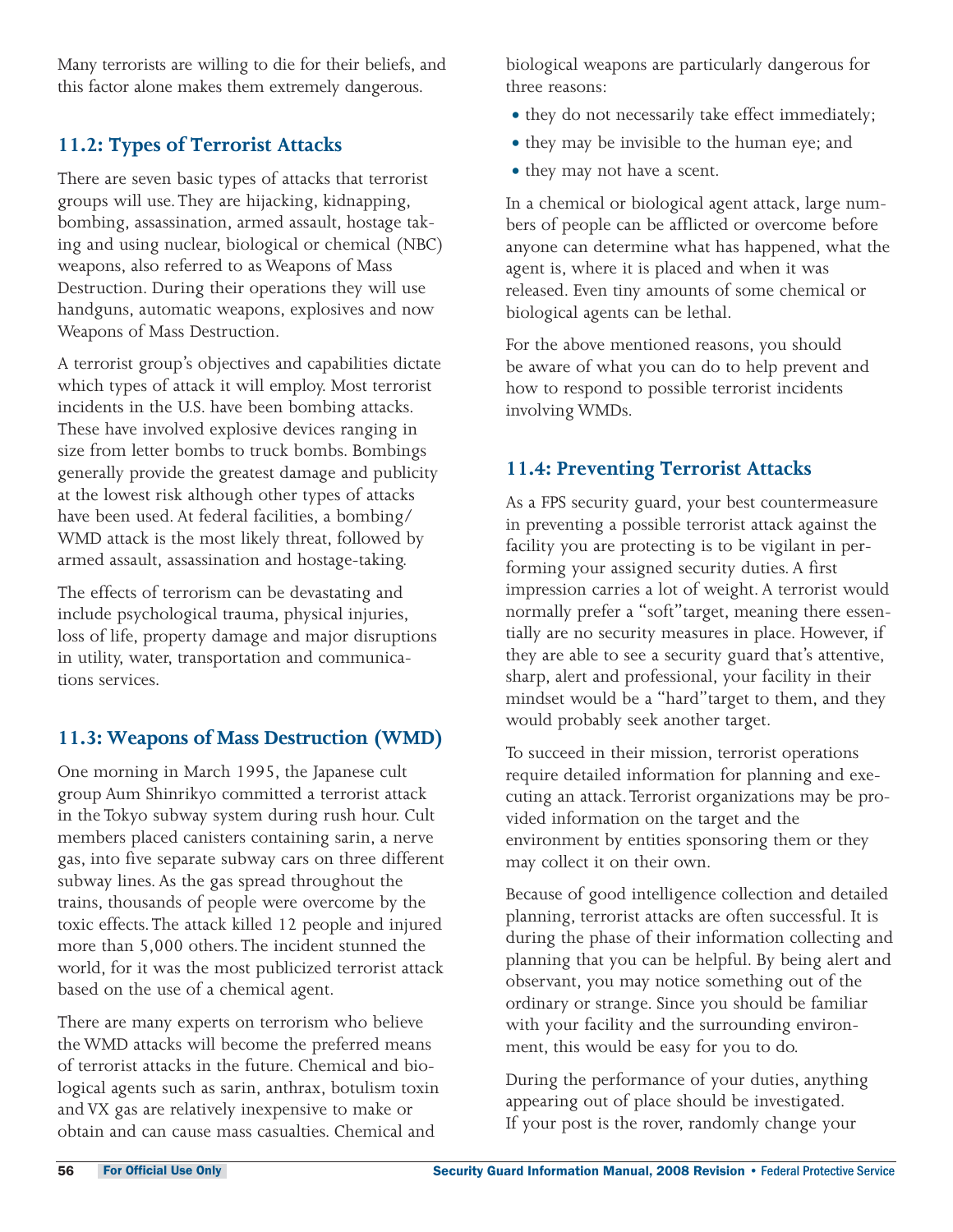Many terrorists are willing to die for their beliefs, and this factor alone makes them extremely dangerous.

# **11.2: Types of Terrorist Attacks**

There are seven basic types of attacks that terrorist groups will use.They are hijacking, kidnapping, bombing, assassination, armed assault, hostage taking and using nuclear, biological or chemical (NBC) weapons, also referred to as Weapons of Mass Destruction. During their operations they will use handguns, automatic weapons, explosives and now Weapons of Mass Destruction.

A terrorist group's objectives and capabilities dictate which types of attack it will employ. Most terrorist incidents in the U.S. have been bombing attacks. These have involved explosive devices ranging in size from letter bombs to truck bombs. Bombings generally provide the greatest damage and publicity at the lowest risk although other types of attacks have been used. At federal facilities, a bombing/ WMD attack is the most likely threat, followed by armed assault, assassination and hostage-taking.

The effects of terrorism can be devastating and include psychological trauma, physical injuries, loss of life, property damage and major disruptions in utility, water, transportation and communications services.

## **11.3: Weapons of Mass Destruction (WMD)**

One morning in March 1995, the Japanese cult group Aum Shinrikyo committed a terrorist attack in the Tokyo subway system during rush hour. Cult members placed canisters containing sarin, a nerve gas, into five separate subway cars on three different subway lines. As the gas spread throughout the trains, thousands of people were overcome by the toxic effects.The attack killed 12 people and injured more than 5,000 others.The incident stunned the world, for it was the most publicized terrorist attack based on the use of a chemical agent.

There are many experts on terrorism who believe the WMD attacks will become the preferred means of terrorist attacks in the future. Chemical and biological agents such as sarin, anthrax, botulism toxin and VX gas are relatively inexpensive to make or obtain and can cause mass casualties. Chemical and

biological weapons are particularly dangerous for three reasons:

- they do not necessarily take effect immediately;
- they may be invisible to the human eye; and
- they may not have a scent.

In a chemical or biological agent attack, large numbers of people can be afflicted or overcome before anyone can determine what has happened, what the agent is, where it is placed and when it was released. Even tiny amounts of some chemical or biological agents can be lethal.

For the above mentioned reasons, you should be aware of what you can do to help prevent and how to respond to possible terrorist incidents involving WMDs.

# **11.4: Preventing Terrorist Attacks**

As a FPS security guard, your best countermeasure in preventing a possible terrorist attack against the facility you are protecting is to be vigilant in performing your assigned security duties. A first impression carries a lot of weight. A terrorist would normally prefer a "soft" target, meaning there essentially are no security measures in place. However, if they are able to see a security guard that's attentive, sharp, alert and professional, your facility in their mindset would be a "hard" target to them, and they would probably seek another target.

To succeed in their mission, terrorist operations require detailed information for planning and executing an attack.Terrorist organizations may be provided information on the target and the environment by entities sponsoring them or they may collect it on their own.

Because of good intelligence collection and detailed planning, terrorist attacks are often successful. It is during the phase of their information collecting and planning that you can be helpful. By being alert and observant, you may notice something out of the ordinary or strange. Since you should be familiar with your facility and the surrounding environment, this would be easy for you to do.

During the performance of your duties, anything appearing out of place should be investigated. If your post is the rover, randomly change your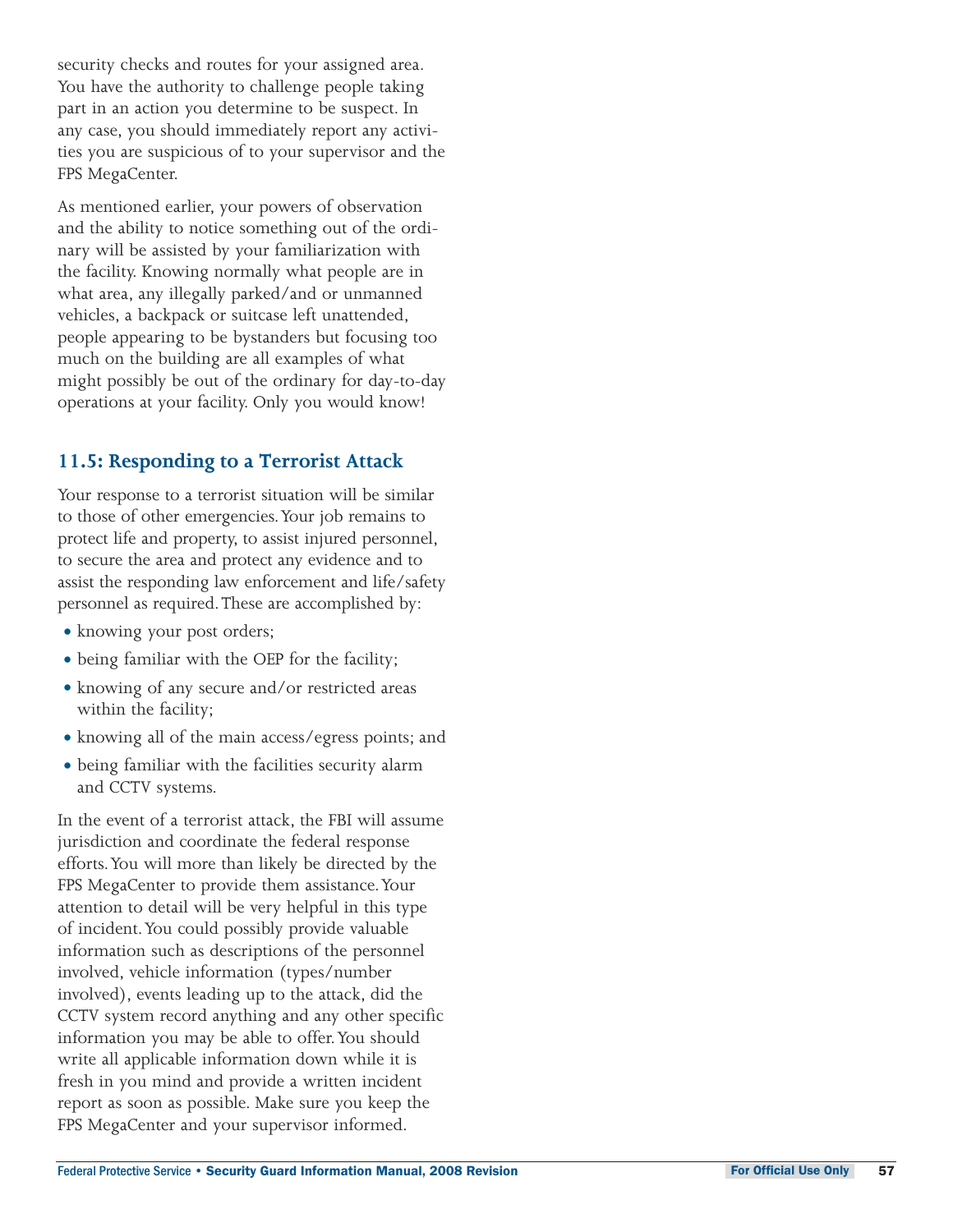security checks and routes for your assigned area. You have the authority to challenge people taking part in an action you determine to be suspect. In any case, you should immediately report any activities you are suspicious of to your supervisor and the FPS MegaCenter.

As mentioned earlier, your powers of observation and the ability to notice something out of the ordinary will be assisted by your familiarization with the facility. Knowing normally what people are in what area, any illegally parked/and or unmanned vehicles, a backpack or suitcase left unattended, people appearing to be bystanders but focusing too much on the building are all examples of what might possibly be out of the ordinary for day-to-day operations at your facility. Only you would know!

# **11.5: Responding to a Terrorist Attack**

Your response to a terrorist situation will be similar to those of other emergencies.Your job remains to protect life and property, to assist injured personnel, to secure the area and protect any evidence and to assist the responding law enforcement and life/safety personnel as required.These are accomplished by:

- knowing your post orders;
- being familiar with the OEP for the facility;
- knowing of any secure and/or restricted areas within the facility;
- knowing all of the main access/egress points; and
- being familiar with the facilities security alarm and CCTV systems.

In the event of a terrorist attack, the FBI will assume jurisdiction and coordinate the federal response efforts.You will more than likely be directed by the FPS MegaCenter to provide them assistance. Your attention to detail will be very helpful in this type of incident.You could possibly provide valuable information such as descriptions of the personnel involved, vehicle information (types/number involved), events leading up to the attack, did the CCTV system record anything and any other specific information you may be able to offer.You should write all applicable information down while it is fresh in you mind and provide a written incident report as soon as possible. Make sure you keep the FPS MegaCenter and your supervisor informed.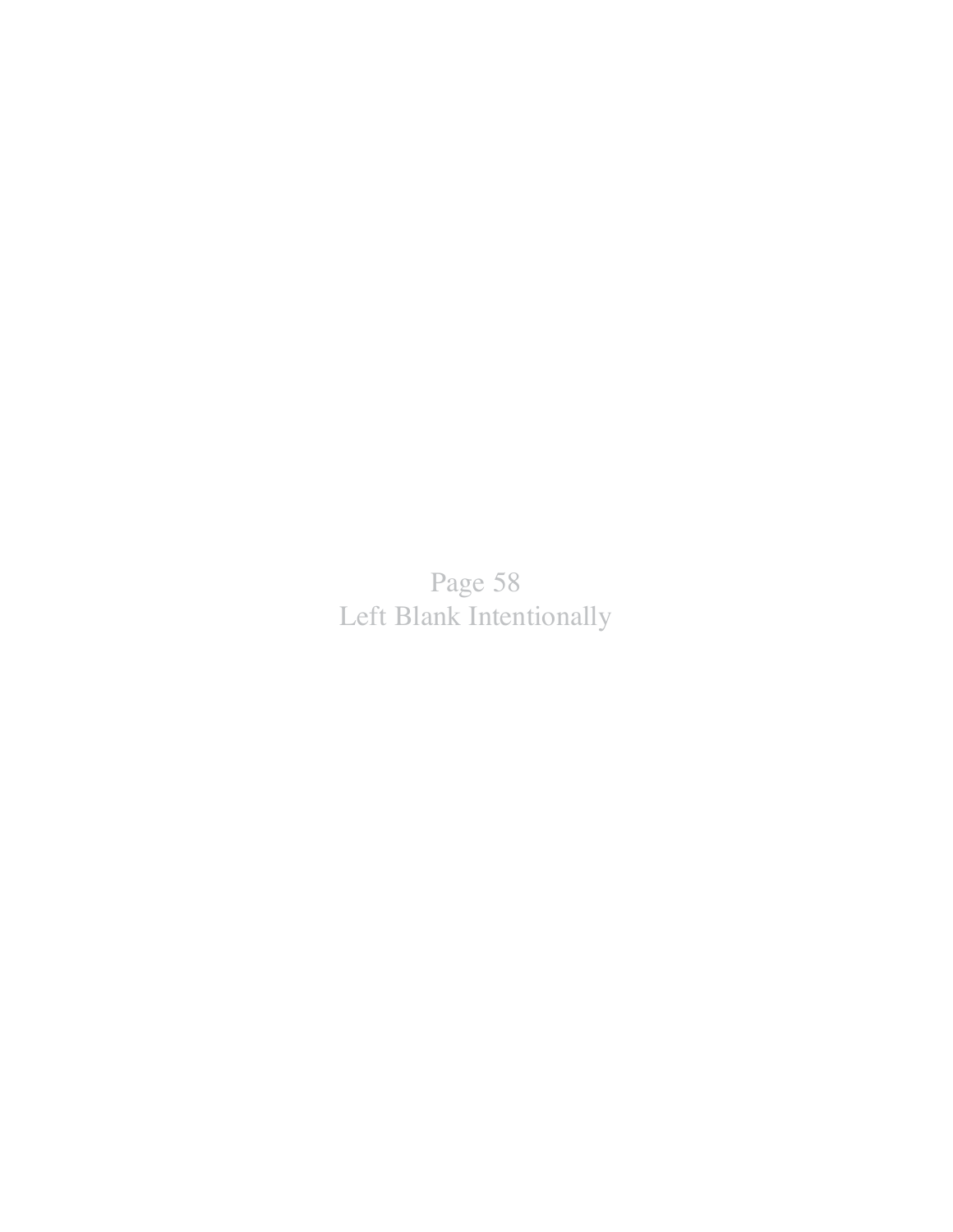Page 58 Left Blank Intentionally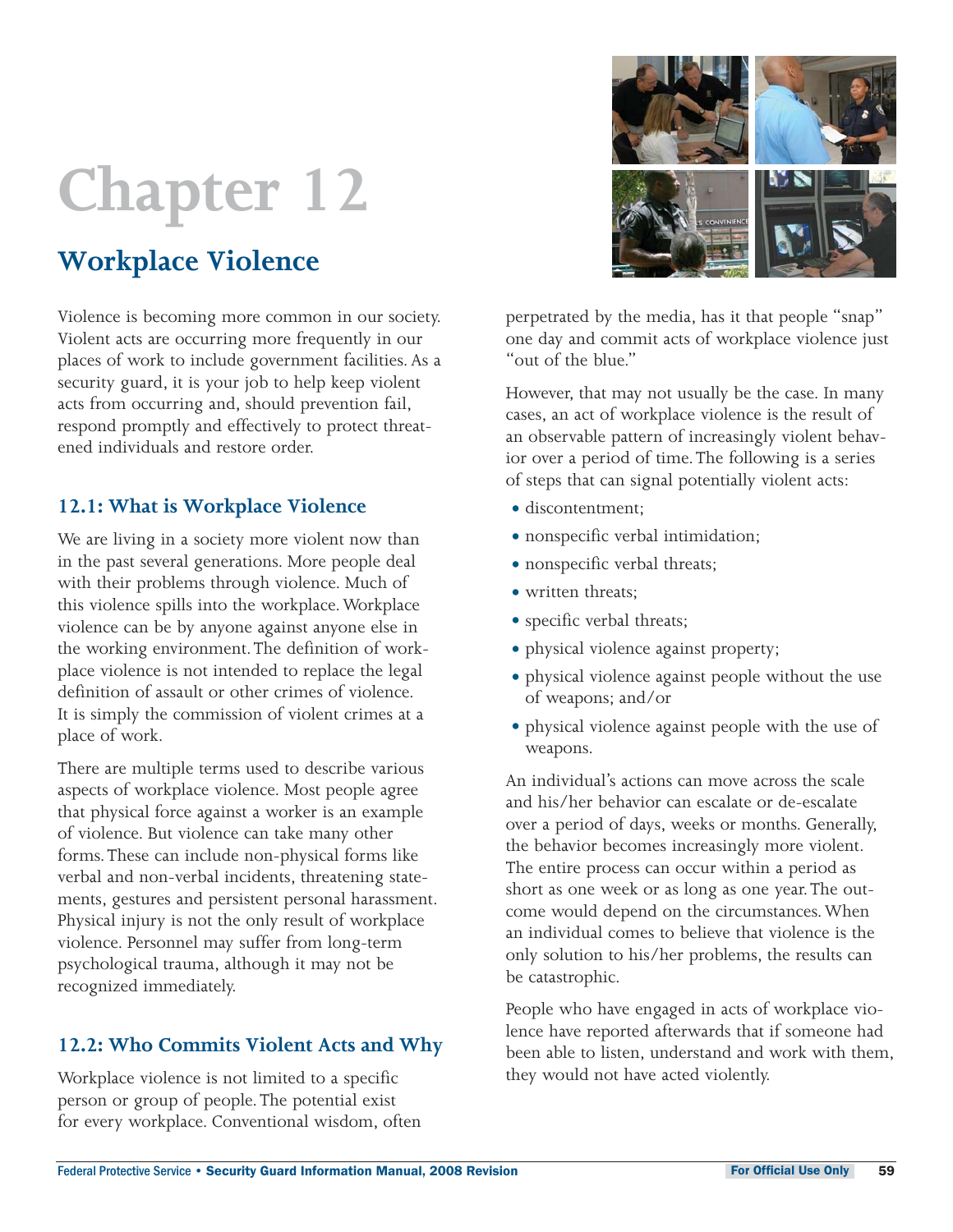# **Workplace Violence**

Violence is becoming more common in our society. Violent acts are occurring more frequently in our places of work to include government facilities. As a security guard, it is your job to help keep violent acts from occurring and, should prevention fail, respond promptly and effectively to protect threatened individuals and restore order.

## **12.1: What is Workplace Violence**

We are living in a society more violent now than in the past several generations. More people deal with their problems through violence. Much of this violence spills into the workplace. Workplace violence can be by anyone against anyone else in the working environment.The definition of workplace violence is not intended to replace the legal definition of assault or other crimes of violence. It is simply the commission of violent crimes at a place of work.

There are multiple terms used to describe various aspects of workplace violence. Most people agree that physical force against a worker is an example of violence. But violence can take many other forms.These can include non-physical forms like verbal and non-verbal incidents, threatening statements, gestures and persistent personal harassment. Physical injury is not the only result of workplace violence. Personnel may suffer from long-term psychological trauma, although it may not be recognized immediately.

## **12.2: Who Commits Violent Acts and Why**

Workplace violence is not limited to a specific person or group of people.The potential exist for every workplace. Conventional wisdom, often



perpetrated by the media, has it that people "snap" one day and commit acts of workplace violence just "out of the blue."

However, that may not usually be the case. In many cases, an act of workplace violence is the result of an observable pattern of increasingly violent behavior over a period of time.The following is a series of steps that can signal potentially violent acts:

- $\bullet$  discontentment:
- nonspecific verbal intimidation;
- nonspecific verbal threats;
- written threats;
- specific verbal threats;
- physical violence against property;
- physical violence against people without the use of weapons; and/or
- physical violence against people with the use of weapons.

An individual's actions can move across the scale and his/her behavior can escalate or de-escalate over a period of days, weeks or months. Generally, the behavior becomes increasingly more violent. The entire process can occur within a period as short as one week or as long as one year.The outcome would depend on the circumstances. When an individual comes to believe that violence is the only solution to his/her problems, the results can be catastrophic.

People who have engaged in acts of workplace violence have reported afterwards that if someone had been able to listen, understand and work with them, they would not have acted violently.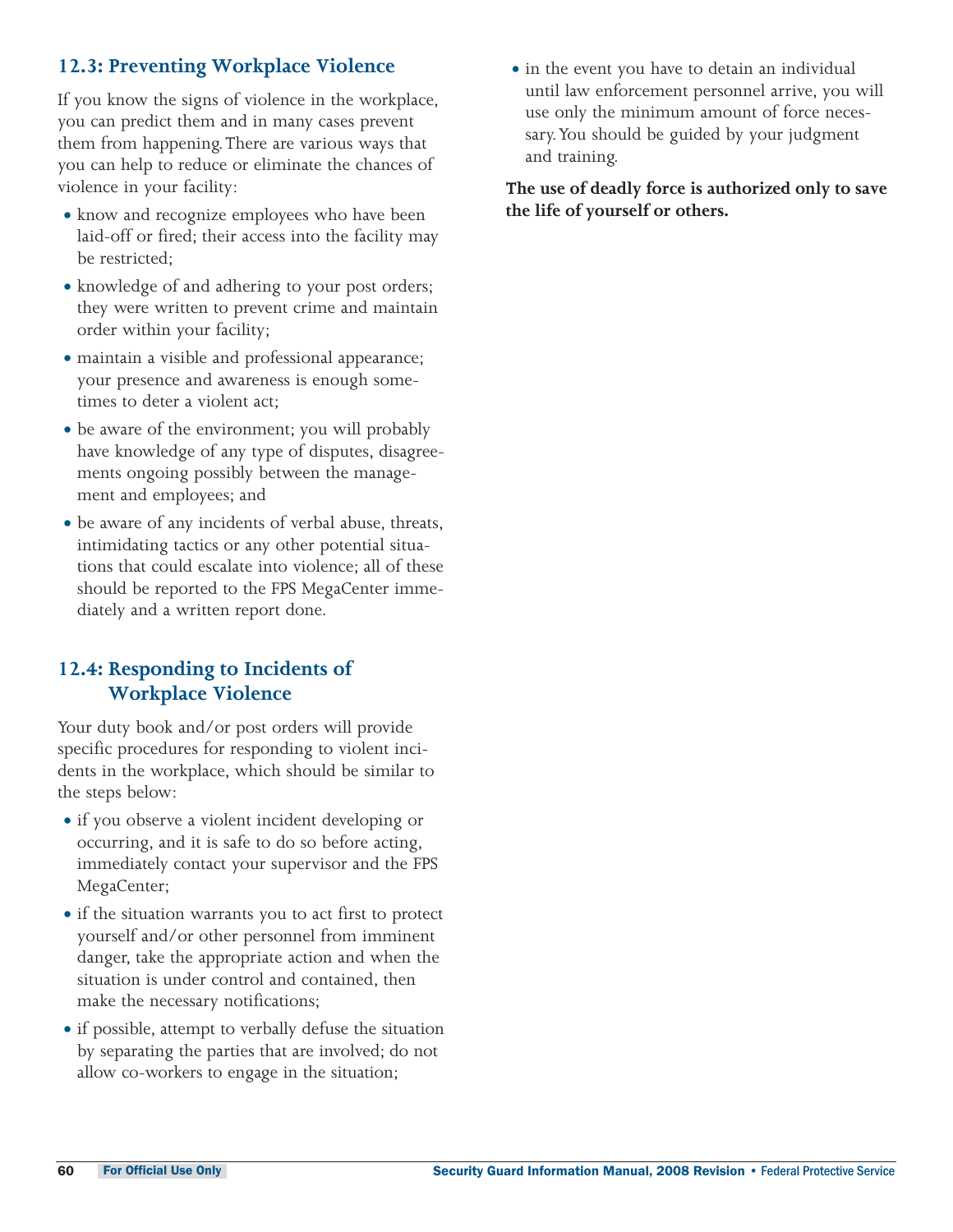# **12.3: Preventing Workplace Violence**

If you know the signs of violence in the workplace, you can predict them and in many cases prevent them from happening.There are various ways that you can help to reduce or eliminate the chances of violence in your facility:

- know and recognize employees who have been laid-off or fired; their access into the facility may be restricted;
- knowledge of and adhering to your post orders; they were written to prevent crime and maintain order within your facility;
- maintain a visible and professional appearance; your presence and awareness is enough sometimes to deter a violent act;
- be aware of the environment; you will probably have knowledge of any type of disputes, disagreements ongoing possibly between the management and employees; and
- be aware of any incidents of verbal abuse, threats, intimidating tactics or any other potential situations that could escalate into violence; all of these should be reported to the FPS MegaCenter immediately and a written report done.

## **12.4: Responding to Incidents of Workplace Violence**

Your duty book and/or post orders will provide specific procedures for responding to violent incidents in the workplace, which should be similar to the steps below:

- if you observe a violent incident developing or occurring, and it is safe to do so before acting, immediately contact your supervisor and the FPS MegaCenter;
- if the situation warrants you to act first to protect yourself and/or other personnel from imminent danger, take the appropriate action and when the situation is under control and contained, then make the necessary notifications;
- if possible, attempt to verbally defuse the situation by separating the parties that are involved; do not allow co-workers to engage in the situation;

• in the event you have to detain an individual until law enforcement personnel arrive, you will use only the minimum amount of force necessary.You should be guided by your judgment and training.

**The use of deadly force is authorized only to save the life of yourself or others.**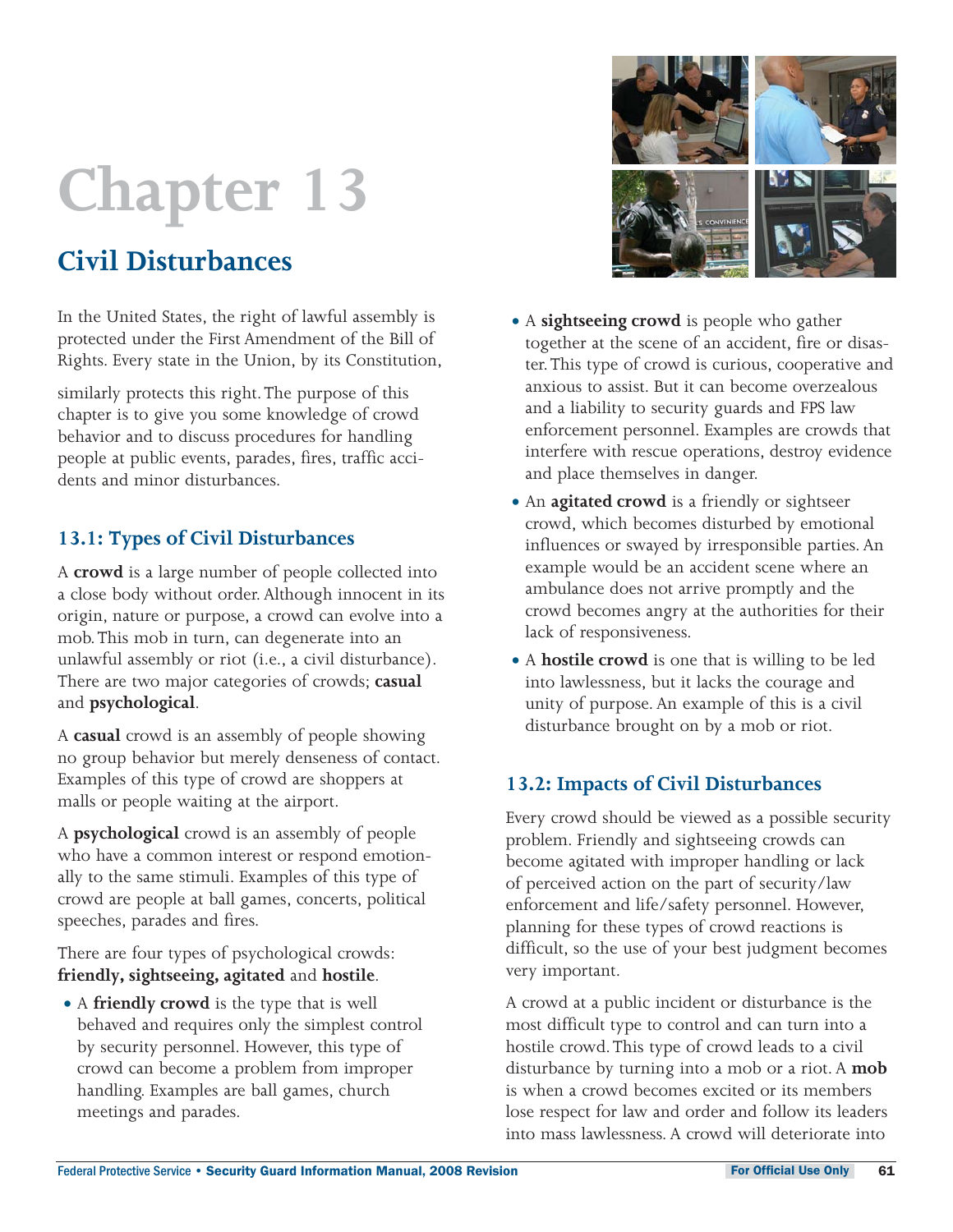# **Civil Disturbances**

In the United States, the right of lawful assembly is protected under the First Amendment of the Bill of Rights. Every state in the Union, by its Constitution,

similarly protects this right. The purpose of this chapter is to give you some knowledge of crowd behavior and to discuss procedures for handling people at public events, parades, fires, traffic accidents and minor disturbances.

# **13.1: Types of Civil Disturbances**

A **crowd** is a large number of people collected into a close body without order. Although innocent in its origin, nature or purpose, a crowd can evolve into a mob.This mob in turn, can degenerate into an unlawful assembly or riot (i.e., a civil disturbance). There are two major categories of crowds; **casual** and **psychological**.

A **casual** crowd is an assembly of people showing no group behavior but merely denseness of contact. Examples of this type of crowd are shoppers at malls or people waiting at the airport.

A **psychological** crowd is an assembly of people who have a common interest or respond emotionally to the same stimuli. Examples of this type of crowd are people at ball games, concerts, political speeches, parades and fires.

There are four types of psychological crowds: **friendly, sightseeing, agitated** and **hostile**.

• A **friendly crowd** is the type that is well behaved and requires only the simplest control by security personnel. However, this type of crowd can become a problem from improper handling. Examples are ball games, church meetings and parades.



- A **sightseeing crowd** is people who gather together at the scene of an accident, fire or disaster.This type of crowd is curious, cooperative and anxious to assist. But it can become overzealous and a liability to security guards and FPS law enforcement personnel. Examples are crowds that interfere with rescue operations, destroy evidence and place themselves in danger.
- An **agitated crowd** is a friendly or sightseer crowd, which becomes disturbed by emotional influences or swayed by irresponsible parties. An example would be an accident scene where an ambulance does not arrive promptly and the crowd becomes angry at the authorities for their lack of responsiveness.
- A **hostile crowd** is one that is willing to be led into lawlessness, but it lacks the courage and unity of purpose. An example of this is a civil disturbance brought on by a mob or riot.

# **13.2: Impacts of Civil Disturbances**

Every crowd should be viewed as a possible security problem. Friendly and sightseeing crowds can become agitated with improper handling or lack of perceived action on the part of security/law enforcement and life/safety personnel. However, planning for these types of crowd reactions is difficult, so the use of your best judgment becomes very important.

A crowd at a public incident or disturbance is the most difficult type to control and can turn into a hostile crowd.This type of crowd leads to a civil disturbance by turning into a mob or a riot. A **mob** is when a crowd becomes excited or its members lose respect for law and order and follow its leaders into mass lawlessness. A crowd will deteriorate into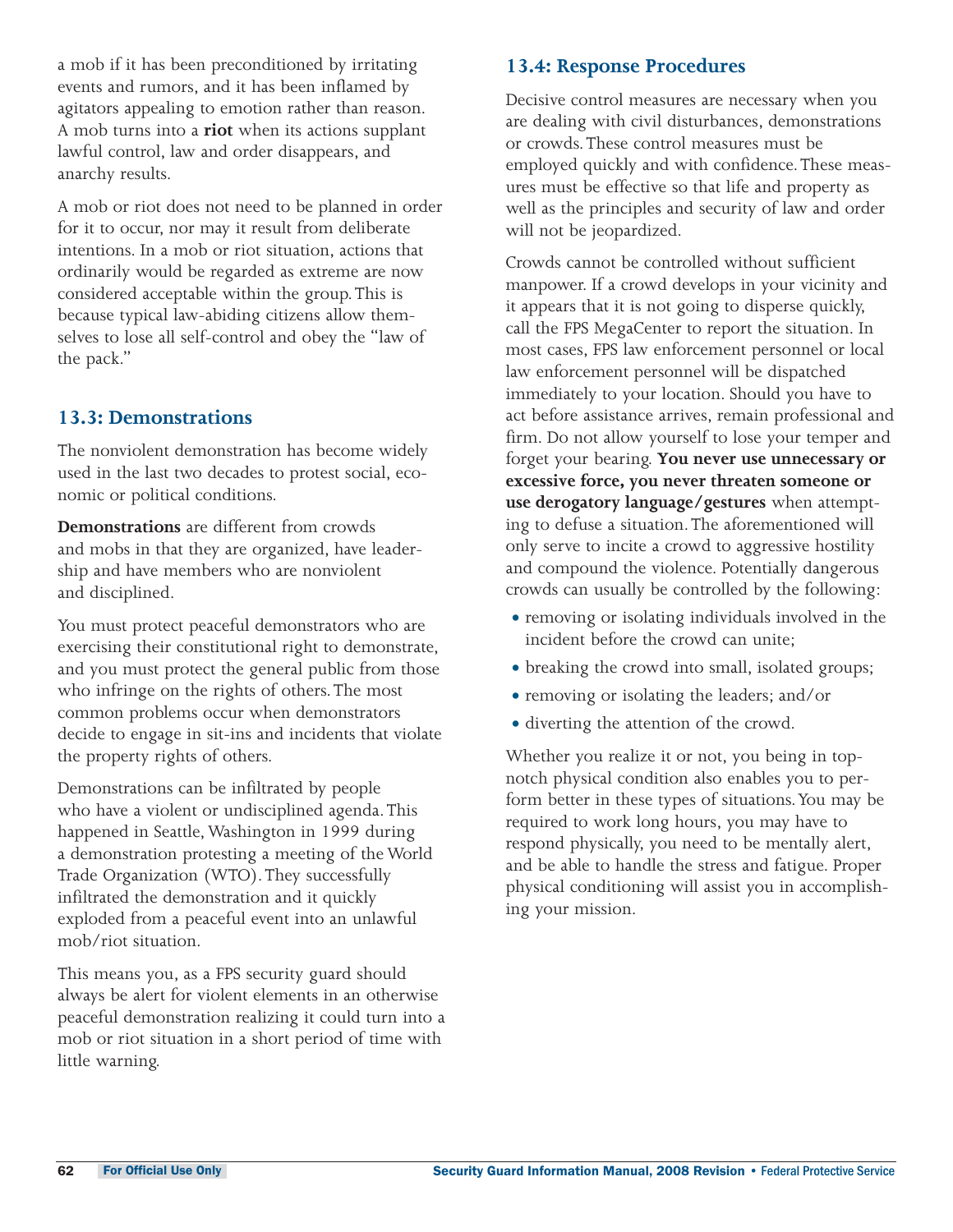a mob if it has been preconditioned by irritating events and rumors, and it has been inflamed by agitators appealing to emotion rather than reason. A mob turns into a **riot** when its actions supplant lawful control, law and order disappears, and anarchy results.

A mob or riot does not need to be planned in order for it to occur, nor may it result from deliberate intentions. In a mob or riot situation, actions that ordinarily would be regarded as extreme are now considered acceptable within the group.This is because typical law-abiding citizens allow themselves to lose all self-control and obey the "law of the pack."

#### **13.3: Demonstrations**

The nonviolent demonstration has become widely used in the last two decades to protest social, economic or political conditions.

**Demonstrations** are different from crowds and mobs in that they are organized, have leadership and have members who are nonviolent and disciplined.

You must protect peaceful demonstrators who are exercising their constitutional right to demonstrate, and you must protect the general public from those who infringe on the rights of others.The most common problems occur when demonstrators decide to engage in sit-ins and incidents that violate the property rights of others.

Demonstrations can be infiltrated by people who have a violent or undisciplined agenda.This happened in Seattle, Washington in 1999 during a demonstration protesting a meeting of the World Trade Organization (WTO).They successfully infiltrated the demonstration and it quickly exploded from a peaceful event into an unlawful mob/riot situation.

This means you, as a FPS security guard should always be alert for violent elements in an otherwise peaceful demonstration realizing it could turn into a mob or riot situation in a short period of time with little warning.

### **13.4: Response Procedures**

Decisive control measures are necessary when you are dealing with civil disturbances, demonstrations or crowds.These control measures must be employed quickly and with confidence.These measures must be effective so that life and property as well as the principles and security of law and order will not be jeopardized.

Crowds cannot be controlled without sufficient manpower. If a crowd develops in your vicinity and it appears that it is not going to disperse quickly, call the FPS MegaCenter to report the situation. In most cases, FPS law enforcement personnel or local law enforcement personnel will be dispatched immediately to your location. Should you have to act before assistance arrives, remain professional and firm. Do not allow yourself to lose your temper and forget your bearing. **You never use unnecessary or excessive force, you never threaten someone or use derogatory language/gestures** when attempting to defuse a situation.The aforementioned will only serve to incite a crowd to aggressive hostility and compound the violence. Potentially dangerous crowds can usually be controlled by the following:

- removing or isolating individuals involved in the incident before the crowd can unite;
- breaking the crowd into small, isolated groups;
- removing or isolating the leaders; and/or
- diverting the attention of the crowd.

Whether you realize it or not, you being in topnotch physical condition also enables you to perform better in these types of situations.You may be required to work long hours, you may have to respond physically, you need to be mentally alert, and be able to handle the stress and fatigue. Proper physical conditioning will assist you in accomplishing your mission.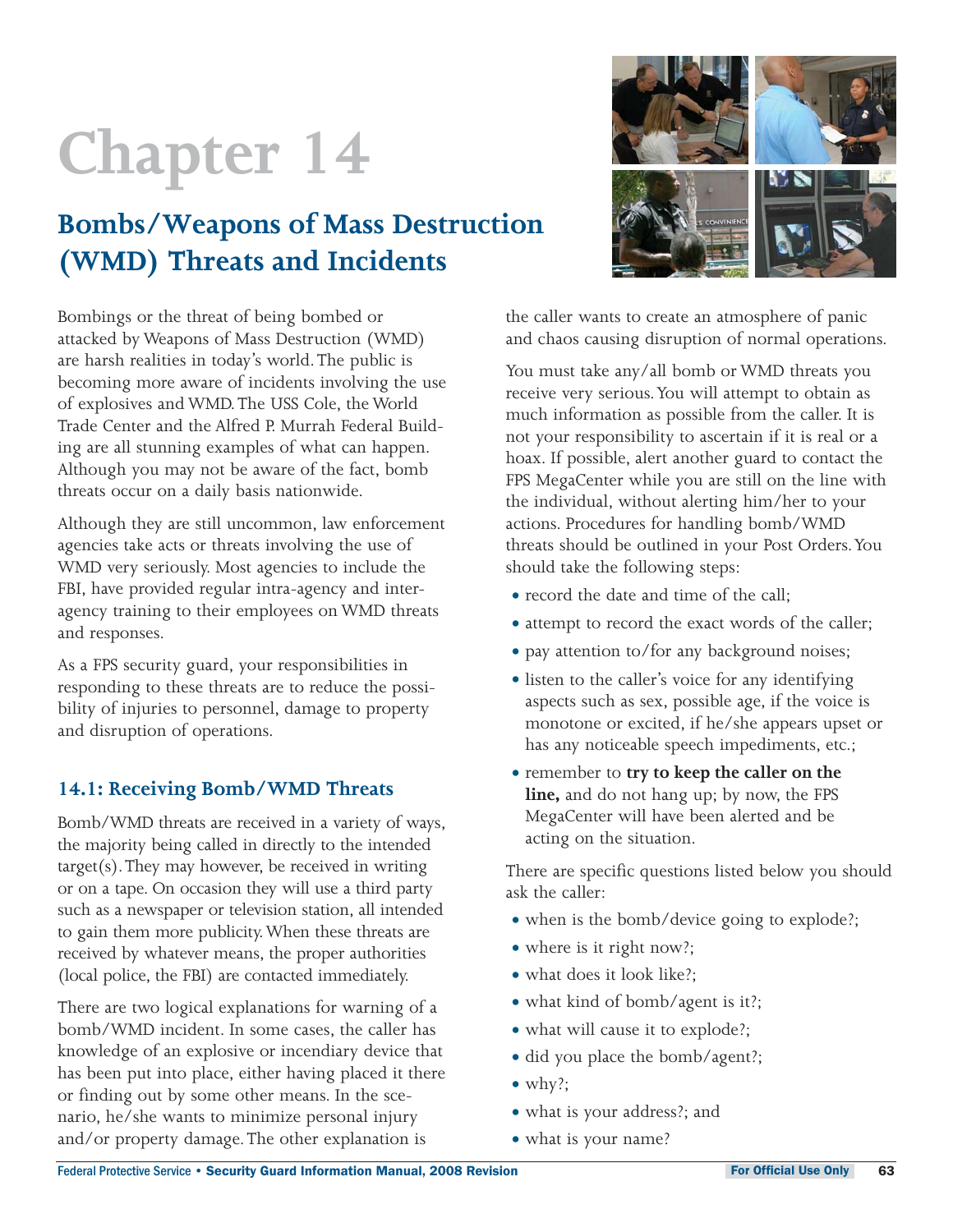# **Bombs/Weapons of Mass Destruction (WMD) Threats and Incidents**

Bombings or the threat of being bombed or attacked by Weapons of Mass Destruction (WMD) are harsh realities in today's world. The public is becoming more aware of incidents involving the use of explosives and WMD.The USS Cole, the World Trade Center and the Alfred P. Murrah Federal Building are all stunning examples of what can happen. Although you may not be aware of the fact, bomb threats occur on a daily basis nationwide.

Although they are still uncommon, law enforcement agencies take acts or threats involving the use of WMD very seriously. Most agencies to include the FBI, have provided regular intra-agency and interagency training to their employees on WMD threats and responses.

As a FPS security guard, your responsibilities in responding to these threats are to reduce the possibility of injuries to personnel, damage to property and disruption of operations.

### **14.1: Receiving Bomb/WMD Threats**

Bomb/WMD threats are received in a variety of ways, the majority being called in directly to the intended  $target(s)$ . They may however, be received in writing or on a tape. On occasion they will use a third party such as a newspaper or television station, all intended to gain them more publicity.When these threats are received by whatever means, the proper authorities (local police, the FBI) are contacted immediately.

There are two logical explanations for warning of a bomb/WMD incident. In some cases, the caller has knowledge of an explosive or incendiary device that has been put into place, either having placed it there or finding out by some other means. In the scenario, he/she wants to minimize personal injury and/or property damage.The other explanation is



the caller wants to create an atmosphere of panic and chaos causing disruption of normal operations.

You must take any/all bomb or WMD threats you receive very serious.You will attempt to obtain as much information as possible from the caller. It is not your responsibility to ascertain if it is real or a hoax. If possible, alert another guard to contact the FPS MegaCenter while you are still on the line with the individual, without alerting him/her to your actions. Procedures for handling bomb/WMD threats should be outlined in your Post Orders.You should take the following steps:

- record the date and time of the call:
- attempt to record the exact words of the caller;
- pay attention to/for any background noises;
- listen to the caller's voice for any identifying aspects such as sex, possible age, if the voice is monotone or excited, if he/she appears upset or has any noticeable speech impediments, etc.;
- **remember to try to keep the caller on the line,** and do not hang up; by now, the FPS MegaCenter will have been alerted and be acting on the situation.

There are specific questions listed below you should ask the caller:

- when is the bomb/device going to explode?;
- where is it right now?;
- what does it look like?;
- what kind of bomb/agent is it?;
- what will cause it to explode?;
- did you place the bomb/agent?;
- $\bullet$  why?;
- what is your address?; and
- what is your name?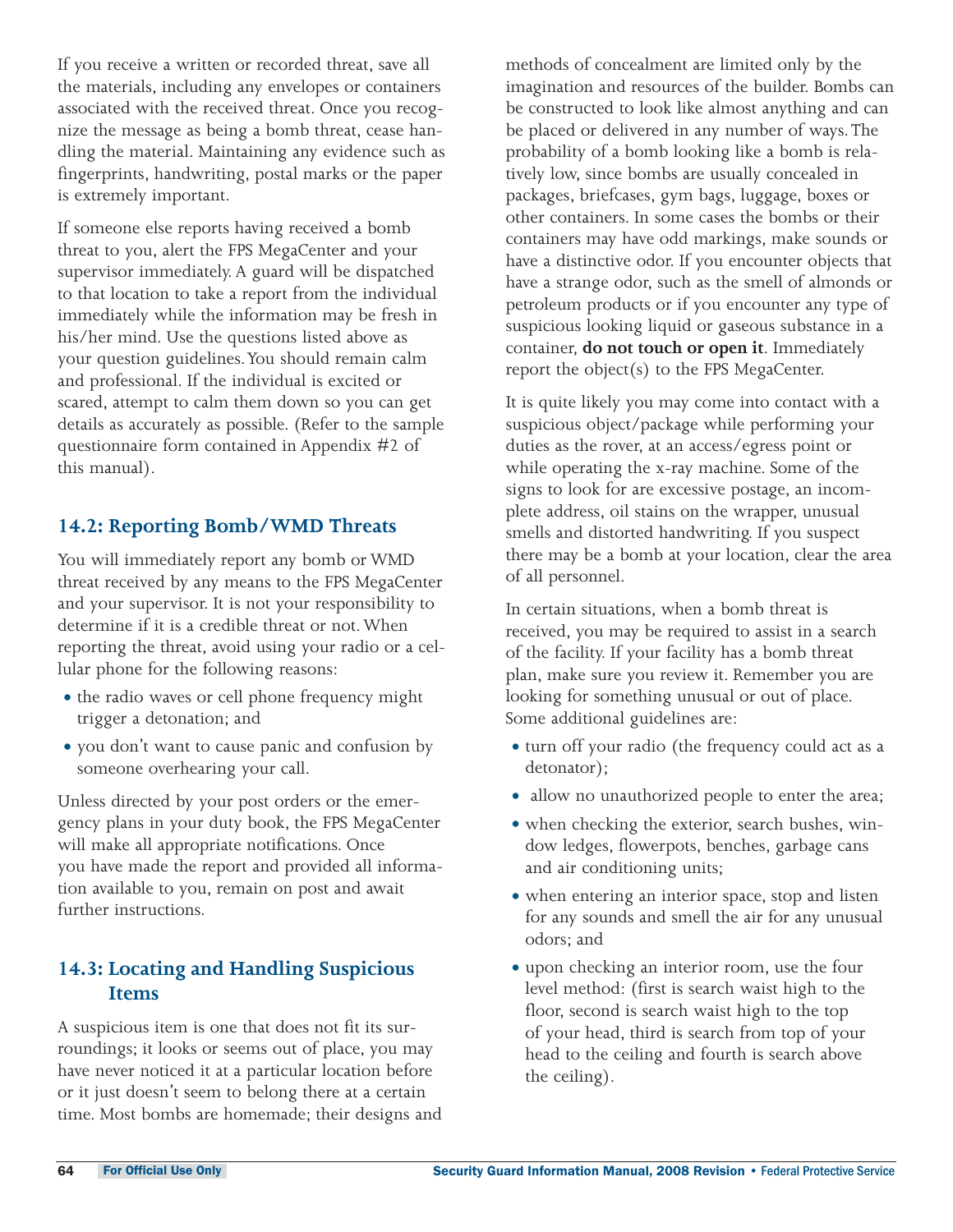If you receive a written or recorded threat, save all the materials, including any envelopes or containers associated with the received threat. Once you recognize the message as being a bomb threat, cease handling the material. Maintaining any evidence such as fingerprints, handwriting, postal marks or the paper is extremely important.

If someone else reports having received a bomb threat to you, alert the FPS MegaCenter and your supervisor immediately. A guard will be dispatched to that location to take a report from the individual immediately while the information may be fresh in his/her mind. Use the questions listed above as your question guidelines.You should remain calm and professional. If the individual is excited or scared, attempt to calm them down so you can get details as accurately as possible. (Refer to the sample questionnaire form contained in Appendix #2 of this manual).

## **14.2: Reporting Bomb/WMD Threats**

You will immediately report any bomb or WMD threat received by any means to the FPS MegaCenter and your supervisor. It is not your responsibility to determine if it is a credible threat or not. When reporting the threat, avoid using your radio or a cellular phone for the following reasons:

- the radio waves or cell phone frequency might trigger a detonation; and
- you don't want to cause panic and confusion by someone overhearing your call.

Unless directed by your post orders or the emergency plans in your duty book, the FPS MegaCenter will make all appropriate notifications. Once you have made the report and provided all information available to you, remain on post and await further instructions.

## **14.3: Locating and Handling Suspicious Items**

A suspicious item is one that does not fit its surroundings; it looks or seems out of place, you may have never noticed it at a particular location before or it just doesn't seem to belong there at a certain time. Most bombs are homemade; their designs and methods of concealment are limited only by the imagination and resources of the builder. Bombs can be constructed to look like almost anything and can be placed or delivered in any number of ways.The probability of a bomb looking like a bomb is relatively low, since bombs are usually concealed in packages, briefcases, gym bags, luggage, boxes or other containers. In some cases the bombs or their containers may have odd markings, make sounds or have a distinctive odor. If you encounter objects that have a strange odor, such as the smell of almonds or petroleum products or if you encounter any type of suspicious looking liquid or gaseous substance in a container, **do not touch or open it**. Immediately report the object(s) to the FPS MegaCenter.

It is quite likely you may come into contact with a suspicious object/package while performing your duties as the rover, at an access/egress point or while operating the x-ray machine. Some of the signs to look for are excessive postage, an incomplete address, oil stains on the wrapper, unusual smells and distorted handwriting. If you suspect there may be a bomb at your location, clear the area of all personnel.

In certain situations, when a bomb threat is received, you may be required to assist in a search of the facility. If your facility has a bomb threat plan, make sure you review it. Remember you are looking for something unusual or out of place. Some additional guidelines are:

- turn off your radio (the frequency could act as a detonator);
- allow no unauthorized people to enter the area;
- when checking the exterior, search bushes, window ledges, flowerpots, benches, garbage cans and air conditioning units;
- when entering an interior space, stop and listen for any sounds and smell the air for any unusual odors; and
- upon checking an interior room, use the four level method: (first is search waist high to the floor, second is search waist high to the top of your head, third is search from top of your head to the ceiling and fourth is search above the ceiling).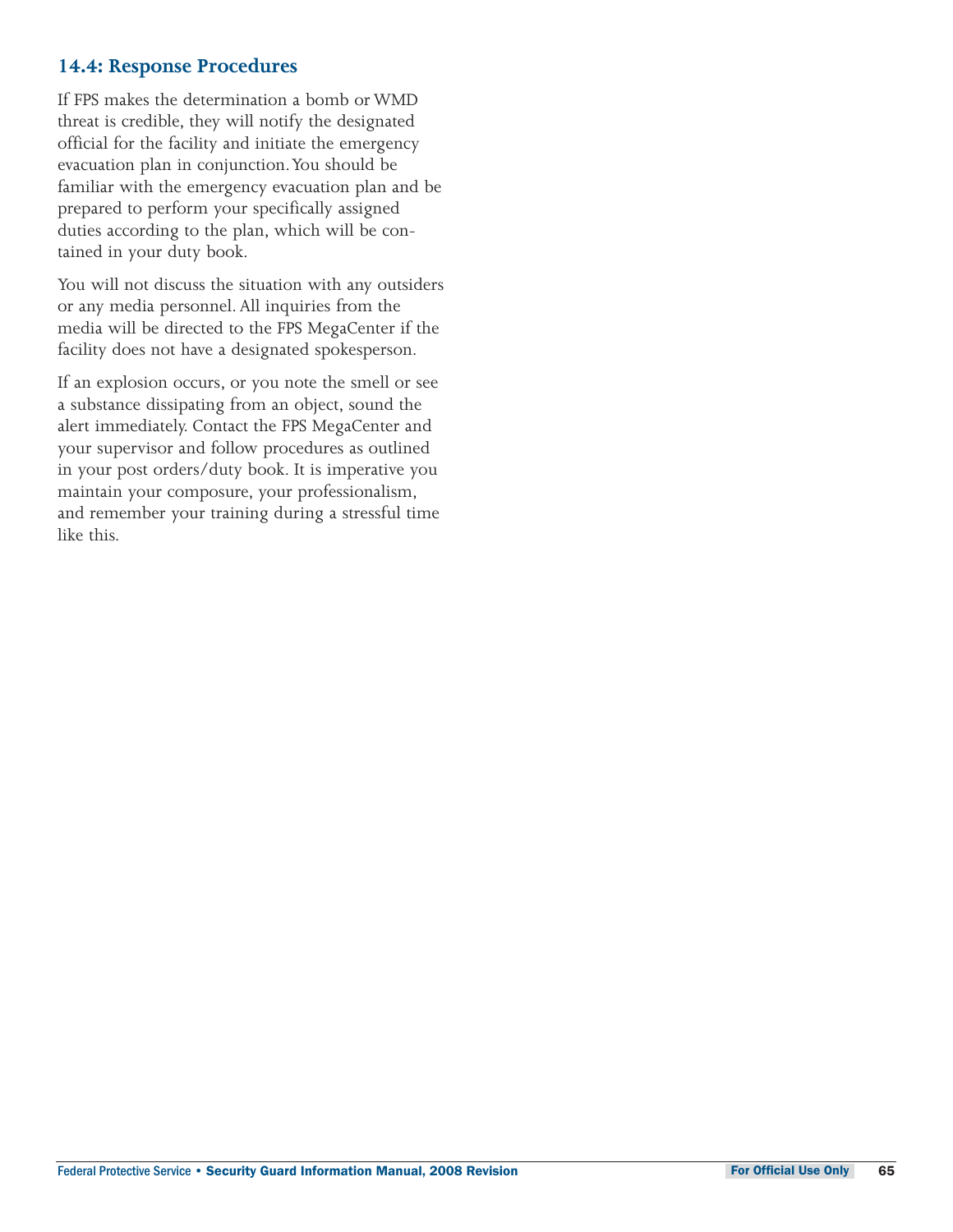#### **14.4: Response Procedures**

If FPS makes the determination a bomb or WMD threat is credible, they will notify the designated official for the facility and initiate the emergency evacuation plan in conjunction.You should be familiar with the emergency evacuation plan and be prepared to perform your specifically assigned duties according to the plan, which will be contained in your duty book.

You will not discuss the situation with any outsiders or any media personnel. All inquiries from the media will be directed to the FPS MegaCenter if the facility does not have a designated spokesperson.

If an explosion occurs, or you note the smell or see a substance dissipating from an object, sound the alert immediately. Contact the FPS MegaCenter and your supervisor and follow procedures as outlined in your post orders/duty book. It is imperative you maintain your composure, your professionalism, and remember your training during a stressful time like this.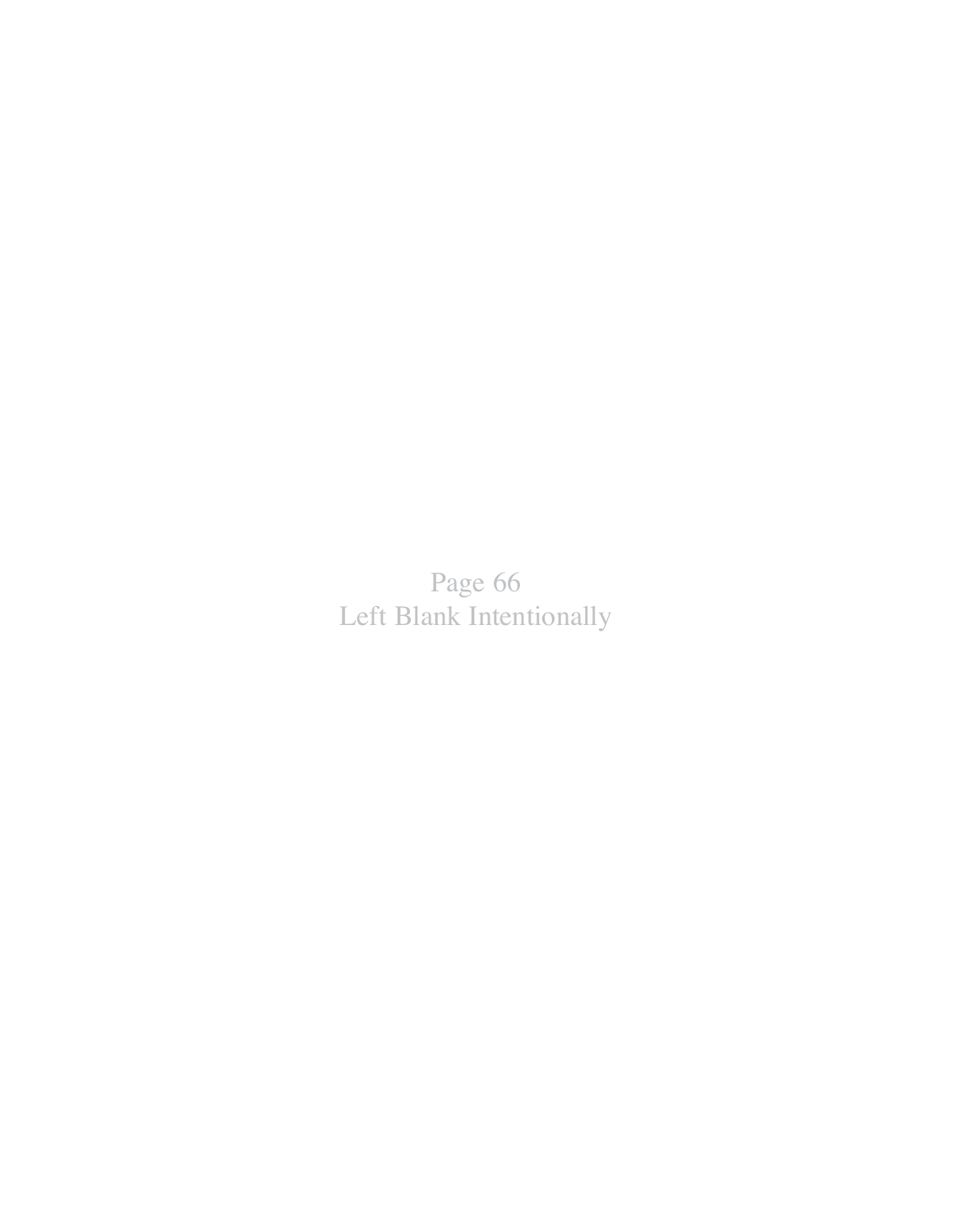Page 66 Left Blank Intentionally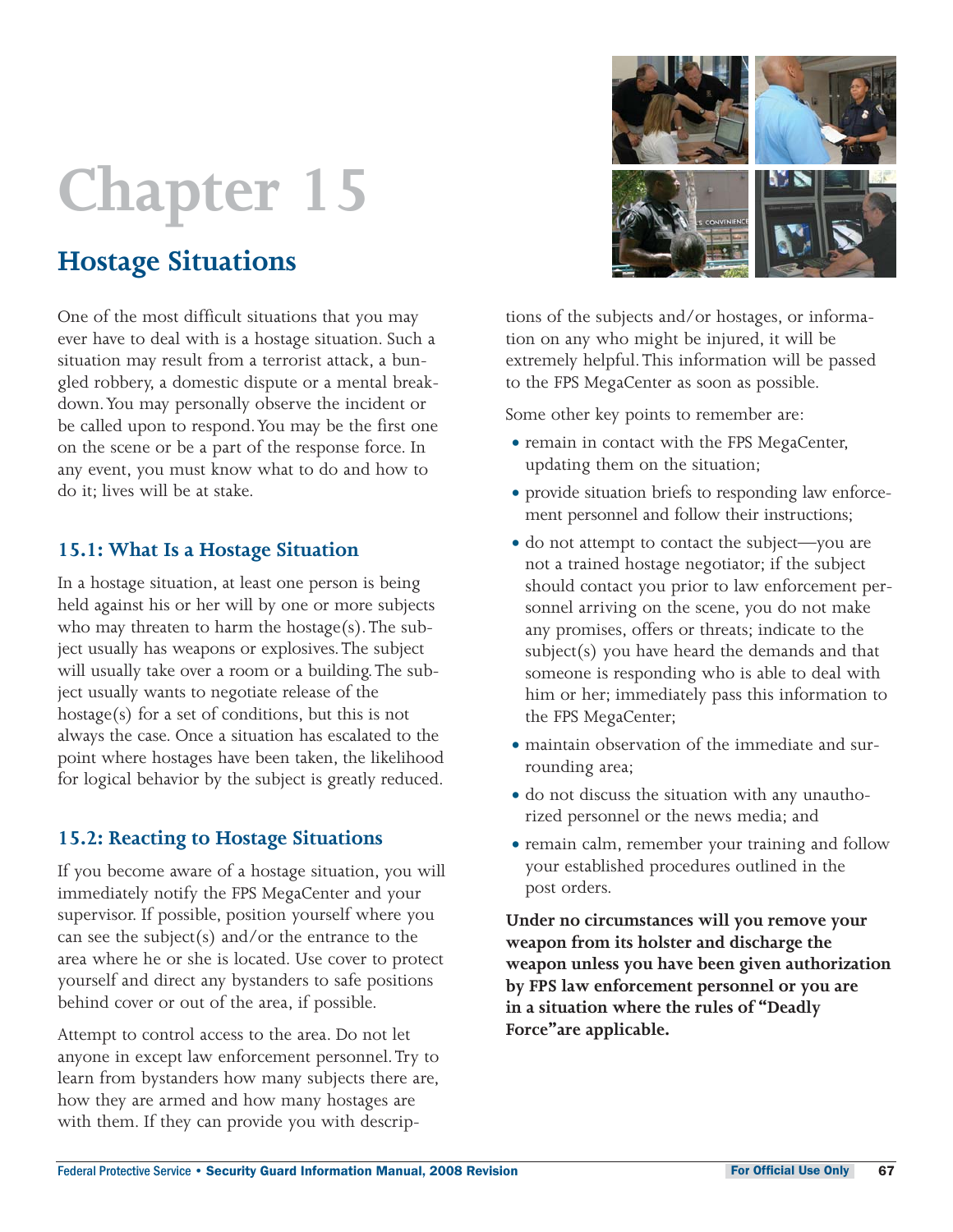# **Chapter 15**

# **Hostage Situations**

One of the most difficult situations that you may ever have to deal with is a hostage situation. Such a situation may result from a terrorist attack, a bungled robbery, a domestic dispute or a mental breakdown.You may personally observe the incident or be called upon to respond.You may be the first one on the scene or be a part of the response force. In any event, you must know what to do and how to do it; lives will be at stake.

## **15.1: What Is a Hostage Situation**

In a hostage situation, at least one person is being held against his or her will by one or more subjects who may threaten to harm the hostage(s). The subject usually has weapons or explosives.The subject will usually take over a room or a building.The subject usually wants to negotiate release of the hostage(s) for a set of conditions, but this is not always the case. Once a situation has escalated to the point where hostages have been taken, the likelihood for logical behavior by the subject is greatly reduced.

# **15.2: Reacting to Hostage Situations**

If you become aware of a hostage situation, you will immediately notify the FPS MegaCenter and your supervisor. If possible, position yourself where you can see the subject(s) and/or the entrance to the area where he or she is located. Use cover to protect yourself and direct any bystanders to safe positions behind cover or out of the area, if possible.

Attempt to control access to the area. Do not let anyone in except law enforcement personnel.Try to learn from bystanders how many subjects there are, how they are armed and how many hostages are with them. If they can provide you with descrip-



tions of the subjects and/or hostages, or information on any who might be injured, it will be extremely helpful.This information will be passed to the FPS MegaCenter as soon as possible.

Some other key points to remember are:

- remain in contact with the FPS MegaCenter, updating them on the situation;
- provide situation briefs to responding law enforcement personnel and follow their instructions;
- do not attempt to contact the subject—you are not a trained hostage negotiator; if the subject should contact you prior to law enforcement personnel arriving on the scene, you do not make any promises, offers or threats; indicate to the subject(s) you have heard the demands and that someone is responding who is able to deal with him or her; immediately pass this information to the FPS MegaCenter;
- maintain observation of the immediate and surrounding area;
- $\bullet$  do not discuss the situation with any unauthorized personnel or the news media; and
- remain calm, remember your training and follow your established procedures outlined in the post orders.

**Under no circumstances will you remove your weapon from its holster and discharge the weapon unless you have been given authorization by FPS law enforcement personnel or you are**  in a situation where the rules of "Deadly Force"are applicable.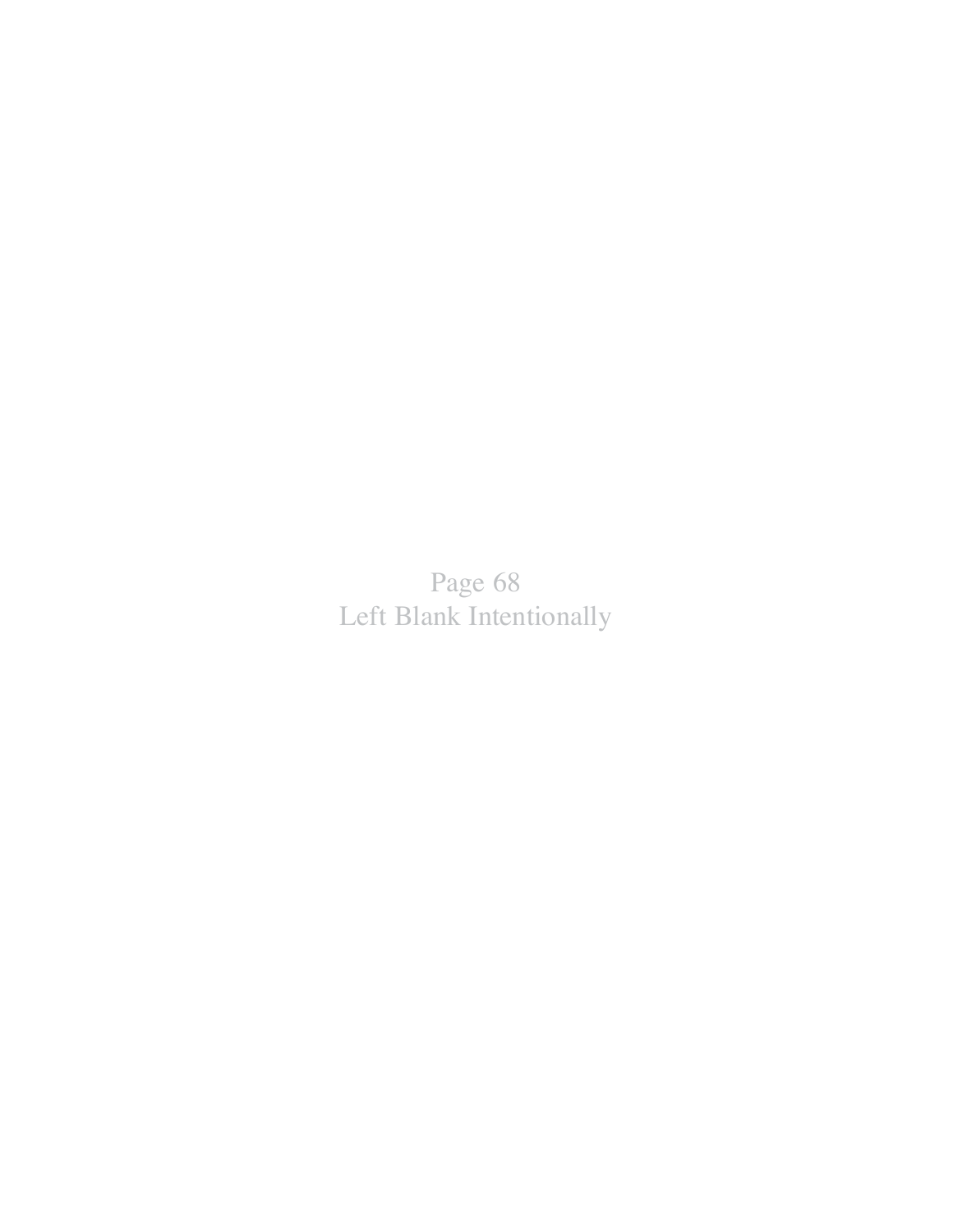Page 68 Left Blank Intentionally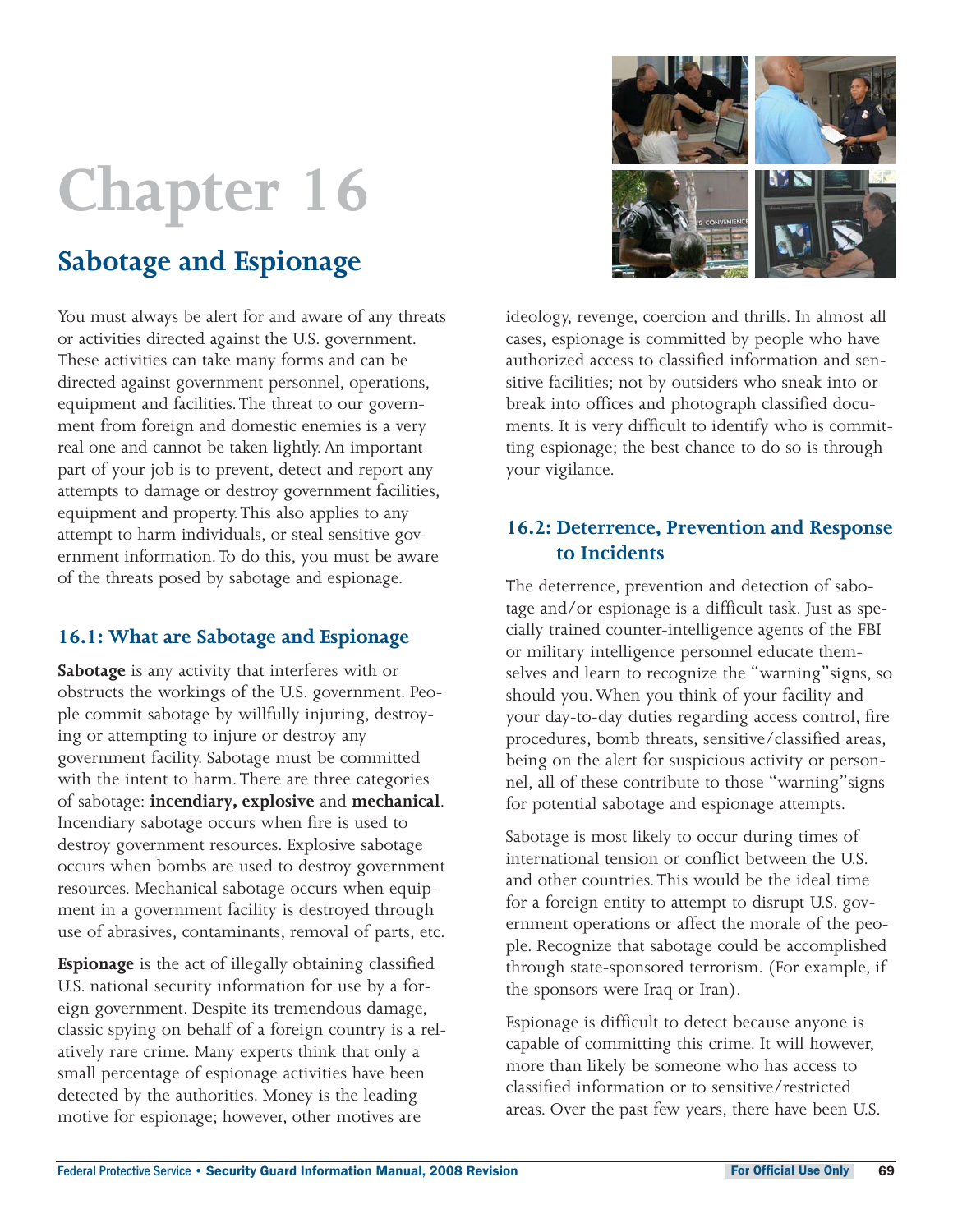# **Chapter 16**

# **Sabotage and Espionage**

You must always be alert for and aware of any threats or activities directed against the U.S. government. These activities can take many forms and can be directed against government personnel, operations, equipment and facilities.The threat to our government from foreign and domestic enemies is a very real one and cannot be taken lightly. An important part of your job is to prevent, detect and report any attempts to damage or destroy government facilities, equipment and property.This also applies to any attempt to harm individuals, or steal sensitive government information.To do this, you must be aware of the threats posed by sabotage and espionage.

## **16.1: What are Sabotage and Espionage**

**Sabotage** is any activity that interferes with or obstructs the workings of the U.S. government. People commit sabotage by willfully injuring, destroying or attempting to injure or destroy any government facility. Sabotage must be committed with the intent to harm.There are three categories of sabotage: **incendiary, explosive** and **mechanical**. Incendiary sabotage occurs when fire is used to destroy government resources. Explosive sabotage occurs when bombs are used to destroy government resources. Mechanical sabotage occurs when equipment in a government facility is destroyed through use of abrasives, contaminants, removal of parts, etc.

**Espionage** is the act of illegally obtaining classified U.S. national security information for use by a foreign government. Despite its tremendous damage, classic spying on behalf of a foreign country is a relatively rare crime. Many experts think that only a small percentage of espionage activities have been detected by the authorities. Money is the leading motive for espionage; however, other motives are

ideology, revenge, coercion and thrills. In almost all cases, espionage is committed by people who have authorized access to classified information and sensitive facilities; not by outsiders who sneak into or break into offices and photograph classified documents. It is very difficult to identify who is committing espionage; the best chance to do so is through your vigilance.

# **16.2: Deterrence, Prevention and Response to Incidents**

The deterrence, prevention and detection of sabotage and/or espionage is a difficult task. Just as specially trained counter-intelligence agents of the FBI or military intelligence personnel educate themselves and learn to recognize the "warning" signs, so should you. When you think of your facility and your day-to-day duties regarding access control, fire procedures, bomb threats, sensitive/classified areas, being on the alert for suspicious activity or personnel, all of these contribute to those "warning" signs for potential sabotage and espionage attempts.

Sabotage is most likely to occur during times of international tension or conflict between the U.S. and other countries.This would be the ideal time for a foreign entity to attempt to disrupt U.S. government operations or affect the morale of the people. Recognize that sabotage could be accomplished through state-sponsored terrorism. (For example, if the sponsors were Iraq or Iran).

Espionage is difficult to detect because anyone is capable of committing this crime. It will however, more than likely be someone who has access to classified information or to sensitive/restricted areas. Over the past few years, there have been U.S.

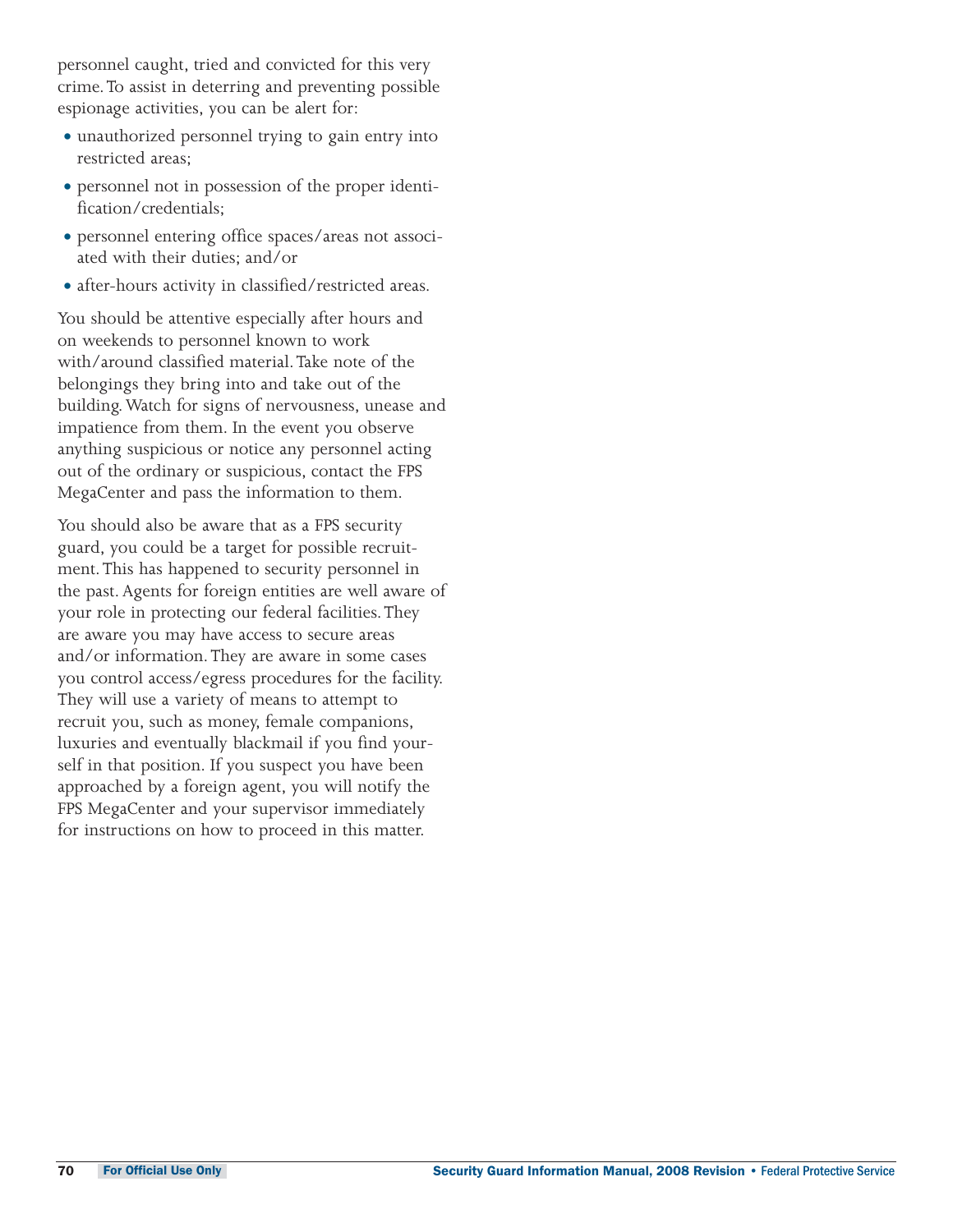personnel caught, tried and convicted for this very crime.To assist in deterring and preventing possible espionage activities, you can be alert for:

- unauthorized personnel trying to gain entry into restricted areas;
- personnel not in possession of the proper identification/credentials;
- personnel entering office spaces/areas not associated with their duties; and/or
- after-hours activity in classified/restricted areas.

You should be attentive especially after hours and on weekends to personnel known to work with/around classified material.Take note of the belongings they bring into and take out of the building. Watch for signs of nervousness, unease and impatience from them. In the event you observe anything suspicious or notice any personnel acting out of the ordinary or suspicious, contact the FPS MegaCenter and pass the information to them.

You should also be aware that as a FPS security guard, you could be a target for possible recruitment.This has happened to security personnel in the past. Agents for foreign entities are well aware of your role in protecting our federal facilities.They are aware you may have access to secure areas and/or information.They are aware in some cases you control access/egress procedures for the facility. They will use a variety of means to attempt to recruit you, such as money, female companions, luxuries and eventually blackmail if you find yourself in that position. If you suspect you have been approached by a foreign agent, you will notify the FPS MegaCenter and your supervisor immediately for instructions on how to proceed in this matter.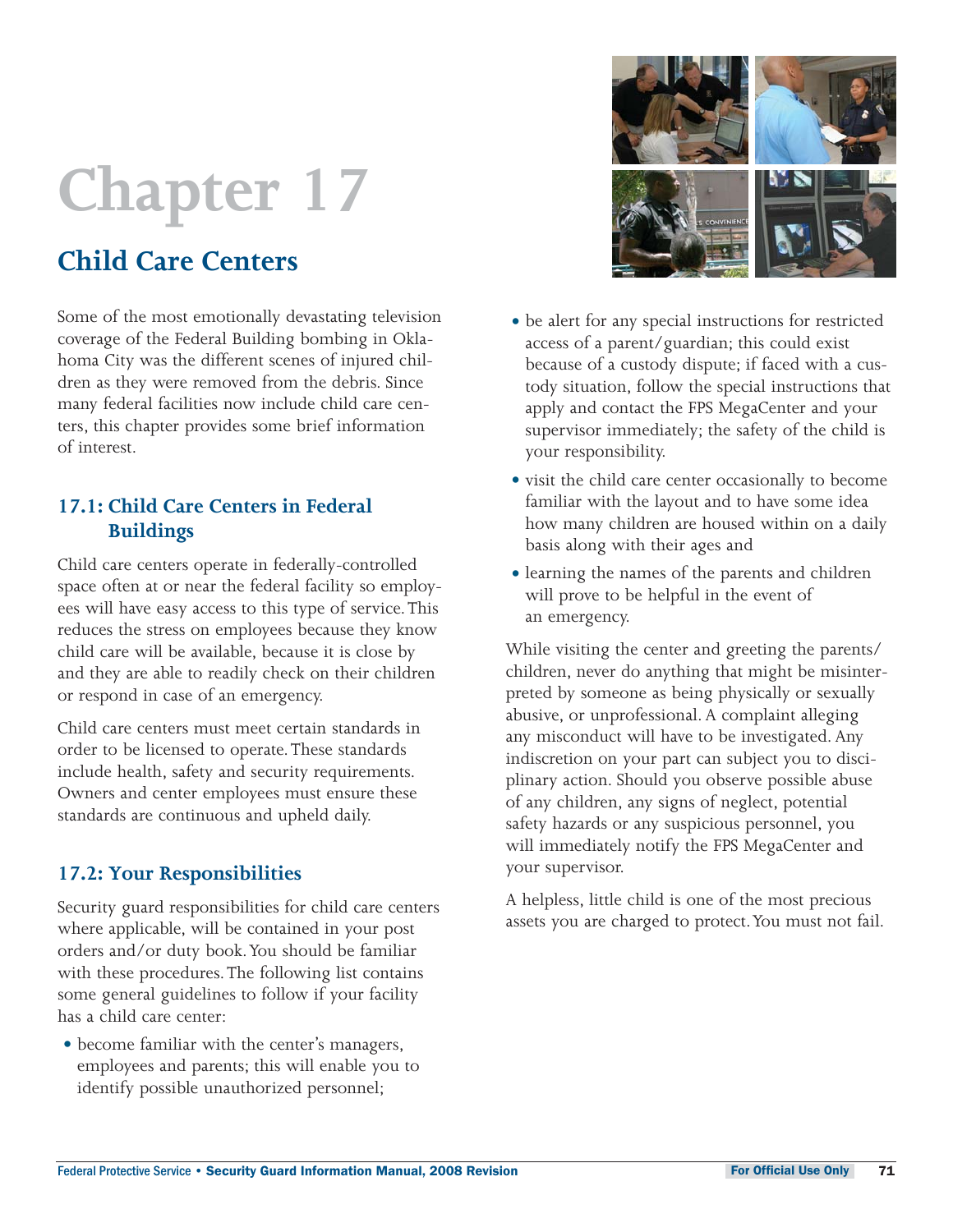**Chapter 17**

# **Child Care Centers**

Some of the most emotionally devastating television coverage of the Federal Building bombing in Oklahoma City was the different scenes of injured children as they were removed from the debris. Since many federal facilities now include child care centers, this chapter provides some brief information of interest.

# **17.1: Child Care Centers in Federal Buildings**

Child care centers operate in federally-controlled space often at or near the federal facility so employees will have easy access to this type of service.This reduces the stress on employees because they know child care will be available, because it is close by and they are able to readily check on their children or respond in case of an emergency.

Child care centers must meet certain standards in order to be licensed to operate.These standards include health, safety and security requirements. Owners and center employees must ensure these standards are continuous and upheld daily.

# **17.2: Your Responsibilities**

Security guard responsibilities for child care centers where applicable, will be contained in your post orders and/or duty book.You should be familiar with these procedures.The following list contains some general guidelines to follow if your facility has a child care center:

• become familiar with the center's managers, employees and parents; this will enable you to identify possible unauthorized personnel;



- be alert for any special instructions for restricted access of a parent/guardian; this could exist because of a custody dispute; if faced with a custody situation, follow the special instructions that apply and contact the FPS MegaCenter and your supervisor immediately; the safety of the child is your responsibility.
- visit the child care center occasionally to become familiar with the layout and to have some idea how many children are housed within on a daily basis along with their ages and
- learning the names of the parents and children will prove to be helpful in the event of an emergency.

While visiting the center and greeting the parents/ children, never do anything that might be misinterpreted by someone as being physically or sexually abusive, or unprofessional. A complaint alleging any misconduct will have to be investigated. Any indiscretion on your part can subject you to disciplinary action. Should you observe possible abuse of any children, any signs of neglect, potential safety hazards or any suspicious personnel, you will immediately notify the FPS MegaCenter and your supervisor.

A helpless, little child is one of the most precious assets you are charged to protect.You must not fail.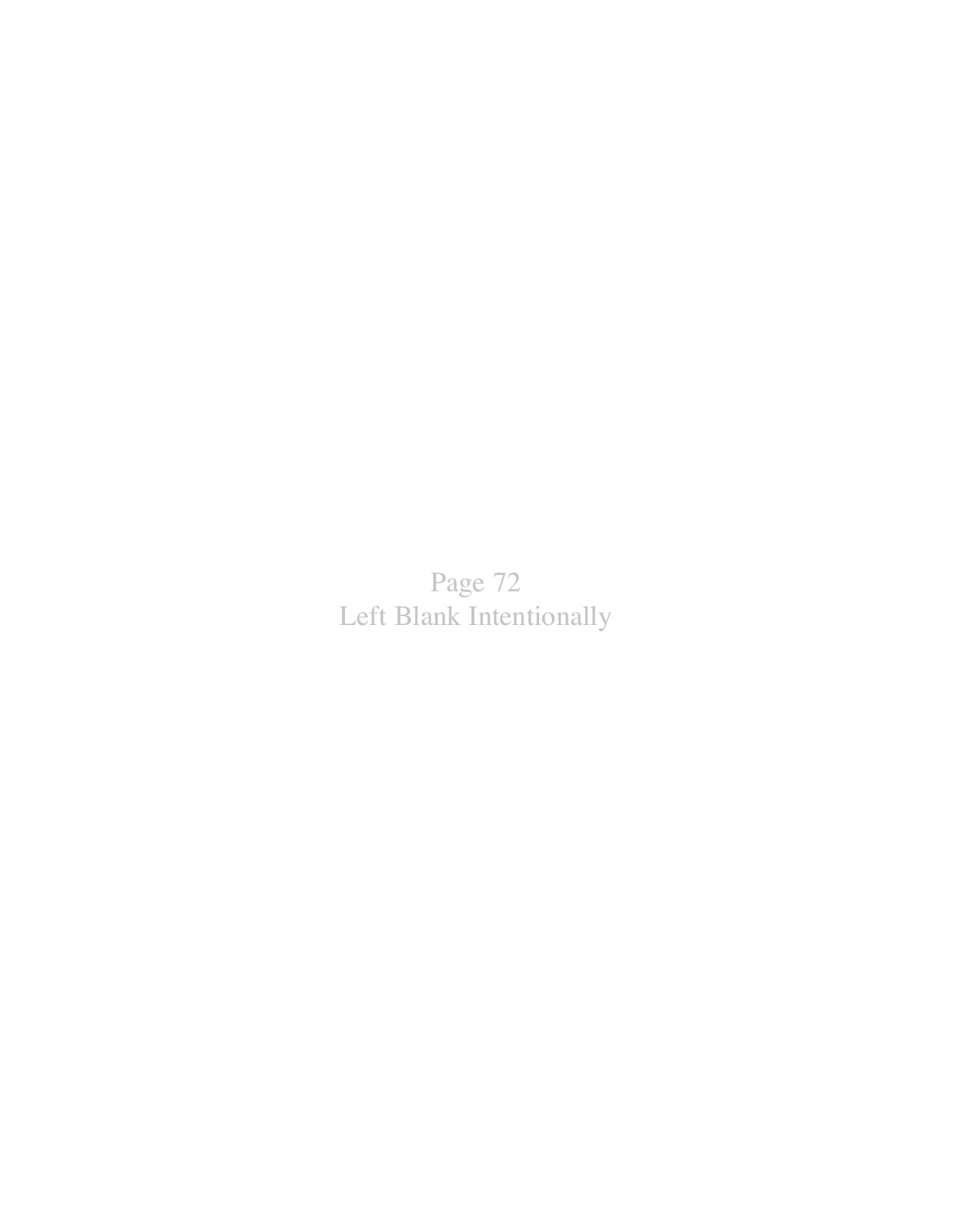Page 72 Left Blank Intentionally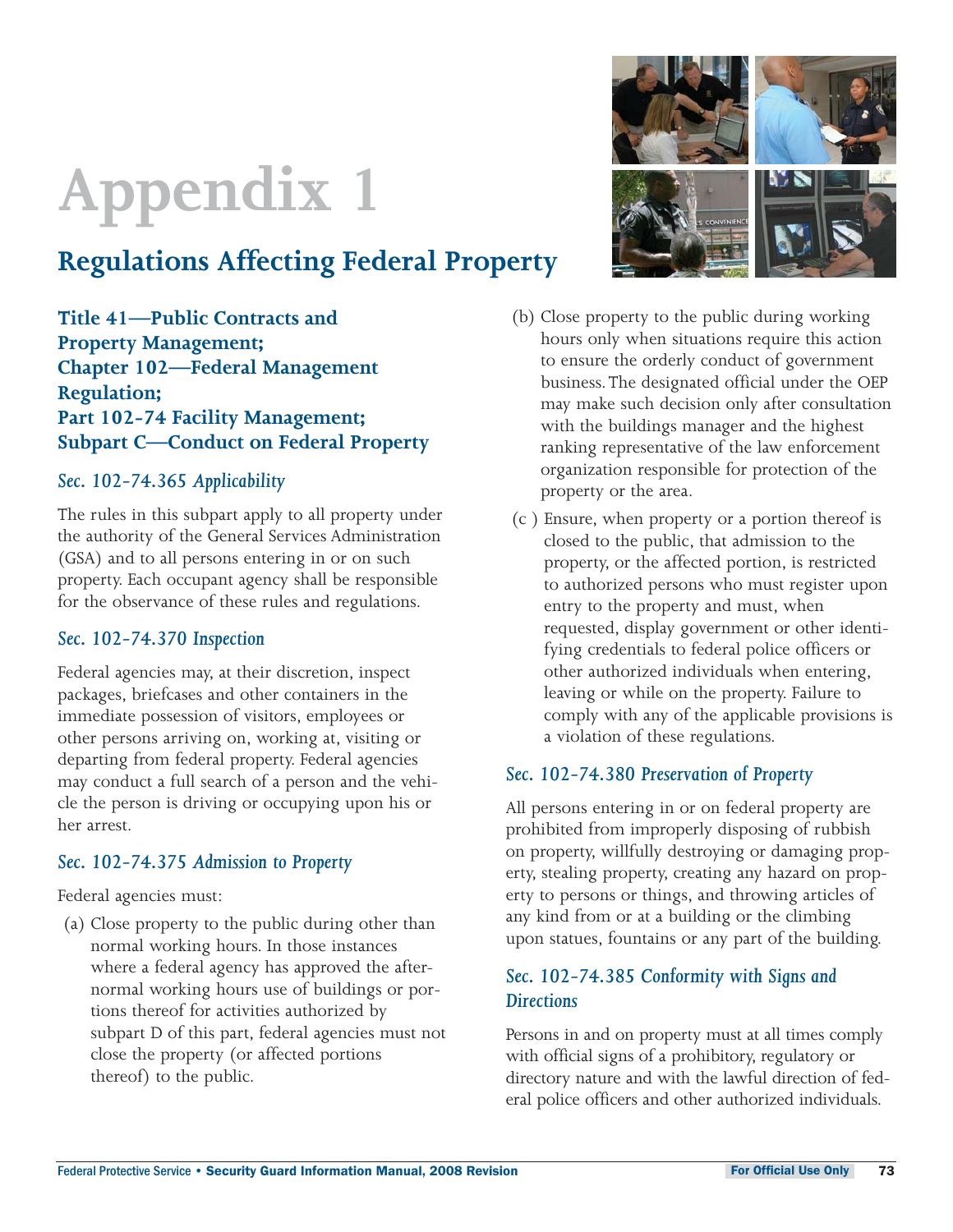# **Appendix 1**

# **Regulations Affecting Federal Property**

**Title 41-Public Contracts and Property Management; Chapter 102-Federal Management Regulation; Part 102-74 Facility Management; Subpart C-Conduct on Federal Property** 

## *Sec. 102-74.365 Applicability*

The rules in this subpart apply to all property under the authority of the General Services Administration (GSA) and to all persons entering in or on such property. Each occupant agency shall be responsible for the observance of these rules and regulations.

#### *Sec. 102-74.370 Inspection*

Federal agencies may, at their discretion, inspect packages, briefcases and other containers in the immediate possession of visitors, employees or other persons arriving on, working at, visiting or departing from federal property. Federal agencies may conduct a full search of a person and the vehicle the person is driving or occupying upon his or her arrest.

## *Sec. 102-74.375 Admission to Property*

Federal agencies must:

(a) Close property to the public during other than normal working hours. In those instances where a federal agency has approved the afternormal working hours use of buildings or portions thereof for activities authorized by subpart D of this part, federal agencies must not close the property (or affected portions thereof) to the public.



- (b) Close property to the public during working hours only when situations require this action to ensure the orderly conduct of government business.The designated official under the OEP may make such decision only after consultation with the buildings manager and the highest ranking representative of the law enforcement organization responsible for protection of the property or the area.
- (c ) Ensure, when property or a portion thereof is closed to the public, that admission to the property, or the affected portion, is restricted to authorized persons who must register upon entry to the property and must, when requested, display government or other identifying credentials to federal police officers or other authorized individuals when entering, leaving or while on the property. Failure to comply with any of the applicable provisions is a violation of these regulations.

## *Sec. 102-74.380 Preservation of Property*

All persons entering in or on federal property are prohibited from improperly disposing of rubbish on property, willfully destroying or damaging property, stealing property, creating any hazard on property to persons or things, and throwing articles of any kind from or at a building or the climbing upon statues, fountains or any part of the building.

# *Sec. 102-74.385 Conformity with Signs and Directions*

Persons in and on property must at all times comply with official signs of a prohibitory, regulatory or directory nature and with the lawful direction of federal police officers and other authorized individuals.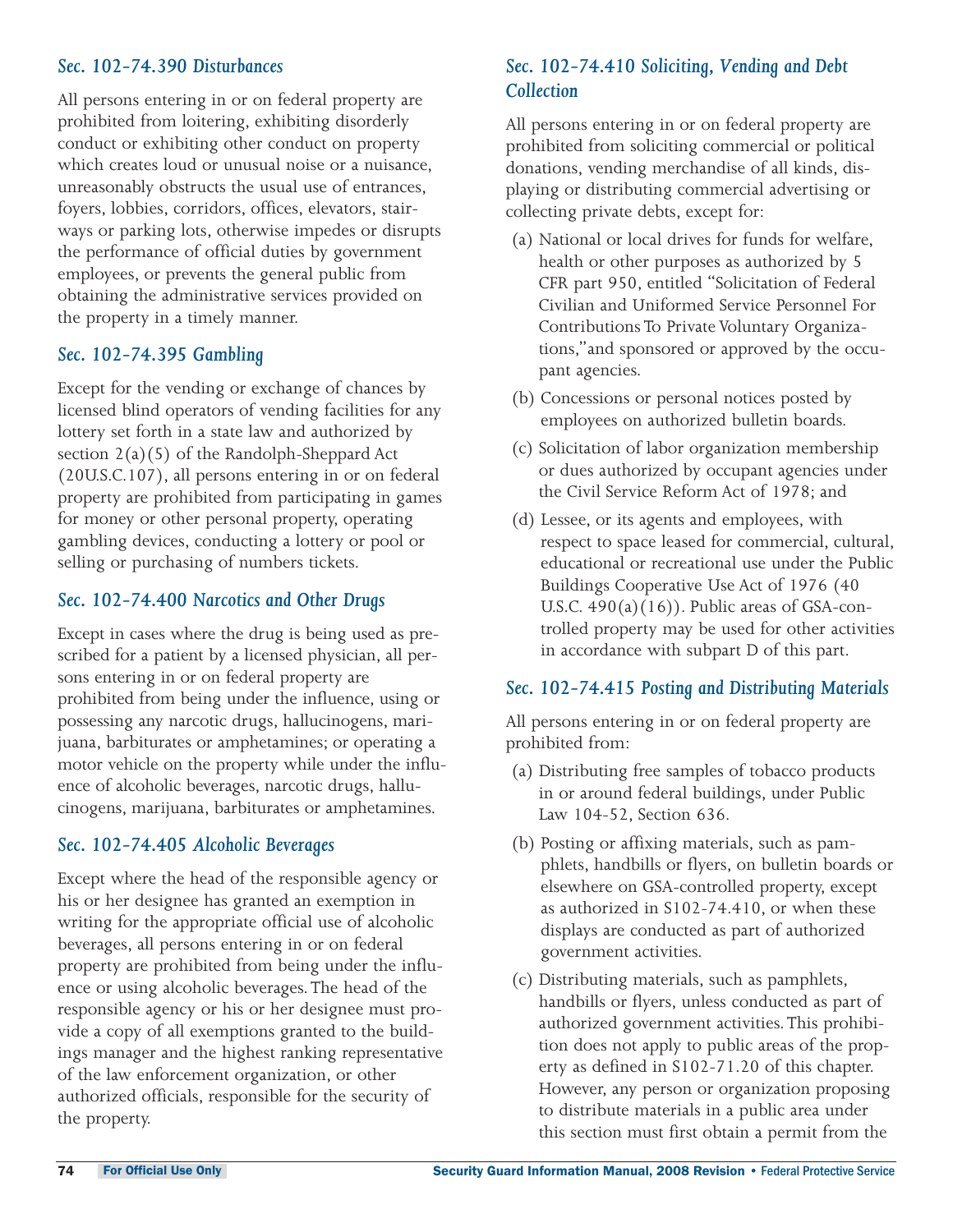#### *Sec. 102-74.390 Disturbances*

All persons entering in or on federal property are prohibited from loitering, exhibiting disorderly conduct or exhibiting other conduct on property which creates loud or unusual noise or a nuisance, unreasonably obstructs the usual use of entrances, foyers, lobbies, corridors, offices, elevators, stairways or parking lots, otherwise impedes or disrupts the performance of official duties by government employees, or prevents the general public from obtaining the administrative services provided on the property in a timely manner.

#### *Sec. 102-74.395 Gambling*

Except for the vending or exchange of chances by licensed blind operators of vending facilities for any lottery set forth in a state law and authorized by section  $2(a)(5)$  of the Randolph-Sheppard Act (20U.S.C.107), all persons entering in or on federal property are prohibited from participating in games for money or other personal property, operating gambling devices, conducting a lottery or pool or selling or purchasing of numbers tickets.

#### *Sec. 102-74.400 Narcotics and Other Drugs*

Except in cases where the drug is being used as prescribed for a patient by a licensed physician, all persons entering in or on federal property are prohibited from being under the influence, using or possessing any narcotic drugs, hallucinogens, marijuana, barbiturates or amphetamines; or operating a motor vehicle on the property while under the influence of alcoholic beverages, narcotic drugs, hallucinogens, marijuana, barbiturates or amphetamines.

#### *Sec. 102-74.405 Alcoholic Beverages*

Except where the head of the responsible agency or his or her designee has granted an exemption in writing for the appropriate official use of alcoholic beverages, all persons entering in or on federal property are prohibited from being under the influence or using alcoholic beverages.The head of the responsible agency or his or her designee must provide a copy of all exemptions granted to the buildings manager and the highest ranking representative of the law enforcement organization, or other authorized officials, responsible for the security of the property.

# *Sec. 102-74.410 Soliciting, Vending and Debt Collection*

All persons entering in or on federal property are prohibited from soliciting commercial or political donations, vending merchandise of all kinds, displaying or distributing commercial advertising or collecting private debts, except for:

- (a) National or local drives for funds for welfare, health or other purposes as authorized by 5 CFR part 950, entitled "Solicitation of Federal Civilian and Uniformed Service Personnel For Contributions To Private Voluntary Organizations," and sponsored or approved by the occupant agencies.
- (b) Concessions or personal notices posted by employees on authorized bulletin boards.
- (c) Solicitation of labor organization membership or dues authorized by occupant agencies under the Civil Service Reform Act of 1978; and
- (d) Lessee, or its agents and employees, with respect to space leased for commercial, cultural, educational or recreational use under the Public Buildings Cooperative Use Act of 1976 (40 U.S.C.  $490(a)(16)$ ). Public areas of GSA-controlled property may be used for other activities in accordance with subpart D of this part.

## *Sec. 102-74.415 Posting and Distributing Materials*

All persons entering in or on federal property are prohibited from:

- (a) Distributing free samples of tobacco products in or around federal buildings, under Public Law 104-52, Section 636.
- (b) Posting or affixing materials, such as pamphlets, handbills or flyers, on bulletin boards or elsewhere on GSA-controlled property, except as authorized in S102-74.410, or when these displays are conducted as part of authorized government activities.
- (c) Distributing materials, such as pamphlets, handbills or flyers, unless conducted as part of authorized government activities.This prohibition does not apply to public areas of the property as defined in S102-71.20 of this chapter. However, any person or organization proposing to distribute materials in a public area under this section must first obtain a permit from the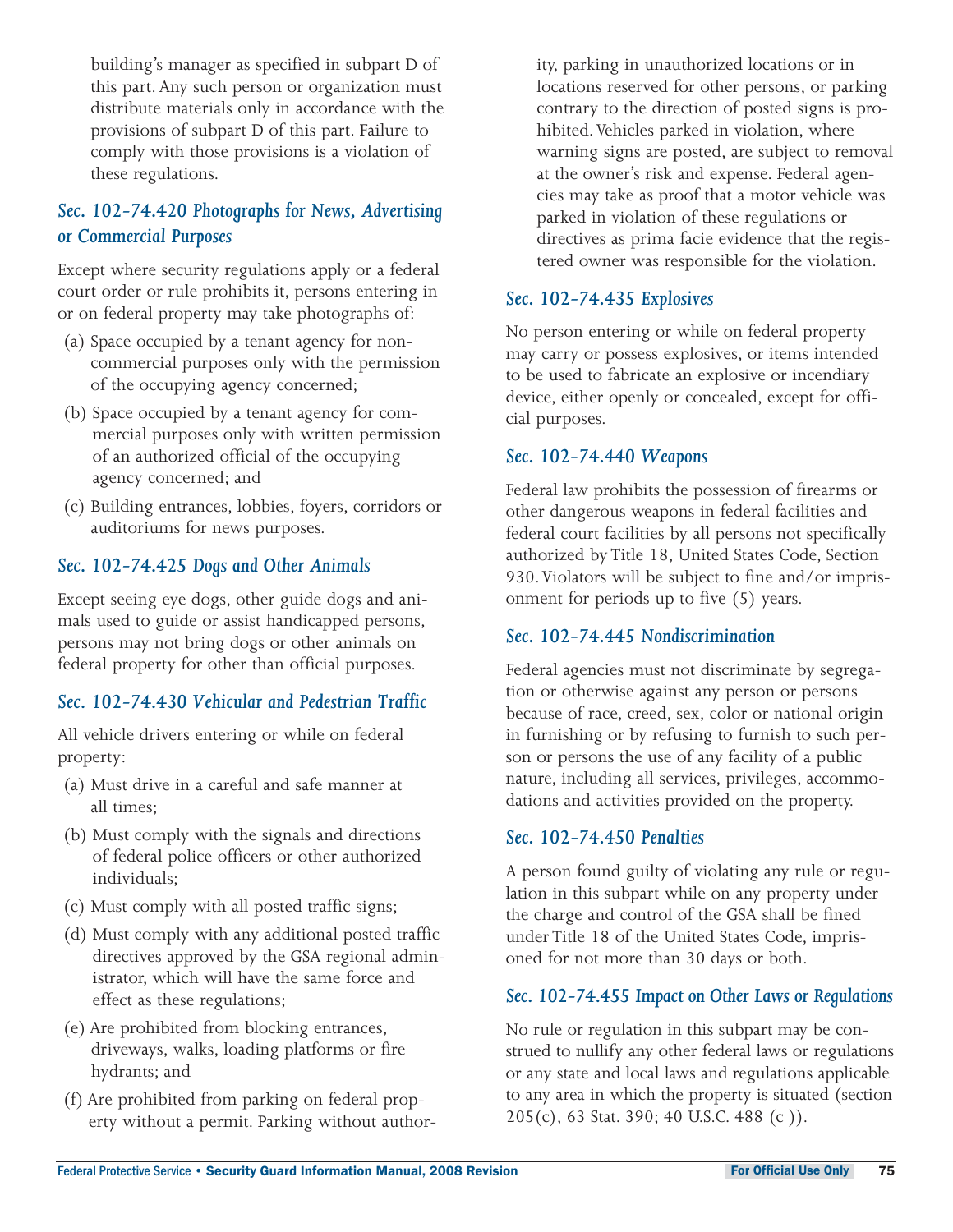building's manager as specified in subpart D of this part. Any such person or organization must distribute materials only in accordance with the provisions of subpart D of this part. Failure to comply with those provisions is a violation of these regulations.

# *Sec. 102-74.420 Photographs for News, Advertising or Commercial Purposes*

Except where security regulations apply or a federal court order or rule prohibits it, persons entering in or on federal property may take photographs of:

- (a) Space occupied by a tenant agency for noncommercial purposes only with the permission of the occupying agency concerned;
- (b) Space occupied by a tenant agency for commercial purposes only with written permission of an authorized official of the occupying agency concerned; and
- (c) Building entrances, lobbies, foyers, corridors or auditoriums for news purposes.

#### *Sec. 102-74.425 Dogs and Other Animals*

Except seeing eye dogs, other guide dogs and animals used to guide or assist handicapped persons, persons may not bring dogs or other animals on federal property for other than official purposes.

## *Sec. 102-74.430 Vehicular and Pedestrian Traffic*

All vehicle drivers entering or while on federal property:

- (a) Must drive in a careful and safe manner at all times;
- (b) Must comply with the signals and directions of federal police officers or other authorized individuals;
- (c) Must comply with all posted traffic signs;
- (d) Must comply with any additional posted traffic directives approved by the GSA regional administrator, which will have the same force and effect as these regulations;
- (e) Are prohibited from blocking entrances, driveways, walks, loading platforms or fire hydrants; and
- (f) Are prohibited from parking on federal property without a permit. Parking without author-

ity, parking in unauthorized locations or in locations reserved for other persons, or parking contrary to the direction of posted signs is prohibited. Vehicles parked in violation, where warning signs are posted, are subject to removal at the owner's risk and expense. Federal agencies may take as proof that a motor vehicle was parked in violation of these regulations or directives as prima facie evidence that the registered owner was responsible for the violation.

#### *Sec. 102-74.435 Explosives*

No person entering or while on federal property may carry or possess explosives, or items intended to be used to fabricate an explosive or incendiary device, either openly or concealed, except for official purposes.

#### *Sec. 102-74.440 Weapons*

Federal law prohibits the possession of firearms or other dangerous weapons in federal facilities and federal court facilities by all persons not specifically authorized by Title 18, United States Code, Section 930.Violators will be subject to fine and/or imprisonment for periods up to five (5) years.

#### *Sec. 102-74.445 Nondiscrimination*

Federal agencies must not discriminate by segregation or otherwise against any person or persons because of race, creed, sex, color or national origin in furnishing or by refusing to furnish to such person or persons the use of any facility of a public nature, including all services, privileges, accommodations and activities provided on the property.

#### *Sec. 102-74.450 Penalties*

A person found guilty of violating any rule or regulation in this subpart while on any property under the charge and control of the GSA shall be fined under Title 18 of the United States Code, imprisoned for not more than 30 days or both.

#### *Sec. 102-74.455 Impact on Other Laws or Regulations*

No rule or regulation in this subpart may be construed to nullify any other federal laws or regulations or any state and local laws and regulations applicable to any area in which the property is situated (section 205(c), 63 Stat. 390; 40 U.S.C. 488 (c )).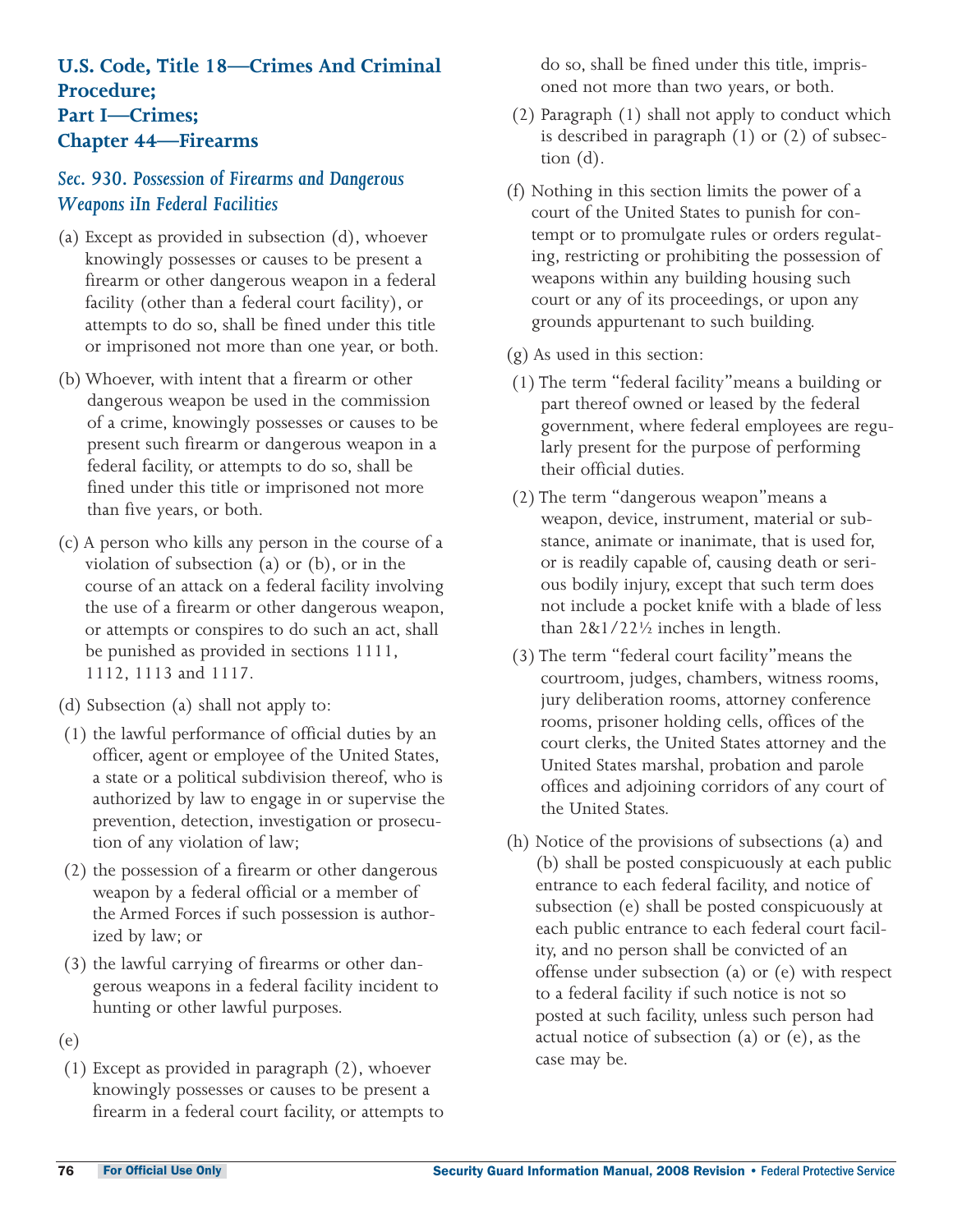# **U.S. Code, Title 18—Crimes And Criminal Procedure; Part I-Crimes; Chapter 44—Firearms**

#### *Sec. 930. Possession of Firearms and Dangerous Weapons iIn Federal Facilities*

- (a) Except as provided in subsection (d), whoever knowingly possesses or causes to be present a firearm or other dangerous weapon in a federal facility (other than a federal court facility), or attempts to do so, shall be fined under this title or imprisoned not more than one year, or both.
- (b) Whoever, with intent that a firearm or other dangerous weapon be used in the commission of a crime, knowingly possesses or causes to be present such firearm or dangerous weapon in a federal facility, or attempts to do so, shall be fined under this title or imprisoned not more than five years, or both.
- (c) A person who kills any person in the course of a violation of subsection (a) or (b), or in the course of an attack on a federal facility involving the use of a firearm or other dangerous weapon, or attempts or conspires to do such an act, shall be punished as provided in sections 1111, 1112, 1113 and 1117.
- (d) Subsection (a) shall not apply to:
- (1) the lawful performance of official duties by an officer, agent or employee of the United States, a state or a political subdivision thereof, who is authorized by law to engage in or supervise the prevention, detection, investigation or prosecution of any violation of law;
- (2) the possession of a firearm or other dangerous weapon by a federal official or a member of the Armed Forces if such possession is authorized by law; or
- (3) the lawful carrying of firearms or other dangerous weapons in a federal facility incident to hunting or other lawful purposes.
- (e)
- (1) Except as provided in paragraph (2), whoever knowingly possesses or causes to be present a firearm in a federal court facility, or attempts to

do so, shall be fined under this title, imprisoned not more than two years, or both.

- (2) Paragraph (1) shall not apply to conduct which is described in paragraph (1) or (2) of subsection (d).
- (f) Nothing in this section limits the power of a court of the United States to punish for contempt or to promulgate rules or orders regulating, restricting or prohibiting the possession of weapons within any building housing such court or any of its proceedings, or upon any grounds appurtenant to such building.
- (g) As used in this section:
- $(1)$  The term "federal facility" means a building or part thereof owned or leased by the federal government, where federal employees are regularly present for the purpose of performing their official duties.
- $(2)$  The term "dangerous weapon" means a weapon, device, instrument, material or substance, animate or inanimate, that is used for, or is readily capable of, causing death or serious bodily injury, except that such term does not include a pocket knife with a blade of less than 2&1/22½ inches in length.
- $(3)$  The term "federal court facility" means the courtroom, judges, chambers, witness rooms, jury deliberation rooms, attorney conference rooms, prisoner holding cells, offices of the court clerks, the United States attorney and the United States marshal, probation and parole offices and adjoining corridors of any court of the United States.
- (h) Notice of the provisions of subsections (a) and (b) shall be posted conspicuously at each public entrance to each federal facility, and notice of subsection (e) shall be posted conspicuously at each public entrance to each federal court facility, and no person shall be convicted of an offense under subsection (a) or (e) with respect to a federal facility if such notice is not so posted at such facility, unless such person had actual notice of subsection (a) or (e), as the case may be.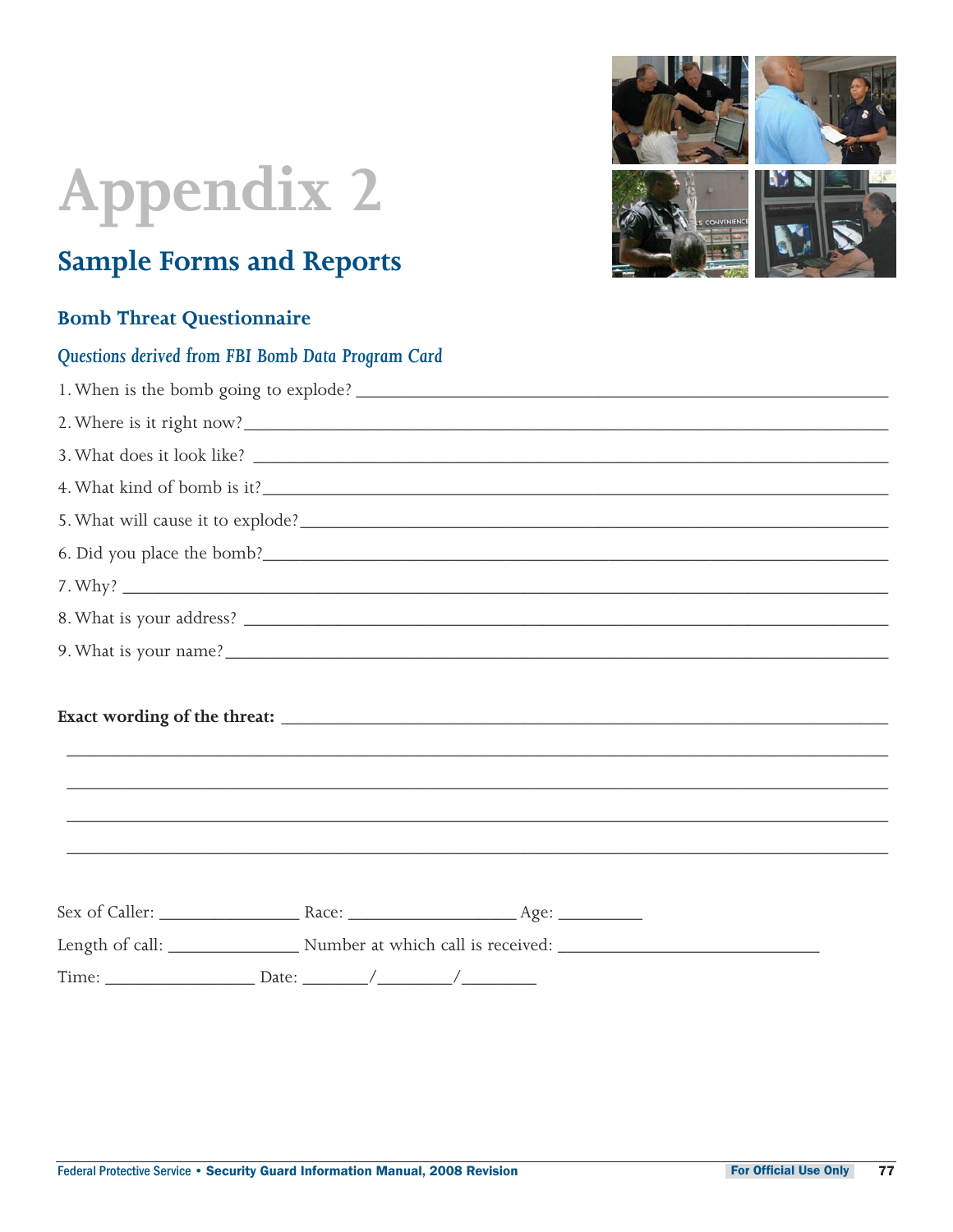



# **Sample Forms and Reports**

# **Bomb Threat Questionnaire**

| Questions derived from FBI Bomb Data Program Card                                 |  |  |
|-----------------------------------------------------------------------------------|--|--|
|                                                                                   |  |  |
|                                                                                   |  |  |
| 3. What does it look like?                                                        |  |  |
| 4. What kind of bomb is it?                                                       |  |  |
|                                                                                   |  |  |
|                                                                                   |  |  |
|                                                                                   |  |  |
|                                                                                   |  |  |
| 9. What is your name?                                                             |  |  |
|                                                                                   |  |  |
|                                                                                   |  |  |
|                                                                                   |  |  |
| ,我们也不能会在这里,我们也不能会在这里,我们也不能会在这里,我们也不能会在这里,我们也不能会在这里,我们也不能会在这里,我们也不能会不能会不能会。""我们,我们 |  |  |
|                                                                                   |  |  |
|                                                                                   |  |  |
|                                                                                   |  |  |
|                                                                                   |  |  |
|                                                                                   |  |  |
|                                                                                   |  |  |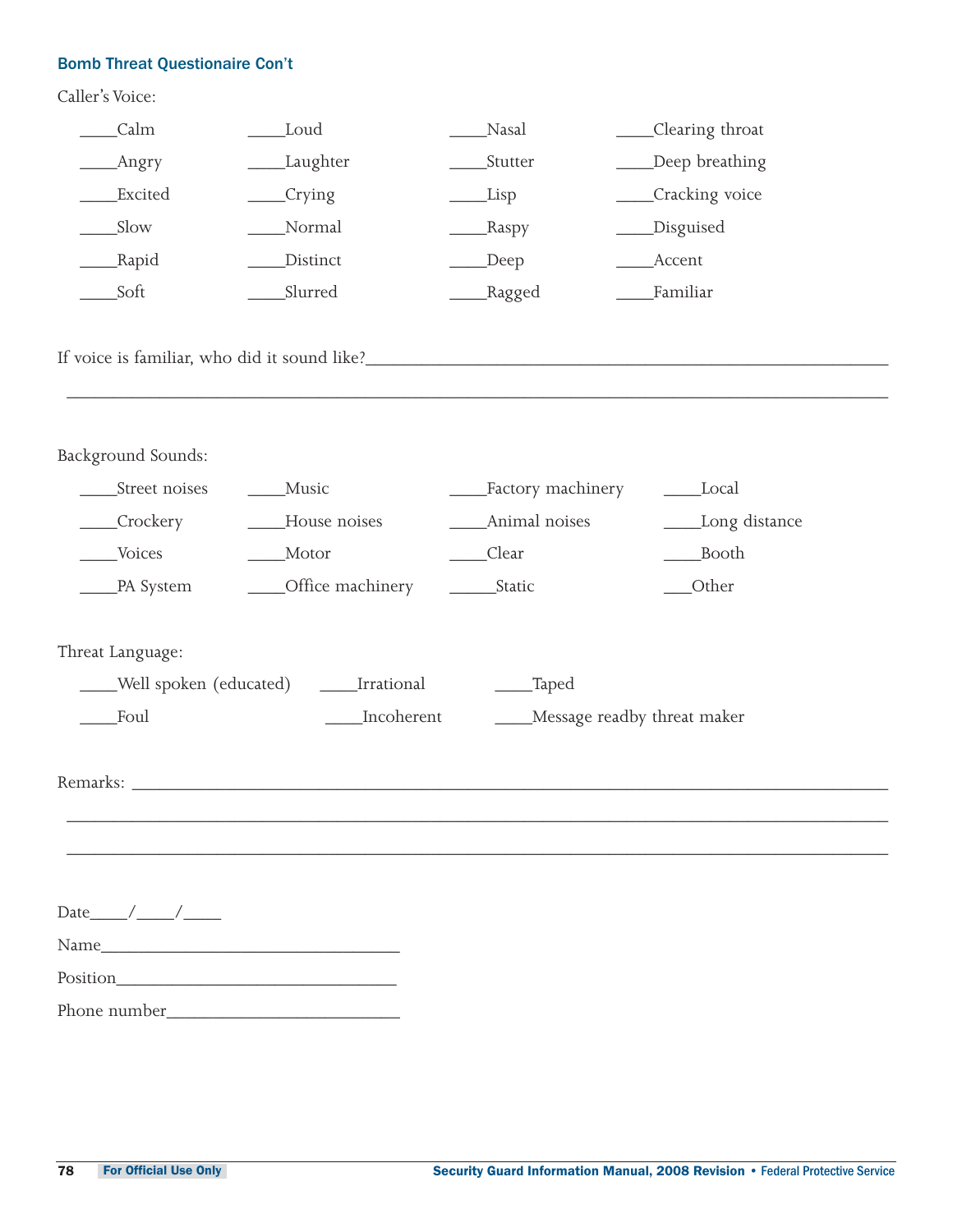#### Bomb Threat Questionaire Con't

Caller's Voice:

| Calm                                          | Loud     | Nasal   | Clearing throat |  |
|-----------------------------------------------|----------|---------|-----------------|--|
| Angry                                         | Laughter | Stutter | Deep breathing  |  |
| Excited                                       | _Crying  | Lisp    | Cracking voice  |  |
| Slow                                          | Normal   | __Raspy | Disguised       |  |
| Rapid                                         | Distinct | _Deep   | Accent          |  |
| Soft                                          | Slurred  | _Ragged | Familiar        |  |
|                                               |          |         |                 |  |
| If voice is familiar, who did it sound like?_ |          |         |                 |  |
|                                               |          |         |                 |  |

Background Sounds:

| Street noises | Music            | Factory machinery | Local         |
|---------------|------------------|-------------------|---------------|
| Crockery      | House noises     | Animal noises     | Long distance |
| Voices        | Motor            | Clear             | Booth         |
| PA System     | Office machinery | Static            | Other         |

Threat Language:

| Well spoken (educated) | Irrational | Taped                           |
|------------------------|------------|---------------------------------|
| Foul                   | Incoherent | ____Message readby threat maker |

\_\_\_\_\_\_\_\_\_\_\_\_\_\_\_\_\_\_\_\_\_\_\_\_\_\_\_\_\_\_\_\_\_\_\_\_\_\_\_\_\_\_\_\_\_\_\_\_\_\_\_\_\_\_\_\_\_\_\_\_\_\_\_\_\_\_\_\_\_\_\_\_\_\_\_\_\_\_\_\_\_\_\_\_\_\_\_\_

\_\_\_\_\_\_\_\_\_\_\_\_\_\_\_\_\_\_\_\_\_\_\_\_\_\_\_\_\_\_\_\_\_\_\_\_\_\_\_\_\_\_\_\_\_\_\_\_\_\_\_\_\_\_\_\_\_\_\_\_\_\_\_\_\_\_\_\_\_\_\_\_\_\_\_\_\_\_\_\_\_\_\_\_\_\_\_\_

Remarks: \_\_\_\_\_\_\_\_\_\_\_\_\_\_\_\_\_\_\_\_\_\_\_\_\_\_\_\_\_\_\_\_\_\_\_\_\_\_\_\_\_\_\_\_\_\_\_\_\_\_\_\_\_\_\_\_\_\_\_\_\_\_\_\_\_\_\_\_\_\_\_\_\_\_\_\_\_\_\_\_\_

|--|--|--|

Name\_\_\_\_\_\_\_\_\_\_\_\_\_\_\_\_\_\_\_\_\_\_\_\_\_\_\_\_\_\_\_\_

Position\_\_\_\_\_\_\_\_\_\_\_\_\_\_\_\_\_\_\_\_\_\_\_\_\_\_\_\_\_\_

Phone number\_\_\_\_\_\_\_\_\_\_\_\_\_\_\_\_\_\_\_\_\_\_\_\_\_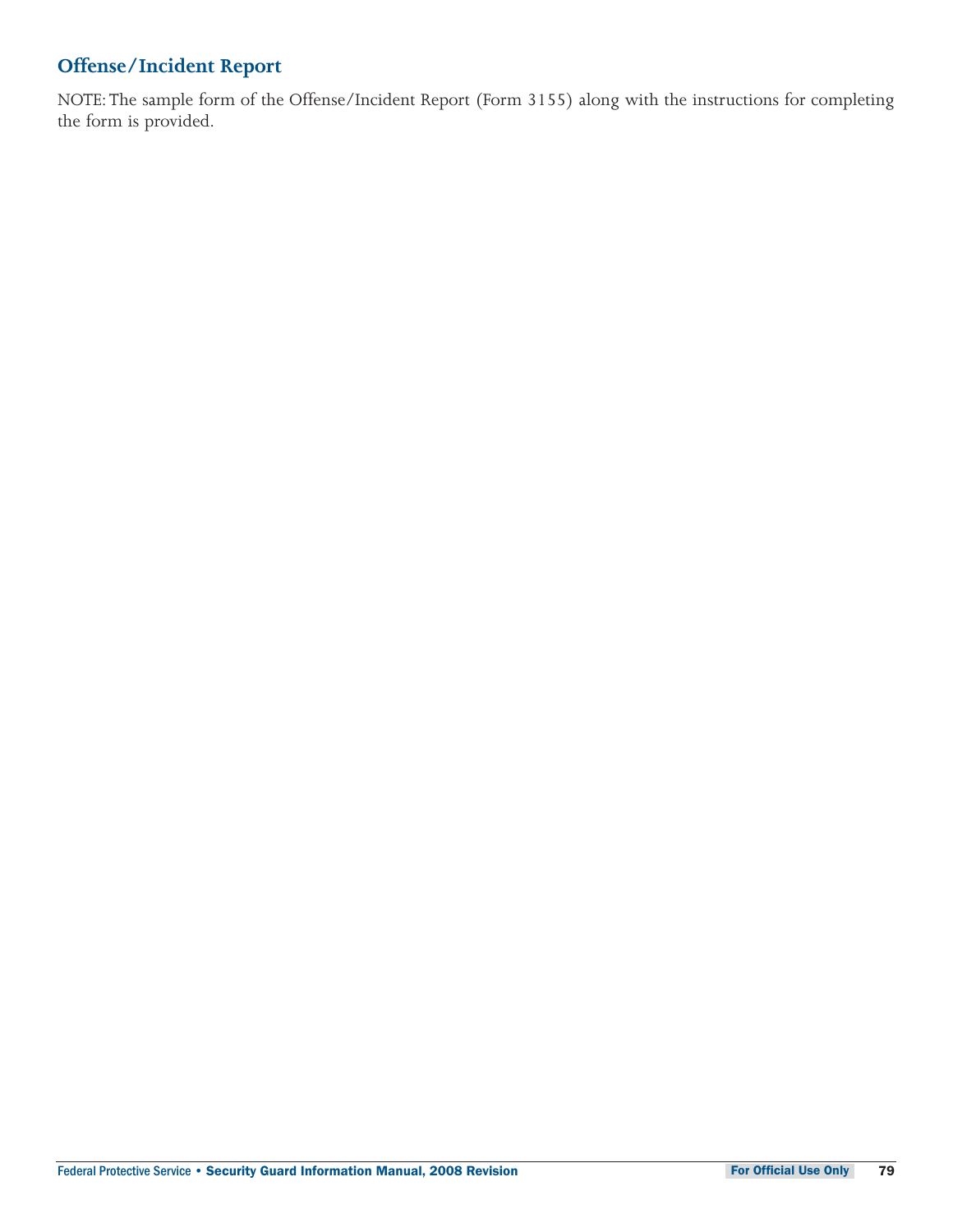# **Offense/Incident Report**

NOTE:The sample form of the Offense/Incident Report (Form 3155) along with the instructions for completing the form is provided.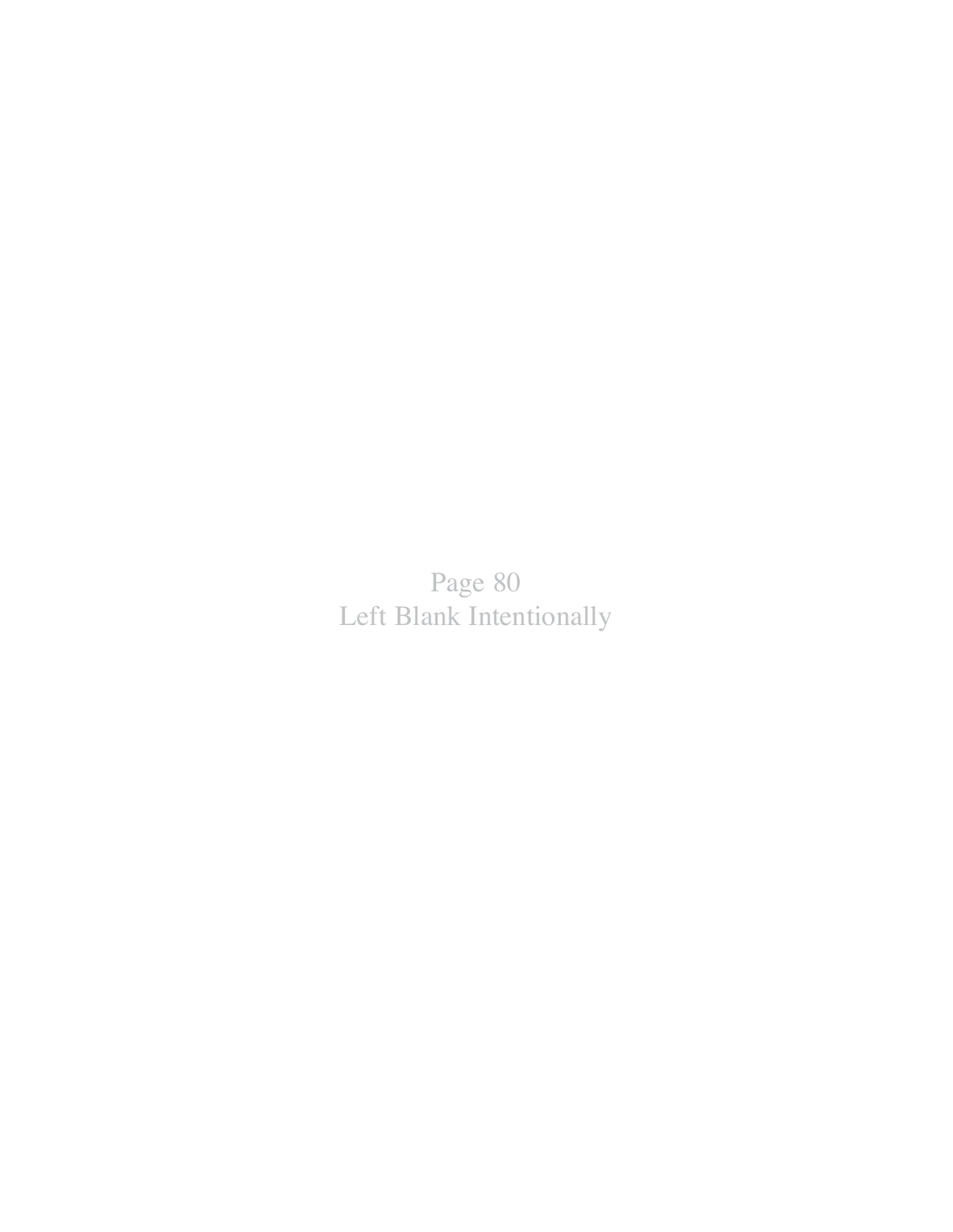Page 80 Left Blank Intentionally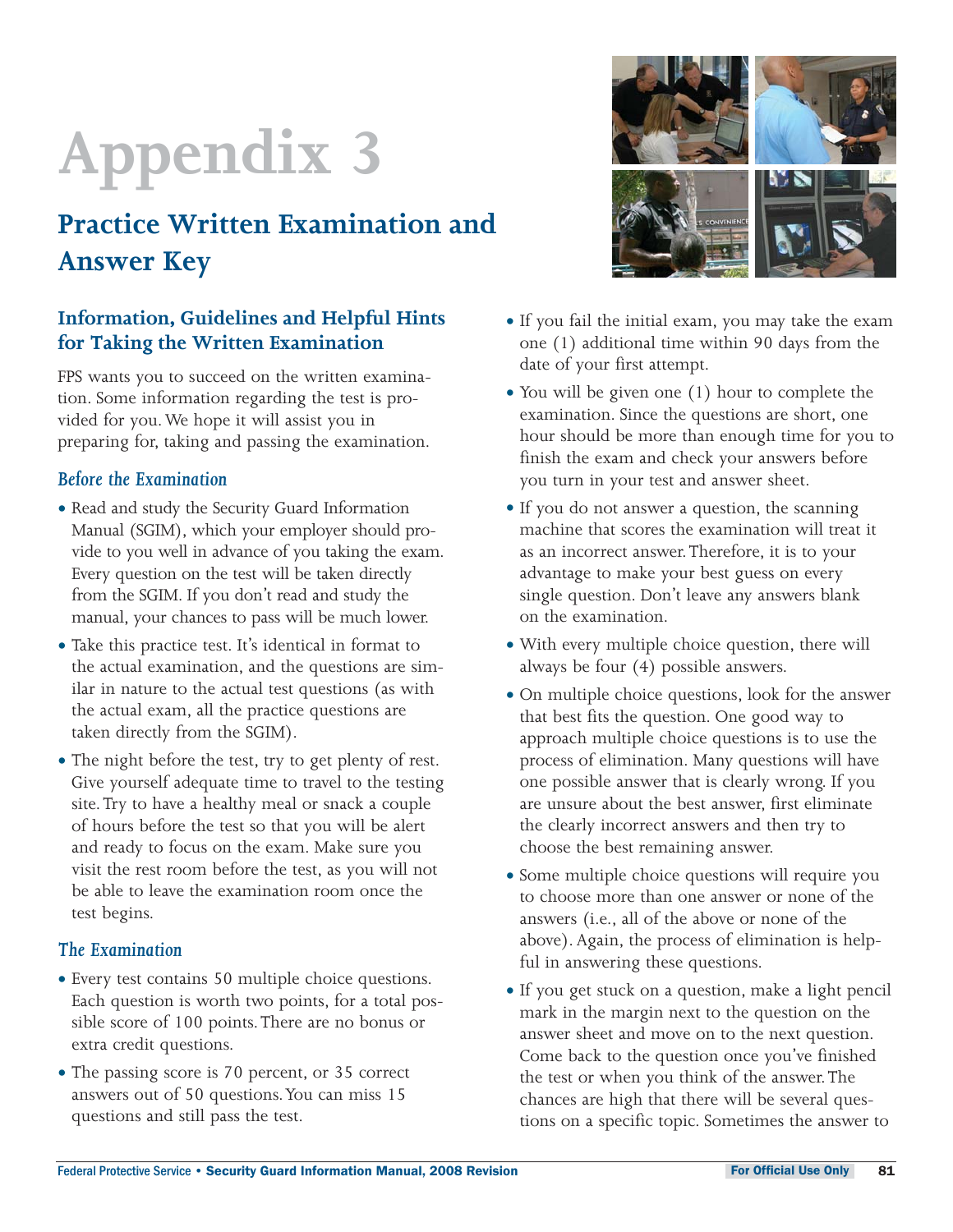# **Appendix 3**

# **Practice Written Examination and Answer Key**

# **Information, Guidelines and Helpful Hints for Taking the Written Examination**

FPS wants you to succeed on the written examination. Some information regarding the test is provided for you. We hope it will assist you in preparing for, taking and passing the examination.

#### *Before the Examination*

- Read and study the Security Guard Information Manual (SGIM), which your employer should provide to you well in advance of you taking the exam. Every question on the test will be taken directly from the SGIM. If you don't read and study the manual, your chances to pass will be much lower.
- Take this practice test. It's identical in format to the actual examination, and the questions are similar in nature to the actual test questions (as with the actual exam, all the practice questions are taken directly from the SGIM).
- The night before the test, try to get plenty of rest. Give yourself adequate time to travel to the testing site.Try to have a healthy meal or snack a couple of hours before the test so that you will be alert and ready to focus on the exam. Make sure you visit the rest room before the test, as you will not be able to leave the examination room once the test begins.

## *The Examination*

- Every test contains 50 multiple choice questions. Each question is worth two points, for a total possible score of 100 points.There are no bonus or extra credit questions.
- The passing score is 70 percent, or 35 correct answers out of 50 questions.You can miss 15 questions and still pass the test.



- If you fail the initial exam, you may take the exam one (1) additional time within 90 days from the date of your first attempt.
- $\bullet$  You will be given one (1) hour to complete the examination. Since the questions are short, one hour should be more than enough time for you to finish the exam and check your answers before you turn in your test and answer sheet.
- If you do not answer a question, the scanning machine that scores the examination will treat it as an incorrect answer.Therefore, it is to your advantage to make your best guess on every single question. Don't leave any answers blank on the examination.
- With every multiple choice question, there will always be four (4) possible answers.
- On multiple choice questions, look for the answer that best fits the question. One good way to approach multiple choice questions is to use the process of elimination. Many questions will have one possible answer that is clearly wrong. If you are unsure about the best answer, first eliminate the clearly incorrect answers and then try to choose the best remaining answer.
- Some multiple choice questions will require you to choose more than one answer or none of the answers (i.e., all of the above or none of the above). Again, the process of elimination is helpful in answering these questions.
- If you get stuck on a question, make a light pencil mark in the margin next to the question on the answer sheet and move on to the next question. Come back to the question once you've finished the test or when you think of the answer.The chances are high that there will be several questions on a specific topic. Sometimes the answer to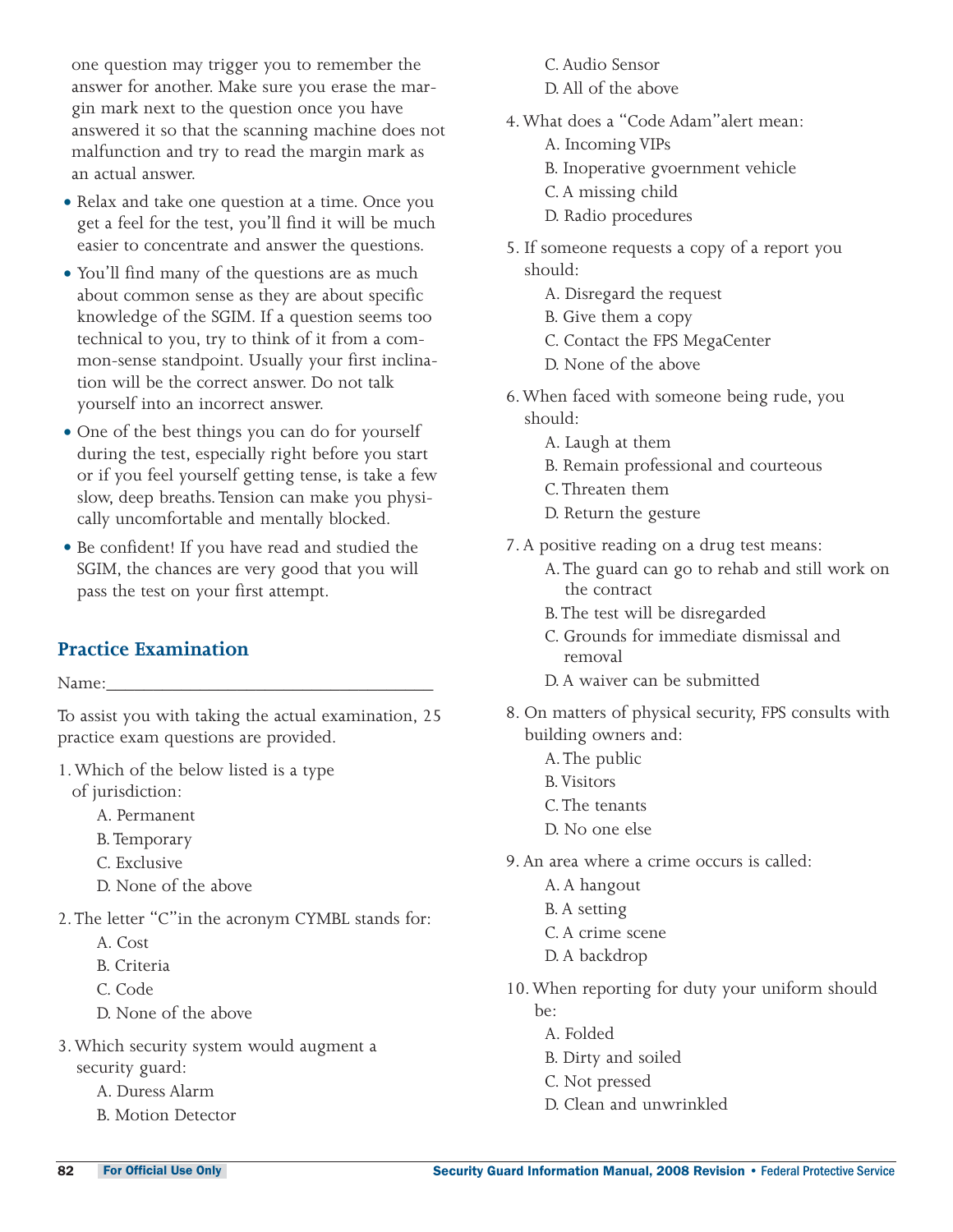one question may trigger you to remember the answer for another. Make sure you erase the margin mark next to the question once you have answered it so that the scanning machine does not malfunction and try to read the margin mark as an actual answer.

- Relax and take one question at a time. Once you get a feel for the test, you'll find it will be much easier to concentrate and answer the questions.
- You'll find many of the questions are as much about common sense as they are about specific knowledge of the SGIM. If a question seems too technical to you, try to think of it from a common-sense standpoint. Usually your first inclination will be the correct answer. Do not talk yourself into an incorrect answer.
- One of the best things you can do for yourself during the test, especially right before you start or if you feel yourself getting tense, is take a few slow, deep breaths.Tension can make you physically uncomfortable and mentally blocked.
- Be confident! If you have read and studied the SGIM, the chances are very good that you will pass the test on your first attempt.

## **Practice Examination**

Name:

To assist you with taking the actual examination, 25 practice exam questions are provided.

- 1. Which of the below listed is a type
	- of jurisdiction:
		- A. Permanent
		- B.Temporary
		- C. Exclusive
		- D. None of the above
- 2. The letter "C"in the acronym CYMBL stands for:
	- A. Cost
	- B. Criteria
	- C. Code
	- D. None of the above
- 3. Which security system would augment a security guard:
	- A. Duress Alarm
	- B. Motion Detector
- C. Audio Sensor
- D. All of the above
- 4. What does a "Code Adam" alert mean: A. Incoming VIPs B. Inoperative gvoernment vehicle C. A missing child D. Radio procedures
- 5. If someone requests a copy of a report you should:
	- A. Disregard the request
	- B. Give them a copy
	- C. Contact the FPS MegaCenter
	- D. None of the above
- 6. When faced with someone being rude, you should:
	- A. Laugh at them
	- B. Remain professional and courteous
	- C.Threaten them
	- D. Return the gesture
- 7. A positive reading on a drug test means:
	- A.The guard can go to rehab and still work on the contract
	- B.The test will be disregarded
	- C. Grounds for immediate dismissal and removal
	- D. A waiver can be submitted
- 8. On matters of physical security, FPS consults with building owners and:
	- A.The public
	- B.Visitors
	- C.The tenants
	- D. No one else
- 9. An area where a crime occurs is called:
	- A. A hangout
	- B. A setting
	- C. A crime scene
	- D. A backdrop
- 10. When reporting for duty your uniform should be:
	- A. Folded
	- B. Dirty and soiled
	- C. Not pressed
	- D. Clean and unwrinkled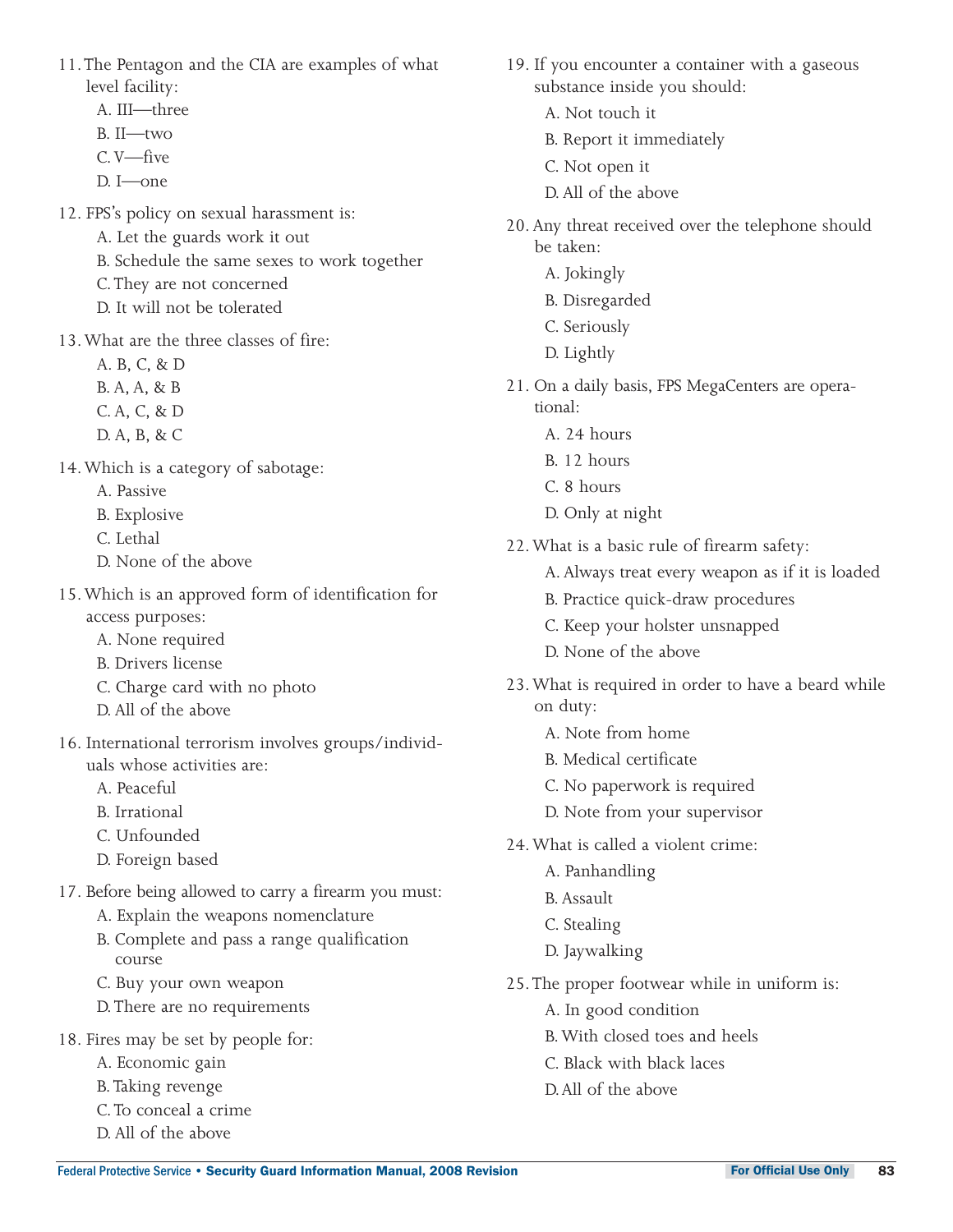- 11.The Pentagon and the CIA are examples of what level facility:
	- A. III-three
	- B. II-two
	- $C. V$  -five
	- $D. I$  —one
- 12. FPS's policy on sexual harassment is:
	- A. Let the guards work it out
	- B. Schedule the same sexes to work together
	- C.They are not concerned
	- D. It will not be tolerated
- 13. What are the three classes of fire:
	- A. B, C, & D
	- B. A, A, & B
	- C. A, C, & D
	- D. A, B, & C
- 14. Which is a category of sabotage:
	- A. Passive
	- B. Explosive
	- C. Lethal
	- D. None of the above
- 15. Which is an approved form of identification for access purposes:
	- A. None required
	- B. Drivers license
	- C. Charge card with no photo
	- D. All of the above
- 16. International terrorism involves groups/individuals whose activities are:
	- A. Peaceful
	- B. Irrational
	- C. Unfounded
	- D. Foreign based
- 17. Before being allowed to carry a firearm you must:
	- A. Explain the weapons nomenclature
	- B. Complete and pass a range qualification course
	- C. Buy your own weapon
	- D.There are no requirements
- 18. Fires may be set by people for:
	- A. Economic gain
	- B.Taking revenge
	- C.To conceal a crime
	- D. All of the above
- 19. If you encounter a container with a gaseous substance inside you should:
	- A. Not touch it
	- B. Report it immediately
	- C. Not open it
	- D. All of the above
- 20. Any threat received over the telephone should be taken:
	- A. Jokingly
	- B. Disregarded
	- C. Seriously
	- D. Lightly
- 21. On a daily basis, FPS MegaCenters are operational:
	- A. 24 hours
	- B. 12 hours
	- C. 8 hours
	- D. Only at night
- 22. What is a basic rule of firearm safety:
	- A. Always treat every weapon as if it is loaded
	- B. Practice quick-draw procedures
	- C. Keep your holster unsnapped
	- D. None of the above
- 23. What is required in order to have a beard while on duty:
	- A. Note from home
	- B. Medical certificate
	- C. No paperwork is required
	- D. Note from your supervisor
- 24. What is called a violent crime:
	- A. Panhandling
	- B. Assault
	- C. Stealing
	- D. Jaywalking
- 25.The proper footwear while in uniform is:
	- A. In good condition
	- B. With closed toes and heels
	- C. Black with black laces
	- D.All of the above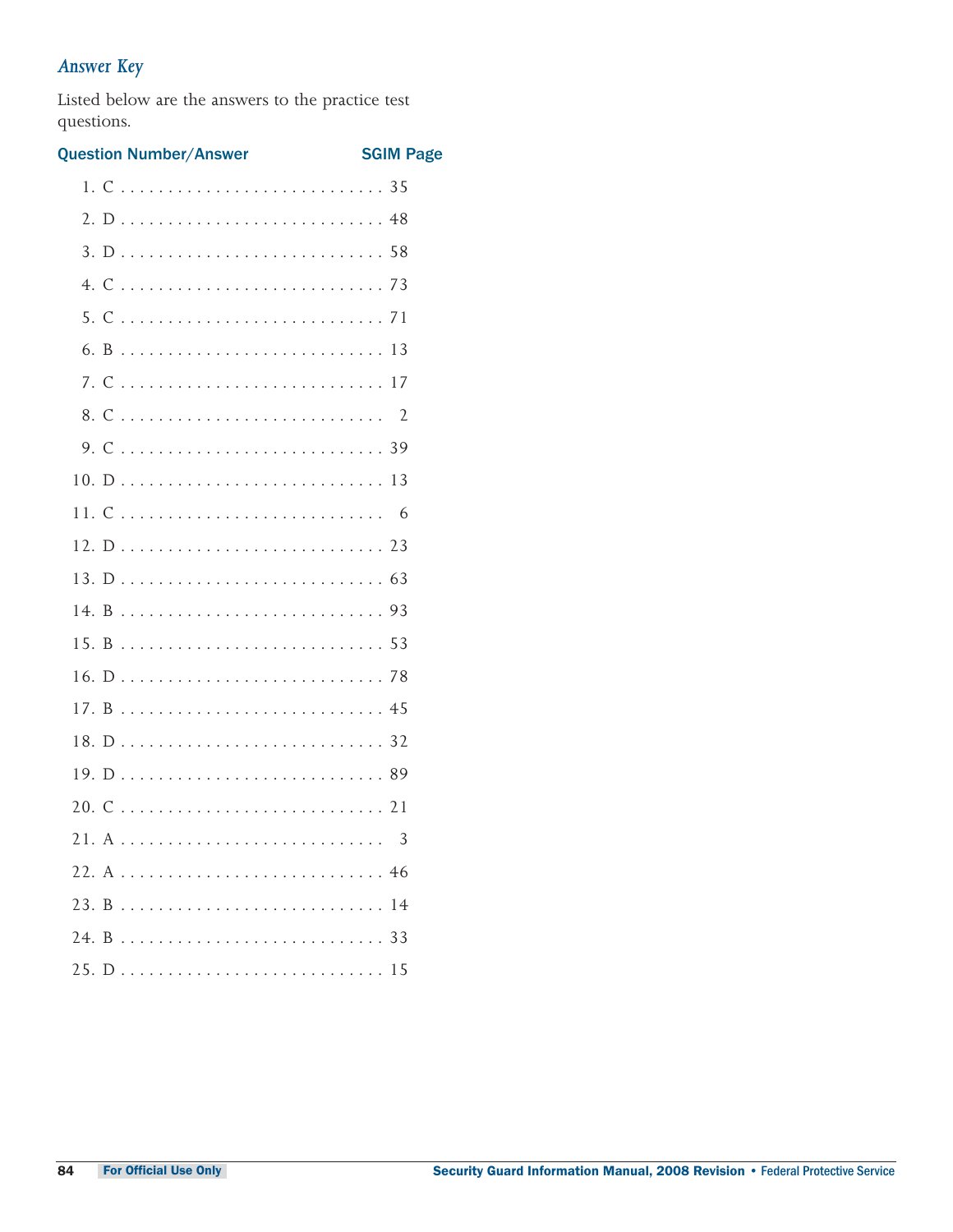# Answer Key

Listed below are the answers to the practice test questions.

| <b>Question Number/Answer</b> | <b>SGIM Page</b> |
|-------------------------------|------------------|
|                               |                  |
|                               |                  |
|                               |                  |
|                               |                  |
|                               |                  |
|                               |                  |
|                               |                  |
|                               |                  |
|                               |                  |
|                               |                  |
|                               |                  |
|                               |                  |
|                               |                  |
|                               |                  |
|                               |                  |
|                               |                  |
|                               |                  |
|                               |                  |
|                               |                  |
|                               |                  |
|                               | $\mathfrak{Z}$   |
|                               |                  |
|                               |                  |
|                               |                  |
|                               |                  |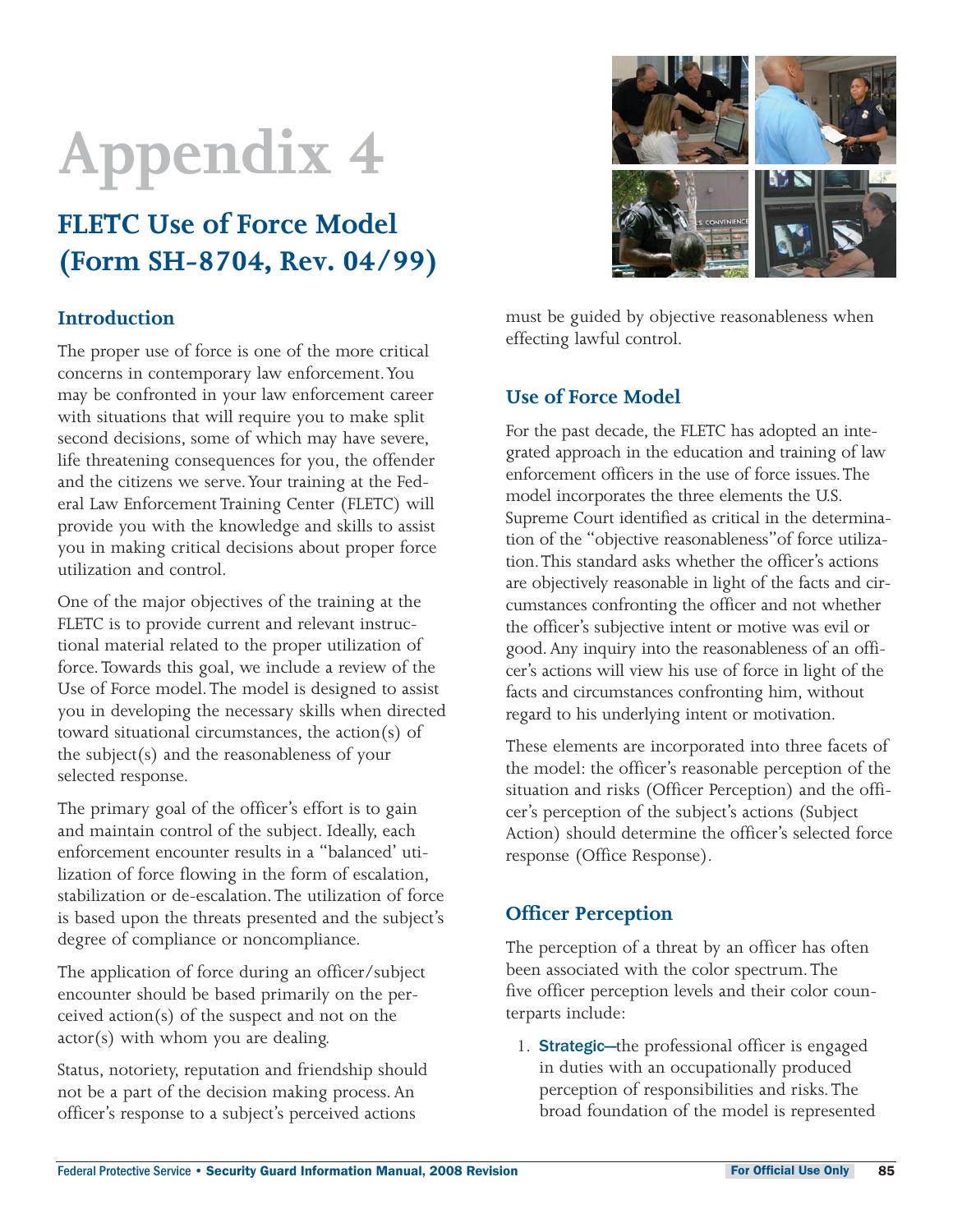# **Appendix 4**

# **FLETC Use of Force Model (Form SH-8704, Rev. 04/99)**

# **Introduction**

The proper use of force is one of the more critical concerns in contemporary law enforcement.You may be confronted in your law enforcement career with situations that will require you to make split second decisions, some of which may have severe, life threatening consequences for you, the offender and the citizens we serve.Your training at the Federal Law Enforcement Training Center (FLETC) will provide you with the knowledge and skills to assist you in making critical decisions about proper force utilization and control.

One of the major objectives of the training at the FLETC is to provide current and relevant instructional material related to the proper utilization of force.Towards this goal, we include a review of the Use of Force model.The model is designed to assist you in developing the necessary skills when directed toward situational circumstances, the action(s) of the subject(s) and the reasonableness of your selected response.

The primary goal of the officer's effort is to gain and maintain control of the subject. Ideally, each enforcement encounter results in a "balanced' utilization of force flowing in the form of escalation, stabilization or de-escalation.The utilization of force is based upon the threats presented and the subject's degree of compliance or noncompliance.

The application of force during an officer/subject encounter should be based primarily on the perceived action(s) of the suspect and not on the actor(s) with whom you are dealing.

Status, notoriety, reputation and friendship should not be a part of the decision making process. An officer's response to a subject's perceived actions



## **Use of Force Model**

For the past decade, the FLETC has adopted an integrated approach in the education and training of law enforcement officers in the use of force issues.The model incorporates the three elements the U.S. Supreme Court identified as critical in the determination of the "objective reasonableness" of force utilization. This standard asks whether the officer's actions are objectively reasonable in light of the facts and circumstances confronting the officer and not whether the officer's subjective intent or motive was evil or good. Any inquiry into the reasonableness of an officer's actions will view his use of force in light of the facts and circumstances confronting him, without regard to his underlying intent or motivation.

These elements are incorporated into three facets of the model: the officer's reasonable perception of the situation and risks (Officer Perception) and the officer's perception of the subject's actions (Subject Action) should determine the officer's selected force response (Office Response).

# **Officer Perception**

The perception of a threat by an officer has often been associated with the color spectrum.The five officer perception levels and their color counterparts include:

1. Strategic-the professional officer is engaged in duties with an occupationally produced perception of responsibilities and risks.The broad foundation of the model is represented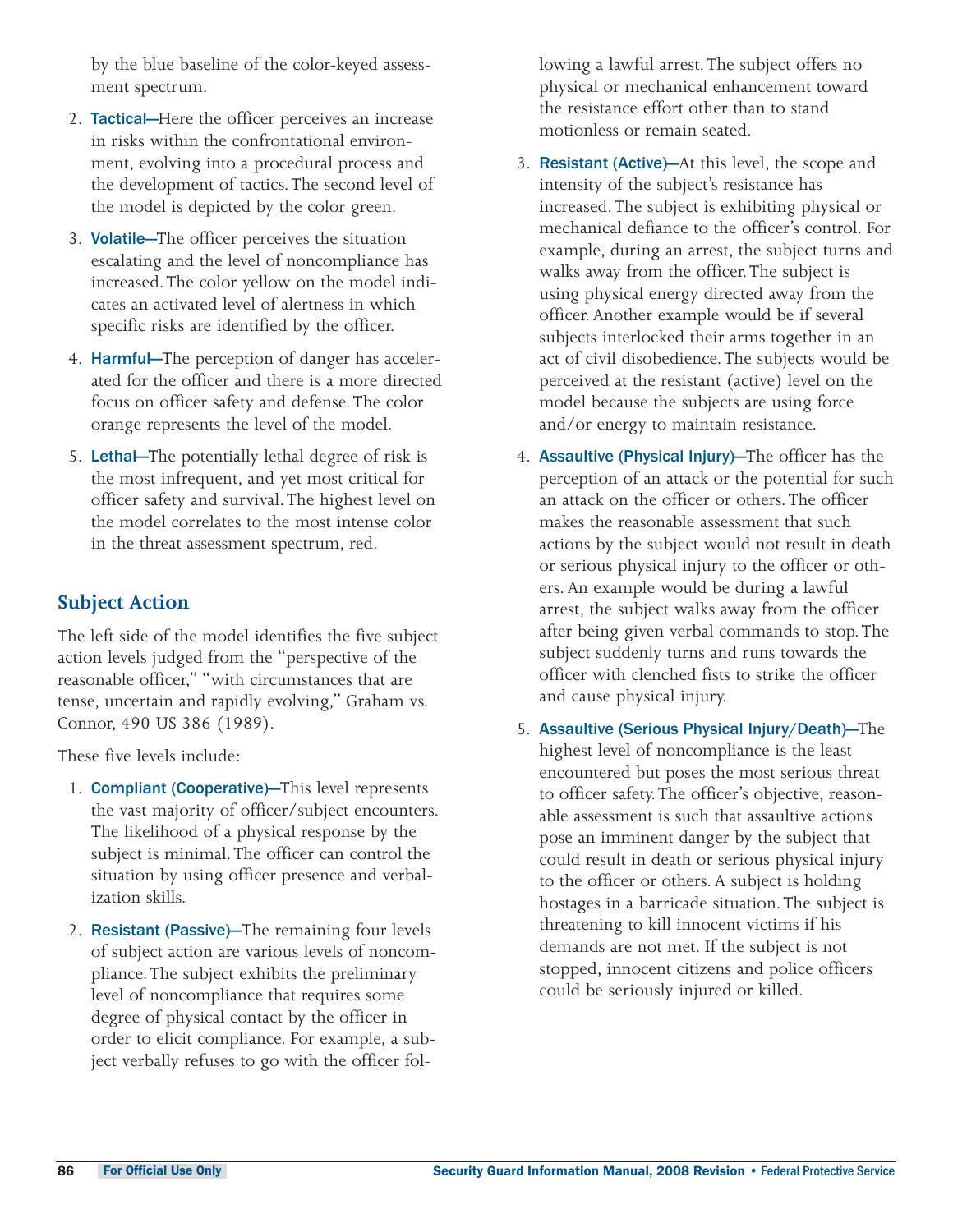by the blue baseline of the color-keyed assessment spectrum.

- 2. Tactical-Here the officer perceives an increase in risks within the confrontational environment, evolving into a procedural process and the development of tactics.The second level of the model is depicted by the color green.
- 3. Volatile-The officer perceives the situation escalating and the level of noncompliance has increased.The color yellow on the model indicates an activated level of alertness in which specific risks are identified by the officer.
- 4. Harmful-The perception of danger has accelerated for the officer and there is a more directed focus on officer safety and defense.The color orange represents the level of the model.
- 5. Lethal-The potentially lethal degree of risk is the most infrequent, and yet most critical for officer safety and survival.The highest level on the model correlates to the most intense color in the threat assessment spectrum, red.

# **Subject Action**

The left side of the model identifies the five subject action levels judged from the "perspective of the reasonable officer," "with circumstances that are tense, uncertain and rapidly evolving," Graham vs. Connor, 490 US 386 (1989).

These five levels include:

- 1. **Compliant (Cooperative)**—This level represents the vast majority of officer/subject encounters. The likelihood of a physical response by the subject is minimal.The officer can control the situation by using officer presence and verbalization skills.
- 2. Resistant (Passive)-The remaining four levels of subject action are various levels of noncompliance.The subject exhibits the preliminary level of noncompliance that requires some degree of physical contact by the officer in order to elicit compliance. For example, a subject verbally refuses to go with the officer fol-

lowing a lawful arrest.The subject offers no physical or mechanical enhancement toward the resistance effort other than to stand motionless or remain seated.

- 3. Resistant (Active)-At this level, the scope and intensity of the subject's resistance has increased.The subject is exhibiting physical or mechanical defiance to the officer's control. For example, during an arrest, the subject turns and walks away from the officer. The subject is using physical energy directed away from the officer. Another example would be if several subjects interlocked their arms together in an act of civil disobedience.The subjects would be perceived at the resistant (active) level on the model because the subjects are using force and/or energy to maintain resistance.
- 4. Assaultive (Physical Injury)—The officer has the perception of an attack or the potential for such an attack on the officer or others.The officer makes the reasonable assessment that such actions by the subject would not result in death or serious physical injury to the officer or others. An example would be during a lawful arrest, the subject walks away from the officer after being given verbal commands to stop.The subject suddenly turns and runs towards the officer with clenched fists to strike the officer and cause physical injury.
- 5. Assaultive (Serious Physical Injury/Death)-The highest level of noncompliance is the least encountered but poses the most serious threat to officer safety. The officer's objective, reasonable assessment is such that assaultive actions pose an imminent danger by the subject that could result in death or serious physical injury to the officer or others. A subject is holding hostages in a barricade situation.The subject is threatening to kill innocent victims if his demands are not met. If the subject is not stopped, innocent citizens and police officers could be seriously injured or killed.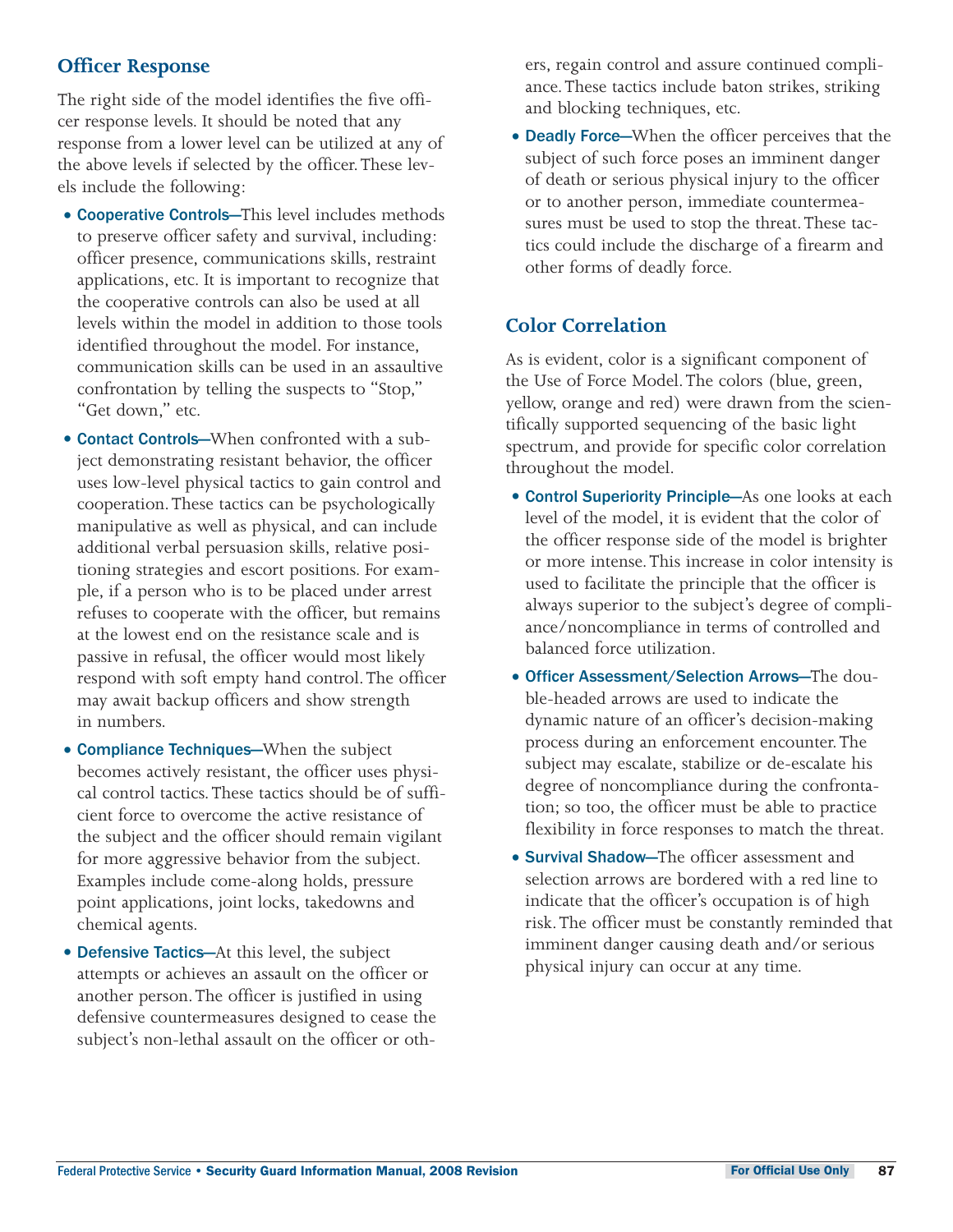## **Officer Response**

The right side of the model identifies the five officer response levels. It should be noted that any response from a lower level can be utilized at any of the above levels if selected by the officer.These levels include the following:

- Cooperative Controls-This level includes methods to preserve officer safety and survival, including: officer presence, communications skills, restraint applications, etc. It is important to recognize that the cooperative controls can also be used at all levels within the model in addition to those tools identified throughout the model. For instance, communication skills can be used in an assaultive confrontation by telling the suspects to "Stop," "Get down," etc.
- Contact Controls-When confronted with a subject demonstrating resistant behavior, the officer uses low-level physical tactics to gain control and cooperation.These tactics can be psychologically manipulative as well as physical, and can include additional verbal persuasion skills, relative positioning strategies and escort positions. For example, if a person who is to be placed under arrest refuses to cooperate with the officer, but remains at the lowest end on the resistance scale and is passive in refusal, the officer would most likely respond with soft empty hand control.The officer may await backup officers and show strength in numbers.
- Compliance Techniques—When the subject becomes actively resistant, the officer uses physical control tactics.These tactics should be of sufficient force to overcome the active resistance of the subject and the officer should remain vigilant for more aggressive behavior from the subject. Examples include come-along holds, pressure point applications, joint locks, takedowns and chemical agents.
- Defensive Tactics—At this level, the subject attempts or achieves an assault on the officer or another person.The officer is justified in using defensive countermeasures designed to cease the subject's non-lethal assault on the officer or oth-

ers, regain control and assure continued compliance.These tactics include baton strikes, striking and blocking techniques, etc.

• Deadly Force-When the officer perceives that the subject of such force poses an imminent danger of death or serious physical injury to the officer or to another person, immediate countermeasures must be used to stop the threat.These tactics could include the discharge of a firearm and other forms of deadly force.

## **Color Correlation**

As is evident, color is a significant component of the Use of Force Model.The colors (blue, green, yellow, orange and red) were drawn from the scientifically supported sequencing of the basic light spectrum, and provide for specific color correlation throughout the model.

- Control Superiority Principle-As one looks at each level of the model, it is evident that the color of the officer response side of the model is brighter or more intense.This increase in color intensity is used to facilitate the principle that the officer is always superior to the subject's degree of compliance/noncompliance in terms of controlled and balanced force utilization.
- Officer Assessment/Selection Arrows-The double-headed arrows are used to indicate the dynamic nature of an officer's decision-making process during an enforcement encounter.The subject may escalate, stabilize or de-escalate his degree of noncompliance during the confrontation; so too, the officer must be able to practice flexibility in force responses to match the threat.
- Survival Shadow-The officer assessment and selection arrows are bordered with a red line to indicate that the officer's occupation is of high risk.The officer must be constantly reminded that imminent danger causing death and/or serious physical injury can occur at any time.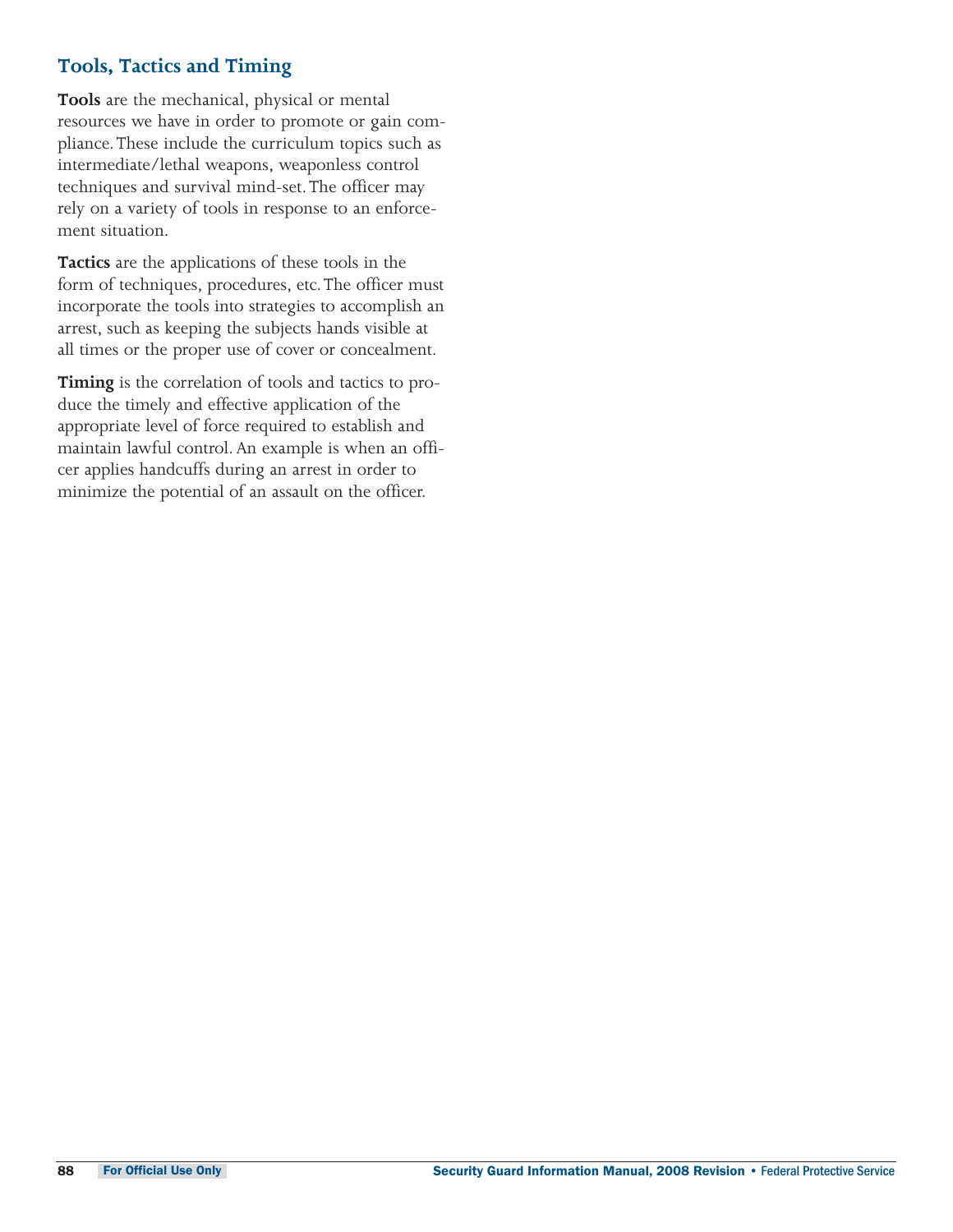# **Tools, Tactics and Timing**

**Tools** are the mechanical, physical or mental resources we have in order to promote or gain compliance.These include the curriculum topics such as intermediate/lethal weapons, weaponless control techniques and survival mind-set.The officer may rely on a variety of tools in response to an enforcement situation.

**Tactics** are the applications of these tools in the form of techniques, procedures, etc.The officer must incorporate the tools into strategies to accomplish an arrest, such as keeping the subjects hands visible at all times or the proper use of cover or concealment.

**Timing** is the correlation of tools and tactics to produce the timely and effective application of the appropriate level of force required to establish and maintain lawful control. An example is when an officer applies handcuffs during an arrest in order to minimize the potential of an assault on the officer.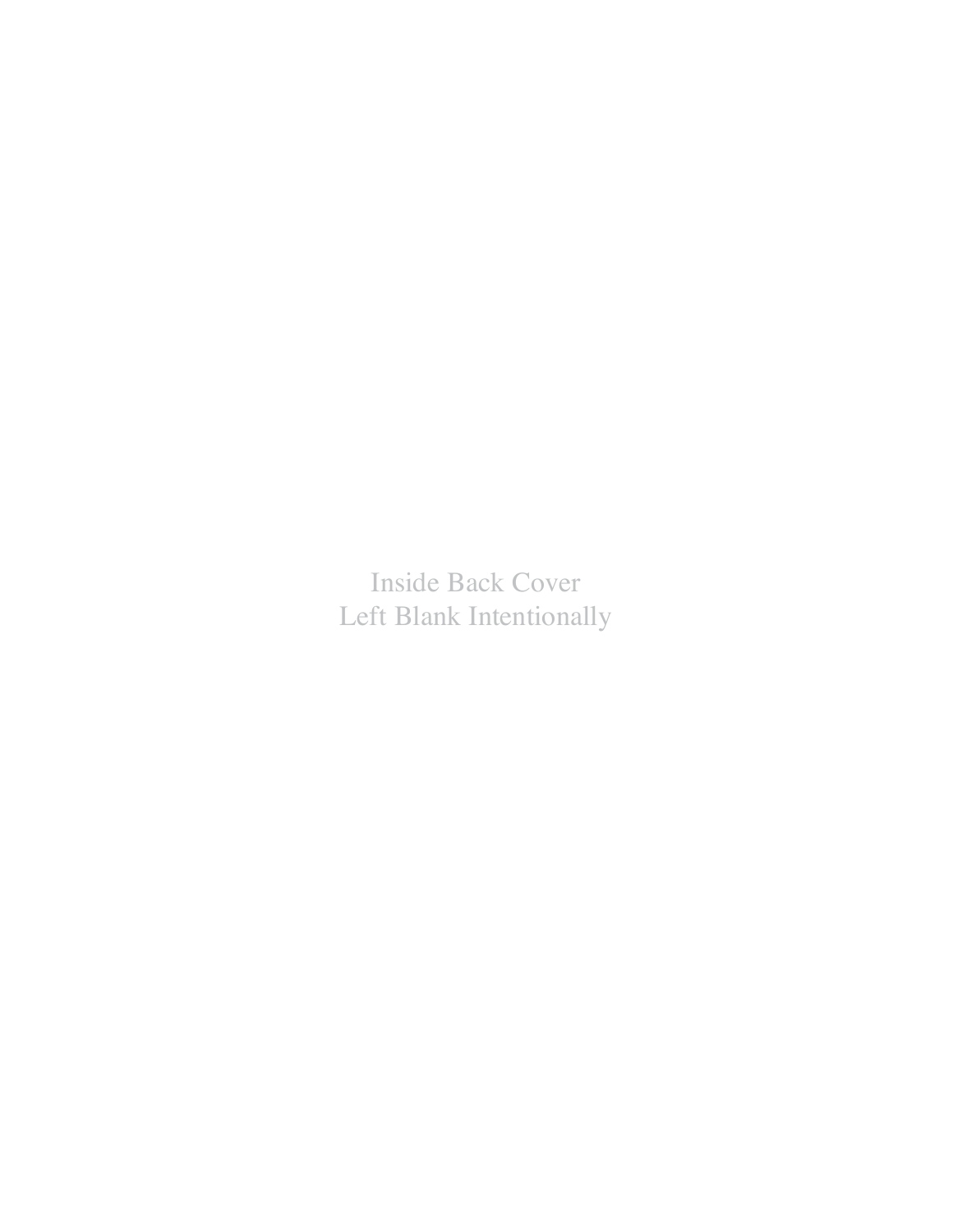Inside Back Cover Left Blank Intentionally